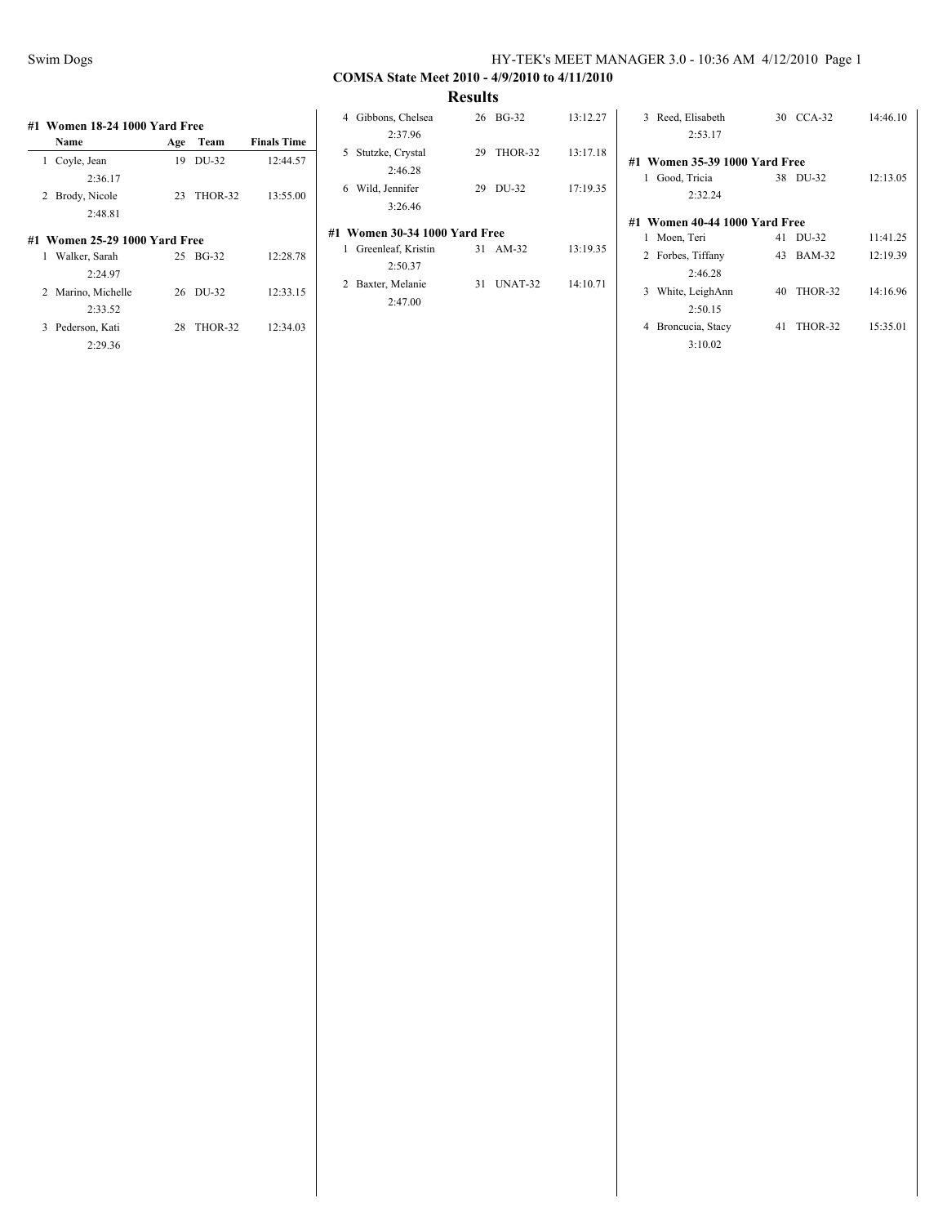3:10.02

# **COMSA State Meet 2010 - 4/9/2010 to 4/11/2010**

**Results**

|    | Name                          | Age | Team    | <b>Finals Time</b> |
|----|-------------------------------|-----|---------|--------------------|
| 1. | Coyle, Jean                   | 19  | DU-32   | 12:44.57           |
|    | 2:36.17                       |     |         |                    |
| 2  | Brody, Nicole                 | 23  | THOR-32 | 13:55.00           |
|    | 2:48.81                       |     |         |                    |
|    | #1 Women 25-29 1000 Yard Free |     |         |                    |
| 1  | Walker, Sarah                 | 25  | $BG-32$ | 12:28.78           |
|    | 2:24.97                       |     |         |                    |
|    | 2 Marino, Michelle            | 26  | DU-32   | 12:33.15           |
|    | 2:33.52                       |     |         |                    |
| 3  | Pederson, Kati                | 28  | THOR-32 | 12:34.03           |
|    | 2:29.36                       |     |         |                    |

| Gibbons, Chelsea<br>4<br>2:37.96    | BG-32<br>26                   | 13:12.27 |  |  |  |  |  |  |  |  |  |  |
|-------------------------------------|-------------------------------|----------|--|--|--|--|--|--|--|--|--|--|
| Stutzke, Crystal<br>5.<br>2.46.28   | THOR-32<br>29                 | 13:17.18 |  |  |  |  |  |  |  |  |  |  |
| Wild, Jennifer<br>6<br>3:26.46      | DU-32<br>29                   | 17:19.35 |  |  |  |  |  |  |  |  |  |  |
|                                     | #1 Women 30-34 1000 Yard Free |          |  |  |  |  |  |  |  |  |  |  |
| Greenleaf, Kristin<br>1.<br>2:50.37 | 31<br>$AM-32$                 | 13:19.35 |  |  |  |  |  |  |  |  |  |  |
| Baxter, Melanie<br>2<br>2:47.00     | UNAT-32<br>31                 | 14:10.71 |  |  |  |  |  |  |  |  |  |  |

|                               | 2:53.17                       |    |               |          |  |  |  |  |  |  |  |  |
|-------------------------------|-------------------------------|----|---------------|----------|--|--|--|--|--|--|--|--|
|                               | #1 Women 35-39 1000 Yard Free |    |               |          |  |  |  |  |  |  |  |  |
| 1                             | Good, Tricia                  | 38 | DU-32         | 12:13.05 |  |  |  |  |  |  |  |  |
|                               | 2.32.24                       |    |               |          |  |  |  |  |  |  |  |  |
| #1 Women 40-44 1000 Yard Free |                               |    |               |          |  |  |  |  |  |  |  |  |
| 1                             | Moen, Teri                    | 41 | DU-32         | 11:41.25 |  |  |  |  |  |  |  |  |
|                               | 2 Forbes, Tiffany             | 43 | <b>BAM-32</b> | 12:19.39 |  |  |  |  |  |  |  |  |
|                               | 2:46.28                       |    |               |          |  |  |  |  |  |  |  |  |
| 3                             | White, LeighAnn               | 40 | THOR-32       | 14:16.96 |  |  |  |  |  |  |  |  |
|                               | 2:50.15                       |    |               |          |  |  |  |  |  |  |  |  |
| 4                             | Broncucia, Stacy              | 41 | THOR-32       | 15:35.01 |  |  |  |  |  |  |  |  |

3 Reed, Elisabeth 30 CCA-32 14:46.10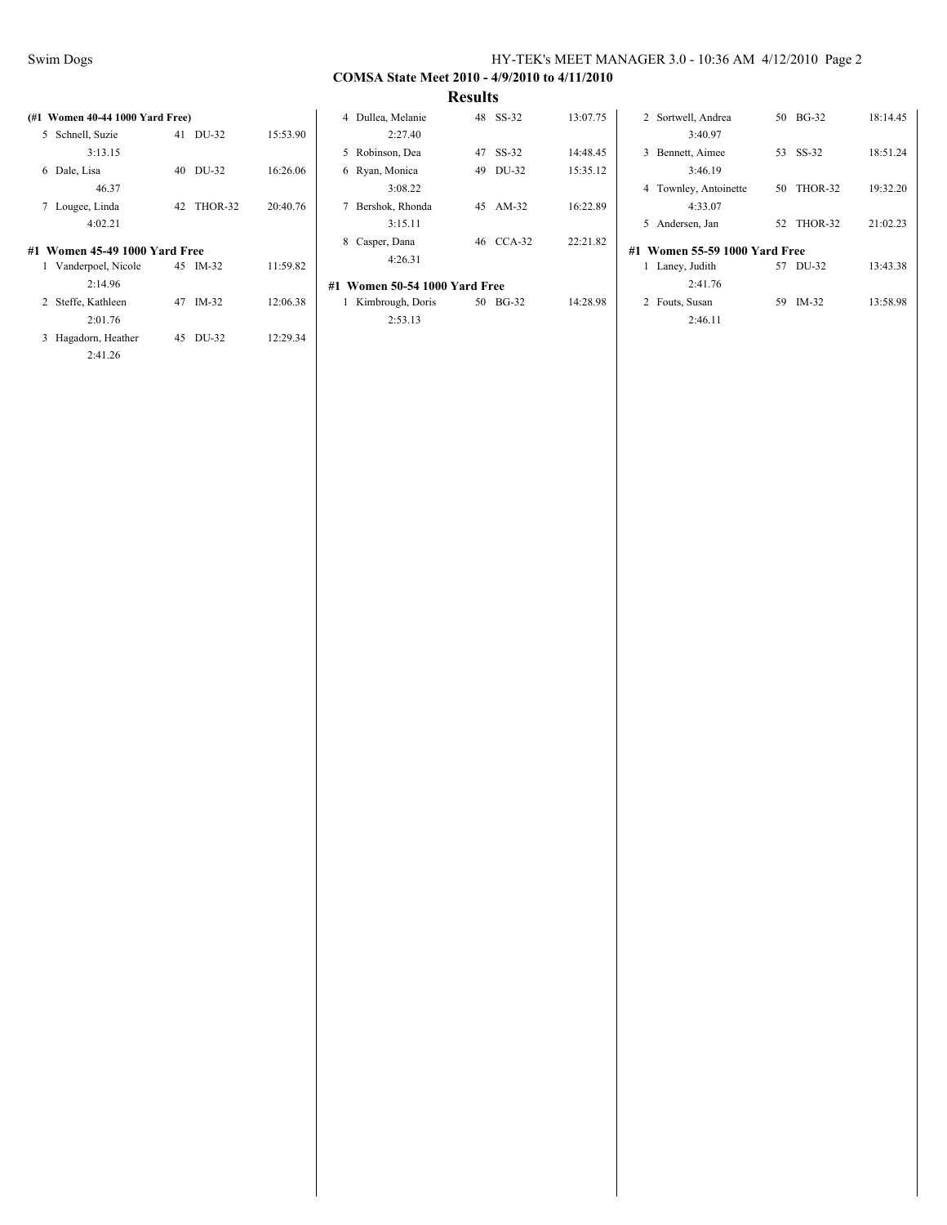2:41.26

### Swim Dogs HY-TEK's MEET MANAGER 3.0 - 10:36 AM 4/12/2010 Page 2

# **COMSA State Meet 2010 - 4/9/2010 to 4/11/2010**

| (#1 Women 40-44 1000 Yard Free) |               |          | 4 Dullea, Melanie             | 48 SS-32  | 13:07.75 | 2 Sortwell, Andrea            | 50 BG-32      | 18:14.45 |
|---------------------------------|---------------|----------|-------------------------------|-----------|----------|-------------------------------|---------------|----------|
| 5 Schnell, Suzie                | 41 DU-32      | 15:53.90 | 2:27.40                       |           |          | 3:40.97                       |               |          |
| 3:13.15                         |               |          | 5 Robinson, Dea               | 47 SS-32  | 14:48.45 | 3 Bennett, Aimee              | 53 SS-32      | 18:51.24 |
| 6 Dale, Lisa                    | 40 DU-32      | 16:26.06 | 6 Ryan, Monica                | 49 DU-32  | 15:35.12 | 3:46.19                       |               |          |
| 46.37                           |               |          | 3:08.22                       |           |          | 4 Townley, Antoinette         | THOR-32<br>50 | 19:32.20 |
| 7 Lougee, Linda                 | THOR-32<br>42 | 20:40.76 | 7 Bershok, Rhonda             | 45 AM-32  | 16:22.89 | 4:33.07                       |               |          |
| 4:02.21                         |               |          | 3:15.11                       |           |          | 5 Andersen, Jan               | THOR-32<br>52 | 21:02.23 |
| #1 Women 45-49 1000 Yard Free   |               |          | 8 Casper, Dana<br>4:26.31     | 46 CCA-32 | 22:21.82 | #1 Women 55-59 1000 Yard Free |               |          |
| 1 Vanderpoel, Nicole            | 45 IM-32      | 11:59.82 |                               |           |          | Laney, Judith                 | 57 DU-32      | 13:43.38 |
| 2:14.96                         |               |          | #1 Women 50-54 1000 Yard Free |           |          | 2:41.76                       |               |          |
| 2 Steffe, Kathleen              | 47 IM-32      | 12:06.38 | Kimbrough, Doris              | 50 BG-32  | 14:28.98 | 2 Fouts, Susan                | 59 IM-32      | 13:58.98 |
| 2:01.76                         |               |          | 2:53.13                       |           |          | 2:46.11                       |               |          |
| 3 Hagadorn, Heather             | 45 DU-32      | 12:29.34 |                               |           |          |                               |               |          |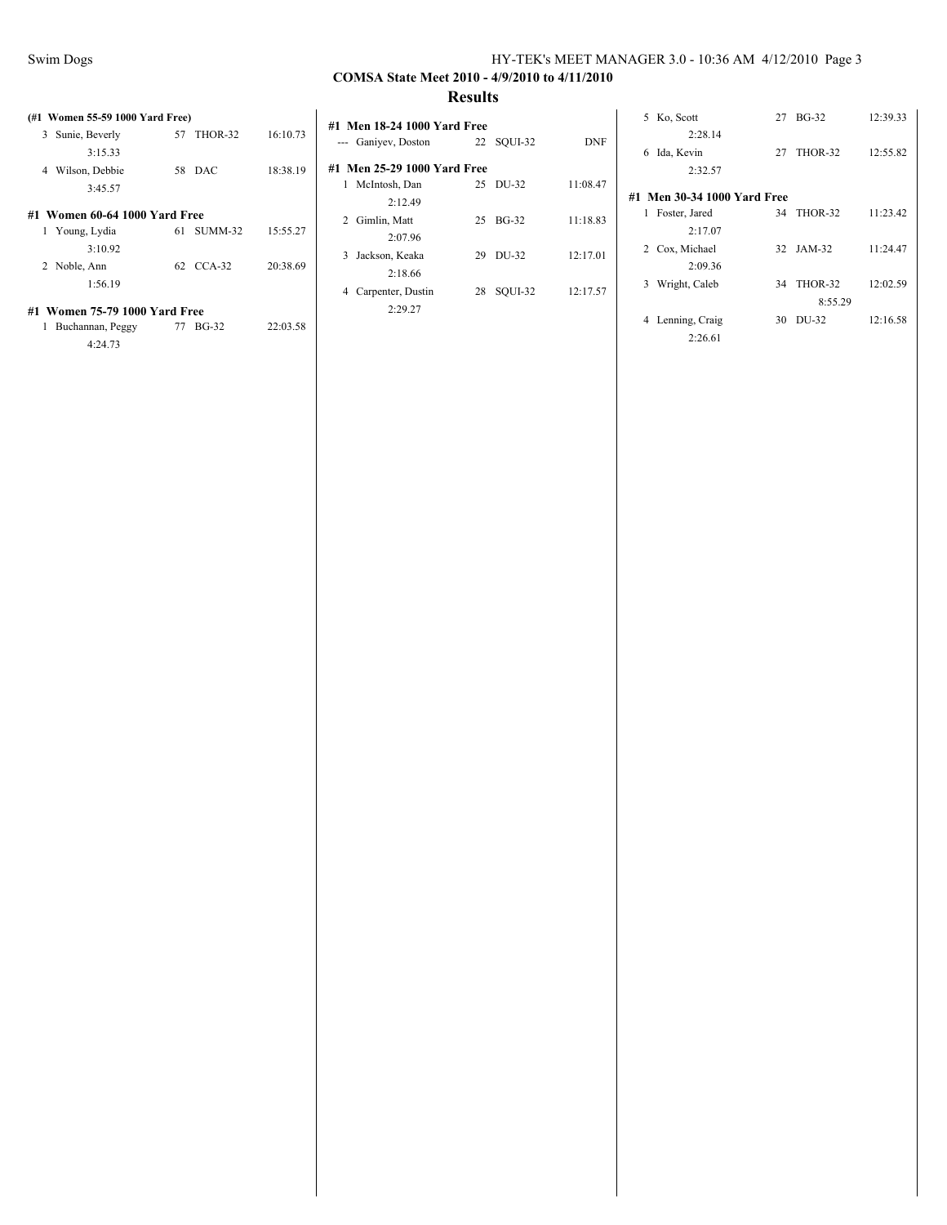### **COMSA State Meet 2010 - 4/9/2010 to 4/11/2010 Results**

## **(#1 Women 55-59 1000 Yard Free)** 3 Sunie, Beverly 57 THOR-32 16:10.73 3:15.33 4 Wilson, Debbie 58 DAC 18:38.19 3:45.57 **#1 Women 60-64 1000 Yard Free** 1 Young, Lydia 61 SUMM-32 15:55.27 3:10.92

| 2 Noble, Ann | 62 CCA-32 | 20:38.69 |
|--------------|-----------|----------|
| 1:56.19      |           |          |

#### **#1 Women 75-79 1000 Yard Free**

| 1 Buchannan, Peggy | 77 BG-32 | 22:03.58 |
|--------------------|----------|----------|
| 4:24.73            |          |          |

| #1 Men 18-24 1000 Yard Free |    |            |          |  |  |  |  |  |  |  |  |  |
|-----------------------------|----|------------|----------|--|--|--|--|--|--|--|--|--|
| --- Ganiyev, Doston         |    | 22 SQUI-32 | DNF      |  |  |  |  |  |  |  |  |  |
| #1 Men 25-29 1000 Yard Free |    |            |          |  |  |  |  |  |  |  |  |  |
| 1<br>McIntosh, Dan          |    | 25 DU-32   | 11:08.47 |  |  |  |  |  |  |  |  |  |
| 2:12.49                     |    |            |          |  |  |  |  |  |  |  |  |  |
| 2 Gimlin, Matt              | 25 | $BG-32$    | 11:18.83 |  |  |  |  |  |  |  |  |  |
| 2:07.96                     |    |            |          |  |  |  |  |  |  |  |  |  |
| Jackson, Keaka<br>3         | 29 | DU-32      | 12:17.01 |  |  |  |  |  |  |  |  |  |
| 2:18.66                     |    |            |          |  |  |  |  |  |  |  |  |  |
| Carpenter, Dustin<br>4      | 28 | SOUI-32    | 12:17.57 |  |  |  |  |  |  |  |  |  |
| 2:29.27                     |    |            |          |  |  |  |  |  |  |  |  |  |

| Ko, Scott<br>5.             | 27 | $BG-32$        | 12:39.33 |  |  |  |  |  |  |  |  |  |
|-----------------------------|----|----------------|----------|--|--|--|--|--|--|--|--|--|
| 2:28.14                     |    |                |          |  |  |  |  |  |  |  |  |  |
| Ida, Kevin<br>6             | 27 | THOR-32        | 12:55.82 |  |  |  |  |  |  |  |  |  |
| 2.32.57                     |    |                |          |  |  |  |  |  |  |  |  |  |
| #1 Men 30-34 1000 Yard Free |    |                |          |  |  |  |  |  |  |  |  |  |
| 1 Foster, Jared             |    | 34 THOR-32     | 11:23.42 |  |  |  |  |  |  |  |  |  |
| 2:17.07                     |    |                |          |  |  |  |  |  |  |  |  |  |
| 2 Cox, Michael              |    | 32 JAM-32      | 11:24.47 |  |  |  |  |  |  |  |  |  |
| 2:09.36                     |    |                |          |  |  |  |  |  |  |  |  |  |
| Wright, Caleb<br>3          | 34 | <b>THOR-32</b> | 12:02.59 |  |  |  |  |  |  |  |  |  |
|                             |    | 8:55.29        |          |  |  |  |  |  |  |  |  |  |
| Lenning, Craig<br>4         | 30 | DU-32          | 12:16.58 |  |  |  |  |  |  |  |  |  |
| 2:26.61                     |    |                |          |  |  |  |  |  |  |  |  |  |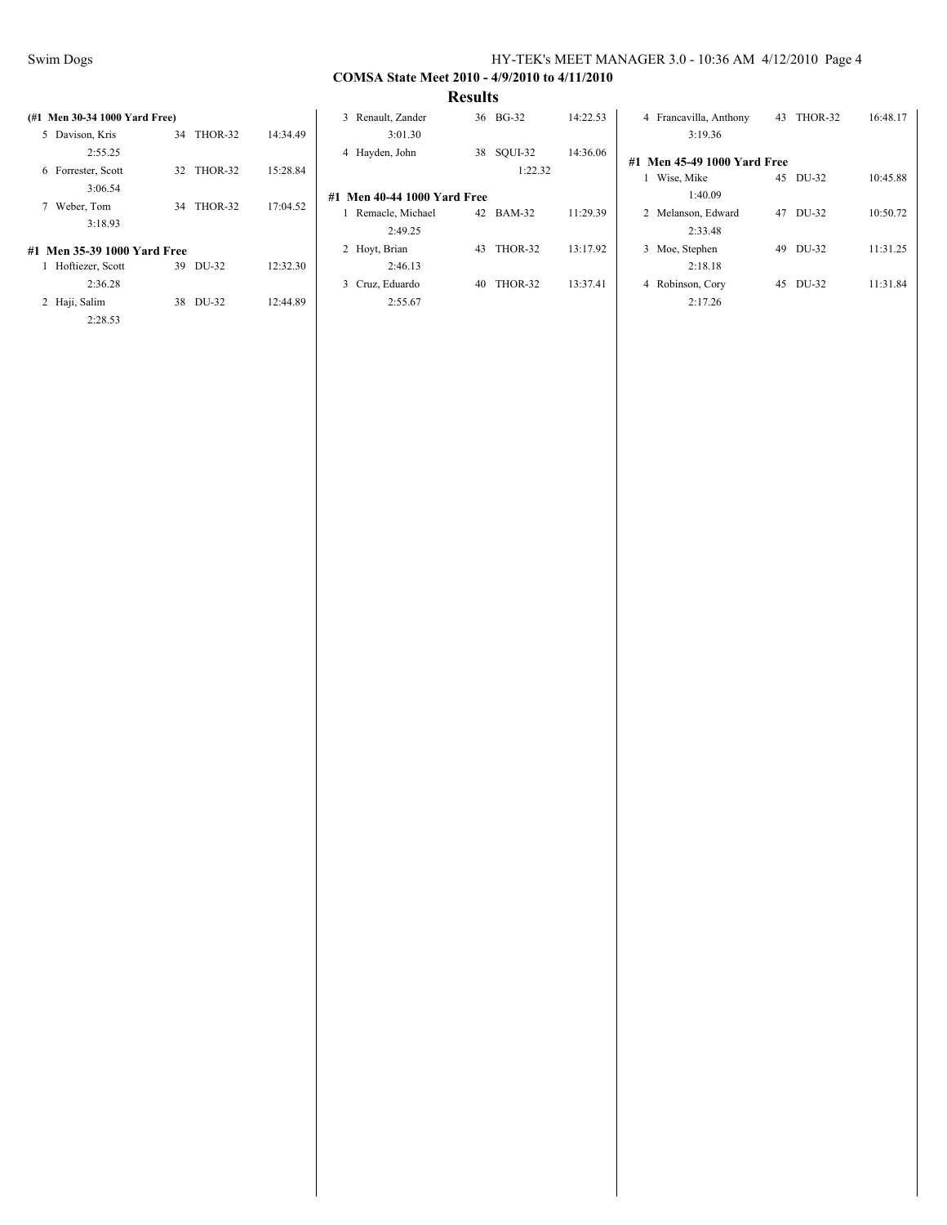| (#1 Men 30-34 1000 Yard Free)<br>5 Davison, Kris | THOR-32<br>34 | 14:34.49 | 3 Renault, Zander<br>3:01.30                    |    | 36 BG-32   | 14:22.53 | 4 Francavilla, Anthony<br>3:19.36     |    | 43 THOR-32 | 16:48.17 |
|--------------------------------------------------|---------------|----------|-------------------------------------------------|----|------------|----------|---------------------------------------|----|------------|----------|
| 2:55.25                                          |               |          | 4 Hayden, John                                  |    | 38 SQUI-32 | 14:36.06 | <b>Men 45-49 1000 Yard Free</b><br>#1 |    |            |          |
| 6 Forrester, Scott<br>3:06.54                    | 32 THOR-32    | 15:28.84 |                                                 |    | 1:22.32    |          | Wise, Mike<br>1:40.09                 | 45 | DU-32      | 10:45.88 |
| 7 Weber, Tom                                     | THOR-32<br>34 | 17:04.52 | #1 Men 40-44 1000 Yard Free<br>Remacle, Michael |    | 42 BAM-32  | 11:29.39 | 2 Melanson, Edward                    | 47 | DU-32      | 10:50.72 |
| 3:18.93                                          |               |          | 2:49.25                                         |    |            |          | 2:33.48                               |    |            |          |
| #1 Men 35-39 1000 Yard Free                      |               |          | 2 Hovt, Brian                                   | 43 | THOR-32    | 13:17.92 | 3 Moe, Stephen                        | 49 | DU-32      | 11:31.25 |
| Hoftiezer, Scott                                 | 39 DU-32      | 12:32.30 | 2:46.13                                         |    |            |          | 2:18.18                               |    |            |          |
| 2:36.28                                          |               |          | 3 Cruz, Eduardo                                 | 40 | THOR-32    | 13:37.41 | 4 Robinson, Cory                      | 45 | DU-32      | 11:31.84 |
| 2 Haji, Salim                                    | 38 DU-32      | 12:44.89 | 2:55.67                                         |    |            |          | 2:17.26                               |    |            |          |
| 2:28.53                                          |               |          |                                                 |    |            |          |                                       |    |            |          |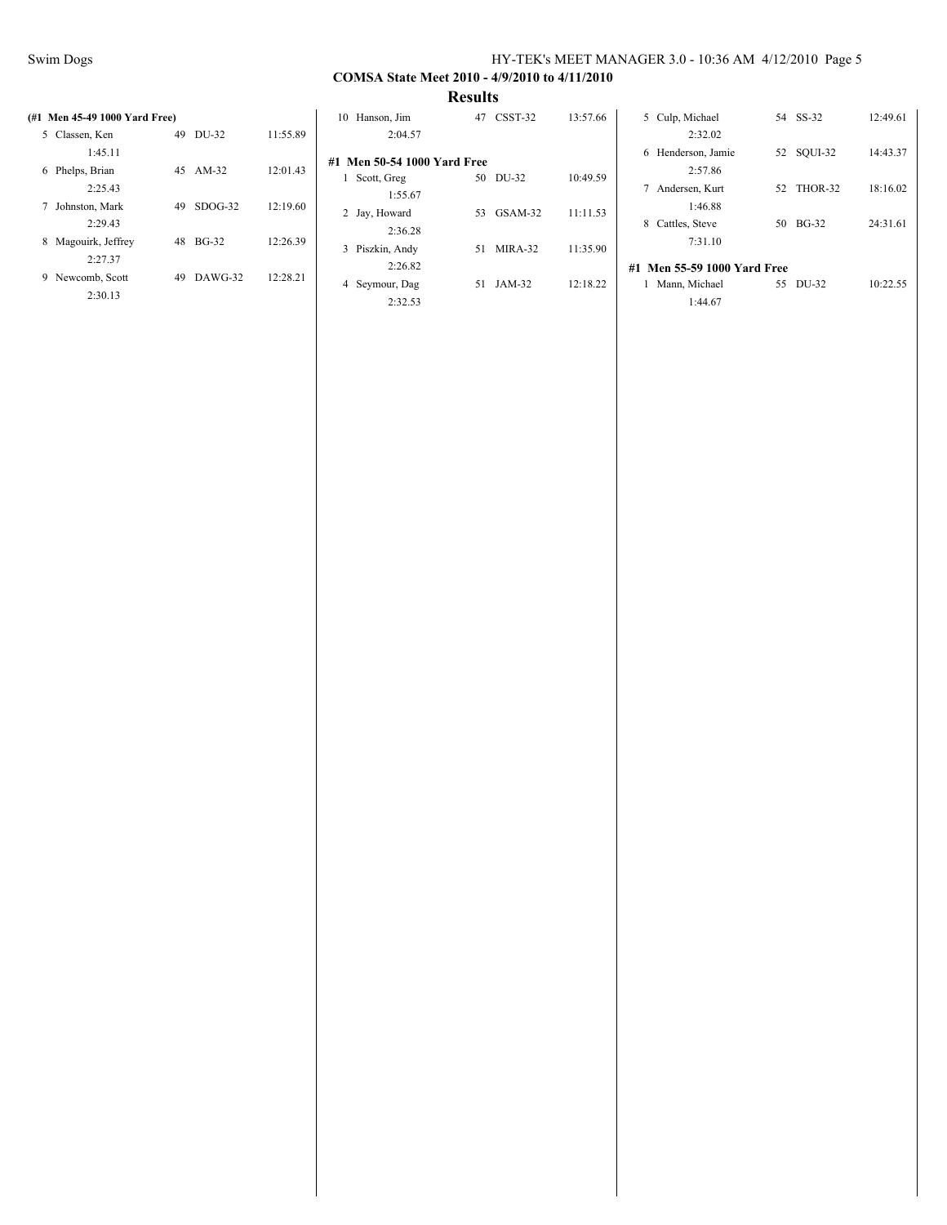|                               |    |           |          |                             | $-000$ $-00$ |            |          |                             |    |            |          |
|-------------------------------|----|-----------|----------|-----------------------------|--------------|------------|----------|-----------------------------|----|------------|----------|
| (#1 Men 45-49 1000 Yard Free) |    |           |          | 10 Hanson, Jim              |              | 47 CSST-32 | 13:57.66 | 5 Culp, Michael             |    | 54 SS-32   | 12:49.61 |
| 5 Classen, Ken                | 49 | DU-32     | 11:55.89 | 2:04.57                     |              |            |          | 2:32.02                     |    |            |          |
| 1:45.11                       |    |           |          | #1 Men 50-54 1000 Yard Free |              |            |          | 6 Henderson, Jamie          |    | 52 SQUI-32 | 14:43.37 |
| 6 Phelps, Brian               | 45 | $AM-32$   | 12:01.43 | Scott, Greg                 |              | 50 DU-32   | 10:49.59 | 2:57.86                     |    |            |          |
| 2:25.43                       |    |           |          | 1:55.67                     |              |            |          | 7 Andersen, Kurt            |    | 52 THOR-32 | 18:16.02 |
| 7 Johnston, Mark              | 49 | $SDOG-32$ | 12:19.60 | 2 Jay, Howard               |              | 53 GSAM-32 | 11:11.53 | 1:46.88                     |    |            |          |
| 2:29.43                       |    |           |          | 2:36.28                     |              |            |          | 8 Cattles, Steve            |    | 50 BG-32   | 24:31.61 |
| 8 Magouirk, Jeffrey           |    | 48 BG-32  | 12:26.39 | 3 Piszkin, Andy             |              | 51 MIRA-32 | 11:35.90 | 7:31.10                     |    |            |          |
| 2:27.37                       |    |           |          | 2:26.82                     |              |            |          | #1 Men 55-59 1000 Yard Free |    |            |          |
| 9 Newcomb, Scott              | 49 | DAWG-32   | 12:28.21 | 4 Seymour, Dag              |              | 51 JAM-32  | 12:18.22 | Mann, Michael               | 55 | DU-32      | 10:22.55 |
| 2:30.13                       |    |           |          | 2:32.53                     |              |            |          | 1:44.67                     |    |            |          |
|                               |    |           |          |                             |              |            |          |                             |    |            |          |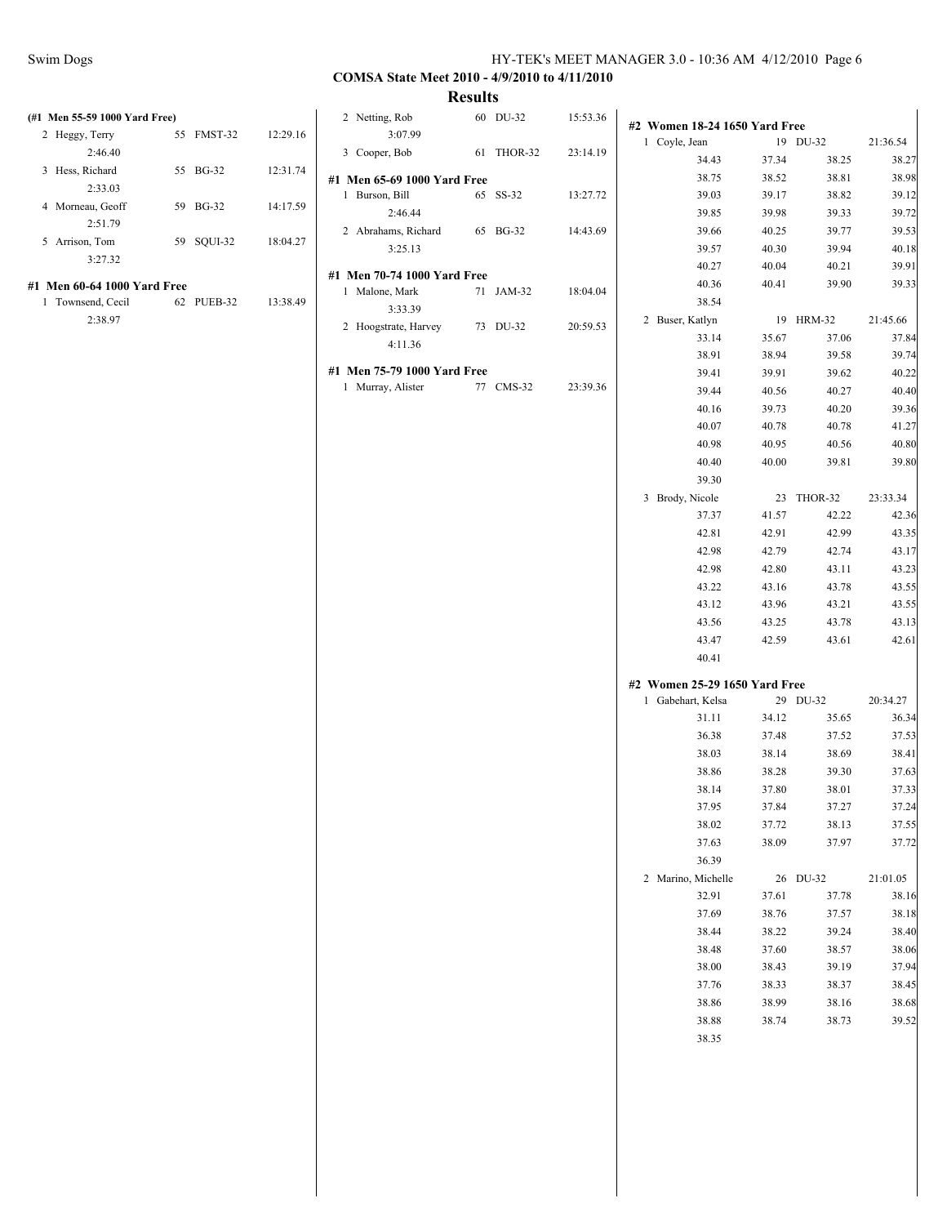### Swim Dogs HY-TEK's MEET MANAGER 3.0 - 10:36 AM 4/12/2010 Page 6

# **COMSA State Meet 2010 - 4/9/2010 to 4/11/2010**

| (#1 Men 55-59 1000 Yard Free) |            |          | 2 Netting, Rob              | 60 DU-32   | 15:53.36 |                               |       |            |          |
|-------------------------------|------------|----------|-----------------------------|------------|----------|-------------------------------|-------|------------|----------|
| 2 Heggy, Terry                | 55 FMST-32 | 12:29.16 | 3:07.99                     |            |          | #2 Women 18-24 1650 Yard Free |       |            |          |
| 2:46.40                       |            |          | 3 Cooper, Bob               | 61 THOR-32 | 23:14.19 | 1 Coyle, Jean                 |       | 19 DU-32   | 21:36.54 |
| 3 Hess, Richard               | 55 BG-32   | 12:31.74 |                             |            |          | 34.43                         | 37.34 | 38.25      | 38.27    |
| 2:33.03                       |            |          | #1 Men 65-69 1000 Yard Free |            |          | 38.75                         | 38.52 | 38.81      | 38.98    |
| 4 Morneau, Geoff              | 59 BG-32   | 14:17.59 | 1 Burson, Bill              | 65 SS-32   | 13:27.72 | 39.03                         | 39.17 | 38.82      | 39.12    |
| 2:51.79                       |            |          | 2:46.44                     |            |          | 39.85                         | 39.98 | 39.33      | 39.72    |
|                               |            |          | 2 Abrahams, Richard         | 65 BG-32   | 14:43.69 | 39.66                         | 40.25 | 39.77      | 39.53    |
| 5 Arrison, Tom                | 59 SQUI-32 | 18:04.27 | 3:25.13                     |            |          | 39.57                         | 40.30 | 39.94      | 40.18    |
| 3:27.32                       |            |          |                             |            |          | 40.27                         | 40.04 | 40.21      | 39.91    |
| #1 Men 60-64 1000 Yard Free   |            |          | #1 Men 70-74 1000 Yard Free |            |          | 40.36                         | 40.41 | 39.90      | 39.33    |
| 1 Townsend, Cecil             | 62 PUEB-32 | 13:38.49 | 1 Malone, Mark              | 71 JAM-32  | 18:04.04 | 38.54                         |       |            |          |
| 2:38.97                       |            |          | 3:33.39                     |            |          | 2 Buser, Katlyn               |       | 19 HRM-32  | 21:45.66 |
|                               |            |          | 2 Hoogstrate, Harvey        | 73 DU-32   | 20:59.53 |                               |       |            |          |
|                               |            |          | 4:11.36                     |            |          | 33.14                         | 35.67 | 37.06      | 37.84    |
|                               |            |          |                             |            |          | 38.91                         | 38.94 | 39.58      | 39.74    |
|                               |            |          | #1 Men 75-79 1000 Yard Free |            |          | 39.41                         | 39.91 | 39.62      | 40.22    |
|                               |            |          | 1 Murray, Alister           | 77 CMS-32  | 23:39.36 | 39.44                         | 40.56 | 40.27      | 40.40    |
|                               |            |          |                             |            |          | 40.16                         | 39.73 | 40.20      | 39.36    |
|                               |            |          |                             |            |          | 40.07                         | 40.78 | 40.78      | 41.27    |
|                               |            |          |                             |            |          | 40.98                         | 40.95 | 40.56      | 40.80    |
|                               |            |          |                             |            |          | 40.40                         | 40.00 | 39.81      | 39.80    |
|                               |            |          |                             |            |          | 39.30                         |       |            |          |
|                               |            |          |                             |            |          |                               |       | 23 THOR-32 |          |
|                               |            |          |                             |            |          | 3 Brody, Nicole               |       |            | 23:33.34 |
|                               |            |          |                             |            |          | 37.37                         | 41.57 | 42.22      | 42.36    |
|                               |            |          |                             |            |          | 42.81                         | 42.91 | 42.99      | 43.35    |
|                               |            |          |                             |            |          | 42.98                         | 42.79 | 42.74      | 43.17    |
|                               |            |          |                             |            |          | 42.98                         | 42.80 | 43.11      | 43.23    |
|                               |            |          |                             |            |          | 43.22                         | 43.16 | 43.78      | 43.55    |
|                               |            |          |                             |            |          | 43.12                         | 43.96 | 43.21      | 43.55    |
|                               |            |          |                             |            |          | 43.56                         | 43.25 | 43.78      | 43.13    |
|                               |            |          |                             |            |          | 43.47                         | 42.59 | 43.61      | 42.61    |
|                               |            |          |                             |            |          | 40.41                         |       |            |          |
|                               |            |          |                             |            |          | #2 Women 25-29 1650 Yard Free |       |            |          |
|                               |            |          |                             |            |          | 1 Gabehart, Kelsa             |       | 29 DU-32   | 20:34.27 |
|                               |            |          |                             |            |          | 31.11                         | 34.12 | 35.65      | 36.34    |
|                               |            |          |                             |            |          | 36.38                         | 37.48 | 37.52      | 37.53    |
|                               |            |          |                             |            |          |                               |       |            |          |
|                               |            |          |                             |            |          | 38.03                         | 38.14 | 38.69      | 38.41    |
|                               |            |          |                             |            |          | 38.86                         | 38.28 | 39.30      | 37.63    |
|                               |            |          |                             |            |          | 38.14                         | 37.80 | 38.01      | 37.33    |
|                               |            |          |                             |            |          | 37.95                         | 37.84 | 37.27      | 37.24    |
|                               |            |          |                             |            |          | 38.02                         | 37.72 | 38.13      | 37.55    |
|                               |            |          |                             |            |          | 37.63                         | 38.09 | 37.97      | 37.72    |
|                               |            |          |                             |            |          | 36.39                         |       |            |          |
|                               |            |          |                             |            |          | 2 Marino, Michelle            |       | 26 DU-32   | 21:01.05 |
|                               |            |          |                             |            |          | 32.91                         | 37.61 | 37.78      |          |
|                               |            |          |                             |            |          |                               |       |            | 38.16    |
|                               |            |          |                             |            |          | 37.69                         | 38.76 | 37.57      | 38.18    |
|                               |            |          |                             |            |          | 38.44                         | 38.22 | 39.24      | 38.40    |
|                               |            |          |                             |            |          | 38.48                         | 37.60 | 38.57      | 38.06    |
|                               |            |          |                             |            |          | 38.00                         | 38.43 | 39.19      | 37.94    |
|                               |            |          |                             |            |          | 37.76                         | 38.33 | 38.37      | 38.45    |
|                               |            |          |                             |            |          | 38.86                         | 38.99 | 38.16      | 38.68    |
|                               |            |          |                             |            |          | 38.88                         | 38.74 | 38.73      | 39.52    |
|                               |            |          |                             |            |          | 38.35                         |       |            |          |
|                               |            |          |                             |            |          |                               |       |            |          |
|                               |            |          |                             |            |          |                               |       |            |          |
|                               |            |          |                             |            |          |                               |       |            |          |
|                               |            |          |                             |            |          |                               |       |            |          |
|                               |            |          |                             |            |          |                               |       |            |          |
|                               |            |          |                             |            |          |                               |       |            |          |
|                               |            |          |                             |            |          |                               |       |            |          |
|                               |            |          |                             |            |          |                               |       |            |          |
|                               |            |          |                             |            |          |                               |       |            |          |
|                               |            |          |                             |            |          |                               |       |            |          |
|                               |            |          |                             |            |          |                               |       |            |          |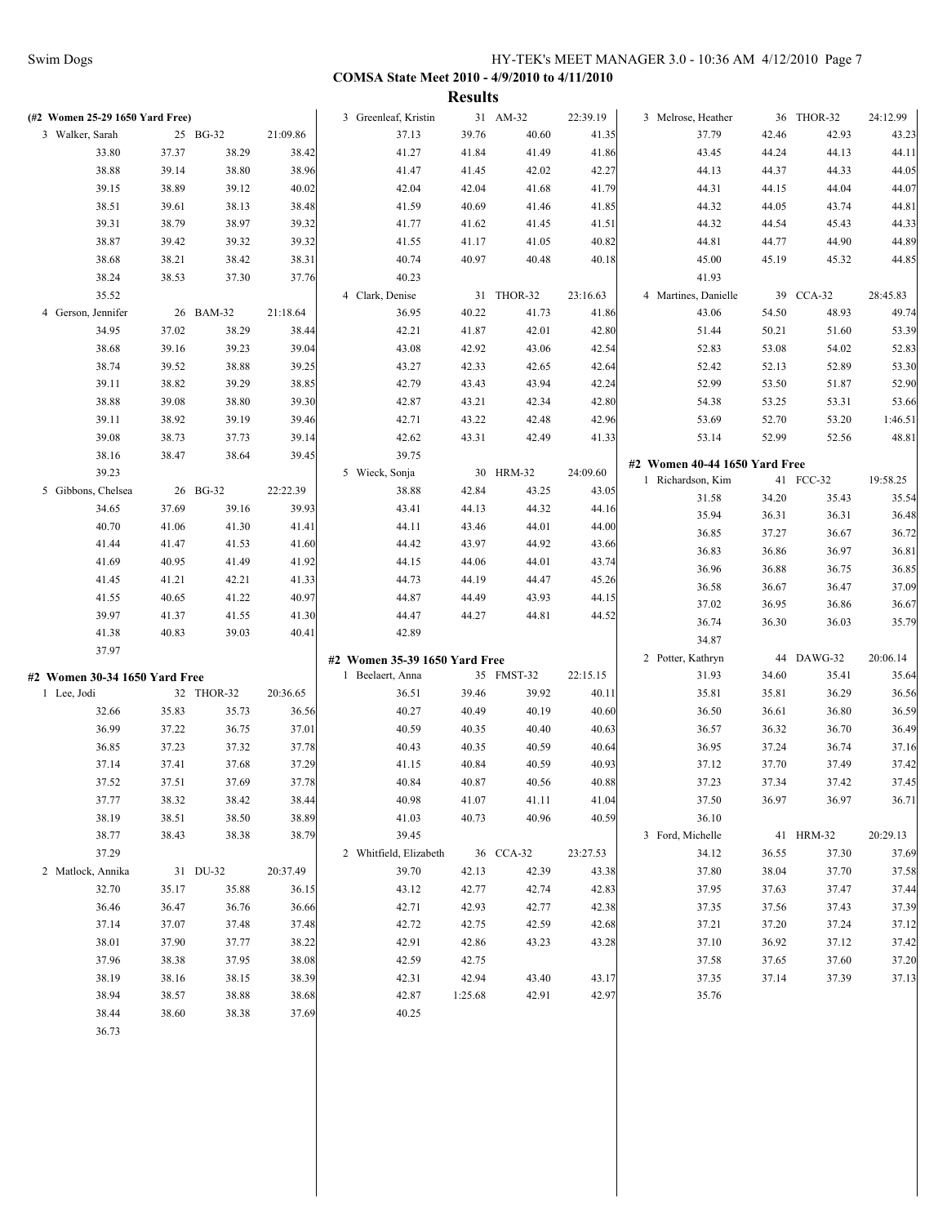|             |                                 |       |            |          |                               | <b>Results</b> |            |          |                               |       |            |          |
|-------------|---------------------------------|-------|------------|----------|-------------------------------|----------------|------------|----------|-------------------------------|-------|------------|----------|
|             | (#2 Women 25-29 1650 Yard Free) |       |            |          | 3 Greenleaf, Kristin          |                | 31 AM-32   | 22:39.19 | 3 Melrose, Heather            |       | 36 THOR-32 | 24:12.99 |
|             | 3 Walker, Sarah                 |       | 25 BG-32   | 21:09.86 | 37.13                         | 39.76          | 40.60      | 41.35    | 37.79                         | 42.46 | 42.93      | 43.23    |
|             | 33.80                           | 37.37 | 38.29      | 38.42    | 41.27                         | 41.84          | 41.49      | 41.86    | 43.45                         | 44.24 | 44.13      | 44.11    |
|             | 38.88                           | 39.14 | 38.80      | 38.96    | 41.47                         | 41.45          | 42.02      | 42.27    | 44.13                         | 44.37 | 44.33      | 44.05    |
|             | 39.15                           | 38.89 | 39.12      | 40.02    | 42.04                         | 42.04          | 41.68      | 41.79    | 44.31                         | 44.15 | 44.04      | 44.07    |
|             | 38.51                           | 39.61 | 38.13      | 38.48    | 41.59                         | 40.69          | 41.46      | 41.85    | 44.32                         | 44.05 | 43.74      | 44.81    |
|             | 39.31                           | 38.79 | 38.97      | 39.32    | 41.77                         | 41.62          | 41.45      | 41.51    | 44.32                         | 44.54 | 45.43      | 44.33    |
|             | 38.87                           | 39.42 | 39.32      | 39.32    | 41.55                         | 41.17          | 41.05      | 40.82    | 44.81                         | 44.77 | 44.90      | 44.89    |
|             | 38.68                           | 38.21 | 38.42      | 38.31    | 40.74                         | 40.97          | 40.48      | 40.18    | 45.00                         | 45.19 | 45.32      | 44.85    |
|             | 38.24                           | 38.53 | 37.30      | 37.76    | 40.23                         |                |            |          | 41.93                         |       |            |          |
|             | 35.52                           |       |            |          | 4 Clark, Denise               |                | 31 THOR-32 | 23:16.63 | 4 Martines, Danielle          |       | 39 CCA-32  | 28:45.83 |
|             | 4 Gerson, Jennifer              |       | 26 BAM-32  | 21:18.64 | 36.95                         | 40.22          | 41.73      | 41.86    | 43.06                         | 54.50 | 48.93      | 49.74    |
|             | 34.95                           | 37.02 | 38.29      | 38.44    | 42.21                         | 41.87          | 42.01      | 42.80    | 51.44                         | 50.21 | 51.60      | 53.39    |
|             | 38.68                           | 39.16 | 39.23      | 39.04    | 43.08                         | 42.92          | 43.06      | 42.54    | 52.83                         | 53.08 | 54.02      | 52.83    |
|             | 38.74                           | 39.52 | 38.88      | 39.25    | 43.27                         | 42.33          | 42.65      | 42.64    | 52.42                         | 52.13 | 52.89      | 53.30    |
|             | 39.11                           | 38.82 | 39.29      | 38.85    | 42.79                         | 43.43          | 43.94      | 42.24    | 52.99                         | 53.50 | 51.87      | 52.90    |
|             | 38.88                           | 39.08 | 38.80      | 39.30    | 42.87                         | 43.21          | 42.34      | 42.80    | 54.38                         | 53.25 | 53.31      | 53.66    |
|             | 39.11                           | 38.92 | 39.19      | 39.46    | 42.71                         | 43.22          | 42.48      | 42.96    | 53.69                         | 52.70 | 53.20      | 1:46.51  |
|             | 39.08                           | 38.73 | 37.73      | 39.14    | 42.62                         | 43.31          | 42.49      | 41.33    | 53.14                         | 52.99 | 52.56      | 48.81    |
|             | 38.16                           | 38.47 | 38.64      | 39.45    | 39.75                         |                |            |          |                               |       |            |          |
|             | 39.23                           |       |            |          | 5 Wieck, Sonja                |                | 30 HRM-32  | 24:09.60 | #2 Women 40-44 1650 Yard Free |       |            |          |
|             | 5 Gibbons, Chelsea              |       | 26 BG-32   | 22:22.39 | 38.88                         | 42.84          | 43.25      | 43.05    | 1 Richardson, Kim             |       | 41 FCC-32  | 19:58.25 |
|             | 34.65                           | 37.69 | 39.16      | 39.93    | 43.41                         | 44.13          | 44.32      | 44.16    | 31.58                         | 34.20 | 35.43      | 35.54    |
|             | 40.70                           | 41.06 | 41.30      | 41.41    | 44.11                         | 43.46          | 44.01      | 44.00    | 35.94                         | 36.31 | 36.31      | 36.48    |
|             | 41.44                           | 41.47 | 41.53      | 41.60    | 44.42                         | 43.97          | 44.92      | 43.66    | 36.85                         | 37.27 | 36.67      | 36.72    |
|             | 41.69                           | 40.95 | 41.49      | 41.92    | 44.15                         | 44.06          | 44.01      | 43.74    | 36.83                         | 36.86 | 36.97      | 36.81    |
|             | 41.45                           | 41.21 | 42.21      | 41.33    | 44.73                         | 44.19          | 44.47      | 45.26    | 36.96                         | 36.88 | 36.75      | 36.85    |
|             | 41.55                           | 40.65 | 41.22      | 40.97    | 44.87                         | 44.49          | 43.93      | 44.15    | 36.58                         | 36.67 | 36.47      | 37.09    |
|             | 39.97                           | 41.37 | 41.55      | 41.30    | 44.47                         | 44.27          | 44.81      | 44.52    | 37.02                         | 36.95 | 36.86      | 36.67    |
|             | 41.38                           | 40.83 | 39.03      | 40.41    | 42.89                         |                |            |          | 36.74                         | 36.30 | 36.03      | 35.79    |
|             | 37.97                           |       |            |          |                               |                |            |          | 34.87                         |       |            |          |
|             |                                 |       |            |          | #2 Women 35-39 1650 Yard Free |                |            |          | 2 Potter, Kathryn             |       | 44 DAWG-32 | 20:06.14 |
|             | #2 Women 30-34 1650 Yard Free   |       |            |          | 1 Beelaert, Anna              |                | 35 FMST-32 | 22:15.15 | 31.93                         | 34.60 | 35.41      | 35.64    |
| 1 Lee, Jodi |                                 |       | 32 THOR-32 | 20:36.65 | 36.51                         | 39.46          | 39.92      | 40.11    | 35.81                         | 35.81 | 36.29      | 36.56    |
|             | 32.66                           | 35.83 | 35.73      | 36.56    | 40.27                         | 40.49          | 40.19      | 40.60    | 36.50                         | 36.61 | 36.80      | 36.59    |
|             | 36.99                           | 37.22 | 36.75      | 37.01    | 40.59                         | 40.35          | 40.40      | 40.63    | 36.57                         | 36.32 | 36.70      | 36.49    |
|             | 36.85                           | 37.23 | 37.32      | 37.78    | 40.43                         | 40.35          | 40.59      | 40.64    | 36.95                         | 37.24 | 36.74      | 37.16    |
|             | 37.14                           | 37.41 | 37.68      | 37.29    | 41.15                         | 40.84          | 40.59      | 40.93    | 37.12                         | 37.70 | 37.49      | 37.42    |
|             | 37.52                           | 37.51 | 37.69      | 37.78    | 40.84                         | 40.87          | 40.56      | 40.88    | 37.23                         | 37.34 | 37.42      | 37.45    |
|             | 37.77                           | 38.32 | 38.42      | 38.44    | 40.98                         | 41.07          | 41.11      | 41.04    | 37.50                         | 36.97 | 36.97      | 36.71    |
|             | 38.19                           | 38.51 | 38.50      | 38.89    | 41.03                         | 40.73          | 40.96      | 40.59    | 36.10                         |       |            |          |
|             | 38.77                           | 38.43 | 38.38      | 38.79    | 39.45                         |                |            |          | 3 Ford, Michelle              |       | 41 HRM-32  | 20:29.13 |
|             | 37.29                           |       |            |          | 2 Whitfield, Elizabeth        |                | 36 CCA-32  | 23:27.53 | 34.12                         | 36.55 | 37.30      | 37.69    |
|             | 2 Matlock, Annika               |       | 31 DU-32   | 20:37.49 | 39.70                         | 42.13          | 42.39      | 43.38    | 37.80                         | 38.04 | 37.70      | 37.58    |
|             | 32.70                           | 35.17 | 35.88      | 36.15    | 43.12                         | 42.77          | 42.74      | 42.83    | 37.95                         | 37.63 | 37.47      | 37.44    |
|             | 36.46                           | 36.47 | 36.76      | 36.66    | 42.71                         | 42.93          | 42.77      | 42.38    | 37.35                         | 37.56 | 37.43      | 37.39    |
|             | 37.14                           | 37.07 | 37.48      | 37.48    | 42.72                         | 42.75          | 42.59      | 42.68    | 37.21                         | 37.20 | 37.24      | 37.12    |
|             | 38.01                           | 37.90 | 37.77      | 38.22    | 42.91                         | 42.86          | 43.23      | 43.28    | 37.10                         | 36.92 | 37.12      | 37.42    |
|             | 37.96                           | 38.38 | 37.95      | 38.08    | 42.59                         | 42.75          |            |          | 37.58                         | 37.65 | 37.60      | 37.20    |
|             | 38.19                           | 38.16 | 38.15      | 38.39    | 42.31                         | 42.94          | 43.40      | 43.17    | 37.35                         | 37.14 | 37.39      | 37.13    |
|             | 38.94                           | 38.57 | 38.88      | 38.68    | 42.87                         | 1:25.68        | 42.91      | 42.97    | 35.76                         |       |            |          |
|             | 38.44                           | 38.60 | 38.38      | 37.69    | 40.25                         |                |            |          |                               |       |            |          |
|             | 36.73                           |       |            |          |                               |                |            |          |                               |       |            |          |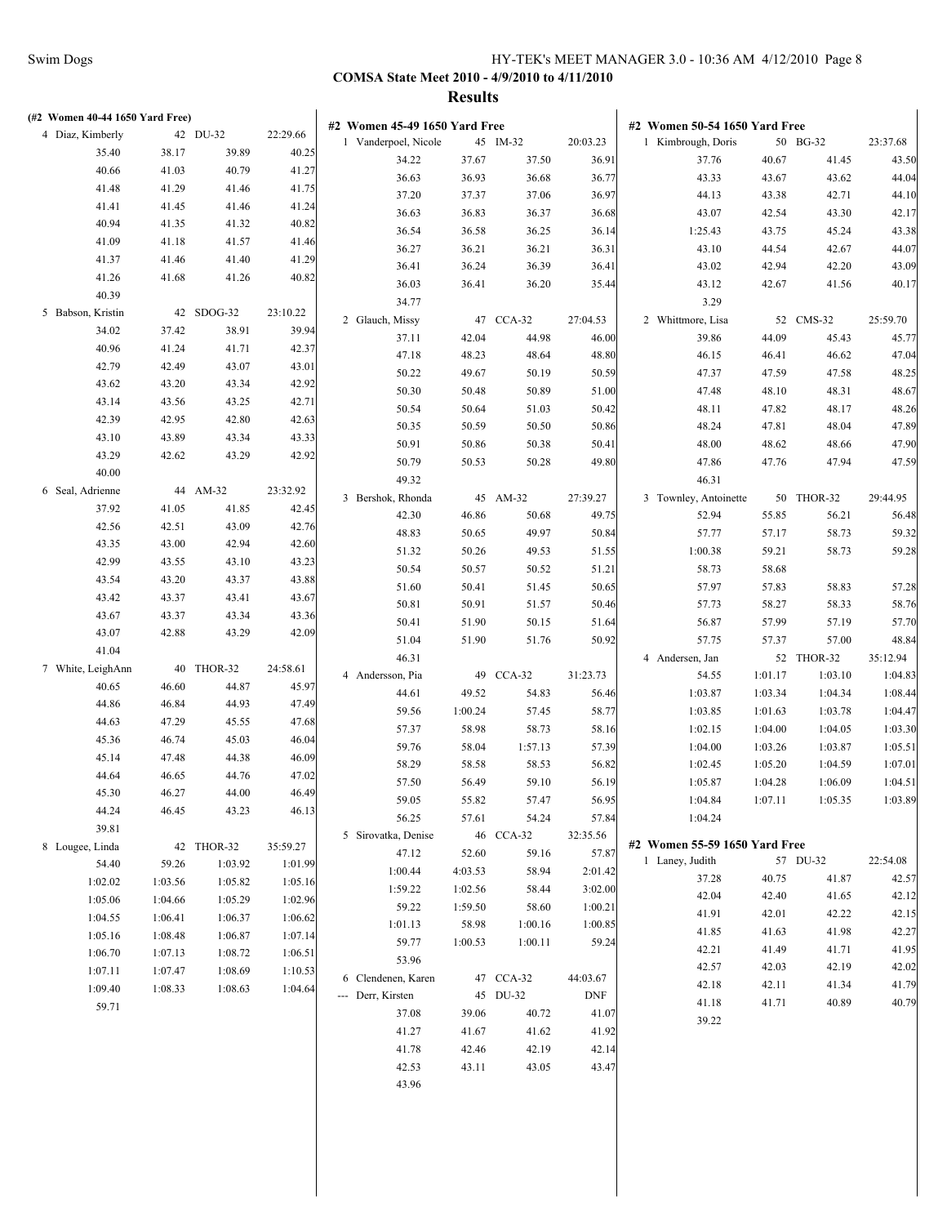| (#2 Women 40-44 1650 Yard Free) |         |                    |                    |                               |         |           |            |                               |         |            |          |
|---------------------------------|---------|--------------------|--------------------|-------------------------------|---------|-----------|------------|-------------------------------|---------|------------|----------|
| 4 Diaz, Kimberly                |         | 42 DU-32           | 22:29.66           | #2 Women 45-49 1650 Yard Free |         |           |            | #2 Women 50-54 1650 Yard Free |         |            |          |
| 35.40                           | 38.17   | 39.89              | 40.25              | 1 Vanderpoel, Nicole          |         | 45 IM-32  | 20:03.23   | 1 Kimbrough, Doris            |         | 50 BG-32   | 23:37.68 |
| 40.66                           | 41.03   | 40.79              | 41.27              | 34.22                         | 37.67   | 37.50     | 36.91      | 37.76                         | 40.67   | 41.45      | 43.50    |
| 41.48                           | 41.29   | 41.46              | 41.75              | 36.63                         | 36.93   | 36.68     | 36.77      | 43.33                         | 43.67   | 43.62      | 44.04    |
| 41.41                           | 41.45   | 41.46              | 41.24              | 37.20                         | 37.37   | 37.06     | 36.97      | 44.13                         | 43.38   | 42.71      | 44.10    |
| 40.94                           | 41.35   | 41.32              | 40.82              | 36.63                         | 36.83   | 36.37     | 36.68      | 43.07                         | 42.54   | 43.30      | 42.17    |
| 41.09                           | 41.18   | 41.57              | 41.46              | 36.54                         | 36.58   | 36.25     | 36.14      | 1:25.43                       | 43.75   | 45.24      | 43.38    |
| 41.37                           | 41.46   | 41.40              | 41.29              | 36.27                         | 36.21   | 36.21     | 36.31      | 43.10                         | 44.54   | 42.67      | 44.07    |
| 41.26                           | 41.68   | 41.26              | 40.82              | 36.41                         | 36.24   | 36.39     | 36.41      | 43.02                         | 42.94   | 42.20      | 43.09    |
| 40.39                           |         |                    |                    | 36.03                         | 36.41   | 36.20     | 35.44      | 43.12                         | 42.67   | 41.56      | 40.17    |
| 5 Babson, Kristin               |         | 42 SDOG-32         | 23:10.22           | 34.77                         |         |           |            | 3.29                          |         |            |          |
| 34.02                           | 37.42   | 38.91              | 39.94              | 2 Glauch, Missy               |         | 47 CCA-32 | 27:04.53   | 2 Whittmore, Lisa             |         | 52 CMS-32  | 25:59.70 |
| 40.96                           | 41.24   | 41.71              | 42.37              | 37.11                         | 42.04   | 44.98     | 46.00      | 39.86                         | 44.09   | 45.43      | 45.77    |
| 42.79                           | 42.49   | 43.07              | 43.01              | 47.18                         | 48.23   | 48.64     | 48.80      | 46.15                         | 46.41   | 46.62      | 47.04    |
| 43.62                           | 43.20   | 43.34              | 42.92              | 50.22                         | 49.67   | 50.19     | 50.59      | 47.37                         | 47.59   | 47.58      | 48.25    |
| 43.14                           | 43.56   | 43.25              | 42.71              | 50.30                         | 50.48   | 50.89     | 51.00      | 47.48                         | 48.10   | 48.31      | 48.67    |
| 42.39                           | 42.95   | 42.80              | 42.63              | 50.54                         | 50.64   | 51.03     | 50.42      | 48.11                         | 47.82   | 48.17      | 48.26    |
| 43.10                           | 43.89   | 43.34              | 43.33              | 50.35                         | 50.59   | 50.50     | 50.86      | 48.24                         | 47.81   | 48.04      | 47.89    |
| 43.29                           | 42.62   | 43.29              | 42.92              | 50.91                         | 50.86   | 50.38     | 50.41      | 48.00                         | 48.62   | 48.66      | 47.90    |
| 40.00                           |         |                    |                    | 50.79                         | 50.53   | 50.28     | 49.80      | 47.86                         | 47.76   | 47.94      | 47.59    |
| 6 Seal, Adrienne                |         | 44 AM-32           | 23:32.92           | 49.32                         |         |           |            | 46.31                         |         |            |          |
| 37.92                           | 41.05   | 41.85              | 42.45              | 3 Bershok, Rhonda             |         | 45 AM-32  | 27:39.27   | 3 Townley, Antoinette         |         | 50 THOR-32 | 29:44.95 |
| 42.56                           | 42.51   | 43.09              | 42.76              | 42.30                         | 46.86   | 50.68     | 49.75      | 52.94                         | 55.85   | 56.21      | 56.48    |
| 43.35                           | 43.00   | 42.94              | 42.60              | 48.83                         | 50.65   | 49.97     | 50.84      | 57.77                         | 57.17   | 58.73      | 59.32    |
| 42.99                           | 43.55   | 43.10              | 43.23              | 51.32                         | 50.26   | 49.53     | 51.55      | 1:00.38                       | 59.21   | 58.73      | 59.28    |
| 43.54                           | 43.20   | 43.37              | 43.88              | 50.54                         | 50.57   | 50.52     | 51.21      | 58.73                         | 58.68   |            |          |
| 43.42                           | 43.37   | 43.41              | 43.67              | 51.60                         | 50.41   | 51.45     | 50.65      | 57.97                         | 57.83   | 58.83      | 57.28    |
| 43.67                           | 43.37   | 43.34              | 43.36              | 50.81                         | 50.91   | 51.57     | 50.46      | 57.73                         | 58.27   | 58.33      | 58.76    |
| 43.07                           | 42.88   | 43.29              | 42.09              | 50.41                         | 51.90   | 50.15     | 51.64      | 56.87                         | 57.99   | 57.19      | 57.70    |
| 41.04                           |         |                    |                    | 51.04                         | 51.90   | 51.76     | 50.92      | 57.75                         | 57.37   | 57.00      | 48.84    |
| 7 White, LeighAnn               |         | 40 THOR-32         | 24:58.61           | 46.31                         |         |           |            | 4 Andersen, Jan               |         | 52 THOR-32 | 35:12.94 |
| 40.65                           | 46.60   | 44.87              | 45.97              | 4 Andersson, Pia              |         | 49 CCA-32 | 31:23.73   | 54.55                         | 1:01.17 | 1:03.10    | 1:04.83  |
| 44.86                           | 46.84   | 44.93              | 47.49              | 44.61                         | 49.52   | 54.83     | 56.46      | 1:03.87                       | 1:03.34 | 1:04.34    | 1:08.44  |
| 44.63                           | 47.29   | 45.55              | 47.68              | 59.56                         | 1:00.24 | 57.45     | 58.77      | 1:03.85                       | 1:01.63 | 1:03.78    | 1:04.47  |
| 45.36                           | 46.74   | 45.03              | 46.04              | 57.37                         | 58.98   | 58.73     | 58.16      | 1:02.15                       | 1:04.00 | 1:04.05    | 1:03.30  |
| 45.14                           | 47.48   | 44.38              | 46.09              | 59.76                         | 58.04   | 1:57.13   | 57.39      | 1:04.00                       | 1:03.26 | 1:03.87    | 1:05.51  |
| 44.64                           | 46.65   | 44.76              | 47.02              | 58.29                         | 58.58   | 58.53     | 56.82      | 1:02.45                       | 1:05.20 | 1:04.59    | 1:07.01  |
| 45.30                           | 46.27   | 44.00              | 46.49              | 57.50                         | 56.49   | 59.10     | 56.19      | 1:05.87                       | 1:04.28 | 1:06.09    | 1:04.51  |
| 44.24                           | 46.45   | 43.23              | 46.13              | 59.05                         | 55.82   | 57.47     | 56.95      | 1:04.84                       | 1:07.11 | 1:05.35    | 1:03.89  |
| 39.81                           |         |                    |                    | 56.25                         | 57.61   | 54.24     | 57.84      | 1:04.24                       |         |            |          |
| 8 Lougee, Linda                 |         | 42 THOR-32         | 35:59.27           | 5 Sirovatka, Denise           |         | 46 CCA-32 | 32:35.56   | #2 Women 55-59 1650 Yard Free |         |            |          |
| 54.40                           | 59.26   | 1:03.92            | 1:01.99            | 47.12                         | 52.60   | 59.16     | 57.87      | 1 Laney, Judith               |         | 57 DU-32   | 22:54.08 |
| 1:02.02                         | 1:03.56 | 1:05.82            | 1:05.16            | 1:00.44                       | 4:03.53 | 58.94     | 2:01.42    | 37.28                         | 40.75   | 41.87      | 42.57    |
| 1:05.06                         | 1:04.66 | 1:05.29            | 1:02.96            | 1:59.22                       | 1:02.56 | 58.44     | 3:02.00    | 42.04                         | 42.40   | 41.65      | 42.12    |
| 1:04.55                         | 1:06.41 | 1:06.37            | 1:06.62            | 59.22                         | 1:59.50 | 58.60     | 1:00.21    | 41.91                         | 42.01   | 42.22      | 42.15    |
| 1:05.16                         | 1:08.48 | 1:06.87            | 1:07.14            | 1:01.13                       | 58.98   | 1:00.16   | 1:00.85    | 41.85                         | 41.63   | 41.98      | 42.27    |
| 1:06.70                         | 1:07.13 |                    | 1:06.51            | 59.77                         | 1:00.53 | 1:00.11   | 59.24      | 42.21                         | 41.49   | 41.71      | 41.95    |
| 1:07.11                         | 1:07.47 | 1:08.72<br>1:08.69 |                    | 53.96                         |         |           |            | 42.57                         | 42.03   | 42.19      | 42.02    |
| 1:09.40                         | 1:08.33 | 1:08.63            | 1:10.53<br>1:04.64 | 6 Clendenen, Karen            |         | 47 CCA-32 | 44:03.67   | 42.18                         | 42.11   | 41.34      | 41.79    |
|                                 |         |                    |                    | --- Derr, Kirsten             |         | 45 DU-32  | <b>DNF</b> | 41.18                         | 41.71   | 40.89      | 40.79    |
| 59.71                           |         |                    |                    | 37.08                         | 39.06   | 40.72     | 41.07      | 39.22                         |         |            |          |
|                                 |         |                    |                    | 41.27                         | 41.67   | 41.62     | 41.92      |                               |         |            |          |
|                                 |         |                    |                    | 41.78                         | 42.46   | 42.19     | 42.14      |                               |         |            |          |
|                                 |         |                    |                    | 42.53                         | 43.11   | 43.05     | 43.47      |                               |         |            |          |
|                                 |         |                    |                    | 43.96                         |         |           |            |                               |         |            |          |
|                                 |         |                    |                    |                               |         |           |            |                               |         |            |          |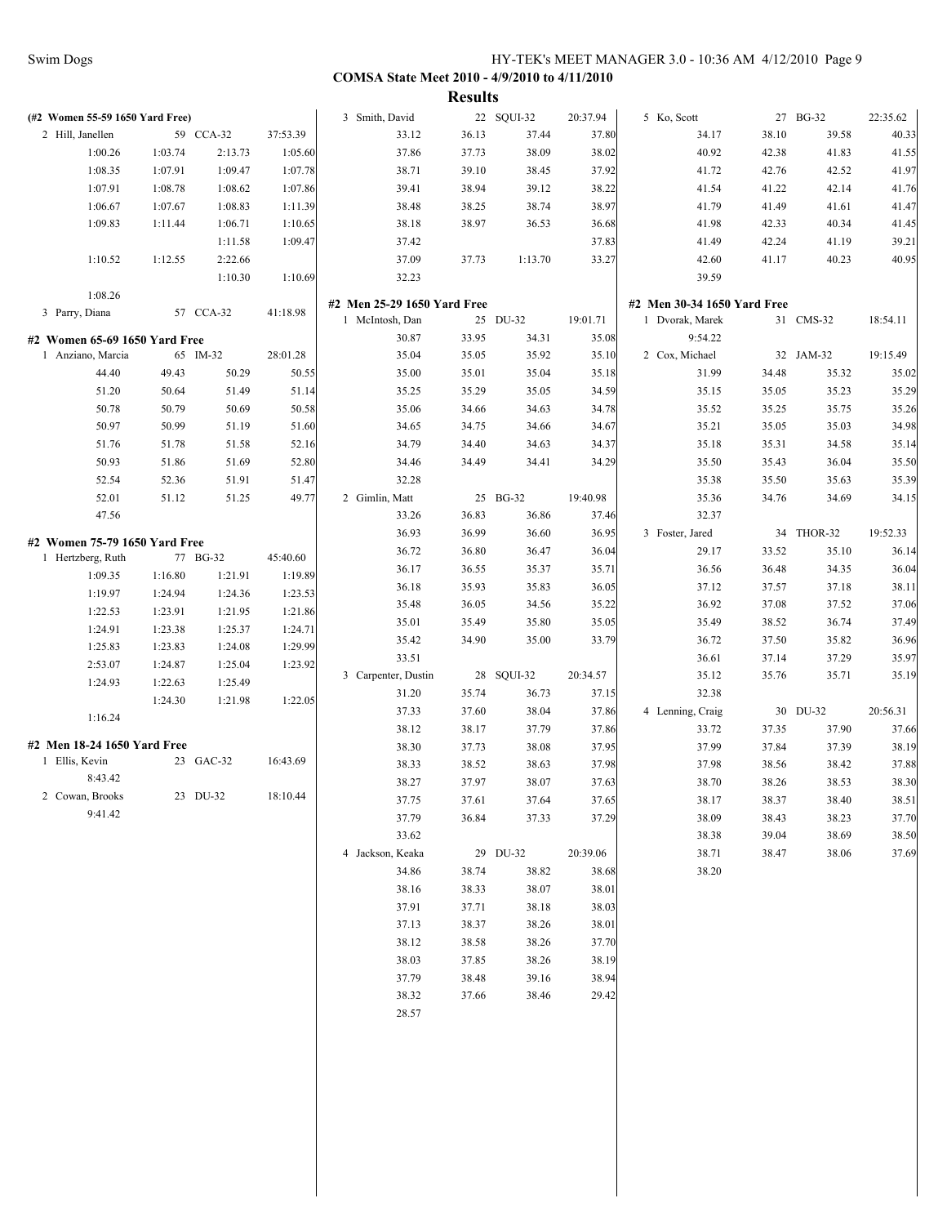|                                 |         |           |          |                             | <b>Results</b> |            |          |                             |       |            |          |
|---------------------------------|---------|-----------|----------|-----------------------------|----------------|------------|----------|-----------------------------|-------|------------|----------|
| (#2 Women 55-59 1650 Yard Free) |         |           |          | 3 Smith, David              |                | 22 SQUI-32 | 20:37.94 | 5 Ko, Scott                 |       | 27 BG-32   | 22:35.62 |
| 2 Hill, Janellen                |         | 59 CCA-32 | 37:53.39 | 33.12                       | 36.13          | 37.44      | 37.80    | 34.17                       | 38.10 | 39.58      | 40.33    |
| 1:00.26                         | 1:03.74 | 2:13.73   | 1:05.60  | 37.86                       | 37.73          | 38.09      | 38.02    | 40.92                       | 42.38 | 41.83      | 41.55    |
| 1:08.35                         | 1:07.91 | 1:09.47   | 1:07.78  | 38.71                       | 39.10          | 38.45      | 37.92    | 41.72                       | 42.76 | 42.52      | 41.97    |
| 1:07.91                         | 1:08.78 | 1:08.62   | 1:07.86  | 39.41                       | 38.94          | 39.12      | 38.22    | 41.54                       | 41.22 | 42.14      | 41.76    |
| 1:06.67                         | 1:07.67 | 1:08.83   | 1:11.39  | 38.48                       | 38.25          | 38.74      | 38.97    | 41.79                       | 41.49 | 41.61      | 41.47    |
| 1:09.83                         | 1:11.44 | 1:06.71   | 1:10.65  | 38.18                       | 38.97          | 36.53      | 36.68    | 41.98                       | 42.33 | 40.34      | 41.45    |
|                                 |         | 1:11.58   | 1:09.47  | 37.42                       |                |            | 37.83    | 41.49                       | 42.24 | 41.19      | 39.21    |
| 1:10.52                         | 1:12.55 | 2:22.66   |          | 37.09                       | 37.73          | 1:13.70    | 33.27    | 42.60                       | 41.17 | 40.23      | 40.95    |
|                                 |         | 1:10.30   | 1:10.69  | 32.23                       |                |            |          | 39.59                       |       |            |          |
| 1:08.26                         |         |           |          | #2 Men 25-29 1650 Yard Free |                |            |          | #2 Men 30-34 1650 Yard Free |       |            |          |
| 3 Parry, Diana                  |         | 57 CCA-32 | 41:18.98 | 1 McIntosh, Dan             |                | 25 DU-32   | 19:01.71 | 1 Dvorak, Marek             |       | 31 CMS-32  | 18:54.11 |
| #2 Women 65-69 1650 Yard Free   |         |           |          | 30.87                       | 33.95          | 34.31      | 35.08    | 9:54.22                     |       |            |          |
| 1 Anziano, Marcia               |         | 65 IM-32  | 28:01.28 | 35.04                       | 35.05          | 35.92      | 35.10    | 2 Cox, Michael              |       | 32 JAM-32  | 19:15.49 |
| 44.40                           | 49.43   | 50.29     | 50.55    | 35.00                       | 35.01          | 35.04      | 35.18    | 31.99                       | 34.48 | 35.32      | 35.02    |
| 51.20                           | 50.64   | 51.49     | 51.14    | 35.25                       | 35.29          | 35.05      | 34.59    | 35.15                       | 35.05 | 35.23      | 35.29    |
| 50.78                           | 50.79   | 50.69     | 50.58    | 35.06                       | 34.66          | 34.63      | 34.78    | 35.52                       | 35.25 | 35.75      | 35.26    |
| 50.97                           | 50.99   | 51.19     | 51.60    | 34.65                       | 34.75          | 34.66      | 34.67    | 35.21                       | 35.05 | 35.03      | 34.98    |
| 51.76                           | 51.78   | 51.58     | 52.16    | 34.79                       | 34.40          | 34.63      | 34.37    | 35.18                       | 35.31 | 34.58      | 35.14    |
| 50.93                           | 51.86   | 51.69     | 52.80    | 34.46                       | 34.49          | 34.41      | 34.29    | 35.50                       | 35.43 | 36.04      | 35.50    |
| 52.54                           | 52.36   | 51.91     | 51.47    | 32.28                       |                |            |          | 35.38                       | 35.50 | 35.63      | 35.39    |
| 52.01                           | 51.12   | 51.25     | 49.77    | 2 Gimlin, Matt              |                | 25 BG-32   | 19:40.98 | 35.36                       | 34.76 | 34.69      | 34.15    |
| 47.56                           |         |           |          | 33.26                       | 36.83          | 36.86      | 37.46    | 32.37                       |       |            |          |
|                                 |         |           |          | 36.93                       | 36.99          | 36.60      | 36.95    | 3 Foster, Jared             |       | 34 THOR-32 | 19:52.33 |
| #2 Women 75-79 1650 Yard Free   |         |           |          | 36.72                       | 36.80          | 36.47      | 36.04    | 29.17                       | 33.52 | 35.10      | 36.14    |
| 1 Hertzberg, Ruth               |         | 77 BG-32  | 45:40.60 | 36.17                       | 36.55          | 35.37      | 35.71    | 36.56                       | 36.48 | 34.35      | 36.04    |
| 1:09.35                         | 1:16.80 | 1:21.91   | 1:19.89  | 36.18                       | 35.93          | 35.83      | 36.05    | 37.12                       | 37.57 | 37.18      | 38.11    |
| 1:19.97                         | 1:24.94 | 1:24.36   | 1:23.53  | 35.48                       | 36.05          | 34.56      | 35.22    | 36.92                       | 37.08 | 37.52      | 37.06    |
| 1:22.53                         | 1:23.91 | 1:21.95   | 1:21.86  | 35.01                       | 35.49          | 35.80      | 35.05    | 35.49                       | 38.52 | 36.74      | 37.49    |
| 1:24.91                         | 1:23.38 | 1:25.37   | 1:24.71  | 35.42                       | 34.90          | 35.00      | 33.79    | 36.72                       | 37.50 | 35.82      | 36.96    |
| 1:25.83                         | 1:23.83 | 1:24.08   | 1:29.99  | 33.51                       |                |            |          | 36.61                       | 37.14 | 37.29      | 35.97    |
| 2:53.07                         | 1:24.87 | 1:25.04   | 1:23.92  | 3 Carpenter, Dustin         |                | 28 SQUI-32 | 20:34.57 | 35.12                       | 35.76 | 35.71      | 35.19    |
| 1:24.93                         | 1:22.63 | 1:25.49   |          | 31.20                       | 35.74          | 36.73      | 37.15    | 32.38                       |       |            |          |
|                                 | 1:24.30 | 1:21.98   | 1:22.05  | 37.33                       | 37.60          | 38.04      | 37.86    | 4 Lenning, Craig            |       | 30 DU-32   | 20:56.31 |
| 1:16.24                         |         |           |          | 38.12                       | 38.17          | 37.79      | 37.86    | 33.72                       | 37.35 | 37.90      | 37.66    |
| #2 Men 18-24 1650 Yard Free     |         |           |          | 38.30                       | 37.73          | 38.08      | 37.95    | 37.99                       | 37.84 | 37.39      | 38.19    |
| 1 Ellis, Kevin                  |         | 23 GAC-32 | 16:43.69 | 38.33                       | 38.52          | 38.63      | 37.98    | 37.98                       | 38.56 | 38.42      | 37.88    |
| 8:43.42                         |         |           |          | 38.27                       | 37.97          | 38.07      | 37.63    | 38.70                       | 38.26 | 38.53      | 38.30    |
| 2 Cowan, Brooks                 |         | 23 DU-32  | 18:10.44 | 37.75                       | 37.61          | 37.64      | 37.65    | 38.17                       | 38.37 | 38.40      | 38.51    |
| 9:41.42                         |         |           |          | 37.79                       | 36.84          | 37.33      | 37.29    | 38.09                       | 38.43 | 38.23      | 37.70    |
|                                 |         |           |          | 33.62                       |                |            |          | 38.38                       | 39.04 | 38.69      | 38.50    |
|                                 |         |           |          | 4 Jackson, Keaka            |                | 29 DU-32   | 20:39.06 | 38.71                       | 38.47 | 38.06      | 37.69    |
|                                 |         |           |          | 34.86                       | 38.74          | 38.82      | 38.68    | 38.20                       |       |            |          |
|                                 |         |           |          | 38.16                       | 38.33          | 38.07      | 38.01    |                             |       |            |          |
|                                 |         |           |          | 37.91                       | 37.71          | 38.18      | 38.03    |                             |       |            |          |
|                                 |         |           |          | 37.13                       | 38.37          | 38.26      | 38.01    |                             |       |            |          |
|                                 |         |           |          | 38.12                       | 38.58          | 38.26      | 37.70    |                             |       |            |          |
|                                 |         |           |          | 38.03                       | 37.85          | 38.26      | 38.19    |                             |       |            |          |
|                                 |         |           |          | 37.79                       | 38.48          | 39.16      | 38.94    |                             |       |            |          |
|                                 |         |           |          | 38.32                       | 37.66          | 38.46      | 29.42    |                             |       |            |          |
|                                 |         |           |          | 28.57                       |                |            |          |                             |       |            |          |
|                                 |         |           |          |                             |                |            |          |                             |       |            |          |
|                                 |         |           |          |                             |                |            |          |                             |       |            |          |
|                                 |         |           |          |                             |                |            |          |                             |       |            |          |
|                                 |         |           |          |                             |                |            |          |                             |       |            |          |
|                                 |         |           |          |                             |                |            |          |                             |       |            |          |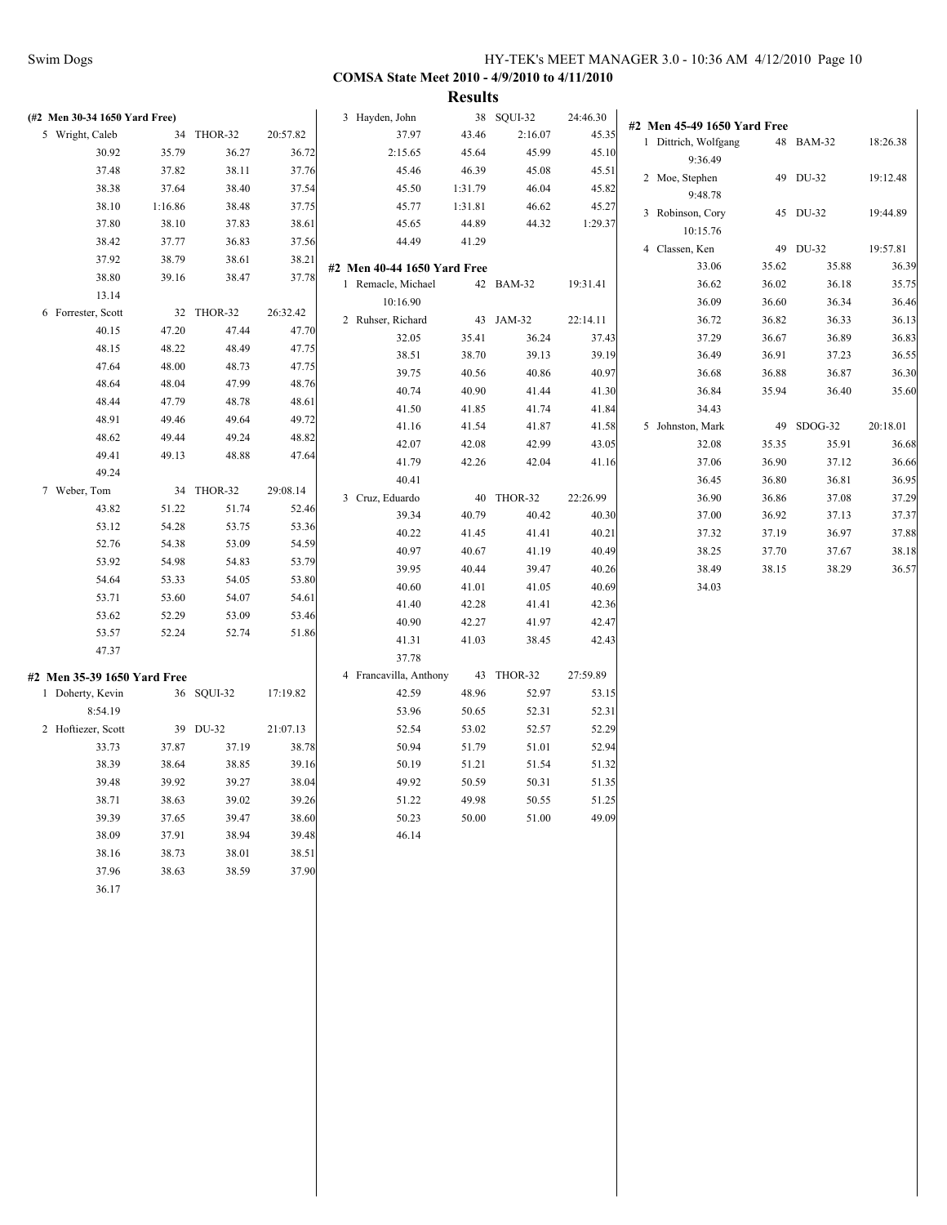| (#2 Men 30-34 1650 Yard Free) |         |            |          | 3 Hayden, John              |         | 38 SQUI-32 | 24:46.30 | #2 Men 45-49 1650 Yard Free |       |            |          |
|-------------------------------|---------|------------|----------|-----------------------------|---------|------------|----------|-----------------------------|-------|------------|----------|
| 5 Wright, Caleb               |         | 34 THOR-32 | 20:57.82 | 37.97                       | 43.46   | 2:16.07    | 45.35    | 1 Dittrich, Wolfgang        |       | 48 BAM-32  | 18:26.38 |
| 30.92                         | 35.79   | 36.27      | 36.72    | 2:15.65                     | 45.64   | 45.99      | 45.10    | 9:36.49                     |       |            |          |
| 37.48                         | 37.82   | 38.11      | 37.76    | 45.46                       | 46.39   | 45.08      | 45.51    | 2 Moe, Stephen              |       | 49 DU-32   | 19:12.48 |
| 38.38                         | 37.64   | 38.40      | 37.54    | 45.50                       | 1:31.79 | 46.04      | 45.82    |                             |       |            |          |
| 38.10                         | 1:16.86 | 38.48      | 37.75    | 45.77                       | 1:31.81 | 46.62      | 45.27    | 9:48.78                     |       |            |          |
| 37.80                         | 38.10   | 37.83      | 38.61    | 45.65                       | 44.89   | 44.32      | 1:29.37  | 3 Robinson, Cory            |       | 45 DU-32   | 19:44.89 |
| 38.42                         | 37.77   | 36.83      | 37.56    | 44.49                       | 41.29   |            |          | 10:15.76                    |       |            |          |
| 37.92                         | 38.79   | 38.61      | 38.21    |                             |         |            |          | 4 Classen, Ken              |       | 49 DU-32   | 19:57.81 |
| 38.80                         | 39.16   | 38.47      | 37.78    | #2 Men 40-44 1650 Yard Free |         |            |          | 33.06                       | 35.62 | 35.88      | 36.39    |
| 13.14                         |         |            |          | 1 Remacle, Michael          |         | 42 BAM-32  | 19:31.41 | 36.62                       | 36.02 | 36.18      | 35.75    |
| 6 Forrester, Scott            |         | 32 THOR-32 | 26:32.42 | 10:16.90                    |         |            |          | 36.09                       | 36.60 | 36.34      | 36.46    |
| 40.15                         | 47.20   | 47.44      | 47.70    | 2 Ruhser, Richard           |         | 43 JAM-32  | 22:14.11 | 36.72                       | 36.82 | 36.33      | 36.13    |
| 48.15                         | 48.22   | 48.49      | 47.75    | 32.05                       | 35.41   | 36.24      | 37.43    | 37.29                       | 36.67 | 36.89      | 36.83    |
|                               |         |            |          | 38.51                       | 38.70   | 39.13      | 39.19    | 36.49                       | 36.91 | 37.23      | 36.55    |
| 47.64                         | 48.00   | 48.73      | 47.75    | 39.75                       | 40.56   | 40.86      | 40.97    | 36.68                       | 36.88 | 36.87      | 36.30    |
| 48.64                         | 48.04   | 47.99      | 48.76    | 40.74                       | 40.90   | 41.44      | 41.30    | 36.84                       | 35.94 | 36.40      | 35.60    |
| 48.44                         | 47.79   | 48.78      | 48.61    | 41.50                       | 41.85   | 41.74      | 41.84    | 34.43                       |       |            |          |
| 48.91                         | 49.46   | 49.64      | 49.72    | 41.16                       | 41.54   | 41.87      | 41.58    | 5 Johnston, Mark            |       | 49 SDOG-32 | 20:18.01 |
| 48.62                         | 49.44   | 49.24      | 48.82    | 42.07                       | 42.08   | 42.99      | 43.05    | 32.08                       | 35.35 | 35.91      | 36.68    |
| 49.41                         | 49.13   | 48.88      | 47.64    | 41.79                       | 42.26   | 42.04      | 41.16    | 37.06                       | 36.90 | 37.12      | 36.66    |
| 49.24                         |         |            |          | 40.41                       |         |            |          | 36.45                       | 36.80 | 36.81      | 36.95    |
| 7 Weber, Tom                  |         | 34 THOR-32 | 29:08.14 | 3 Cruz, Eduardo             |         | 40 THOR-32 | 22:26.99 | 36.90                       | 36.86 | 37.08      | 37.29    |
| 43.82                         | 51.22   | 51.74      | 52.46    | 39.34                       | 40.79   | 40.42      | 40.30    | 37.00                       | 36.92 | 37.13      | 37.37    |
| 53.12                         | 54.28   | 53.75      | 53.36    | 40.22                       | 41.45   | 41.41      | 40.21    | 37.32                       | 37.19 | 36.97      | 37.88    |
| 52.76                         | 54.38   | 53.09      | 54.59    | 40.97                       | 40.67   | 41.19      | 40.49    | 38.25                       | 37.70 | 37.67      | 38.18    |
| 53.92                         | 54.98   | 54.83      | 53.79    | 39.95                       | 40.44   | 39.47      | 40.26    | 38.49                       | 38.15 | 38.29      | 36.57    |
| 54.64                         | 53.33   | 54.05      | 53.80    | 40.60                       | 41.01   | 41.05      | 40.69    | 34.03                       |       |            |          |
| 53.71                         | 53.60   | 54.07      | 54.61    | 41.40                       | 42.28   | 41.41      | 42.36    |                             |       |            |          |
| 53.62                         | 52.29   | 53.09      | 53.46    | 40.90                       | 42.27   | 41.97      | 42.47    |                             |       |            |          |
| 53.57                         | 52.24   | 52.74      | 51.86    | 41.31                       | 41.03   | 38.45      | 42.43    |                             |       |            |          |
| 47.37                         |         |            |          | 37.78                       |         |            |          |                             |       |            |          |
|                               |         |            |          | 4 Francavilla, Anthony      |         |            |          |                             |       |            |          |
| #2 Men 35-39 1650 Yard Free   |         |            |          |                             |         | 43 THOR-32 | 27:59.89 |                             |       |            |          |
| 1 Doherty, Kevin              |         | 36 SQUI-32 | 17:19.82 | 42.59                       | 48.96   | 52.97      | 53.15    |                             |       |            |          |
| 8:54.19                       |         |            |          | 53.96                       | 50.65   | 52.31      | 52.31    |                             |       |            |          |
| 2 Hoftiezer, Scott            |         | 39 DU-32   | 21:07.13 | 52.54                       | 53.02   | 52.57      | 52.29    |                             |       |            |          |
| 33.73                         | 37.87   | 37.19      | 38.78    | 50.94                       | 51.79   | 51.01      | 52.94    |                             |       |            |          |
| 38.39                         | 38.64   | 38.85      | 39.16    | 50.19                       | 51.21   | 51.54      | 51.32    |                             |       |            |          |
| 39.48                         | 39.92   | 39.27      | 38.04    | 49.92                       | 50.59   | 50.31      | 51.35    |                             |       |            |          |
| 38.71                         | 38.63   | 39.02      | 39.26    | 51.22                       | 49.98   | 50.55      | 51.25    |                             |       |            |          |
| 39.39                         | 37.65   | 39.47      | 38.60    | 50.23                       | 50.00   | 51.00      | 49.09    |                             |       |            |          |
| 38.09                         | 37.91   | 38.94      | 39.48    | 46.14                       |         |            |          |                             |       |            |          |
| 38.16                         | 38.73   | 38.01      | 38.51    |                             |         |            |          |                             |       |            |          |
| 37.96                         | 38.63   | 38.59      | 37.90    |                             |         |            |          |                             |       |            |          |
| 36.17                         |         |            |          |                             |         |            |          |                             |       |            |          |
|                               |         |            |          |                             |         |            |          |                             |       |            |          |
|                               |         |            |          |                             |         |            |          |                             |       |            |          |
|                               |         |            |          |                             |         |            |          |                             |       |            |          |
|                               |         |            |          |                             |         |            |          |                             |       |            |          |
|                               |         |            |          |                             |         |            |          |                             |       |            |          |
|                               |         |            |          |                             |         |            |          |                             |       |            |          |
|                               |         |            |          |                             |         |            |          |                             |       |            |          |
|                               |         |            |          |                             |         |            |          |                             |       |            |          |
|                               |         |            |          |                             |         |            |          |                             |       |            |          |
|                               |         |            |          |                             |         |            |          |                             |       |            |          |
|                               |         |            |          |                             |         |            |          |                             |       |            |          |
|                               |         |            |          |                             |         |            |          |                             |       |            |          |
|                               |         |            |          |                             |         |            |          |                             |       |            |          |
|                               |         |            |          |                             |         |            |          |                             |       |            |          |
|                               |         |            |          |                             |         |            |          |                             |       |            |          |
|                               |         |            |          |                             |         |            |          |                             |       |            |          |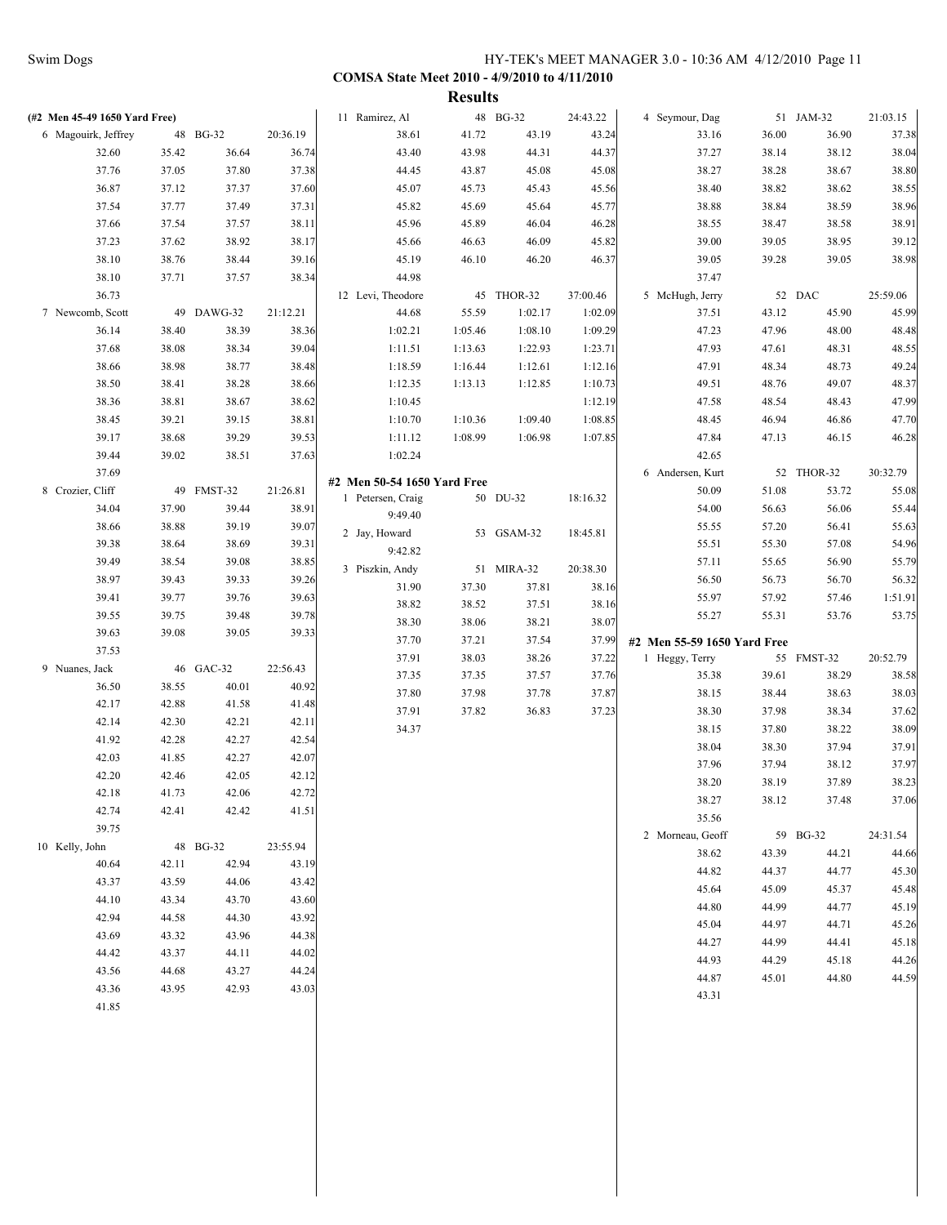|                               |       |            |          |                             | <b>Results</b> |            |          |                             |       |            |          |
|-------------------------------|-------|------------|----------|-----------------------------|----------------|------------|----------|-----------------------------|-------|------------|----------|
| (#2 Men 45-49 1650 Yard Free) |       |            |          | 11 Ramirez, Al              |                | 48 BG-32   | 24:43.22 | 4 Seymour, Dag              |       | 51 JAM-32  | 21:03.15 |
| 6 Magouirk, Jeffrey           |       | 48 BG-32   | 20:36.19 | 38.61                       | 41.72          | 43.19      | 43.24    | 33.16                       | 36.00 | 36.90      | 37.38    |
| 32.60                         | 35.42 | 36.64      | 36.74    | 43.40                       | 43.98          | 44.31      | 44.37    | 37.27                       | 38.14 | 38.12      | 38.04    |
| 37.76                         | 37.05 | 37.80      | 37.38    | 44.45                       | 43.87          | 45.08      | 45.08    | 38.27                       | 38.28 | 38.67      | 38.80    |
| 36.87                         | 37.12 | 37.37      | 37.60    | 45.07                       | 45.73          | 45.43      | 45.56    | 38.40                       | 38.82 | 38.62      | 38.55    |
| 37.54                         | 37.77 | 37.49      | 37.31    | 45.82                       | 45.69          | 45.64      | 45.77    | 38.88                       | 38.84 | 38.59      | 38.96    |
| 37.66                         | 37.54 | 37.57      | 38.11    | 45.96                       | 45.89          | 46.04      | 46.28    | 38.55                       | 38.47 | 38.58      | 38.91    |
| 37.23                         | 37.62 | 38.92      | 38.17    | 45.66                       | 46.63          | 46.09      | 45.82    | 39.00                       | 39.05 | 38.95      | 39.12    |
| 38.10                         | 38.76 | 38.44      | 39.16    | 45.19                       | 46.10          | 46.20      | 46.37    | 39.05                       | 39.28 | 39.05      | 38.98    |
| 38.10                         | 37.71 | 37.57      | 38.34    | 44.98                       |                |            |          | 37.47                       |       |            |          |
| 36.73                         |       |            |          | 12 Levi, Theodore           |                | 45 THOR-32 | 37:00.46 | 5 McHugh, Jerry             |       | 52 DAC     | 25:59.06 |
| 7 Newcomb, Scott              |       | 49 DAWG-32 | 21:12.21 | 44.68                       | 55.59          | 1:02.17    | 1:02.09  | 37.51                       | 43.12 | 45.90      | 45.99    |
| 36.14                         | 38.40 | 38.39      | 38.36    | 1:02.21                     | 1:05.46        | 1:08.10    | 1:09.29  | 47.23                       | 47.96 | 48.00      | 48.48    |
| 37.68                         | 38.08 | 38.34      | 39.04    | 1:11.51                     | 1:13.63        | 1:22.93    | 1:23.71  | 47.93                       | 47.61 | 48.31      | 48.55    |
| 38.66                         | 38.98 | 38.77      | 38.48    | 1:18.59                     | 1:16.44        | 1:12.61    | 1:12.16  | 47.91                       | 48.34 | 48.73      | 49.24    |
| 38.50                         | 38.41 | 38.28      | 38.66    | 1:12.35                     | 1:13.13        | 1:12.85    | 1:10.73  | 49.51                       | 48.76 | 49.07      | 48.37    |
| 38.36                         | 38.81 | 38.67      | 38.62    | 1:10.45                     |                |            | 1:12.19  | 47.58                       | 48.54 | 48.43      | 47.99    |
| 38.45                         | 39.21 | 39.15      | 38.81    | 1:10.70                     | 1:10.36        | 1:09.40    | 1:08.85  | 48.45                       | 46.94 | 46.86      | 47.70    |
| 39.17                         | 38.68 | 39.29      | 39.53    | 1:11.12                     | 1:08.99        | 1:06.98    | 1:07.85  | 47.84                       | 47.13 | 46.15      | 46.28    |
| 39.44                         | 39.02 |            |          | 1:02.24                     |                |            |          | 42.65                       |       |            |          |
|                               |       | 38.51      | 37.63    |                             |                |            |          |                             |       |            | 30:32.79 |
| 37.69                         |       |            |          | #2 Men 50-54 1650 Yard Free |                |            |          | 6 Andersen, Kurt            |       | 52 THOR-32 |          |
| 8 Crozier, Cliff              |       | 49 FMST-32 | 21:26.81 | 1 Petersen, Craig           |                | 50 DU-32   | 18:16.32 | 50.09                       | 51.08 | 53.72      | 55.08    |
| 34.04                         | 37.90 | 39.44      | 38.91    | 9:49.40                     |                |            |          | 54.00                       | 56.63 | 56.06      | 55.44    |
| 38.66                         | 38.88 | 39.19      | 39.07    | 2 Jay, Howard               |                | 53 GSAM-32 | 18:45.81 | 55.55                       | 57.20 | 56.41      | 55.63    |
| 39.38                         | 38.64 | 38.69      | 39.31    | 9:42.82                     |                |            |          | 55.51                       | 55.30 | 57.08      | 54.96    |
| 39.49                         | 38.54 | 39.08      | 38.85    | 3 Piszkin, Andy             |                | 51 MIRA-32 | 20:38.30 | 57.11                       | 55.65 | 56.90      | 55.79    |
| 38.97                         | 39.43 | 39.33      | 39.26    | 31.90                       | 37.30          | 37.81      | 38.16    | 56.50                       | 56.73 | 56.70      | 56.32    |
| 39.41                         | 39.77 | 39.76      | 39.63    | 38.82                       | 38.52          | 37.51      | 38.16    | 55.97                       | 57.92 | 57.46      | 1:51.91  |
| 39.55                         | 39.75 | 39.48      | 39.78    | 38.30                       | 38.06          | 38.21      | 38.07    | 55.27                       | 55.31 | 53.76      | 53.75    |
| 39.63                         | 39.08 | 39.05      | 39.33    | 37.70                       | 37.21          | 37.54      | 37.99    | #2 Men 55-59 1650 Yard Free |       |            |          |
| 37.53                         |       |            |          | 37.91                       | 38.03          | 38.26      | 37.22    | 1 Heggy, Terry              |       | 55 FMST-32 | 20:52.79 |
| 9 Nuanes, Jack                |       | 46 GAC-32  | 22:56.43 | 37.35                       | 37.35          | 37.57      | 37.76    | 35.38                       | 39.61 | 38.29      | 38.58    |
| 36.50                         | 38.55 | 40.01      | 40.92    | 37.80                       | 37.98          | 37.78      | 37.87    | 38.15                       | 38.44 | 38.63      | 38.03    |
| 42.17                         | 42.88 | 41.58      | 41.48    | 37.91                       | 37.82          | 36.83      | 37.23    | 38.30                       | 37.98 | 38.34      | 37.62    |
| 42.14                         | 42.30 | 42.21      | 42.11    | 34.37                       |                |            |          | 38.15                       | 37.80 | 38.22      | 38.09    |
| 41.92                         | 42.28 | 42.27      | 42.54    |                             |                |            |          | 38.04                       | 38.30 | 37.94      | 37.91    |
| 42.03                         | 41.85 | 42.27      | 42.07    |                             |                |            |          | 37.96                       |       |            | 37.97    |
| 42.20                         | 42.46 | 42.05      | 42.12    |                             |                |            |          |                             | 37.94 | 38.12      | 38.23    |
| 42.18                         | 41.73 | 42.06      | 42.72    |                             |                |            |          | 38.20                       | 38.19 | 37.89      |          |
| 42.74                         | 42.41 | 42.42      | 41.51    |                             |                |            |          | 38.27                       | 38.12 | 37.48      | 37.06    |
| 39.75                         |       |            |          |                             |                |            |          | 35.56                       |       |            |          |
| 10 Kelly, John                |       | 48 BG-32   | 23:55.94 |                             |                |            |          | 2 Morneau, Geoff            |       | 59 BG-32   | 24:31.54 |
| 40.64                         | 42.11 | 42.94      | 43.19    |                             |                |            |          | 38.62                       | 43.39 | 44.21      | 44.66    |
| 43.37                         | 43.59 | 44.06      | 43.42    |                             |                |            |          | 44.82                       | 44.37 | 44.77      | 45.30    |
| 44.10                         | 43.34 | 43.70      | 43.60    |                             |                |            |          | 45.64                       | 45.09 | 45.37      | 45.48    |
| 42.94                         | 44.58 | 44.30      | 43.92    |                             |                |            |          | 44.80                       | 44.99 | 44.77      | 45.19    |
| 43.69                         | 43.32 | 43.96      | 44.38    |                             |                |            |          | 45.04                       | 44.97 | 44.71      | 45.26    |
|                               |       |            |          |                             |                |            |          | 44.27                       | 44.99 | 44.41      | 45.18    |
| 44.42                         | 43.37 | 44.11      | 44.02    |                             |                |            |          | 44.93                       | 44.29 | 45.18      | 44.26    |
| 43.56                         | 44.68 | 43.27      | 44.24    |                             |                |            |          | 44.87                       | 45.01 | 44.80      | 44.59    |
| 43.36                         | 43.95 | 42.93      | 43.03    |                             |                |            |          | 43.31                       |       |            |          |
| 41.85                         |       |            |          |                             |                |            |          |                             |       |            |          |
|                               |       |            |          |                             |                |            |          |                             |       |            |          |
|                               |       |            |          |                             |                |            |          |                             |       |            |          |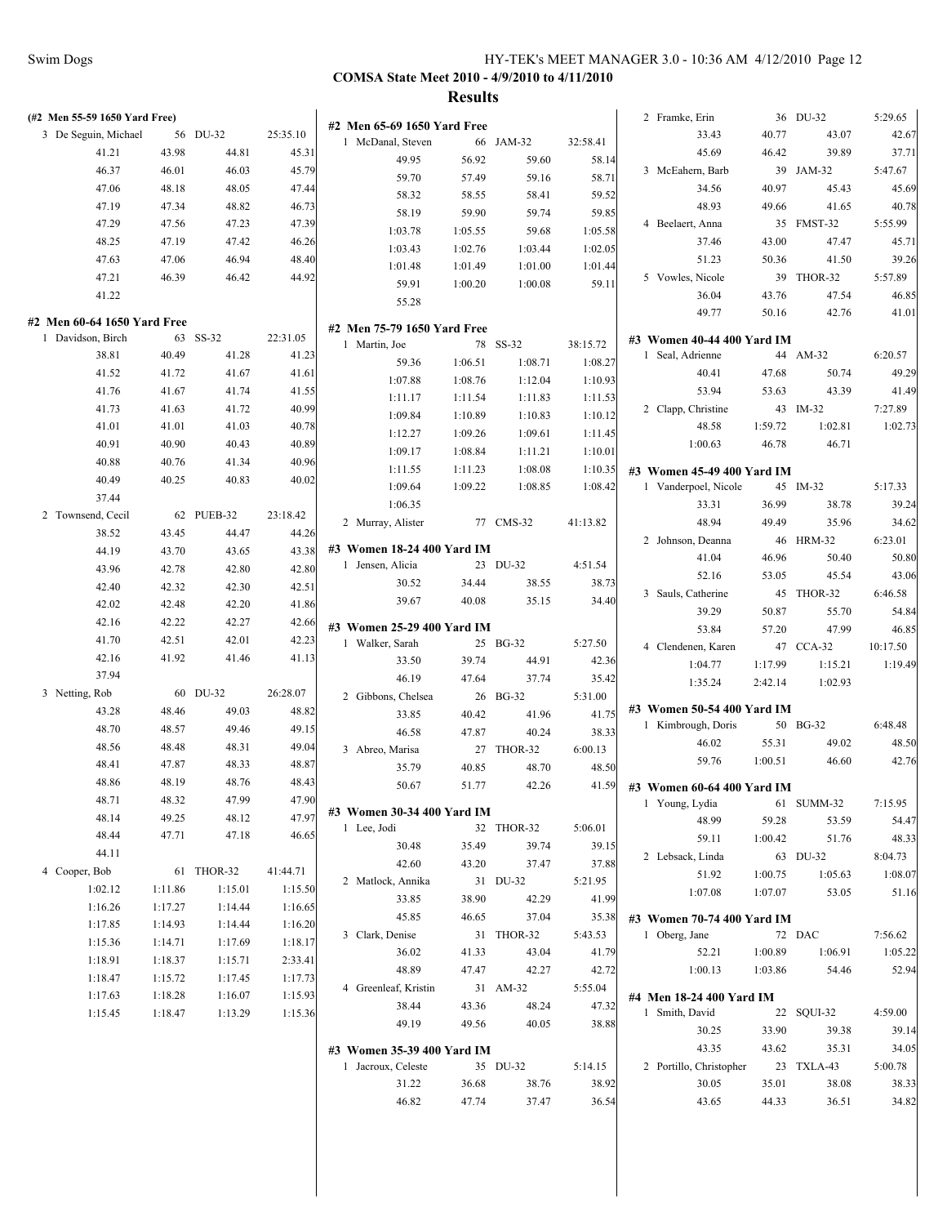| (#2 Men 55-59 1650 Yard Free)                    |         |            |          |                                                  |                |                   |                    | 2 Framke, Erin             |         | 36 DU-32   | 5:29.65  |
|--------------------------------------------------|---------|------------|----------|--------------------------------------------------|----------------|-------------------|--------------------|----------------------------|---------|------------|----------|
| 3 De Seguin, Michael                             |         | 56 DU-32   | 25:35.10 | #2 Men 65-69 1650 Yard Free<br>1 McDanal, Steven |                | 66 JAM-32         | 32:58.41           | 33.43                      | 40.77   | 43.07      | 42.67    |
| 41.21                                            | 43.98   | 44.81      | 45.31    | 49.95                                            | 56.92          |                   |                    | 45.69                      | 46.42   | 39.89      | 37.71    |
| 46.37                                            | 46.01   | 46.03      | 45.79    | 59.70                                            |                | 59.60             | 58.14              | 3 McEahern, Barb           |         | 39 JAM-32  | 5:47.67  |
| 47.06                                            | 48.18   | 48.05      | 47.44    | 58.32                                            | 57.49<br>58.55 | 59.16<br>58.41    | 58.71<br>59.52     | 34.56                      | 40.97   | 45.43      | 45.69    |
| 47.19                                            | 47.34   | 48.82      | 46.73    | 58.19                                            | 59.90          | 59.74             | 59.85              | 48.93                      | 49.66   | 41.65      | 40.78    |
| 47.29                                            | 47.56   | 47.23      | 47.39    |                                                  | 1:05.55        | 59.68             |                    | 4 Beelaert, Anna           |         | 35 FMST-32 | 5:55.99  |
| 48.25                                            | 47.19   | 47.42      | 46.26    | 1:03.78<br>1:03.43                               | 1:02.76        | 1:03.44           | 1:05.58<br>1:02.05 | 37.46                      | 43.00   | 47.47      | 45.71    |
| 47.63                                            | 47.06   | 46.94      | 48.40    | 1:01.48                                          | 1:01.49        | 1:01.00           | 1:01.44            | 51.23                      | 50.36   | 41.50      | 39.26    |
| 47.21                                            | 46.39   | 46.42      | 44.92    | 59.91                                            | 1:00.20        | 1:00.08           | 59.11              | 5 Vowles, Nicole           |         | 39 THOR-32 | 5:57.89  |
| 41.22                                            |         |            |          | 55.28                                            |                |                   |                    | 36.04                      | 43.76   | 47.54      | 46.85    |
|                                                  |         |            |          |                                                  |                |                   |                    | 49.77                      | 50.16   | 42.76      | 41.01    |
| #2 Men 60-64 1650 Yard Free<br>1 Davidson, Birch |         | 63 SS-32   | 22:31.05 | #2 Men 75-79 1650 Yard Free                      |                |                   |                    | #3 Women 40-44 400 Yard IM |         |            |          |
| 38.81                                            | 40.49   | 41.28      | 41.23    | 1 Martin, Joe                                    |                | 78 SS-32          | 38:15.72           | 1 Seal, Adrienne           |         | 44 AM-32   | 6:20.57  |
| 41.52                                            | 41.72   | 41.67      | 41.61    | 59.36                                            | 1:06.51        | 1:08.71           | 1:08.27            | 40.41                      | 47.68   | 50.74      | 49.29    |
| 41.76                                            | 41.67   | 41.74      | 41.55    | 1:07.88                                          | 1:08.76        | 1:12.04           | 1:10.93            | 53.94                      | 53.63   | 43.39      | 41.49    |
| 41.73                                            | 41.63   | 41.72      | 40.99    | 1:11.17                                          | 1:11.54        | 1:11.83           | 1:11.53            | 2 Clapp, Christine         |         | 43 IM-32   | 7:27.89  |
| 41.01                                            | 41.01   | 41.03      | 40.78    | 1:09.84                                          | 1:10.89        | 1:10.83           | 1:10.12            | 48.58                      | 1:59.72 | 1:02.81    | 1:02.73  |
| 40.91                                            | 40.90   | 40.43      | 40.89    | 1:12.27                                          | 1:09.26        | 1:09.61           | 1:11.45            | 1:00.63                    | 46.78   | 46.71      |          |
| 40.88                                            | 40.76   | 41.34      | 40.96    | 1:09.17                                          | 1:08.84        | 1:11.21           | 1:10.01            |                            |         |            |          |
| 40.49                                            | 40.25   | 40.83      | 40.02    | 1:11.55                                          | 1:11.23        | 1:08.08           | 1:10.35            | #3 Women 45-49 400 Yard IM |         |            |          |
| 37.44                                            |         |            |          | 1:09.64                                          | 1:09.22        | 1:08.85           | 1:08.42            | 1 Vanderpoel, Nicole       |         | 45 IM-32   | 5:17.33  |
| 2 Townsend, Cecil                                |         | 62 PUEB-32 | 23:18.42 | 1:06.35                                          |                |                   |                    | 33.31                      | 36.99   | 38.78      | 39.24    |
| 38.52                                            | 43.45   | 44.47      | 44.26    | 2 Murray, Alister                                |                | 77 CMS-32         | 41:13.82           | 48.94                      | 49.49   | 35.96      | 34.62    |
| 44.19                                            | 43.70   | 43.65      | 43.38    | #3 Women 18-24 400 Yard IM                       |                |                   |                    | 2 Johnson, Deanna          |         | 46 HRM-32  | 6:23.01  |
| 43.96                                            | 42.78   | 42.80      | 42.80    | 1 Jensen, Alicia                                 |                | 23 DU-32          | 4:51.54            | 41.04                      | 46.96   | 50.40      | 50.80    |
| 42.40                                            | 42.32   | 42.30      | 42.51    | 30.52                                            | 34.44          | 38.55             | 38.73              | 52.16                      | 53.05   | 45.54      | 43.06    |
| 42.02                                            | 42.48   | 42.20      | 41.86    | 39.67                                            | 40.08          | 35.15             | 34.40              | 3 Sauls, Catherine         |         | 45 THOR-32 | 6:46.58  |
| 42.16                                            | 42.22   | 42.27      | 42.66    |                                                  |                |                   |                    | 39.29                      | 50.87   | 55.70      | 54.84    |
| 41.70                                            | 42.51   | 42.01      | 42.23    | #3 Women 25-29 400 Yard IM                       |                |                   |                    | 53.84                      | 57.20   | 47.99      | 46.85    |
| 42.16                                            | 41.92   | 41.46      | 41.13    | 1 Walker, Sarah                                  |                | 25 BG-32          | 5:27.50            | 4 Clendenen, Karen         |         | 47 CCA-32  | 10:17.50 |
| 37.94                                            |         |            |          | 33.50<br>46.19                                   | 39.74          | 44.91             | 42.36              | 1:04.77                    | 1:17.99 | 1:15.21    | 1:19.49  |
| 3 Netting, Rob                                   |         | 60 DU-32   | 26:28.07 | 2 Gibbons, Chelsea                               | 47.64          | 37.74<br>26 BG-32 | 35.42<br>5:31.00   | 1:35.24                    | 2:42.14 | 1:02.93    |          |
| 43.28                                            | 48.46   | 49.03      | 48.82    | 33.85                                            | 40.42          | 41.96             | 41.75              | #3 Women 50-54 400 Yard IM |         |            |          |
| 48.70                                            | 48.57   | 49.46      | 49.15    | 46.58                                            | 47.87          | 40.24             | 38.33              | 1 Kimbrough, Doris         |         | 50 BG-32   | 6:48.48  |
| 48.56                                            | 48.48   | 48.31      | 49.04    | 3 Abreo, Marisa                                  |                | 27 THOR-32        | 6:00.13            | 46.02                      | 55.31   | 49.02      | 48.50    |
| 48.41                                            | 47.87   | 48.33      | 48.87    | 35.79                                            | 40.85          | 48.70             | 48.50              | 59.76                      | 1:00.51 | 46.60      | 42.76    |
| 48.86                                            | 48.19   | 48.76      | 48.43    | 50.67                                            | 51.77          | 42.26             | 41.59              | #3 Women 60-64 400 Yard IM |         |            |          |
| 48.71                                            | 48.32   | 47.99      | 47.90    |                                                  |                |                   |                    | 1 Young, Lydia             |         | 61 SUMM-32 | 7:15.95  |
| 48.14                                            | 49.25   | 48.12      | 47.97    | #3 Women 30-34 400 Yard IM                       |                |                   |                    | 48.99                      | 59.28   | 53.59      | 54.47    |
| 48.44                                            | 47.71   | 47.18      | 46.65    | 1 Lee, Jodi                                      |                | 32 THOR-32        | 5:06.01            | 59.11                      | 1:00.42 | 51.76      | 48.33    |
| 44.11                                            |         |            |          | 30.48                                            | 35.49          | 39.74             | 39.15              | 2 Lebsack, Linda           |         | 63 DU-32   | 8:04.73  |
| 4 Cooper, Bob                                    |         | 61 THOR-32 | 41:44.71 | 42.60                                            | 43.20          | 37.47             | 37.88              | 51.92                      | 1:00.75 | 1:05.63    | 1:08.07  |
| 1:02.12                                          | 1:11.86 | 1:15.01    | 1:15.50  | 2 Matlock, Annika                                |                | 31 DU-32          | 5:21.95            | 1:07.08                    | 1:07.07 | 53.05      | 51.16    |
| 1:16.26                                          | 1:17.27 | 1:14.44    | 1:16.65  | 33.85                                            | 38.90          | 42.29             | 41.99              |                            |         |            |          |
| 1:17.85                                          | 1:14.93 | 1:14.44    | 1:16.20  | 45.85                                            | 46.65          | 37.04             | 35.38              | #3 Women 70-74 400 Yard IM |         |            |          |
| 1:15.36                                          | 1:14.71 | 1:17.69    | 1:18.17  | 3 Clark, Denise                                  |                | 31 THOR-32        | 5:43.53            | 1 Oberg, Jane              |         | 72 DAC     | 7:56.62  |
| 1:18.91                                          | 1:18.37 | 1:15.71    | 2:33.41  | 36.02                                            | 41.33          | 43.04             | 41.79              | 52.21                      | 1:00.89 | 1:06.91    | 1:05.22  |
| 1:18.47                                          | 1:15.72 | 1:17.45    | 1:17.73  | 48.89                                            | 47.47          | 42.27             | 42.72              | 1:00.13                    | 1:03.86 | 54.46      | 52.94    |
| 1:17.63                                          | 1:18.28 | 1:16.07    | 1:15.93  | 4 Greenleaf, Kristin                             |                | 31 AM-32          | 5:55.04            | #4 Men 18-24 400 Yard IM   |         |            |          |
| 1:15.45                                          | 1:18.47 | 1:13.29    | 1:15.36  | 38.44                                            | 43.36          | 48.24             | 47.32              | 1 Smith, David             |         | 22 SQUI-32 | 4:59.00  |
|                                                  |         |            |          | 49.19                                            | 49.56          | 40.05             | 38.88              | 30.25                      | 33.90   | 39.38      | 39.14    |
|                                                  |         |            |          | #3 Women 35-39 400 Yard IM                       |                |                   |                    | 43.35                      | 43.62   | 35.31      | 34.05    |
|                                                  |         |            |          | 1 Jacroux, Celeste                               |                | 35 DU-32          | 5:14.15            | 2 Portillo, Christopher    |         | 23 TXLA-43 | 5:00.78  |
|                                                  |         |            |          | 31.22                                            | 36.68          | 38.76             | 38.92              | 30.05                      | 35.01   | 38.08      | 38.33    |
|                                                  |         |            |          | 46.82                                            | 47.74          | 37.47             | 36.54              | 43.65                      | 44.33   | 36.51      | 34.82    |
|                                                  |         |            |          |                                                  |                |                   |                    |                            |         |            |          |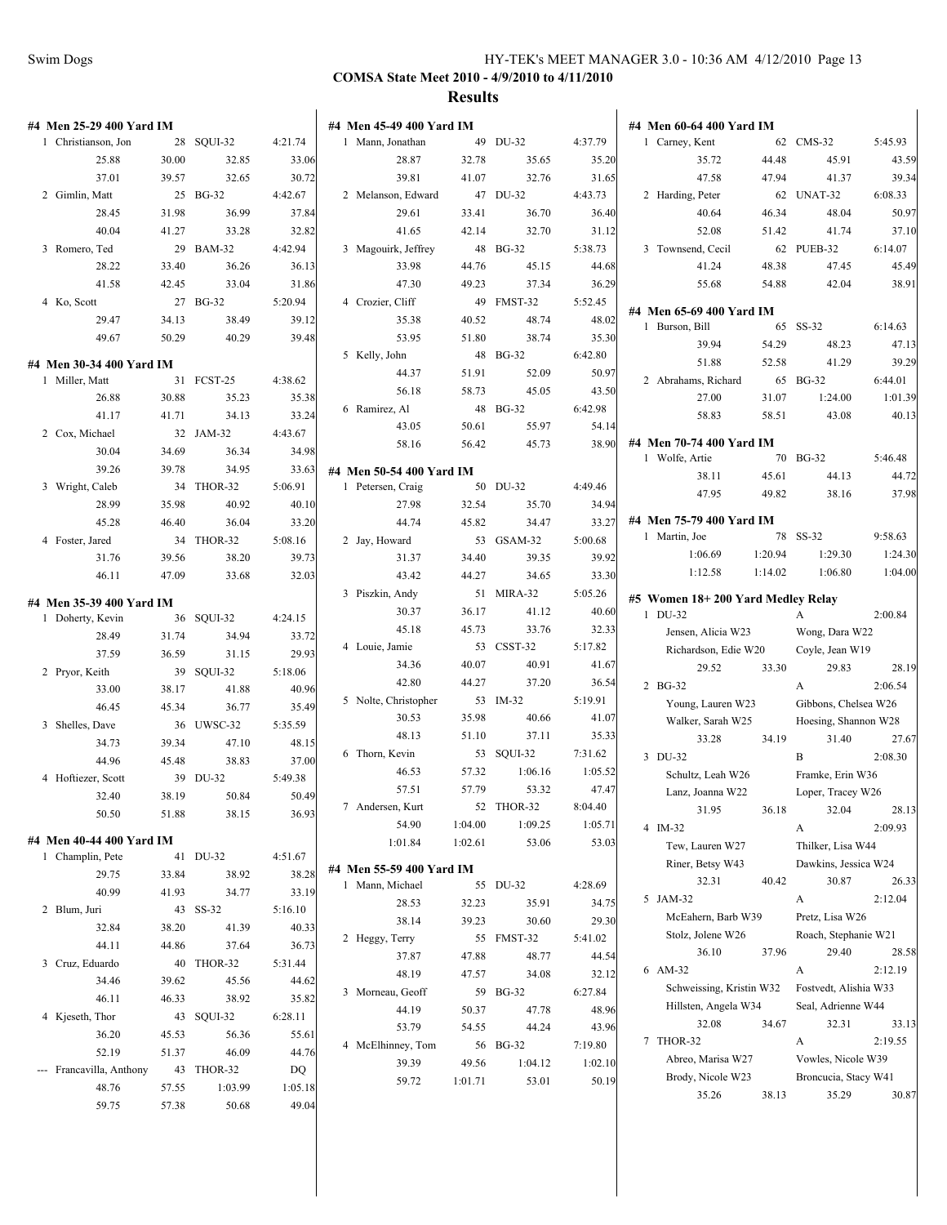| #4 Men 25-29 400 Yard IM  |       |                     |                  | #4 Men 45-49 400 Yard IM |         |            |         | #4 Men 60-64 400 Yard IM          |         |                       |         |
|---------------------------|-------|---------------------|------------------|--------------------------|---------|------------|---------|-----------------------------------|---------|-----------------------|---------|
| 1 Christianson, Jon       |       | 28 SQUI-32          | 4:21.74          | 1 Mann, Jonathan         |         | 49 DU-32   | 4:37.79 | 1 Carney, Kent                    |         | 62 CMS-32             | 5:45.93 |
| 25.88                     | 30.00 | 32.85               | 33.06            | 28.87                    | 32.78   | 35.65      | 35.20   | 35.72                             | 44.48   | 45.91                 | 43.59   |
| 37.01                     | 39.57 | 32.65               | 30.72            | 39.81                    | 41.07   | 32.76      | 31.65   | 47.58                             | 47.94   | 41.37                 | 39.34   |
| 2 Gimlin, Matt            |       | 25 BG-32            | 4:42.67          | 2 Melanson, Edward       |         | 47 DU-32   | 4:43.73 | 2 Harding, Peter                  |         | 62 UNAT-32            | 6:08.33 |
| 28.45                     | 31.98 | 36.99               | 37.84            | 29.61                    | 33.41   | 36.70      | 36.40   | 40.64                             | 46.34   | 48.04                 | 50.97   |
| 40.04                     | 41.27 | 33.28               | 32.82            | 41.65                    | 42.14   | 32.70      | 31.12   | 52.08                             | 51.42   | 41.74                 | 37.10   |
| 3 Romero, Ted             |       | 29 BAM-32           | 4:42.94          | 3 Magouirk, Jeffrey      |         | 48 BG-32   | 5:38.73 | 3 Townsend, Cecil                 |         | 62 PUEB-32            | 6:14.07 |
| 28.22                     | 33.40 | 36.26               | 36.13            | 33.98                    | 44.76   | 45.15      | 44.68   | 41.24                             | 48.38   | 47.45                 | 45.49   |
| 41.58                     | 42.45 | 33.04               | 31.86            | 47.30                    | 49.23   | 37.34      | 36.29   | 55.68                             | 54.88   | 42.04                 | 38.91   |
| 4 Ko, Scott               |       | 27 BG-32            | 5:20.94          | 4 Crozier, Cliff         |         | 49 FMST-32 | 5:52.45 | #4 Men 65-69 400 Yard IM          |         |                       |         |
| 29.47                     | 34.13 | 38.49               | 39.12            | 35.38                    | 40.52   | 48.74      | 48.02   | 1 Burson, Bill                    |         | 65 SS-32              | 6:14.63 |
| 49.67                     | 50.29 | 40.29               | 39.48            | 53.95                    | 51.80   | 38.74      | 35.30   | 39.94                             | 54.29   | 48.23                 | 47.13   |
| #4 Men 30-34 400 Yard IM  |       |                     |                  | 5 Kelly, John            |         | 48 BG-32   | 6:42.80 | 51.88                             | 52.58   | 41.29                 | 39.29   |
| 1 Miller, Matt            |       | 31 FCST-25          | 4:38.62          | 44.37                    | 51.91   | 52.09      | 50.97   | 2 Abrahams, Richard               |         | 65 BG-32              | 6:44.01 |
| 26.88                     | 30.88 | 35.23               | 35.38            | 56.18                    | 58.73   | 45.05      | 43.50   | 27.00                             | 31.07   | 1:24.00               | 1:01.39 |
| 41.17                     | 41.71 | 34.13               | 33.24            | 6 Ramirez, Al            |         | 48 BG-32   | 6:42.98 | 58.83                             | 58.51   | 43.08                 | 40.13   |
| 2 Cox, Michael            |       | 32 JAM-32           | 4:43.67          | 43.05                    | 50.61   | 55.97      | 54.14   |                                   |         |                       |         |
| 30.04                     | 34.69 | 36.34               | 34.98            | 58.16                    | 56.42   | 45.73      | 38.90   | #4 Men 70-74 400 Yard IM          |         |                       |         |
| 39.26                     | 39.78 | 34.95               | 33.63            | #4 Men 50-54 400 Yard IM |         |            |         | 1 Wolfe, Artie                    |         | 70 BG-32              | 5:46.48 |
| 3 Wright, Caleb           |       | 34 THOR-32          | 5:06.91          | 1 Petersen, Craig        |         | 50 DU-32   | 4:49.46 | 38.11                             | 45.61   | 44.13                 | 44.72   |
| 28.99                     | 35.98 | 40.92               | 40.10            | 27.98                    | 32.54   | 35.70      | 34.94   | 47.95                             | 49.82   | 38.16                 | 37.98   |
| 45.28                     | 46.40 | 36.04               | 33.20            | 44.74                    | 45.82   | 34.47      | 33.27   | #4 Men 75-79 400 Yard IM          |         |                       |         |
| 4 Foster, Jared           |       | 34 THOR-32          | 5:08.16          | 2 Jay, Howard            |         | 53 GSAM-32 | 5:00.68 | 1 Martin, Joe                     |         | 78 SS-32              | 9:58.63 |
| 31.76                     | 39.56 | 38.20               | 39.73            | 31.37                    | 34.40   | 39.35      | 39.92   | 1:06.69                           | 1:20.94 | 1:29.30               | 1:24.30 |
| 46.11                     | 47.09 | 33.68               | 32.03            | 43.42                    | 44.27   | 34.65      | 33.30   | 1:12.58                           | 1:14.02 | 1:06.80               | 1:04.00 |
|                           |       |                     |                  | 3 Piszkin, Andy          |         | 51 MIRA-32 | 5:05.26 | #5 Women 18+200 Yard Medley Relay |         |                       |         |
| #4 Men 35-39 400 Yard IM  |       |                     |                  | 30.37                    | 36.17   | 41.12      | 40.60   | 1 DU-32                           |         | $\mathbf{A}$          | 2:00.84 |
| 1 Doherty, Kevin<br>28.49 | 31.74 | 36 SQUI-32<br>34.94 | 4:24.15<br>33.72 | 45.18                    | 45.73   | 33.76      | 32.33   | Jensen, Alicia W23                |         | Wong, Dara W22        |         |
| 37.59                     | 36.59 | 31.15               | 29.93            | 4 Louie, Jamie           |         | 53 CSST-32 | 5:17.82 | Richardson, Edie W20              |         | Coyle, Jean W19       |         |
| 2 Pryor, Keith            |       | 39 SQUI-32          | 5:18.06          | 34.36                    | 40.07   | 40.91      | 41.67   | 29.52                             | 33.30   | 29.83                 | 28.19   |
| 33.00                     | 38.17 | 41.88               | 40.96            | 42.80                    | 44.27   | 37.20      | 36.54   | 2 BG-32                           |         | $\mathbf{A}$          | 2:06.54 |
| 46.45                     | 45.34 | 36.77               | 35.49            | 5 Nolte, Christopher     |         | 53 IM-32   | 5:19.91 | Young, Lauren W23                 |         | Gibbons, Chelsea W26  |         |
| 3 Shelles, Dave           |       | 36 UWSC-32          | 5:35.59          | 30.53                    | 35.98   | 40.66      | 41.07   | Walker, Sarah W25                 |         | Hoesing, Shannon W28  |         |
| 34.73                     | 39.34 | 47.10               | 48.15            | 48.13                    | 51.10   | 37.11      | 35.33   | 33.28                             | 34.19   | 31.40                 | 27.67   |
| 44.96                     | 45.48 | 38.83               | 37.00            | 6 Thorn, Kevin           |         | 53 SQUI-32 | 7:31.62 | 3 DU-32                           |         | B                     | 2:08.30 |
| 4 Hoftiezer, Scott        |       | 39 DU-32            | 5:49.38          | 46.53                    | 57.32   | 1:06.16    | 1:05.52 | Schultz, Leah W26                 |         | Framke, Erin W36      |         |
| 32.40                     | 38.19 | 50.84               | 50.49            | 57.51                    | 57.79   | 53.32      | 47.47   | Lanz, Joanna W22                  |         | Loper, Tracey W26     |         |
| 50.50                     | 51.88 | 38.15               | 36.93            | 7 Andersen, Kurt         |         | 52 THOR-32 | 8:04.40 | 31.95                             | 36.18   | 32.04                 | 28.13   |
|                           |       |                     |                  | 54.90                    | 1:04.00 | 1:09.25    | 1:05.71 | 4 IM-32                           |         | A                     | 2:09.93 |
| #4 Men 40-44 400 Yard IM  |       |                     |                  | 1:01.84                  | 1:02.61 | 53.06      | 53.03   | Tew, Lauren W27                   |         | Thilker, Lisa W44     |         |
| 1 Champlin, Pete          |       | 41 DU-32            | 4:51.67          | #4 Men 55-59 400 Yard IM |         |            |         | Riner, Betsy W43                  |         | Dawkins, Jessica W24  |         |
| 29.75                     | 33.84 | 38.92               | 38.28            | 1 Mann, Michael          |         | 55 DU-32   | 4:28.69 | 32.31                             | 40.42   | 30.87                 | 26.33   |
| 40.99                     | 41.93 | 34.77               | 33.19            | 28.53                    | 32.23   | 35.91      | 34.75   | 5 JAM-32                          |         | A                     | 2:12.04 |
| 2 Blum, Juri              |       | 43 SS-32            | 5:16.10          | 38.14                    | 39.23   | 30.60      | 29.30   | McEahern, Barb W39                |         | Pretz, Lisa W26       |         |
| 32.84                     | 38.20 | 41.39               | 40.33            | 2 Heggy, Terry           |         | 55 FMST-32 | 5:41.02 | Stolz, Jolene W26                 |         | Roach, Stephanie W21  |         |
| 44.11                     | 44.86 | 37.64               | 36.73            | 37.87                    | 47.88   | 48.77      | 44.54   | 36.10                             | 37.96   | 29.40                 | 28.58   |
| 3 Cruz, Eduardo           |       | 40 THOR-32          | 5:31.44          | 48.19                    | 47.57   | 34.08      | 32.12   | 6 AM-32                           |         | A                     | 2:12.19 |
| 34.46                     | 39.62 | 45.56               | 44.62            | 3 Morneau, Geoff         |         | 59 BG-32   | 6:27.84 | Schweissing, Kristin W32          |         | Fostvedt, Alishia W33 |         |
| 46.11                     | 46.33 | 38.92<br>43 SQUI-32 | 35.82            | 44.19                    | 50.37   | 47.78      | 48.96   | Hillsten, Angela W34              |         | Seal, Adrienne W44    |         |
| 4 Kjeseth, Thor<br>36.20  | 45.53 | 56.36               | 6:28.11          | 53.79                    | 54.55   | 44.24      | 43.96   | 32.08                             | 34.67   | 32.31                 | 33.13   |
| 52.19                     | 51.37 | 46.09               | 55.61<br>44.76   | 4 McElhinney, Tom        |         | 56 BG-32   | 7:19.80 | 7 THOR-32                         |         | A                     | 2:19.55 |
| --- Francavilla, Anthony  |       | 43 THOR-32          | DQ               | 39.39                    | 49.56   | 1:04.12    | 1:02.10 | Abreo, Marisa W27                 |         | Vowles, Nicole W39    |         |
| 48.76                     | 57.55 | 1:03.99             | 1:05.18          | 59.72                    | 1:01.71 | 53.01      | 50.19   | Brody, Nicole W23                 |         | Broncucia, Stacy W41  |         |
| 59.75                     | 57.38 | 50.68               | 49.04            |                          |         |            |         | 35.26                             | 38.13   | 35.29                 | 30.87   |
|                           |       |                     |                  |                          |         |            |         |                                   |         |                       |         |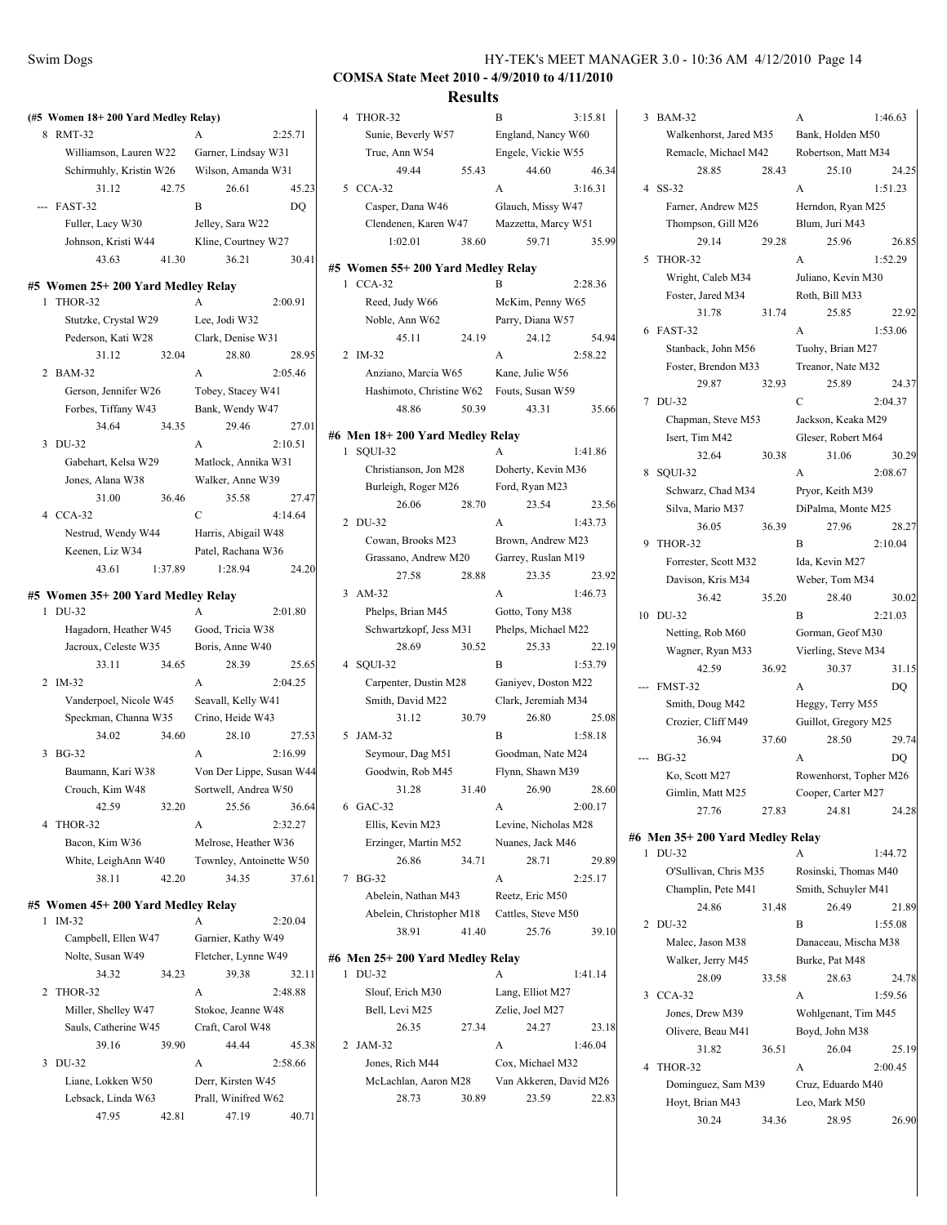#### **COMSA State Meet 2010 - 4/9/2010 to 4/11/2010 Results**

|   | (#5 Women 18+200 Yard Medley Relay) |         |                              |         |
|---|-------------------------------------|---------|------------------------------|---------|
| 8 | <b>RMT-32</b>                       |         | A                            | 2:25.71 |
|   | Williamson, Lauren W22              |         | Garner, Lindsay W31          |         |
|   | Schirmuhly, Kristin W26             |         | Wilson, Amanda W31           |         |
|   | 31.12                               | 42.75   | 26.61                        | 45.23   |
|   | FAST-32                             |         | B                            | DQ      |
|   | Fuller, Lacy W30                    |         | Jelley, Sara W22             |         |
|   | Johnson, Kristi W44                 |         | Kline, Courtney W27          |         |
|   | 43.63                               | 41.30   | 36.21                        | 30.41   |
|   | #5 Women 25+ 200 Yard Medley Relay  |         |                              |         |
| 1 | THOR-32                             |         | A                            | 2:00.91 |
|   | Stutzke, Crystal W29                |         | Lee, Jodi W32                |         |
|   | Pederson, Kati W28                  |         | Clark, Denise W31            |         |
|   | 31.12                               | 32.04   | 28.80                        | 28.95   |
| 2 | <b>BAM-32</b>                       |         | A                            | 2:05.46 |
|   | Gerson, Jennifer W26                |         | Tobey, Stacey W41            |         |
|   | Forbes, Tiffany W43                 |         | Bank, Wendy W47              |         |
|   | 34.64                               | 34.35   | 29.46                        | 27.01   |
| 3 | DU-32                               |         | A                            | 2:10.51 |
|   | Gabehart, Kelsa W29                 |         | Matlock, Annika W31          |         |
|   | Jones, Alana W38                    |         | Walker, Anne W39             |         |
|   | 31.00                               | 36.46   | 35.58                        | 27.47   |
|   | 4 CCA-32                            |         | C                            | 4:14.64 |
|   | Nestrud, Wendy W44                  |         | Harris, Abigail W48          |         |
|   | Keenen, Liz W34                     |         | Patel, Rachana W36           |         |
|   | 43.61                               | 1:37.89 | 1:28.94                      | 24.20   |
|   | #5 Women 35+200 Yard Medley Relay   |         |                              |         |
| 1 | DU-32                               |         | А                            | 2:01.80 |
|   | Hagadorn, Heather W45               |         | Good, Tricia W38             |         |
|   |                                     |         |                              |         |
|   | Jacroux, Celeste W35                |         | Boris, Anne W40              |         |
|   | 33.11                               | 34.65   | 28.39                        | 25.65   |
| 2 | IM-32                               |         | A                            | 2:04.25 |
|   | Vanderpoel, Nicole W45              |         | Seavall, Kelly W41           |         |
|   | Speckman, Channa W35                |         | Crino, Heide W43             |         |
|   | 34.02                               | 34.60   | 28.10                        | 27.53   |
| 3 | <b>BG-32</b>                        |         | A                            | 2:16.99 |
|   | Baumann, Kari W38                   |         | Von Der Lippe, Susan W44     |         |
|   | Crouch, Kim W48                     |         | Sortwell, Andrea W50         |         |
|   | 42.59                               | 32.20   | 25.56                        | 36.64   |
| 4 | THOR-32                             |         | А                            | 2:32.27 |
|   | Bacon, Kim W36                      |         | Melrose, Heather W36         |         |
|   | White, LeighAnn W40                 |         | Townley, Antoinette W50      |         |
|   | 38.11                               | 42.20   | 34.35                        | 37.61   |
|   | #5 Women 45+ 200 Yard Medley Relay  |         |                              |         |
| 1 | IM-32                               |         | А                            | 2:20.04 |
|   | Campbell, Ellen W47                 |         | Garnier, Kathy W49           |         |
|   | Nolte, Susan W49                    |         | Fletcher, Lynne W49          |         |
|   | 34.32                               | 34.23   | 39.38                        | 32.11   |
| 2 | THOR-32                             |         | A                            | 2:48.88 |
|   | Miller, Shelley W47                 |         | Stokoe, Jeanne W48           |         |
|   | Sauls, Catherine W45                |         | Craft, Carol W48             |         |
|   | 39.16                               | 39.90   | 44.44                        | 45.38   |
| 3 | DU-32                               |         | A                            | 2:58.66 |
|   | Liane, Lokken W50                   |         | Derr, Kirsten W45            |         |
|   | Lebsack, Linda W63<br>47.95         | 42.81   | Prall, Winifred W62<br>47.19 | 40.71   |

|   |                                   | <b>IZCSUILS</b> |                        |         |
|---|-----------------------------------|-----------------|------------------------|---------|
|   | 4 THOR-32                         |                 | В                      | 3:15.81 |
|   | Sunie, Beverly W57                |                 | England, Nancy W60     |         |
|   | True, Ann W54                     |                 | Engele, Vickie W55     |         |
|   | 49.44                             | 55.43           | 44.60                  | 46.34   |
|   | 5 CCA-32                          |                 | A                      | 3:16.31 |
|   | Casper, Dana W46                  |                 | Glauch, Missy W47      |         |
|   | Clendenen, Karen W47              |                 | Mazzetta, Marcy W51    |         |
|   | 1:02.01                           | 38.60           | 59.71                  | 35.99   |
|   |                                   |                 |                        |         |
|   | #5 Women 55+200 Yard Medley Relay |                 |                        |         |
|   | 1 CCA-32                          |                 | B                      | 2:28.36 |
|   | Reed, Judy W66                    |                 | McKim, Penny W65       |         |
|   | Noble, Ann W62                    |                 | Parry, Diana W57       |         |
|   | 45.11                             | 24.19           | 24.12                  | 54.94   |
| 2 | $IM-32$                           |                 | A                      | 2:58.22 |
|   | Anziano, Marcia W65               |                 | Kane, Julie W56        |         |
|   | Hashimoto, Christine W62          |                 | Fouts, Susan W59       |         |
|   | 48.86                             | 50.39           | 43.31                  | 35.66   |
|   |                                   |                 |                        |         |
|   | #6 Men 18+200 Yard Medley Relay   |                 |                        |         |
| 1 | SQUI-32                           |                 | A                      | 1:41.86 |
|   | Christianson, Jon M28             |                 | Doherty, Kevin M36     |         |
|   | Burleigh, Roger M26               |                 | Ford, Ryan M23         |         |
|   | 26.06                             | 28.70           | 23.54                  | 23.56   |
|   | 2 DU-32                           |                 | A                      | 1:43.73 |
|   | Cowan, Brooks M23                 |                 | Brown, Andrew M23      |         |
|   | Grassano, Andrew M20              |                 | Garrey, Ruslan M19     |         |
|   | 27.58                             | 28.88           | 23.35                  | 23.92   |
|   | 3 AM-32                           |                 | A                      | 1:46.73 |
|   | Phelps, Brian M45                 |                 | Gotto, Tony M38        |         |
|   | Schwartzkopf, Jess M31            |                 | Phelps, Michael M22    |         |
|   | 28.69                             | 30.52           | 25.33                  | 22.19   |
| 4 | SQUI-32                           |                 | B                      | 1:53.79 |
|   | Carpenter, Dustin M28             |                 | Ganiyev, Doston M22    |         |
|   | Smith, David M22                  |                 | Clark, Jeremiah M34    |         |
|   | 31.12                             | 30.79           | 26.80                  | 25.08   |
| 5 | JAM-32                            |                 | B                      | 1:58.18 |
|   | Seymour, Dag M51                  |                 | Goodman, Nate M24      |         |
|   | Goodwin, Rob M45                  |                 | Flynn, Shawn M39       |         |
|   | 31.28                             | 31.40           | 26.90                  | 28.60   |
|   | 6 GAC-32                          |                 | A                      | 2:00.17 |
|   | Ellis, Kevin M23                  |                 | Levine, Nicholas M28   |         |
|   | Erzinger, Martin M52              |                 | Nuanes, Jack M46       |         |
|   | 26.86                             | 34.71           | 28.71                  | 29.89   |
| 7 | <b>BG-32</b>                      |                 | A                      | 2:25.17 |
|   | Abelein, Nathan M43               |                 | Reetz, Eric M50        |         |
|   | Abelein, Christopher M18          |                 | Cattles, Steve M50     |         |
|   | 38.91                             | 41.40           | 25.76                  | 39.10   |
|   |                                   |                 |                        |         |
|   | #6  Men 25+ 200 Yard Medley Relay |                 |                        |         |
| 1 | DU-32                             |                 | А                      | 1:41.14 |
|   | Slouf, Erich M30                  |                 | Lang, Elliot M27       |         |
|   | Bell, Levi M25                    |                 | Zelie, Joel M27        |         |
|   | 26.35                             | 27.34           | 24.27                  | 23.18   |
| 2 | JAM-32                            |                 | A                      | 1:46.04 |
|   | Jones, Rich M44                   |                 | Cox, Michael M32       |         |
|   | McLachlan, Aaron M28              |                 | Van Akkeren, David M26 |         |
|   | 28.73                             | 30.89           | 23.59                  | 22.83   |
|   |                                   |                 |                        |         |

3 BAM-32 A 1:46.63 Walkenhorst, Jared M35 Bank, Holden M50 Remacle, Michael M42 Robertson, Matt M34 28.85 28.43 25.10 24.25 4 SS-32 A 1:51.23 Farner, Andrew M25 Herndon, Ryan M25 Thompson, Gill M26 Blum, Juri M43 29.14 29.28 25.96 26.85 5 THOR-32 A 1:52.29 Wright, Caleb M34 Juliano, Kevin M30 Foster, Jared M34 Roth, Bill M33 31.78 31.74 25.85 22.92 6 FAST-32 A 1:53.06 Stanback, John M56 Tuohy, Brian M27 Foster, Brendon M33 Treanor, Nate M32 29.87 32.93 25.89 24.37 7 DU-32 C 2:04.37 Chapman, Steve M53 Jackson, Keaka M29 Isert, Tim M42 Gleser, Robert M64 32.64 30.38 31.06 30.29 8 SQUI-32 A 2:08.67 Schwarz, Chad M34 Pryor, Keith M39 Silva, Mario M37 DiPalma, Monte M25 36.05 36.39 27.96 28.27 9 THOR-32 B 2:10.04 Forrester, Scott M32 Ida, Kevin M27 Davison, Kris M34 Weber, Tom M34 36.42 35.20 28.40 30.02 10 DU-32 B 2:21.03 Netting, Rob M60 Gorman, Geof M30 Wagner, Ryan M33 Vierling, Steve M34 42.59 36.92 30.37 31.15 --- FMST-32 A DQ Smith, Doug M42 Heggy, Terry M55 Crozier, Cliff M49 Guillot, Gregory M25 36.94 37.60 28.50 29.74 --- BG-32 A DQ Ko, Scott M27 Rowenhorst, Topher M26 Gimlin, Matt M25 Cooper, Carter M27 27.76 27.83 24.81 24.28 **#6 Men 35+ 200 Yard Medley Relay** 1 DU-32 A 1:44.72 O'Sullivan, Chris M35 Rosinski, Thomas M40 Champlin, Pete M41 Smith, Schuyler M41 24.86 31.48 26.49 21.89 2 DU-32 B 1:55.08 Malec, Jason M38 Danaceau, Mischa M38 Walker, Jerry M45 Burke, Pat M48 28.09 33.58 28.63 24.78 3 CCA-32 A 1:59.56 Jones, Drew M39 Wohlgenant, Tim M45 Olivere, Beau M41 Boyd, John M38 31.82 36.51 26.04 25.19 4 THOR-32 A 2:00.45 Dominguez, Sam M39 Cruz, Eduardo M40 Hoyt, Brian M43 Leo, Mark M50 30.24 34.36 28.95 26.90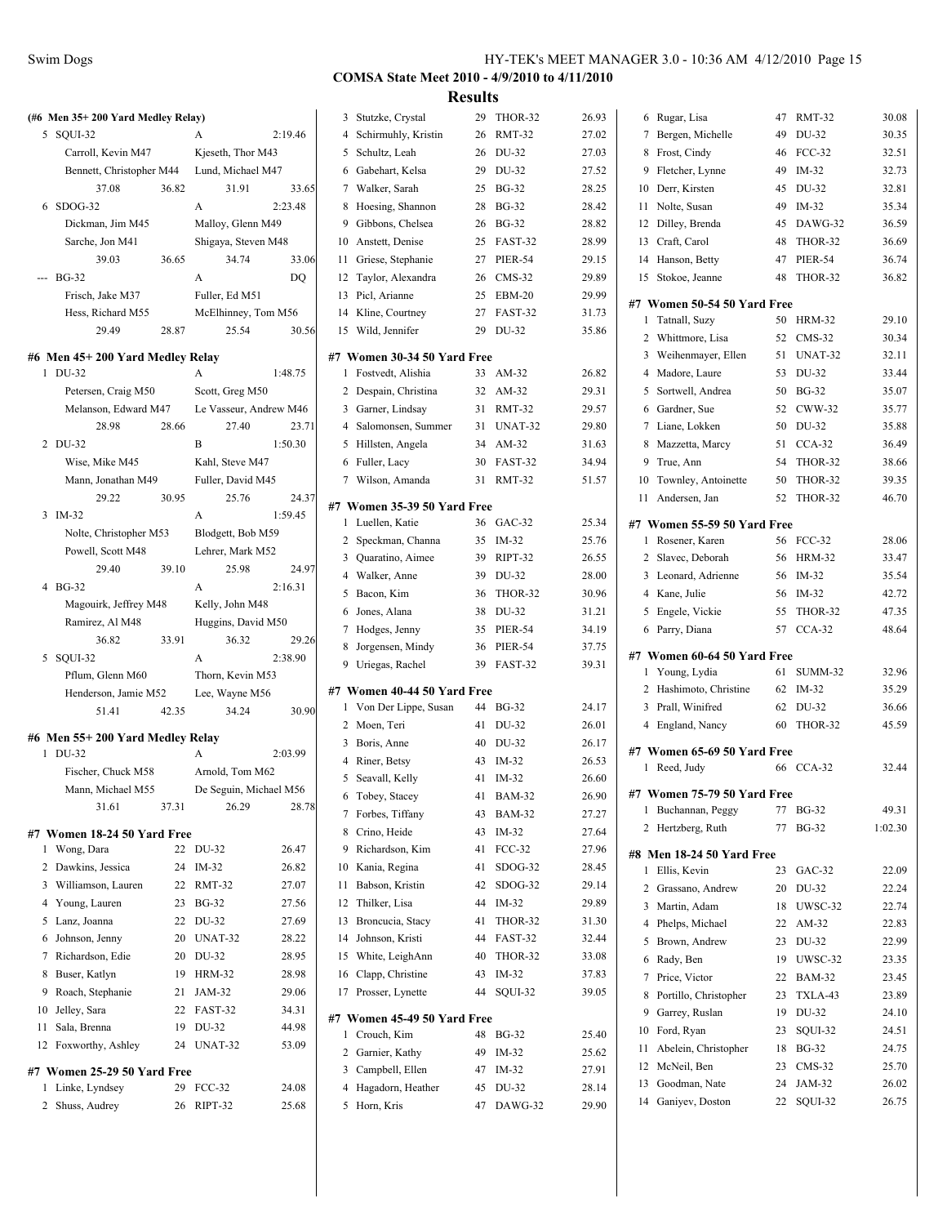|              | (#6 Men 35+200 Yard Medley Relay) |       |                        |         |
|--------------|-----------------------------------|-------|------------------------|---------|
| 5            | SQUI-32                           |       | A                      | 2:19.46 |
|              | Carroll, Kevin M47                |       | Kjeseth, Thor M43      |         |
|              | Bennett, Christopher M44          |       | Lund, Michael M47      |         |
|              | 37.08                             | 36.82 | 31.91                  | 33.65   |
| 6            | $SDOG-32$                         |       | A                      | 2:23.48 |
|              | Dickman, Jim M45                  |       | Malloy, Glenn M49      |         |
|              | Sarche, Jon M41                   |       | Shigaya, Steven M48    |         |
|              | 39.03                             | 36.65 | 34.74                  | 33.06   |
| ---          | <b>BG-32</b>                      |       | A                      | DQ      |
|              | Frisch, Jake M37                  |       | Fuller, Ed M51         |         |
|              | Hess, Richard M55                 |       | McElhinney, Tom M56    |         |
|              | 29.49                             | 28.87 | 25.54                  | 30.56   |
|              |                                   |       |                        |         |
|              | #6 Men 45+200 Yard Medley Relay   |       |                        |         |
| 1            | DU-32                             |       | A                      | 1:48.75 |
|              | Petersen, Craig M50               |       | Scott, Greg M50        |         |
|              | Melanson, Edward M47              |       | Le Vasseur, Andrew M46 |         |
|              | 28.98                             | 28.66 | 27.40                  | 23.71   |
|              | 2 DU-32                           |       | B                      | 1:50.30 |
|              | Wise, Mike M45                    |       | Kahl, Steve M47        |         |
|              | Mann, Jonathan M49                |       | Fuller, David M45      |         |
|              | 29.22                             | 30.95 | 25.76                  | 24.37   |
| 3            | IM-32                             |       | A                      | 1:59.45 |
|              | Nolte, Christopher M53            |       | Blodgett, Bob M59      |         |
|              | Powell, Scott M48                 |       | Lehrer, Mark M52       |         |
|              | 29.40                             | 39.10 | 25.98                  | 24.97   |
|              | 4 BG-32                           |       | A                      | 2:16.31 |
|              | Magouirk, Jeffrey M48             |       | Kelly, John M48        |         |
|              | Ramirez, Al M48                   |       | Huggins, David M50     |         |
|              | 36.82                             | 33.91 | 36.32                  | 29.26   |
| 5            | SQUI-32                           |       | A                      | 2:38.90 |
|              | Pflum, Glenn M60                  |       | Thorn, Kevin M53       |         |
|              | Henderson, Jamie M52              |       | Lee, Wayne M56         |         |
|              | 51.41                             | 42.35 | 34.24                  | 30.90   |
|              |                                   |       |                        |         |
|              | #6 Men 55+200 Yard Medley Relay   |       |                        |         |
| $\mathbf{1}$ | DU-32                             |       | A                      | 2:03.99 |
|              | Fischer, Chuck M58                |       | Arnold, Tom M62        |         |
|              | Mann, Michael M55                 |       | De Seguin, Michael M56 |         |
|              | 31.61                             | 37.31 | 26.29                  | 28.78   |
|              | #7 Women 18-24 50 Yard Free       |       |                        |         |
| 1            | Wong, Dara                        | 22    | DU-32                  | 26.47   |
| 2            | Dawkins, Jessica                  | 24    | IM-32                  | 26.82   |
|              |                                   |       | <b>RMT-32</b>          |         |
| 3            | Williamson, Lauren                | 22    |                        | 27.07   |
| 4            | Young, Lauren                     | 23    | <b>BG-32</b>           | 27.56   |
| 5            | Lanz, Joanna                      | 22    | DU-32                  | 27.69   |
| 6            | Johnson, Jenny                    | 20    | UNAT-32                | 28.22   |
| 7            | Richardson, Edie                  | 20    | DU-32                  | 28.95   |
| 8            | Buser, Katlyn                     | 19    | <b>HRM-32</b>          | 28.98   |
| 9            | Roach, Stephanie                  | 21    | JAM-32                 | 29.06   |
| 10           | Jelley, Sara                      | 22    | FAST-32                | 34.31   |
| 11           | Sala, Brenna                      | 19    | DU-32                  | 44.98   |
| 12           | Foxworthy, Ashley                 | 24    | UNAT-32                | 53.09   |
|              | #7 Women 25-29 50 Yard Free       |       |                        |         |
| 1            | Linke, Lyndsey                    | 29    | $FCC-32$               | 24.08   |
| 2            | Shuss, Audrey                     | 26    | RIPT-32                | 25.68   |
|              |                                   |       |                        |         |

|    |                             | IACSUILS |                |       |
|----|-----------------------------|----------|----------------|-------|
| 3  | Stutzke, Crystal            | 29       | THOR-32        | 26.93 |
| 4  | Schirmuhly, Kristin         | 26       | <b>RMT-32</b>  | 27.02 |
| 5  | Schultz, Leah               | 26       | DU-32          | 27.03 |
| 6  | Gabehart, Kelsa             | 29       | DU-32          | 27.52 |
| 7  | Walker, Sarah               | 25       | <b>BG-32</b>   | 28.25 |
| 8  | Hoesing, Shannon            | 28       | <b>BG-32</b>   | 28.42 |
| 9  | Gibbons, Chelsea            | 26       | <b>BG-32</b>   | 28.82 |
| 10 | Anstett, Denise             | 25       | FAST-32        | 28.99 |
| 11 | Griese, Stephanie           | 27       | PIER-54        | 29.15 |
| 12 | Taylor, Alexandra           | 26       | $CMS-32$       | 29.89 |
| 13 | Picl, Arianne               | 25       | EBM-20         | 29.99 |
| 14 | Kline, Courtney             | 27       | FAST-32        | 31.73 |
| 15 | Wild, Jennifer              | 29       | DU-32          | 35.86 |
|    |                             |          |                |       |
|    | #7 Women 30-34 50 Yard Free |          |                |       |
| 1  | Fostvedt, Alishia           | 33       | AM-32          | 26.82 |
|    | 2 Despain, Christina        | 32       | AM-32          | 29.31 |
|    | 3 Garner, Lindsay           | 31       | RMT-32         | 29.57 |
|    | 4 Salomonsen, Summer        | 31       | UNAT-32        | 29.80 |
| 5  | Hillsten, Angela            | 34       | AM-32          | 31.63 |
| 6  | Fuller, Lacy                | 30       | FAST-32        | 34.94 |
|    | 7 Wilson, Amanda            | 31       | RMT-32         | 51.57 |
|    | #7 Women 35-39 50 Yard Free |          |                |       |
| 1  | Luellen, Katie              | 36       | GAC-32         | 25.34 |
|    | 2 Speckman, Channa          | 35       | $IM-32$        | 25.76 |
|    | 3 Quaratino, Aimee          | 39       | RIPT-32        | 26.55 |
|    | 4 Walker, Anne              | 39       | DU-32          | 28.00 |
|    | 5 Bacon, Kim                | 36       | THOR-32        | 30.96 |
|    |                             |          |                |       |
| 6  | Jones, Alana                | 38       | DU-32          | 31.21 |
|    | 7 Hodges, Jenny             | 35       | <b>PIER-54</b> | 34.19 |
| 8  | Jorgensen, Mindy            | 36       | <b>PIER-54</b> | 37.75 |
|    | 9 Uriegas, Rachel           | 39       | FAST-32        | 39.31 |
|    | #7 Women 40-44 50 Yard Free |          |                |       |
| 1  | Von Der Lippe, Susan        | 44       | <b>BG-32</b>   | 24.17 |
|    | 2 Moen, Teri                | 41       | DU-32          | 26.01 |
|    | 3 Boris, Anne               | 40       | DU-32          | 26.17 |
|    | 4 Riner, Betsy              | 43       | IM-32          | 26.53 |
| 5  | Seavall, Kelly              | 41       | IM-32          | 26.60 |
|    | 6 Tobey, Stacey             | 41       | <b>BAM-32</b>  | 26.90 |
| 7  | Forbes, Tiffany             | 43       | <b>BAM-32</b>  | 27.27 |
| 8  | Crino, Heide                | 43       | IM-32          | 27.64 |
| 9  | Richardson, Kim             | 41       | <b>FCC-32</b>  | 27.96 |
| 10 | Kania, Regina               | 41       | SDOG-32        | 28.45 |
| 11 | Babson, Kristin             | 42       | SDOG-32        | 29.14 |
| 12 | Thilker, Lisa               | 44       | $IM-32$        | 29.89 |
| 13 | Broncucia, Stacy            | 41       | THOR-32        | 31.30 |
| 14 | Johnson, Kristi             | 44       | FAST-32        | 32.44 |
| 15 | White, LeighAnn             | 40       | THOR-32        | 33.08 |
| 16 | Clapp, Christine            | 43       | IM-32          | 37.83 |
| 17 | Prosser, Lynette            | 44       | SOUI-32        | 39.05 |
|    |                             |          |                |       |
|    | #7 Women 45-49 50 Yard Free |          |                |       |
| 1  | Crouch, Kim                 | 48       | <b>BG-32</b>   | 25.40 |
|    | 2 Garnier, Kathy            | 49       | $IM-32$        | 25.62 |
|    | 3 Campbell, Ellen           | 47       | $IM-32$        | 27.91 |
|    | 4 Hagadorn, Heather         | 45       | DU-32          | 28.14 |
| 5  | Horn, Kris                  | 47       | DAWG-32        | 29.90 |
|    |                             |          |                |       |
|    |                             |          |                |       |

| 6  | Rugar, Lisa                 | 47 | <b>RMT-32</b>  | 30.08   |
|----|-----------------------------|----|----------------|---------|
| 7  | Bergen, Michelle            | 49 | DU-32          | 30.35   |
| 8  | Frost, Cindy                | 46 | $FCC-32$       | 32.51   |
| 9  | Fletcher, Lynne             | 49 | $IM-32$        | 32.73   |
| 10 | Derr, Kirsten               | 45 | DU-32          | 32.81   |
| 11 | Nolte, Susan                | 49 | IM-32          | 35.34   |
| 12 | Dilley, Brenda              | 45 | DAWG-32        | 36.59   |
| 13 | Craft, Carol                | 48 | THOR-32        | 36.69   |
| 14 | Hanson, Betty               | 47 | <b>PIER-54</b> | 36.74   |
| 15 | Stokoe, Jeanne              | 48 | THOR-32        | 36.82   |
|    | #7 Women 50-54 50 Yard Free |    |                |         |
| 1  | Tatnall, Suzy               | 50 | <b>HRM-32</b>  | 29.10   |
| 2  | Whittmore, Lisa             | 52 | $CMS-32$       | 30.34   |
| 3  | Weihenmayer, Ellen          | 51 | UNAT-32        | 32.11   |
| 4  | Madore, Laure               | 53 | DU-32          | 33.44   |
| 5  | Sortwell, Andrea            |    | 50 BG-32       | 35.07   |
| 6  | Gardner, Sue                | 52 | CWW-32         | 35.77   |
| 7  | Liane, Lokken               | 50 | DU-32          | 35.88   |
| 8  | Mazzetta, Marcy             | 51 | $CCA-32$       | 36.49   |
| 9  | True, Ann                   | 54 | THOR-32        | 38.66   |
| 10 | Townley, Antoinette         | 50 | THOR-32        | 39.35   |
| 11 | Andersen, Jan               | 52 | THOR-32        | 46.70   |
|    |                             |    |                |         |
|    | #7 Women 55-59 50 Yard Free |    |                |         |
| 1  | Rosener, Karen              | 56 | FCC-32         | 28.06   |
| 2  | Slavec, Deborah             |    | 56 HRM-32      | 33.47   |
| 3  | Leonard, Adrienne           |    | 56 IM-32       | 35.54   |
|    | 4 Kane, Julie               | 56 | $IM-32$        | 42.72   |
| 5  | Engele, Vickie              | 55 | THOR-32        | 47.35   |
|    | 6 Parry, Diana              | 57 | $CCA-32$       | 48.64   |
|    | #7 Women 60-64 50 Yard Free |    |                |         |
| 1  | Young, Lydia                | 61 | SUMM-32        | 32.96   |
| 2  | Hashimoto, Christine        |    | 62 IM-32       | 35.29   |
| 3  | Prall, Winifred             | 62 | DU-32          | 36.66   |
| 4  | England, Nancy              | 60 | THOR-32        | 45.59   |
|    |                             |    |                |         |
|    | #7 Women 65-69 50 Yard Free |    |                |         |
| 1  | Reed, Judy                  | 66 | $CCA-32$       | 32.44   |
|    | #7 Women 75-79 50 Yard Free |    |                |         |
| 1  | Buchannan, Peggy            | 77 | <b>BG-32</b>   | 49.31   |
| 2  | Hertzberg, Ruth             | 77 | <b>BG-32</b>   | 1:02.30 |
|    | #8 Men 18-24 50 Yard Free   |    |                |         |
| 1  | Ellis, Kevin                | 23 | GAC-32         | 22.09   |
| 2  | Grassano, Andrew            | 20 | DU-32          | 22.24   |
| 3  | Martin, Adam                | 18 | UWSC-32        | 22.74   |
| 4  | Phelps, Michael             | 22 | AM-32          | 22.83   |
| 5  | Brown, Andrew               | 23 | DU-32          | 22.99   |
| 6  | Rady, Ben                   | 19 | UWSC-32        | 23.35   |
| 7  | Price, Victor               | 22 | <b>BAM-32</b>  | 23.45   |
| 8  | Portillo, Christopher       | 23 | TXLA-43        | 23.89   |
|    |                             |    |                |         |
| 9  | Garrey, Ruslan              | 19 | DU-32          | 24.10   |
| 10 | Ford, Ryan                  | 23 | SQUI-32        | 24.51   |
| 11 | Abelein, Christopher        | 18 | <b>BG-32</b>   | 24.75   |
| 12 | McNeil, Ben                 | 23 | $CMS-32$       | 25.70   |
| 13 | Goodman, Nate               | 24 | JAM-32         | 26.02   |
| 14 | Ganiyev, Doston             | 22 | SQUI-32        | 26.75   |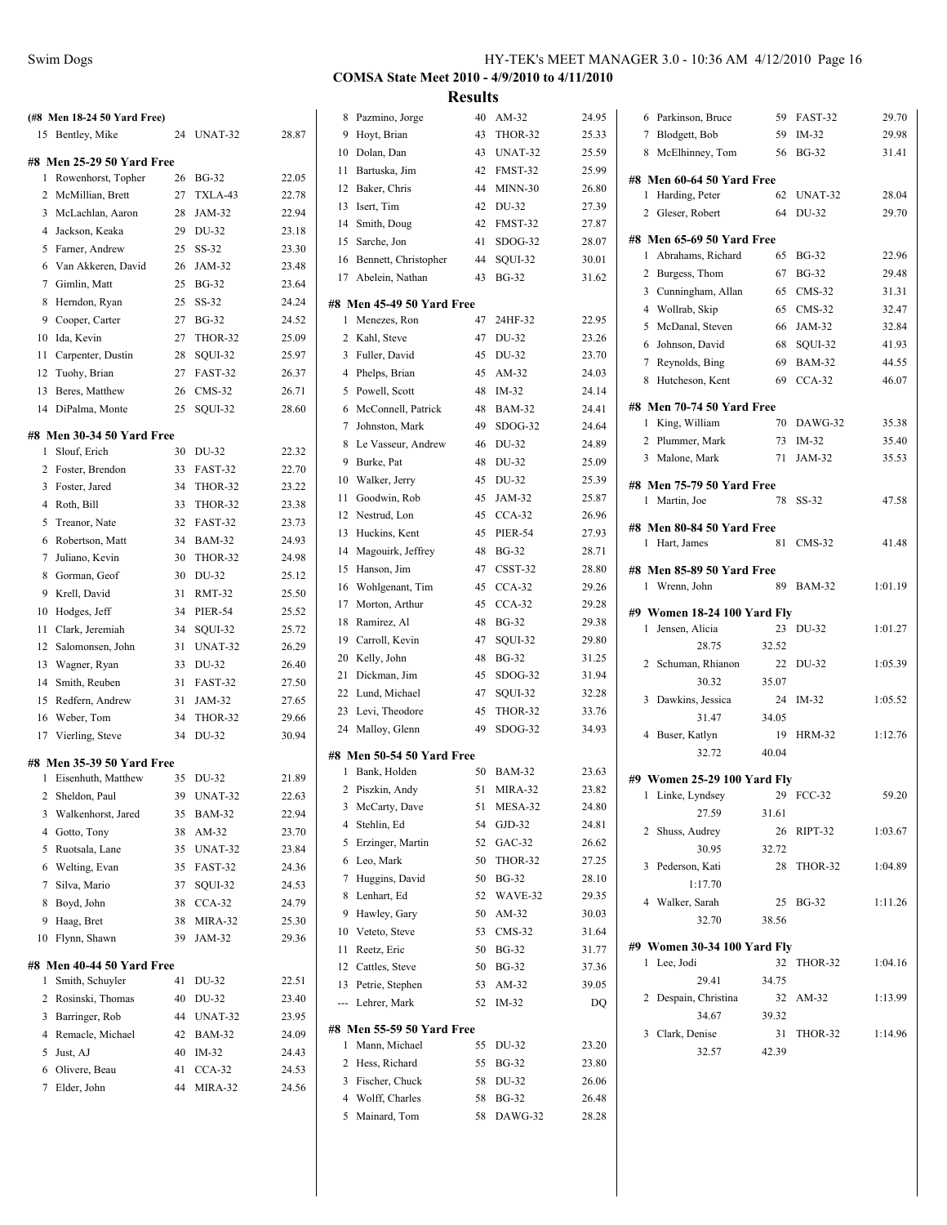|                | (#8 Men 18-24 50 Yard Free) |    |                |       |
|----------------|-----------------------------|----|----------------|-------|
|                | 15 Bentley, Mike            | 24 | UNAT-32        | 28.87 |
|                |                             |    |                |       |
|                | #8 Men 25-29 50 Yard Free   |    |                |       |
| 1              | Rowenhorst, Topher          | 26 | <b>BG-32</b>   | 22.05 |
|                | 2 McMillian, Brett          | 27 | TXLA-43        | 22.78 |
| 3              | McLachlan, Aaron            | 28 | JAM-32         | 22.94 |
| $\overline{4}$ | Jackson, Keaka              | 29 | DU-32          | 23.18 |
|                | 5 Farner, Andrew            | 25 | $SS-32$        | 23.30 |
|                | 6 Van Akkeren, David        | 26 | JAM-32         | 23.48 |
|                | 7 Gimlin, Matt              | 25 | <b>BG-32</b>   | 23.64 |
| 8              | Herndon, Ryan               | 25 | $SS-32$        | 24.24 |
| 9              | Cooper, Carter              | 27 | <b>BG-32</b>   | 24.52 |
| 10             | Ida, Kevin                  | 27 | THOR-32        | 25.09 |
| 11             | Carpenter, Dustin           | 28 | SQUI-32        | 25.97 |
|                | 12 Tuohy, Brian             | 27 | FAST-32        | 26.37 |
| 13             | Beres, Matthew              | 26 | $CMS-32$       | 26.71 |
| 14             | DiPalma, Monte              | 25 | SOUI-32        | 28.60 |
|                | #8 Men 30-34 50 Yard Free   |    |                |       |
| 1              | Slouf, Erich                | 30 | DU-32          | 22.32 |
|                | 2 Foster, Brendon           | 33 | FAST-32        | 22.70 |
|                | 3 Foster, Jared             | 34 | THOR-32        | 23.22 |
|                | 4 Roth, Bill                | 33 | THOR-32        | 23.38 |
|                | 5 Treanor, Nate             | 32 | FAST-32        | 23.73 |
| 6              | Robertson, Matt             | 34 | <b>BAM-32</b>  | 24.93 |
| 7              | Juliano, Kevin              | 30 | THOR-32        | 24.98 |
| 8              | Gorman, Geof                | 30 | DU-32          | 25.12 |
| 9              | Krell, David                | 31 | RMT-32         | 25.50 |
| 10             | Hodges, Jeff                | 34 | <b>PIER-54</b> | 25.52 |
| 11             | Clark, Jeremiah             | 34 | SQUI-32        | 25.72 |
|                | 12 Salomonsen, John         | 31 | UNAT-32        | 26.29 |
| 13             | Wagner, Ryan                | 33 | DU-32          | 26.40 |
|                | 14 Smith, Reuben            | 31 | FAST-32        | 27.50 |
|                | 15 Redfern, Andrew          | 31 | JAM-32         | 27.65 |
| 16             | Weber, Tom                  | 34 | THOR-32        | 29.66 |
| 17             | Vierling, Steve             | 34 | DU-32          | 30.94 |
|                | #8 Men 35-39 50 Yard Free   |    |                |       |
| 1              | Eisenhuth, Matthew          | 35 | DU-32          | 21.89 |
|                | 2 Sheldon, Paul             |    | 39 UNAT-32     | 22.63 |
| 3              | Walkenhorst, Jared          | 35 | <b>BAM-32</b>  | 22.94 |
| 4              | Gotto, Tony                 | 38 | AM-32          | 23.70 |
| 5              | Ruotsala, Lane              | 35 | UNAT-32        | 23.84 |
| 6              | Welting, Evan               | 35 | FAST-32        | 24.36 |
| 7              | Silva, Mario                | 37 | SQUI-32        | 24.53 |
| 8              | Boyd, John                  | 38 | $CCA-32$       | 24.79 |
| 9              | Haag, Bret                  | 38 | MIRA-32        | 25.30 |
| 10             | Flynn, Shawn                | 39 | JAM-32         | 29.36 |
|                |                             |    |                |       |
|                | #8 Men 40-44 50 Yard Free   |    |                |       |
| 1              | Smith, Schuyler             | 41 | DU-32          | 22.51 |
| 2              | Rosinski, Thomas            | 40 | DU-32          | 23.40 |
| 3              | Barringer, Rob              | 44 | UNAT-32        | 23.95 |
| 4              | Remacle, Michael            | 42 | BAM-32         | 24.09 |
| 5              | Just, AJ                    | 40 | IM-32          | 24.43 |
| 6              | Olivere, Beau               | 41 | $CCA-32$       | 24.53 |
| 7              | Elder, John                 | 44 | MIRA-32        | 24.56 |
|                |                             |    |                |       |

# **COMSA State Meet 2010 - 4/9/2010 to 4/11/2010**

| 8   | Pazmino, Jorge             | 40 | AM-32          | 24.95 |
|-----|----------------------------|----|----------------|-------|
| 9   | Hoyt, Brian                | 43 | THOR-32        | 25.33 |
| 10  | Dolan, Dan                 | 43 | UNAT-32        | 25.59 |
| 11  | Bartuska, Jim              | 42 | FMST-32        | 25.99 |
| 12  | Baker, Chris               | 44 | MINN-30        | 26.80 |
|     | 13 Isert, Tim              | 42 | DU-32          | 27.39 |
| 14  | Smith, Doug                | 42 | FMST-32        | 27.87 |
|     | 15 Sarche, Jon             | 41 | SDOG-32        | 28.07 |
|     | 16 Bennett, Christopher    | 44 | SQUI-32        | 30.01 |
|     | 17 Abelein, Nathan         | 43 | <b>BG-32</b>   | 31.62 |
|     |                            |    |                |       |
|     | #8 Men 45-49 50 Yard Free  |    |                |       |
| 1   | Menezes, Ron               | 47 | 24HF-32        | 22.95 |
| 2   | Kahl, Steve                | 47 | DU-32          | 23.26 |
| 3   | Fuller, David              | 45 | DU-32          | 23.70 |
|     | 4 Phelps, Brian            | 45 | AM-32          | 24.03 |
| 5   | Powell, Scott              | 48 | $IM-32$        | 24.14 |
| 6   | McConnell, Patrick         | 48 | <b>BAM-32</b>  | 24.41 |
| 7   | Johnston, Mark             | 49 | SDOG-32        | 24.64 |
| 8   | Le Vasseur, Andrew         | 46 | DU-32          | 24.89 |
| 9   | Burke, Pat                 | 48 | DU-32          | 25.09 |
| 10  | Walker, Jerry              | 45 | DU-32          | 25.39 |
| 11  | Goodwin, Rob               | 45 | JAM-32         | 25.87 |
|     | 12 Nestrud, Lon            | 45 | $CCA-32$       | 26.96 |
| 13  | Huckins, Kent              | 45 | <b>PIER-54</b> | 27.93 |
|     | 14 Magouirk, Jeffrey       | 48 | <b>BG-32</b>   | 28.71 |
| 15  | Hanson, Jim                | 47 | CSST-32        | 28.80 |
| 16  | Wohlgenant, Tim            | 45 | $CCA-32$       | 29.26 |
| 17  | Morton, Arthur             | 45 | $CCA-32$       | 29.28 |
| 18  | Ramirez, Al                | 48 | <b>BG-32</b>   | 29.38 |
| 19  | Carroll, Kevin             | 47 | SQUI-32        | 29.80 |
| 20  | Kelly, John                | 48 | <b>BG-32</b>   | 31.25 |
| 21  | Dickman, Jim               | 45 | SDOG-32        | 31.94 |
|     | 22 Lund, Michael           | 47 | SQUI-32        | 32.28 |
| 23  | Levi, Theodore             | 45 | THOR-32        | 33.76 |
|     | 24 Malloy, Glenn           | 49 | SDOG-32        | 34.93 |
|     | #8 Men 50-54 50 Yard Free  |    |                |       |
| 1   | Bank, Holden               | 50 | <b>BAM-32</b>  | 23.63 |
| 2   | Piszkin, Andy              | 51 | MIRA-32        | 23.82 |
| 3   | McCarty, Dave              | 51 | MESA-32        | 24.80 |
| 4   | Stehlin, Ed                | 54 | $GJD-32$       | 24.81 |
| 5   | Erzinger, Martin           | 52 | $GAC-32$       | 26.62 |
| 6   | Leo, Mark                  | 50 | THOR-32        | 27.25 |
| 7   | Huggins, David             | 50 | <b>BG-32</b>   | 28.10 |
| 8   | Lenhart, Ed                | 52 | WAVE-32        | 29.35 |
| 9   | Hawley, Gary               | 50 | AM-32          | 30.03 |
| 10  | Veteto, Steve              | 53 | CMS-32         | 31.64 |
| 11  | Reetz, Eric                | 50 | <b>BG-32</b>   | 31.77 |
| 12  |                            |    | <b>BG-32</b>   |       |
|     | Cattles, Steve             | 50 |                | 37.36 |
| 13  | Petrie, Stephen            | 53 | AM-32          | 39.05 |
| --- | Lehrer, Mark               | 52 | IM-32          | DQ    |
|     | #8  Men 55-59 50 Yard Free |    |                |       |
| 1   | Mann, Michael              | 55 | DU-32          | 23.20 |
| 2   | Hess, Richard              | 55 | <b>BG-32</b>   | 23.80 |
| 3   | Fischer, Chuck             | 58 | DU-32          | 26.06 |
|     | 4 Wolff, Charles           | 58 | <b>BG-32</b>   | 26.48 |
| 5   | Mainard, Tom               | 58 | DAWG-32        | 28.28 |
|     |                            |    |                |       |

| 6 Parkinson, Bruce                   | 59          | FAST-32       | 29.70   |
|--------------------------------------|-------------|---------------|---------|
| 7 Blodgett, Bob                      | 59          | $IM-32$       | 29.98   |
| 8 McElhinney, Tom                    | 56          | <b>BG-32</b>  | 31.41   |
| #8 Men 60-64 50 Yard Free            |             |               |         |
| 1<br>Harding, Peter                  | 62          | UNAT-32       | 28.04   |
| $\overline{2}$<br>Gleser, Robert     | 64          | DU-32         | 29.70   |
| #8 Men 65-69 50 Yard Free            |             |               |         |
| 1 Abrahams, Richard                  | 65          | <b>BG-32</b>  | 22.96   |
| 2 Burgess, Thom                      |             | 67 BG-32      | 29.48   |
| 3 Cunningham, Allan                  | 65          | CMS-32        | 31.31   |
| 4 Wollrab, Skip                      | 65          | $CMS-32$      | 32.47   |
| 5 McDanal, Steven                    | 66          | JAM-32        | 32.84   |
| 6 Johnson, David                     | 68          | SQUI-32       | 41.93   |
| 7 Reynolds, Bing                     | 69          | <b>BAM-32</b> | 44.55   |
| 8 Hutcheson, Kent                    | 69          | $CCA-32$      | 46.07   |
| #8 Men 70-74 50 Yard Free            |             |               |         |
| 1 King, William                      | 70          | DAWG-32       | 35.38   |
| 2 Plummer, Mark                      | 73          | $IM-32$       | 35.40   |
| 3 Malone, Mark                       | 71          | JAM-32        | 35.53   |
| #8 Men 75-79 50 Yard Free            |             |               |         |
| 1 Martin, Joe                        | 78          | $SS-32$       | 47.58   |
| #8 Men 80-84 50 Yard Free            |             |               |         |
| 1 Hart, James                        | 81          | $CMS-32$      | 41.48   |
| #8 Men 85-89 50 Yard Free            |             |               |         |
| 1 Wrenn, John                        | 89          | <b>BAM-32</b> | 1:01.19 |
| #9 Women 18-24 100 Yard Fly          |             |               |         |
|                                      |             |               |         |
| 1<br>Jensen, Alicia                  | 23          | DU-32         | 1:01.27 |
| 28.75                                | 32.52       |               |         |
| Schuman, Rhianon<br>$\overline{2}$   | 22          | DU-32         | 1:05.39 |
| 30.32                                | 35.07       |               |         |
| Dawkins, Jessica<br>3                | 24          | $IM-32$       | 1:05.52 |
| 31.47                                | 34.05       |               |         |
| 4 Buser, Katlyn                      | 19          | <b>HRM-32</b> | 1:12.76 |
| 32.72                                | 40.04       |               |         |
| #9 Women 25-29 100 Yard Fly          |             |               |         |
| Linke, Lyndsey<br>1                  | 29          | <b>FCC-32</b> | 59.20   |
| 27.59                                | 31.61       |               |         |
| $\overline{2}$<br>Shuss, Audrey      |             | 26 RIPT-32    | 1:03.67 |
| 30.95                                | 32.72       |               |         |
| 3 Pederson, Kati                     |             | 28 THOR-32    | 1:04.89 |
| 1:17.70                              |             |               |         |
| 4 Walker, Sarah<br>32.70             | 25<br>38.56 | BG-32         | 1:11.26 |
|                                      |             |               |         |
| #9 Women 30-34 100 Yard Fly          |             |               |         |
| 1 Lee, Jodi                          | 32          | THOR-32       | 1:04.16 |
| 29.41                                | 34.75       |               |         |
| $\overline{2}$<br>Despain, Christina |             | 32 AM-32      | 1:13.99 |
| 34.67                                | 39.32       |               |         |
| 3 Clark, Denise                      | 31          | THOR-32       | 1:14.96 |
| 32.57                                | 42.39       |               |         |
|                                      |             |               |         |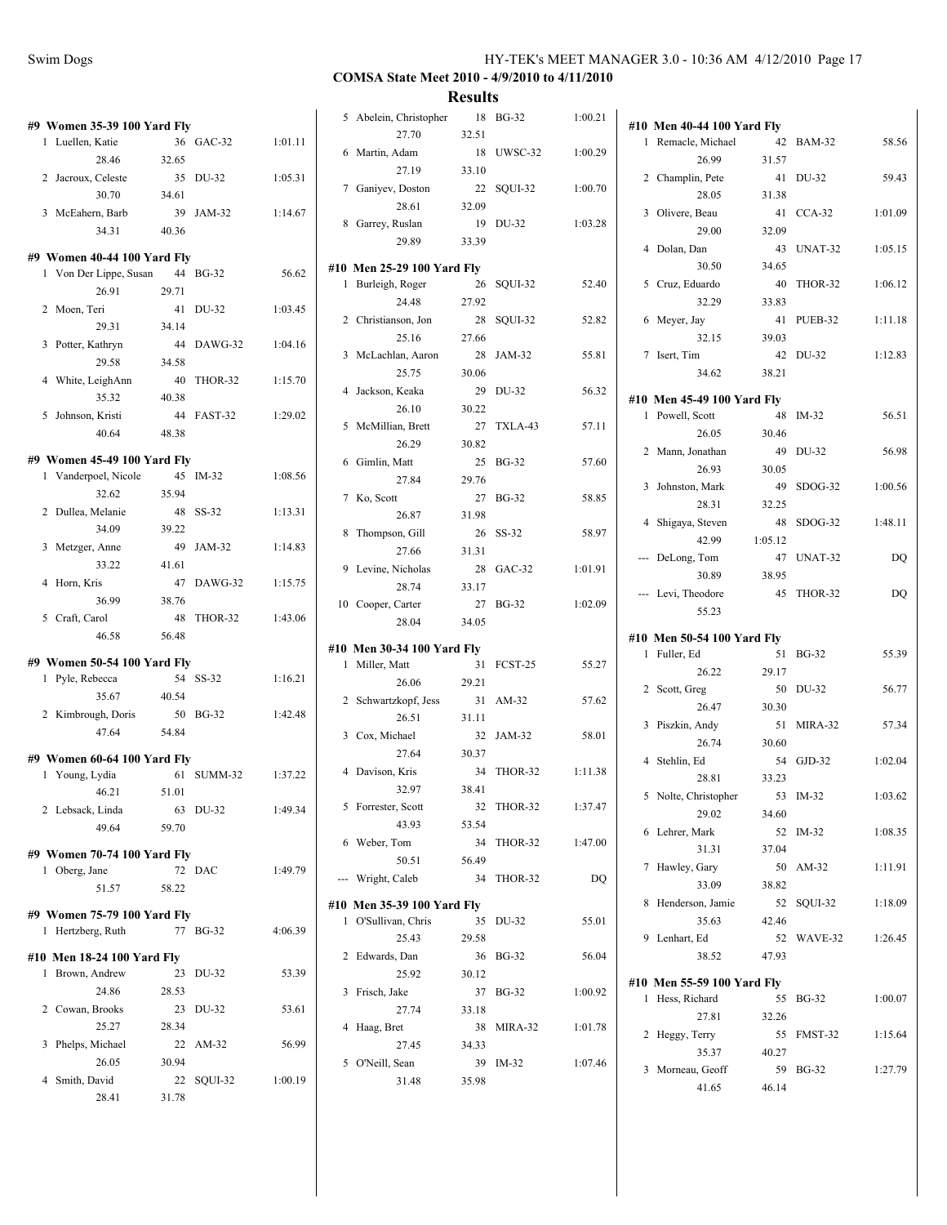| #9 Women 35-39 100 Yard Fly                    |       |                    |         |
|------------------------------------------------|-------|--------------------|---------|
| 1 Luellen, Katie                               | 36    | GAC-32             | 1:01.11 |
| 28.46                                          | 32.65 |                    |         |
| 2 Jacroux, Celeste                             |       | 35 DU-32           | 1:05.31 |
| 30.70                                          | 34.61 |                    |         |
| 3 McEahern, Barb                               |       | 39 JAM-32          | 1:14.67 |
| 34.31                                          | 40.36 |                    |         |
| #9 Women 40-44 100 Yard Fly                    |       |                    |         |
| 1 Von Der Lippe, Susan 44 BG-32                |       |                    | 56.62   |
| 26.91                                          | 29.71 |                    |         |
| 2 Moen, Teri                                   |       | 41 DU-32           | 1:03.45 |
| 29.31                                          | 34.14 |                    |         |
| 3 Potter, Kathryn                              |       | 44 DAWG-32         | 1:04.16 |
| 29.58                                          | 34.58 |                    |         |
| 4 White, LeighAnn                              |       | 40 THOR-32         | 1:15.70 |
| 35.32                                          | 40.38 |                    |         |
| 5 Johnson, Kristi                              |       | 44 FAST-32         | 1:29.02 |
| 40.64                                          | 48.38 |                    |         |
| #9 Women 45-49 100 Yard Fly                    |       |                    |         |
| 1 Vanderpoel, Nicole                           |       | 45 IM-32           | 1:08.56 |
| 32.62                                          | 35.94 |                    |         |
| 2 Dullea, Melanie                              |       | 48 SS-32           | 1:13.31 |
| 34.09                                          | 39.22 |                    |         |
| 3 Metzger, Anne                                |       | 49 JAM-32          | 1:14.83 |
| 33.22                                          | 41.61 |                    |         |
| 4 Horn, Kris                                   | 47    | DAWG-32            | 1:15.75 |
| 36.99                                          | 38.76 |                    |         |
| 5 Craft, Carol                                 |       | 48 THOR-32         | 1:43.06 |
| 46.58                                          | 56.48 |                    |         |
|                                                |       |                    |         |
| #9 Women 50-54 100 Yard Fly<br>1 Pyle, Rebecca |       | 54 SS-32           | 1:16.21 |
| 35.67                                          | 40.54 |                    |         |
| 2 Kimbrough, Doris                             |       | 50 BG-32           | 1:42.48 |
| 47.64                                          | 54.84 |                    |         |
|                                                |       |                    |         |
| #9 Women 60-64 100 Yard Fly                    |       |                    |         |
| 1 Young, Lydia                                 | 51.01 | 61 SUMM-32 1:37.22 |         |
| 46.21                                          |       |                    |         |
| 2 Lebsack, Linda<br>49.64                      | 59.70 | 63 DU-32           | 1:49.34 |
|                                                |       |                    |         |
| #9 Women 70-74 100 Yard Fly                    |       |                    |         |
| 1 Oberg, Jane                                  | 72    | DAC                | 1:49.79 |
| 51.57                                          | 58.22 |                    |         |
| #9 Women 75-79 100 Yard Fly                    |       |                    |         |
| 1 Hertzberg, Ruth                              |       | 77 BG-32           | 4:06.39 |
| #10 Men 18-24 100 Yard Fly                     |       |                    |         |
| 1 Brown, Andrew                                | 23    | DU-32              | 53.39   |
| 24.86                                          | 28.53 |                    |         |
| 2 Cowan, Brooks                                | 23    | DU-32              | 53.61   |
| 25.27                                          | 28.34 |                    |         |
| Phelps, Michael<br>3                           |       | 22 AM-32           | 56.99   |
| 26.05                                          | 30.94 |                    |         |
| Smith, David<br>4                              | 22    | SQUI-32            | 1:00.19 |
| 28.41                                          | 31.78 |                    |         |

|                |                            | results |              |         |
|----------------|----------------------------|---------|--------------|---------|
|                | 5 Abelein, Christopher     | 18      | <b>BG-32</b> | 1:00.21 |
|                | 27.70                      | 32.51   |              |         |
| 6              | Martin, Adam               | 18      | UWSC-32      | 1:00.29 |
|                | 27.19                      | 33.10   |              |         |
|                | 7 Ganiyev, Doston          | 22      | SQUI-32      | 1:00.70 |
|                | 28.61                      | 32.09   |              |         |
| 8              | Garrey, Ruslan             | 19      | DU-32        | 1:03.28 |
|                | 29.89                      | 33.39   |              |         |
|                | #10 Men 25-29 100 Yard Fly |         |              |         |
| 1              | Burleigh, Roger            | 26      | SQUI-32      | 52.40   |
|                | 24.48                      | 27.92   |              |         |
|                | 2 Christianson, Jon        | 28      | SQUI-32      | 52.82   |
|                | 25.16                      | 27.66   |              |         |
| 3              | McLachlan, Aaron           | 28      | JAM-32       | 55.81   |
|                | 25.75                      | 30.06   |              |         |
|                | 4 Jackson, Keaka           | 29      | DU-32        | 56.32   |
|                | 26.10                      | 30.22   |              |         |
| 5              | McMillian, Brett           | 27      | TXLA-43      | 57.11   |
|                | 26.29                      | 30.82   |              |         |
| 6              | Gimlin, Matt               | 25      | <b>BG-32</b> | 57.60   |
|                | 27.84                      | 29.76   |              |         |
|                | 7 Ko, Scott                | 27      | <b>BG-32</b> | 58.85   |
|                | 26.87                      | 31.98   |              |         |
| 8              | Thompson, Gill             | 26      | $SS-32$      | 58.97   |
|                | 27.66                      | 31.31   |              |         |
| 9              | Levine, Nicholas           | 28      | $GAC-32$     | 1:01.91 |
|                | 28.74                      | 33.17   |              |         |
| 10             | Cooper, Carter             | 27      | <b>BG-32</b> | 1:02.09 |
|                | 28.04                      | 34.05   |              |         |
|                | #10 Men 30-34 100 Yard Fly |         |              |         |
| 1              | Miller, Matt               | 31      | FCST-25      | 55.27   |
|                | 26.06                      | 29.21   |              |         |
| $\overline{2}$ | Schwartzkopf, Jess         |         | 31 AM-32     | 57.62   |
|                | 26.51                      | 31.11   |              |         |
| 3              | Cox, Michael               |         | 32 JAM-32    | 58.01   |
|                | 27.64                      | 30.37   |              |         |
| $\overline{4}$ | Davison, Kris              | 34      | THOR-32      | 1:11.38 |
|                | 32.97                      | 38.41   |              |         |
| 5              | Forrester, Scott           | 32      | THOR-32      | 1:37.47 |
|                | 43.93                      | 53.54   |              |         |
| 6              | Weber, Tom                 | 34      | THOR-32      | 1:47.00 |
|                | 50.51                      | 56.49   |              |         |
|                | --- Wright, Caleb          | 34      | THOR-32      | DQ      |
|                |                            |         |              |         |
|                | #10 Men 35-39 100 Yard Fly |         |              |         |
| 1              | O'Sullivan, Chris          | 35      | DU-32        | 55.01   |
|                | 25.43                      | 29.58   |              |         |
| 2              | Edwards, Dan               | 36      | BG-32        | 56.04   |
|                | 25.92                      | 30.12   |              |         |
| 3              | Frisch, Jake               |         | 37 BG-32     | 1:00.92 |
|                | 27.74                      | 33.18   |              |         |
| 4              | Haag, Bret                 | 38      | MIRA-32      | 1:01.78 |
|                | 27.45                      | 34.33   |              |         |
| 5              | O'Neill, Sean              | 39      | $IM-32$      | 1:07.46 |
|                | 31.48                      | 35.98   |              |         |
|                |                            |         |              |         |

| #10 | <b>Men 40-44 100 Yard Fly</b>               |         |               |         |
|-----|---------------------------------------------|---------|---------------|---------|
| 1   | Remacle, Michael                            | 42      | <b>BAM-32</b> | 58.56   |
|     | 26.99                                       | 31.57   |               |         |
| 2   | Champlin, Pete                              | 41      | DU-32         | 59.43   |
|     | 28.05                                       | 31.38   |               |         |
| 3   | Olivere, Beau                               | 41      | $CCA-32$      | 1:01.09 |
|     | 29.00                                       | 32.09   |               |         |
| 4   | Dolan, Dan                                  | 43      | UNAT-32       | 1:05.15 |
|     | 30.50                                       | 34.65   |               |         |
| 5   | Cruz, Eduardo                               | 40      | THOR-32       | 1:06.12 |
|     | 32.29                                       | 33.83   |               |         |
| 6   | Meyer, Jay                                  | 41      | PUEB-32       | 1:11.18 |
|     | 32.15                                       | 39.03   |               |         |
| 7   | Isert, Tim                                  | 42      | DU-32         | 1:12.83 |
|     | 34.62                                       | 38.21   |               |         |
|     | #10 Men 45-49 100 Yard Fly                  |         |               |         |
| 1   | Powell, Scott                               | 48      | $IM-32$       | 56.51   |
|     | 26.05                                       | 30.46   |               |         |
| 2   | Mann, Jonathan                              | 49      | DU-32         | 56.98   |
|     | 26.93                                       | 30.05   |               |         |
| 3   | Johnston, Mark                              | 49      | $SDOG-32$     | 1:00.56 |
|     | 28.31                                       | 32.25   |               |         |
| 4   | Shigaya, Steven                             | 48      | SDOG-32       | 1:48.11 |
|     | 42.99                                       | 1:05.12 |               |         |
| --- | DeLong, Tom                                 | 47      | UNAT-32       | DQ      |
|     | 30.89                                       | 38.95   |               |         |
|     | Levi, Theodore                              | 45      | THOR-32       | DQ      |
|     | 55.23                                       |         |               |         |
|     |                                             |         |               |         |
|     |                                             |         |               |         |
| 1   | #10 Men 50-54 100 Yard Fly                  | 51      | <b>BG-32</b>  | 55.39   |
|     | Fuller, Ed<br>26.22                         | 29.17   |               |         |
| 2   | Scott, Greg                                 | 50      | DU-32         | 56.77   |
|     | 26.47                                       | 30.30   |               |         |
| 3   | Piszkin, Andy                               | 51      | MIRA-32       | 57.34   |
|     | 26.74                                       | 30.60   |               |         |
| 4   | Stehlin, Ed                                 | 54      | $GJD-32$      | 1:02.04 |
|     | 28.81                                       | 33.23   |               |         |
| 5   | Nolte, Christopher                          | 53      | $IM-32$       | 1:03.62 |
|     | 29.02                                       | 34.60   |               |         |
| 6   | Lehrer, Mark                                | 52      | $IM-32$       | 1:08.35 |
|     | 31.31                                       | 37.04   |               |         |
| 7   | Hawley, Gary                                | 50      | AM-32         | 1:11.91 |
|     | 33.09                                       | 38.82   |               |         |
| 8   | Henderson, Jamie                            | 52      | SOUI-32       | 1:18.09 |
|     | 35.63                                       | 42.46   |               |         |
| 9   | Lenhart, Ed                                 | 52      | WAVE-32       | 1:26.45 |
|     | 38.52                                       | 47.93   |               |         |
|     |                                             |         |               |         |
| 1   | #10 Men 55-59 100 Yard Fly<br>Hess, Richard | 55      | <b>BG-32</b>  | 1:00.07 |
|     | 27.81                                       | 32.26   |               |         |
| 2   | Heggy, Terry                                | 55      | FMST-32       | 1:15.64 |
|     | 35.37                                       | 40.27   |               |         |
| 3   | Morneau, Geoff                              | 59      | BG-32         | 1:27.79 |
|     | 41.65                                       | 46.14   |               |         |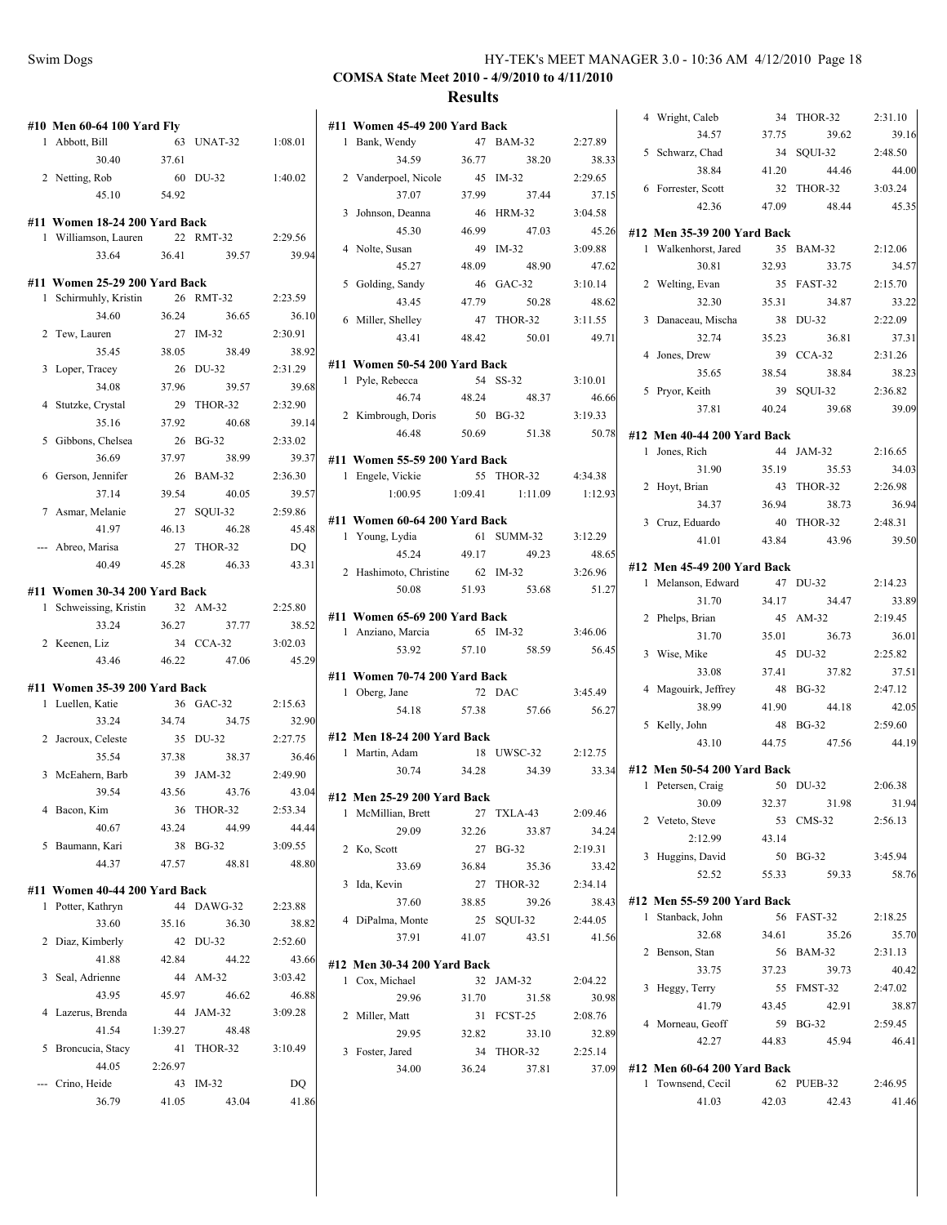$2:31.10$ 39.16  $2:48.50$ 44.00 8:03.24 45.35

 $2:12.06$ 34.57  $2:15.70$ 33.22  $2:22.09$ 37.31  $2:31.26$ 38.23  $2:36.82$ 39.09

 $2:16.65$  $34.03$  $2:26.98$ 36.94  $2:48.31$ 39.50

 $2:14.23$ 33.89  $2:19.45$ 36.01  $2:25.82$ 37.51  $2:47.12$ 42.05  $2:59.60$ 44.19

 $2:06.38$ 31.94  $2:56.13$ 

 $3:45.94$ 58.76

 $2:18.25$ 35.70  $2:31.13$ 40.42  $2:47.02$ 38.87  $2:59.45$ 46.41

 $2:46.95$ 41.46

|                               |         |            |         |                               |         |                     |                  | 4 Wright, Caleb                                     |       | 34 THOR-32 |
|-------------------------------|---------|------------|---------|-------------------------------|---------|---------------------|------------------|-----------------------------------------------------|-------|------------|
| #10 Men 60-64 100 Yard Fly    |         |            |         | #11 Women 45-49 200 Yard Back |         |                     |                  | 34.57                                               | 37.75 | 39.62      |
| 1 Abbott, Bill                |         | 63 UNAT-32 | 1:08.01 | 1 Bank, Wendy                 |         | 47 BAM-32           | 2:27.89          | 5 Schwarz, Chad                                     |       | 34 SQUI-32 |
| 30.40                         | 37.61   |            |         | 34.59                         | 36.77   | 38.20               | 38.33            | 38.84                                               | 41.20 | 44.46      |
| 2 Netting, Rob                |         | 60 DU-32   | 1:40.02 | 2 Vanderpoel, Nicole<br>37.07 |         | 45 IM-32            | 2:29.65          | 6 Forrester, Scott                                  |       | 32 THOR-32 |
| 45.10                         | 54.92   |            |         | 3 Johnson, Deanna             | 37.99   | 37.44<br>46 HRM-32  | 37.15<br>3:04.58 | 42.36                                               | 47.09 | 48.44      |
| #11 Women 18-24 200 Yard Back |         |            |         | 45.30                         | 46.99   | 47.03               |                  |                                                     |       |            |
| 1 Williamson, Lauren          |         | 22 RMT-32  | 2:29.56 | 4 Nolte, Susan                |         | 49 IM-32            | 45.26<br>3:09.88 | #12 Men 35-39 200 Yard Back<br>1 Walkenhorst, Jared |       | 35 BAM-32  |
| 33.64                         | 36.41   | 39.57      | 39.94   | 45.27                         | 48.09   | 48.90               | 47.62            | 30.81                                               | 32.93 | 33.75      |
| #11 Women 25-29 200 Yard Back |         |            |         |                               |         | 46 GAC-32           | 3:10.14          |                                                     |       | 35 FAST-32 |
| 1 Schirmuhly, Kristin         |         | 26 RMT-32  | 2:23.59 | 5 Golding, Sandy<br>43.45     | 47.79   | 50.28               | 48.62            | 2 Welting, Evan<br>32.30                            | 35.31 | 34.87      |
| 34.60                         | 36.24   | 36.65      | 36.10   |                               |         | 47 THOR-32          | 3:11.55          |                                                     |       | 38 DU-32   |
| 2 Tew, Lauren                 |         | 27 IM-32   | 2:30.91 | 6 Miller, Shelley<br>43.41    | 48.42   | 50.01               | 49.71            | 3 Danaceau, Mischa<br>32.74                         | 35.23 | 36.81      |
| 35.45                         | 38.05   | 38.49      | 38.92   |                               |         |                     |                  | 4 Jones, Drew                                       |       | 39 CCA-32  |
| 3 Loper, Tracey               |         | 26 DU-32   | 2:31.29 | #11 Women 50-54 200 Yard Back |         |                     |                  | 35.65                                               | 38.54 | 38.84      |
| 34.08                         | 37.96   | 39.57      | 39.68   | 1 Pyle, Rebecca               |         | 54 SS-32            | 3:10.01          |                                                     |       | 39 SQUI-32 |
| 4 Stutzke, Crystal            |         | 29 THOR-32 | 2:32.90 | 46.74                         | 48.24   | 48.37               | 46.66            | 5 Pryor, Keith<br>37.81                             | 40.24 | 39.68      |
| 35.16                         | 37.92   | 40.68      | 39.14   | 2 Kimbrough, Doris            |         | 50 BG-32            | 3:19.33          |                                                     |       |            |
| 5 Gibbons, Chelsea            |         | 26 BG-32   | 2:33.02 | 46.48                         | 50.69   | 51.38               | 50.78            | #12 Men 40-44 200 Yard Back                         |       |            |
| 36.69                         | 37.97   | 38.99      | 39.37   | #11 Women 55-59 200 Yard Back |         |                     |                  | 1 Jones, Rich                                       |       | 44 JAM-32  |
| 6 Gerson, Jennifer            |         | 26 BAM-32  | 2:36.30 | 1 Engele, Vickie              |         | 55 THOR-32          | 4:34.38          | 31.90                                               | 35.19 | 35.53      |
| 37.14                         | 39.54   | 40.05      | 39.57   | 1:00.95                       | 1:09.41 | 1:11.09             | 1:12.93          | 2 Hoyt, Brian                                       |       | 43 THOR-32 |
| 7 Asmar, Melanie              |         | 27 SQUI-32 | 2:59.86 |                               |         |                     |                  | 34.37                                               | 36.94 | 38.73      |
| 41.97                         | 46.13   | 46.28      | 45.48   | #11 Women 60-64 200 Yard Back |         |                     |                  | 3 Cruz, Eduardo                                     |       | 40 THOR-32 |
| --- Abreo, Marisa             |         | 27 THOR-32 | DQ      | 1 Young, Lydia                |         | 61 SUMM-32          | 3:12.29          | 41.01                                               | 43.84 | 43.96      |
| 40.49                         | 45.28   | 46.33      | 43.31   | 45.24                         | 49.17   | 49.23               | 48.65            | #12 Men 45-49 200 Yard Back                         |       |            |
|                               |         |            |         | 2 Hashimoto, Christine        |         | 62 IM-32            | 3:26.96          | 1 Melanson, Edward                                  |       | 47 DU-32   |
| #11 Women 30-34 200 Yard Back |         |            |         | 50.08                         | 51.93   | 53.68               | 51.27            | 31.70                                               | 34.17 | 34.47      |
| 1 Schweissing, Kristin        |         | 32 AM-32   | 2:25.80 | #11 Women 65-69 200 Yard Back |         |                     |                  | 2 Phelps, Brian                                     |       | 45 AM-32   |
| 33.24                         | 36.27   | 37.77      | 38.52   | 1 Anziano, Marcia             |         | 65 IM-32            | 3:46.06          | 31.70                                               | 35.01 | 36.73      |
| 2 Keenen, Liz                 |         | 34 CCA-32  | 3:02.03 | 53.92                         | 57.10   | 58.59               | 56.45            | 3 Wise, Mike                                        |       | 45 DU-32   |
| 43.46                         | 46.22   | 47.06      | 45.29   | #11 Women 70-74 200 Yard Back |         |                     |                  | 33.08                                               | 37.41 | 37.82      |
| #11 Women 35-39 200 Yard Back |         |            |         | 1 Oberg, Jane                 |         | 72 DAC              | 3:45.49          | 4 Magouirk, Jeffrey                                 |       | 48 BG-32   |
| 1 Luellen, Katie              |         | 36 GAC-32  | 2:15.63 | 54.18                         | 57.38   | 57.66               | 56.27            | 38.99                                               | 41.90 | 44.18      |
| 33.24                         | 34.74   | 34.75      | 32.90   |                               |         |                     |                  | 5 Kelly, John                                       |       | 48 BG-32   |
| 2 Jacroux, Celeste            |         | 35 DU-32   | 2:27.75 | #12 Men 18-24 200 Yard Back   |         |                     |                  | 43.10                                               | 44.75 | 47.56      |
| 35.54                         | 37.38   | 38.37      | 36.46   | 1 Martin, Adam                |         | 18 UWSC-32          | 2:12.75          |                                                     |       |            |
| 3 McEahern, Barb              |         | 39 JAM-32  | 2:49.90 | 30.74                         | 34.28   | 34.39               | 33.34            | #12 Men 50-54 200 Yard Back<br>1 Petersen, Craig    |       | 50 DU-32   |
| 39.54                         | 43.56   | 43.76      | 43.04   | #12 Men 25-29 200 Yard Back   |         |                     |                  | 30.09                                               | 32.37 | 31.98      |
| 4 Bacon, Kim                  |         | 36 THOR-32 | 2:53.34 | 1 McMillian, Brett            |         | 27 TXLA-43          | 2:09.46          | 2 Veteto, Steve                                     |       |            |
| 40.67                         | 43.24   | 44.99      | 44.44   | 29.09                         | 32.26   | 33.87               | 34.24            |                                                     |       | 53 CMS-32  |
| 5 Baumann, Kari               |         | 38 BG-32   | 3:09.55 | 2 Ko, Scott                   |         | 27 BG-32            | 2:19.31          | 2:12.99                                             | 43.14 | 50 BG-32   |
| 44.37                         | 47.57   | 48.81      | 48.80   | 33.69                         | 36.84   | 35.36               | 33.42            | 3 Huggins, David                                    |       |            |
| #11 Women 40-44 200 Yard Back |         |            |         | 3 Ida, Kevin                  |         | 27 THOR-32          | 2:34.14          | 52.52                                               | 55.33 | 59.33      |
| 1 Potter, Kathryn             |         | 44 DAWG-32 | 2:23.88 | 37.60                         | 38.85   | 39.26               | 38.43            | #12 Men 55-59 200 Yard Back                         |       |            |
| 33.60                         | 35.16   | 36.30      | 38.82   | 4 DiPalma, Monte              |         | 25 SQUI-32          | 2:44.05          | 1 Stanback, John                                    |       | 56 FAST-32 |
| 2 Diaz, Kimberly              |         | 42 DU-32   | 2:52.60 | 37.91                         | 41.07   | 43.51               | 41.56            | 32.68                                               | 34.61 | 35.26      |
| 41.88                         | 42.84   | 44.22      | 43.66   |                               |         |                     |                  | 2 Benson, Stan                                      |       | 56 BAM-32  |
| 3 Seal, Adrienne              |         | 44 AM-32   | 3:03.42 | #12 Men 30-34 200 Yard Back   |         |                     |                  | 33.75                                               | 37.23 | 39.73      |
| 43.95                         | 45.97   | 46.62      | 46.88   | 1 Cox, Michael<br>29.96       | 31.70   | 32 JAM-32           | 2:04.22<br>30.98 | 3 Heggy, Terry                                      |       | 55 FMST-32 |
| 4 Lazerus, Brenda             |         | 44 JAM-32  | 3:09.28 | 2 Miller, Matt                |         | 31.58<br>31 FCST-25 | 2:08.76          | 41.79                                               | 43.45 | 42.91      |
| 41.54                         | 1:39.27 | 48.48      |         | 29.95                         |         |                     |                  | 4 Morneau, Geoff                                    |       | 59 BG-32   |
| 5 Broncucia, Stacy            |         | 41 THOR-32 | 3:10.49 | 3 Foster, Jared               | 32.82   | 33.10<br>34 THOR-32 | 32.89<br>2:25.14 | 42.27                                               | 44.83 | 45.94      |
| 44.05                         | 2:26.97 |            |         | 34.00                         | 36.24   | 37.81               | 37.09            | #12 Men 60-64 200 Yard Back                         |       |            |
| --- Crino, Heide              |         | 43 IM-32   | DQ      |                               |         |                     |                  | 1 Townsend, Cecil                                   |       | 62 PUEB-32 |
|                               |         |            |         |                               |         |                     |                  |                                                     |       | 42.43      |
| 36.79                         | 41.05   | 43.04      | 41.86   |                               |         |                     |                  | 41.03                                               | 42.03 |            |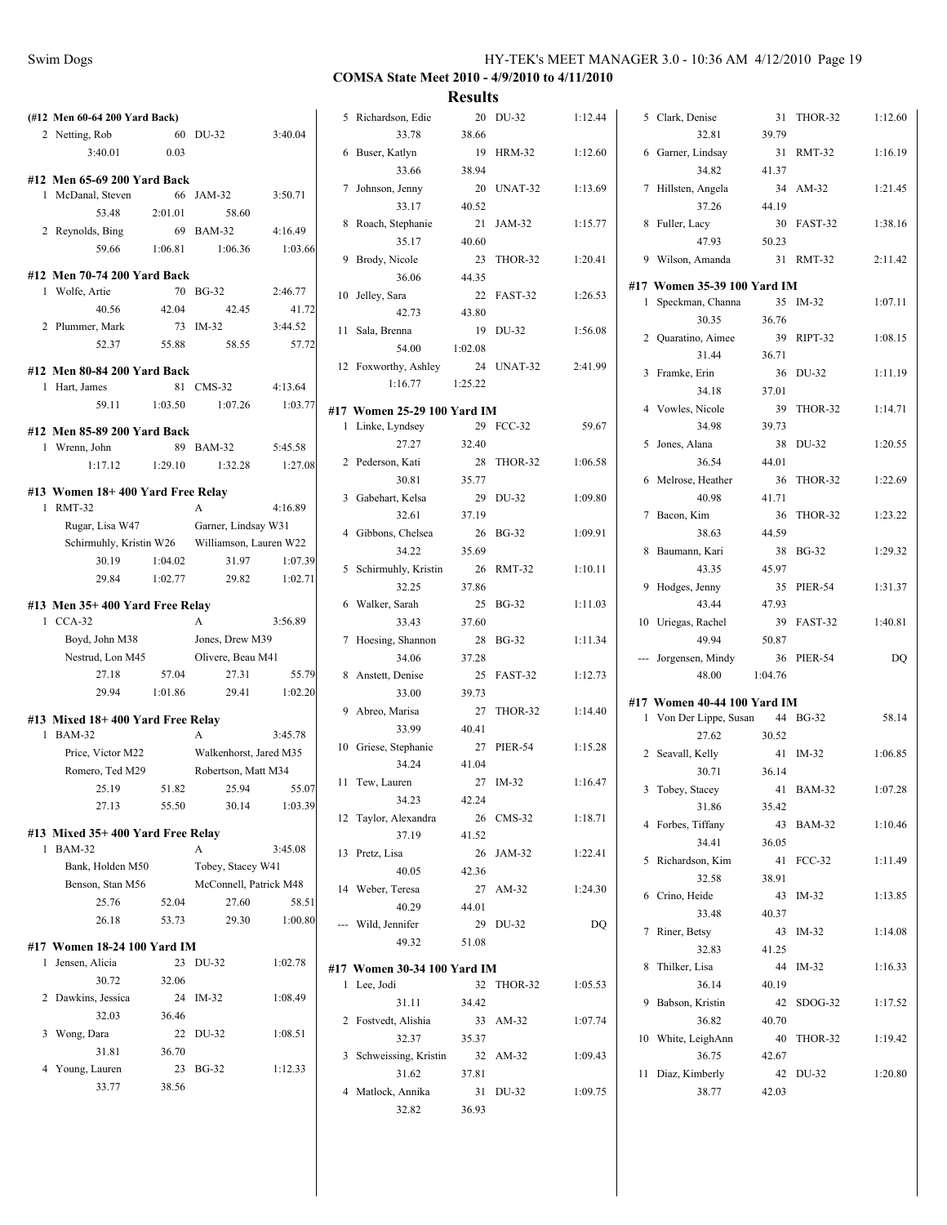|                                  |                    |                                               |                  |                             | mesuns  |            |         |                             |         |            |         |
|----------------------------------|--------------------|-----------------------------------------------|------------------|-----------------------------|---------|------------|---------|-----------------------------|---------|------------|---------|
| (#12 Men 60-64 200 Yard Back)    |                    |                                               |                  | 5 Richardson, Edie          |         | 20 DU-32   | 1:12.44 | 5 Clark, Denise             |         | 31 THOR-32 | 1:12.60 |
| 2 Netting, Rob                   |                    | 60 DU-32                                      | 3:40.04          | 33.78                       | 38.66   |            |         | 32.81                       | 39.79   |            |         |
| 3:40.01                          | 0.03               |                                               |                  | 6 Buser, Katlyn             |         | 19 HRM-32  | 1:12.60 | 6 Garner, Lindsay           |         | 31 RMT-32  | 1:16.19 |
| #12 Men 65-69 200 Yard Back      |                    |                                               |                  | 33.66                       | 38.94   |            |         | 34.82                       | 41.37   |            |         |
| 1 McDanal, Steven                |                    | 66 JAM-32                                     | 3:50.71          | 7 Johnson, Jenny            |         | 20 UNAT-32 | 1:13.69 | 7 Hillsten, Angela          |         | 34 AM-32   | 1:21.45 |
| 53.48                            | 2:01.01            | 58.60                                         |                  | 33.17                       | 40.52   |            |         | 37.26                       | 44.19   |            |         |
| 2 Reynolds, Bing                 |                    | 69 BAM-32                                     | 4:16.49          | 8 Roach, Stephanie          |         | 21 JAM-32  | 1:15.77 | 8 Fuller, Lacy              |         | 30 FAST-32 | 1:38.16 |
| 59.66                            | 1:06.81            | 1:06.36                                       | 1:03.66          | 35.17                       | 40.60   |            |         | 47.93                       | 50.23   |            |         |
|                                  |                    |                                               |                  | 9 Brody, Nicole             |         | 23 THOR-32 | 1:20.41 | 9 Wilson, Amanda            |         | 31 RMT-32  | 2:11.42 |
| #12 Men 70-74 200 Yard Back      |                    |                                               |                  | 36.06                       | 44.35   |            |         | #17 Women 35-39 100 Yard IM |         |            |         |
| 1 Wolfe, Artie                   |                    | 70 BG-32                                      | 2:46.77          | 10 Jellev, Sara             |         | 22 FAST-32 | 1:26.53 | 1 Speckman, Channa          |         | 35 IM-32   | 1:07.11 |
| 40.56                            | 42.04              | 42.45                                         | 41.72            | 42.73                       | 43.80   |            |         | 30.35                       | 36.76   |            |         |
| 2 Plummer, Mark                  |                    | 73 IM-32                                      | 3:44.52<br>57.72 | 11 Sala, Brenna             |         | 19 DU-32   | 1:56.08 | 2 Quaratino, Aimee          |         | 39 RIPT-32 | 1:08.15 |
| 52.37                            | 55.88              | 58.55                                         |                  | 54.00                       | 1:02.08 |            |         | 31.44                       | 36.71   |            |         |
| #12 Men 80-84 200 Yard Back      |                    |                                               |                  | 12 Foxworthy, Ashley        |         | 24 UNAT-32 | 2:41.99 | 3 Framke, Erin              |         | 36 DU-32   | 1:11.19 |
| 1 Hart, James                    |                    | 81 CMS-32                                     | 4:13.64          | 1:16.77                     | 1:25.22 |            |         | 34.18                       | 37.01   |            |         |
| 59.11                            | 1:03.50            | 1:07.26                                       | 1:03.77          | #17 Women 25-29 100 Yard IM |         |            |         | 4 Vowles, Nicole            |         | 39 THOR-32 | 1:14.71 |
| #12 Men 85-89 200 Yard Back      |                    |                                               |                  | 1 Linke, Lyndsey            |         | 29 FCC-32  | 59.67   | 34.98                       | 39.73   |            |         |
| 1 Wrenn, John                    |                    | 89 BAM-32                                     | 5:45.58          | 27.27                       | 32.40   |            |         | 5 Jones, Alana              |         | 38 DU-32   | 1:20.55 |
| 1:17.12                          | 1:29.10            | 1:32.28                                       | 1:27.08          | 2 Pederson, Kati            |         | 28 THOR-32 | 1:06.58 | 36.54                       | 44.01   |            |         |
|                                  |                    |                                               |                  | 30.81                       | 35.77   |            |         | 6 Melrose, Heather          |         | 36 THOR-32 | 1:22.69 |
| #13 Women 18+400 Yard Free Relay |                    |                                               |                  | 3 Gabehart, Kelsa           |         | 29 DU-32   | 1:09.80 | 40.98                       | 41.71   |            |         |
| 1 RMT-32                         |                    | $\mathbf{A}$                                  | 4:16.89          | 32.61                       | 37.19   |            |         | 7 Bacon, Kim                |         | 36 THOR-32 | 1:23.22 |
| Rugar, Lisa W47                  |                    | Garner, Lindsay W31<br>Williamson, Lauren W22 |                  | 4 Gibbons, Chelsea          |         | 26 BG-32   | 1:09.91 | 38.63                       | 44.59   |            |         |
| Schirmuhly, Kristin W26<br>30.19 |                    | 31.97                                         |                  | 34.22                       | 35.69   |            |         | 8 Baumann, Kari             |         | 38 BG-32   | 1:29.32 |
| 29.84                            | 1:04.02<br>1:02.77 |                                               | 1:07.39          | 5 Schirmuhly, Kristin       |         | 26 RMT-32  | 1:10.11 | 43.35                       | 45.97   |            |         |
|                                  |                    | 29.82                                         | 1:02.71          | 32.25                       | 37.86   |            |         | 9 Hodges, Jenny             |         | 35 PIER-54 | 1:31.37 |
| #13 Men 35+400 Yard Free Relay   |                    |                                               |                  | 6 Walker, Sarah             |         | 25 BG-32   | 1:11.03 | 43.44                       | 47.93   |            |         |
| 1 CCA-32                         |                    | $\mathbf{A}$                                  | 3:56.89          | 33.43                       | 37.60   |            |         | 10 Uriegas, Rachel          |         | 39 FAST-32 | 1:40.81 |
| Boyd, John M38                   |                    | Jones, Drew M39                               |                  | 7 Hoesing, Shannon          |         | 28 BG-32   | 1:11.34 | 49.94                       | 50.87   |            |         |
| Nestrud, Lon M45                 |                    | Olivere, Beau M41                             |                  | 34.06                       | 37.28   |            |         | --- Jorgensen, Mindy        |         | 36 PIER-54 | DQ      |
| 27.18                            | 57.04              | 27.31                                         | 55.79            | 8 Anstett, Denise           |         | 25 FAST-32 | 1:12.73 | 48.00                       | 1:04.76 |            |         |
| 29.94                            | 1:01.86            | 29.41                                         | 1:02.20          | 33.00                       | 39.73   |            |         | #17 Women 40-44 100 Yard IM |         |            |         |
| #13 Mixed 18+400 Yard Free Relay |                    |                                               |                  | 9 Abreo, Marisa             |         | 27 THOR-32 | 1:14.40 | 1 Von Der Lippe, Susan      |         | 44 BG-32   | 58.14   |
| 1 BAM-32                         |                    | $\mathbf{A}$                                  | 3:45.78          | 33.99                       | 40.41   |            |         | 27.62                       | 30.52   |            |         |
| Price, Victor M22                |                    | Walkenhorst, Jared M35                        |                  | 10 Griese, Stephanie        |         | 27 PIER-54 | 1:15.28 | 2 Seavall, Kelly            |         | 41 IM-32   | 1:06.85 |
| Romero, Ted M29                  |                    | Robertson, Matt M34                           |                  | 34.24                       | 41.04   |            |         | 30.71                       | 36.14   |            |         |
| 25.19                            | 51.82              | 25.94                                         | 55.07            | 11 Tew, Lauren              |         | 27 IM-32   | 1:16.47 | 3 Tobey, Stacey             |         | 41 BAM-32  | 1:07.28 |
| 27.13                            | 55.50              | 30.14                                         | 1:03.39          | 34.23                       | 42.24   |            |         | 31.86                       | 35.42   |            |         |
| #13 Mixed 35+400 Yard Free Relay |                    |                                               |                  | 12 Taylor, Alexandra        |         | 26 CMS-32  | 1:18.71 | 4 Forbes, Tiffany           |         | 43 BAM-32  | 1:10.46 |
| 1 BAM-32                         |                    | A                                             | 3:45.08          | 37.19                       | 41.52   |            |         | 34.41                       | 36.05   |            |         |
| Bank, Holden M50                 |                    | Tobey, Stacey W41                             |                  | 13 Pretz, Lisa              |         | 26 JAM-32  | 1:22.41 | 5 Richardson, Kim           |         | 41 FCC-32  | 1:11.49 |
| Benson, Stan M56                 |                    | McConnell, Patrick M48                        |                  | 40.05                       | 42.36   |            |         | 32.58                       | 38.91   |            |         |
| 25.76                            | 52.04              | 27.60                                         | 58.51            | 14 Weber, Teresa            |         | 27 AM-32   | 1:24.30 | 6 Crino, Heide              |         | 43 IM-32   | 1:13.85 |
| 26.18                            | 53.73              | 29.30                                         | 1:00.80          | 40.29                       | 44.01   |            |         | 33.48                       | 40.37   |            |         |
|                                  |                    |                                               |                  | --- Wild, Jennifer          |         | 29 DU-32   | DQ      | 7 Riner, Betsy              |         | 43 IM-32   | 1:14.08 |
| #17 Women 18-24 100 Yard IM      |                    |                                               |                  | 49.32                       | 51.08   |            |         | 32.83                       | 41.25   |            |         |
| 1 Jensen, Alicia                 |                    | 23 DU-32                                      | 1:02.78          | #17 Women 30-34 100 Yard IM |         |            |         | 8 Thilker, Lisa             |         | 44 IM-32   | 1:16.33 |
| 30.72                            | 32.06              |                                               |                  | 1 Lee, Jodi                 |         | 32 THOR-32 | 1:05.53 | 36.14                       | 40.19   |            |         |
| 2 Dawkins, Jessica               |                    | 24 IM-32                                      | 1:08.49          | 31.11                       | 34.42   |            |         | 9 Babson, Kristin           |         | 42 SDOG-32 | 1:17.52 |
| 32.03                            | 36.46              |                                               |                  | 2 Fostvedt, Alishia         |         | 33 AM-32   | 1:07.74 | 36.82                       | 40.70   |            |         |
| 3 Wong, Dara                     |                    | 22 DU-32                                      | 1:08.51          | 32.37                       | 35.37   |            |         | 10 White, LeighAnn          |         | 40 THOR-32 | 1:19.42 |
| 31.81                            | 36.70              |                                               |                  | 3 Schweissing, Kristin      |         | 32 AM-32   | 1:09.43 | 36.75                       | 42.67   |            |         |
| 4 Young, Lauren                  |                    | 23 BG-32                                      | 1:12.33          | 31.62                       | 37.81   |            |         | 11 Diaz, Kimberly           |         | 42 DU-32   | 1:20.80 |
| 33.77                            | 38.56              |                                               |                  | 4 Matlock, Annika           |         | 31 DU-32   | 1:09.75 | 38.77                       | 42.03   |            |         |
|                                  |                    |                                               |                  | 32.82                       | 36.93   |            |         |                             |         |            |         |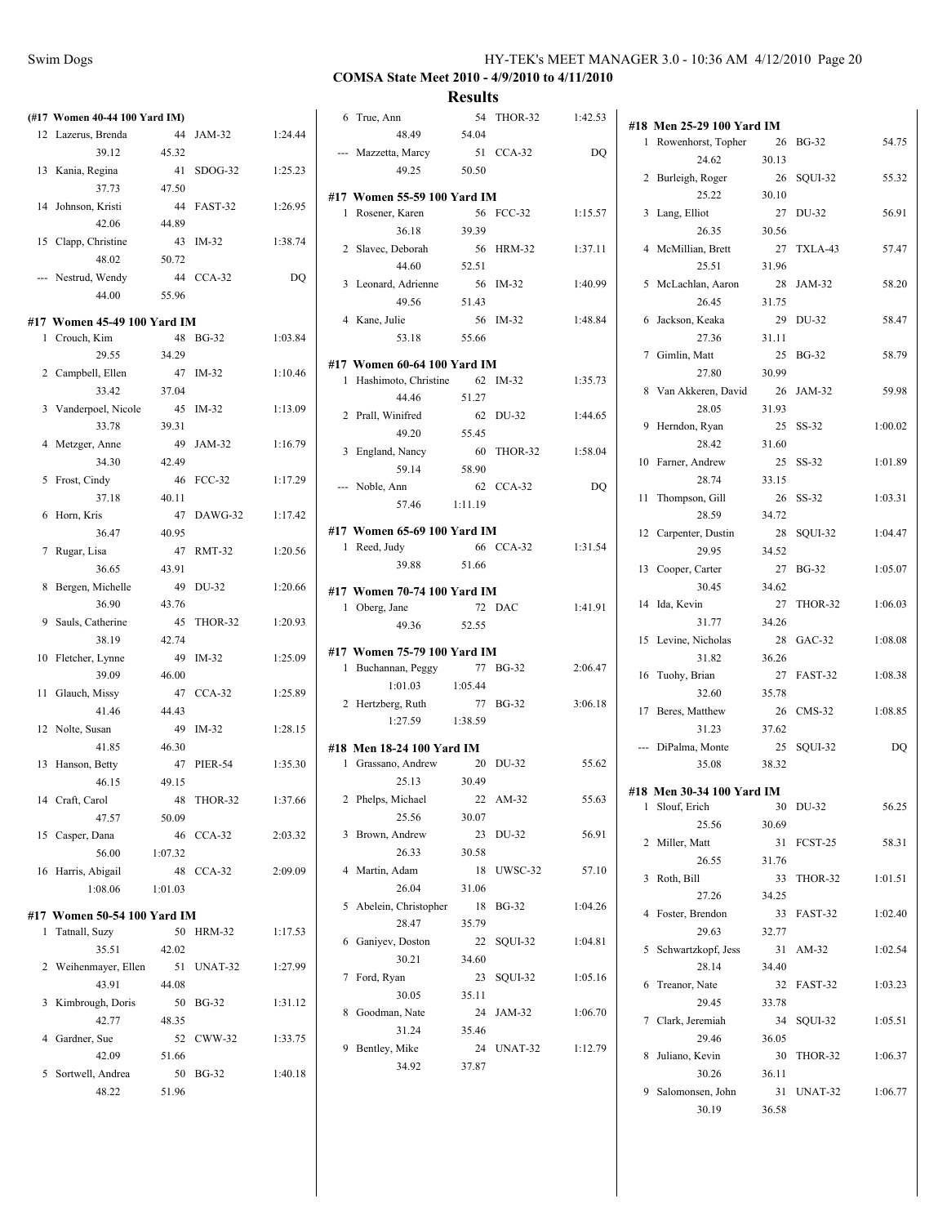$\overline{a}$ 

# **COMSA State Meet 2010 - 4/9/2010 to 4/11/2010**

|     | (#17 Women 40-44 100 Yard IM) |         |                |         |
|-----|-------------------------------|---------|----------------|---------|
| 12  | Lazerus, Brenda               | 44      | JAM-32         | 1:24.44 |
|     | 39.12                         | 45.32   |                |         |
| 13  | Kania, Regina                 | 41      | SDOG-32        | 1:25.23 |
|     | 37.73                         | 47.50   |                |         |
|     | 14 Johnson, Kristi            | 44      | FAST-32        | 1:26.95 |
|     | 42.06                         | 44.89   |                |         |
|     | 15 Clapp, Christine           | 43      | $IM-32$        | 1:38.74 |
|     | 48.02                         | 50.72   |                |         |
| --- | Nestrud, Wendy                | 44      | $CCA-32$       | DQ      |
|     | 44.00                         | 55.96   |                |         |
|     | #17 Women 45-49 100 Yard IM   |         |                |         |
| 1   | Crouch, Kim                   | 48      | <b>BG-32</b>   | 1:03.84 |
|     | 29.55                         | 34.29   |                |         |
|     | 2 Campbell, Ellen             | 47      | $IM-32$        | 1:10.46 |
|     | 33.42                         | 37.04   |                |         |
|     | 3 Vanderpoel, Nicole          | 45      | $IM-32$        | 1:13.09 |
|     | 33.78                         | 39.31   |                |         |
| 4   | Metzger, Anne                 | 49      | JAM-32         | 1:16.79 |
|     | 34.30                         | 42.49   |                |         |
|     | 5 Frost, Cindy                | 46      | <b>FCC-32</b>  | 1:17.29 |
|     | 37.18                         | 40.11   |                |         |
| 6   | Horn, Kris                    | 47      | DAWG-32        | 1:17.42 |
|     | 36.47                         | 40.95   |                |         |
| 7   | Rugar, Lisa                   | 47      | <b>RMT-32</b>  | 1:20.56 |
|     | 36.65                         | 43.91   |                |         |
| 8   | Bergen, Michelle              | 49      | DU-32          | 1:20.66 |
|     | 36.90                         | 43.76   |                |         |
|     | 9 Sauls, Catherine            | 45      | THOR-32        | 1:20.93 |
|     | 38.19                         | 42.74   |                |         |
| 10  | Fletcher, Lynne               | 49      | IM-32          | 1:25.09 |
|     | 39.09                         | 46.00   |                |         |
| 11  | Glauch, Missy                 | 47      | $CCA-32$       | 1:25.89 |
|     | 41.46                         | 44.43   |                |         |
|     | 12 Nolte, Susan               | 49      | $IM-32$        | 1:28.15 |
|     | 41.85                         | 46.30   |                |         |
|     | 13 Hanson, Betty              | 47      | <b>PIER-54</b> | 1:35.30 |
|     | 46.15                         | 49.15   |                |         |
|     | 14 Craft, Carol               | 48      | THOR-32        | 1:37.66 |
|     | 47.57                         | 50.09   |                |         |
| 15  | Casper, Dana                  | 46      | $CCA-32$       | 2:03.32 |
|     | 56.00                         | 1:07.32 |                |         |
| 16  | Harris, Abigail               | 48      | $CCA-32$       | 2:09.09 |
|     | 1:08.06                       | 1:01.03 |                |         |
|     | #17 Women 50-54 100 Yard IM   |         |                |         |
| 1   | Tatnall, Suzy                 | 50      | HRM-32         | 1:17.53 |
|     | 35.51                         | 42.02   |                |         |
| 2   | Weihenmayer, Ellen            | 51      | UNAT-32        | 1:27.99 |
|     | 43.91                         | 44.08   |                |         |
| 3   | Kimbrough, Doris              | 50      | <b>BG-32</b>   | 1:31.12 |
|     | 42.77                         | 48.35   |                |         |
| 4   | Gardner, Sue                  | 52      | CWW-32         | 1:33.75 |
|     | 42.09                         | 51.66   |                |         |
| 5   | Sortwell, Andrea              | 50      | <b>BG-32</b>   | 1:40.18 |
|     | 48.22                         | 51.96   |                |         |

|   | 6 True, Ann                     | 54      | THOR-32      | 1:42.53 |
|---|---------------------------------|---------|--------------|---------|
|   | 48.49                           | 54.04   |              |         |
|   | --- Mazzetta, Marcy 51 CCA-32   |         |              | DQ      |
|   | 49.25                           | 50.50   |              |         |
|   |                                 |         |              |         |
|   | #17 Women 55-59 100 Yard IM     |         |              |         |
|   | 1 Rosener, Karen                |         | 56 FCC-32    | 1:15.57 |
|   | 36.18                           | 39.39   |              |         |
|   | 2 Slavec, Deborah               |         | 56 HRM-32    | 1:37.11 |
|   | 44.60                           | 52.51   |              |         |
|   | 3 Leonard, Adrienne             |         | 56 IM-32     | 1:40.99 |
|   | 49.56                           | 51.43   |              |         |
|   | 4 Kane, Julie                   |         | 56 IM-32     | 1:48.84 |
|   | 53.18                           | 55.66   |              |         |
|   |                                 |         |              |         |
|   | #17 Women 60-64 100 Yard IM     |         |              |         |
|   | 1 Hashimoto, Christine 62 IM-32 |         |              | 1:35.73 |
|   | 44.46                           | 51.27   |              |         |
|   | 2 Prall, Winifred               |         | 62 DU-32     | 1:44.65 |
|   | 49.20                           | 55.45   |              |         |
|   | 3 England, Nancy                |         | 60 THOR-32   | 1:58.04 |
|   | 59.14                           | 58.90   |              |         |
|   | --- Noble, Ann                  |         | 62 CCA-32    | DQ      |
|   | 57.46                           | 1:11.19 |              |         |
|   | #17 Women 65-69 100 Yard IM     |         |              |         |
|   | 1 Reed, Judy                    |         | 66 CCA-32    | 1:31.54 |
|   | 39.88                           | 51.66   |              |         |
|   |                                 |         |              |         |
|   | #17 Women 70-74 100 Yard IM     |         |              |         |
|   | 1 Oberg, Jane                   |         | 72 DAC       | 1:41.91 |
|   | 49.36 52.55                     |         |              |         |
|   | #17 Women 75-79 100 Yard IM     |         |              |         |
|   | 1 Buchannan, Peggy              |         | 77 BG-32     | 2:06.47 |
|   | 1:01.03                         | 1:05.44 |              |         |
|   | 2 Hertzberg, Ruth               |         | 77 BG-32     | 3:06.18 |
|   | 1:27.59 1:38.59                 |         |              |         |
|   |                                 |         |              |         |
|   | #18 Men 18-24 100 Yard IM       |         |              |         |
|   | 1 Grassano, Andrew              |         | 20 DU-32     | 55.62   |
|   | 25.13                           | 30.49   |              |         |
|   | 2 Phelps, Michael               |         | 22 AM-32     | 55.63   |
|   | 25.56                           | 30.07   |              |         |
| 3 | Brown, Andrew                   | 23      | DU-32        | 56.91   |
|   | 26.33                           | 30.58   |              |         |
| 4 | Martin, Adam                    | 18      | UWSC-32      | 57.10   |
|   | 26.04                           | 31.06   |              |         |
| 5 | Abelein, Christopher            | 18      | <b>BG-32</b> | 1:04.26 |
|   |                                 |         |              |         |
|   | 28.47                           | 35.79   |              |         |
| 6 |                                 | 22      |              | 1:04.81 |
|   | Ganiyev, Doston                 |         | SQUI-32      |         |
| 7 | 30.21                           | 34.60   |              |         |
|   | Ford, Ryan                      | 23      | SQUI-32      | 1:05.16 |
|   | 30.05                           | 35.11   |              |         |
| 8 | Goodman, Nate                   | 24      | JAM-32       | 1:06.70 |
|   | 31.24                           | 35.46   |              |         |
| 9 | Bentley, Mike                   | 24      | UNAT-32      | 1:12.79 |
|   | 34.92                           | 37.87   |              |         |
|   |                                 |         |              |         |

|                | #18 Men 25-29 100 Yard IM  |             |              |         |
|----------------|----------------------------|-------------|--------------|---------|
| 1              | Rowenhorst, Topher         | 26          | <b>BG-32</b> | 54.75   |
|                | 24.62                      | 30.13       |              |         |
| 2              | Burleigh, Roger            | 26          | SQUI-32      | 55.32   |
|                | 25.22                      | 30.10       |              |         |
| 3              | Lang, Elliot               | 27          | DU-32        | 56.91   |
|                | 26.35                      | 30.56       |              |         |
| 4              | McMillian, Brett           | 27          | TXLA-43      | 57.47   |
|                | 25.51                      | 31.96       |              |         |
| 5              | McLachlan, Aaron           | 28          | JAM-32       | 58.20   |
|                | 26.45                      | 31.75       |              |         |
| 6              | Jackson, Keaka             | 29          | DU-32        | 58.47   |
|                | 27.36                      | 31.11       |              |         |
|                | 7 Gimlin, Matt             | 25          | <b>BG-32</b> | 58.79   |
|                | 27.80                      | 30.99       |              |         |
| 8              | Van Akkeren, David         | 26          | JAM-32       | 59.98   |
|                | 28.05                      | 31.93       |              |         |
| 9              | Herndon, Ryan              | 25          | $SS-32$      | 1:00.02 |
|                | 28.42                      | 31.60       |              |         |
| 10             | Farner, Andrew             | 25          | $SS-32$      | 1:01.89 |
|                | 28.74                      | 33.15       |              |         |
| 11             | Thompson, Gill             | 26          | $SS-32$      | 1:03.31 |
|                | 28.59                      | 34.72       |              |         |
| 12             | Carpenter, Dustin          | 28          | SQUI-32      | 1:04.47 |
|                | 29.95<br>13 Cooper, Carter | 34.52<br>27 | <b>BG-32</b> |         |
|                | 30.45                      |             |              | 1:05.07 |
| 14             |                            | 34.62       |              |         |
|                | Ida, Kevin<br>31.77        | 27<br>34.26 | THOR-32      | 1:06.03 |
| 15             | Levine, Nicholas           | 28          | $GAC-32$     | 1:08.08 |
|                | 31.82                      | 36.26       |              |         |
| 16             | Tuohy, Brian               | 27          | FAST-32      | 1:08.38 |
|                | 32.60                      | 35.78       |              |         |
| 17             | Beres, Matthew             | 26          | $CMS-32$     | 1:08.85 |
|                | 31.23                      | 37.62       |              |         |
| $\overline{a}$ | DiPalma, Monte             | 25          | SQUI-32      | DQ      |
|                | 35.08                      | 38.32       |              |         |
|                |                            |             |              |         |
|                | #18 Men 30-34 100 Yard IM  |             |              |         |
| 1              | Slouf, Erich               | 30          | DU-32        | 56.25   |
| 2              | 25.56<br>Miller, Matt      | 30.69<br>31 | FCST-25      | 58.31   |
|                | 26.55                      | 31.76       |              |         |
| 3              | Roth, Bill                 | 33          | THOR-32      | 1:01.51 |
|                | 27.26                      | 34.25       |              |         |
| 4              | Foster, Brendon            | 33          | FAST-32      | 1:02.40 |
|                | 29.63                      | 32.77       |              |         |
| 5              | Schwartzkopf, Jess         | 31          | AM-32        | 1:02.54 |
|                | 28.14                      | 34.40       |              |         |
| 6              | Treanor, Nate              | 32          | FAST-32      | 1:03.23 |
|                | 29.45                      | 33.78       |              |         |
| 7              | Clark, Jeremiah            | 34          | SQUI-32      | 1:05.51 |
|                | 29.46                      | 36.05       |              |         |
| 8              | Juliano, Kevin             | 30          | THOR-32      | 1:06.37 |
|                | 30.26                      | 36.11       |              |         |
| 9              | Salomonsen, John           | 31          | UNAT-32      | 1:06.77 |
|                | 30.19                      | 36.58       |              |         |
|                |                            |             |              |         |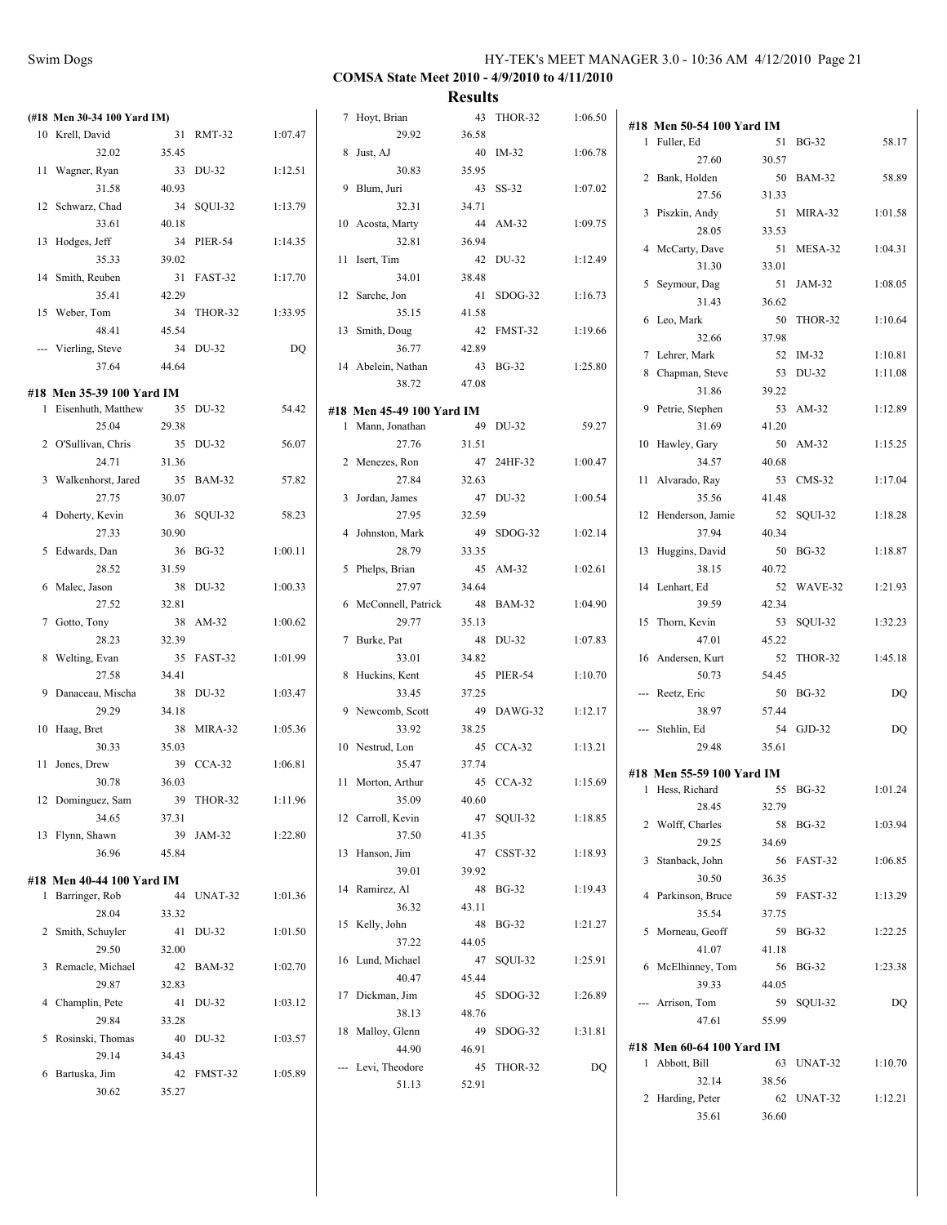| (#18 Men 30-34 100 Yard IM) |       |            |         | 7 Hoyt, Brian             |       | 43 THOR-32 | 1:06.50 |                                           |       |            |         |
|-----------------------------|-------|------------|---------|---------------------------|-------|------------|---------|-------------------------------------------|-------|------------|---------|
| 10 Krell, David             |       | 31 RMT-32  | 1:07.47 | 29.92                     | 36.58 |            |         | #18 Men 50-54 100 Yard IM<br>1 Fuller, Ed |       | 51 BG-32   | 58.17   |
| 32.02                       | 35.45 |            |         | 8 Just, AJ                |       | 40 IM-32   | 1:06.78 |                                           |       |            |         |
| 11 Wagner, Ryan             |       | 33 DU-32   | 1:12.51 | 30.83                     | 35.95 |            |         | 27.60                                     | 30.57 |            |         |
| 31.58                       | 40.93 |            |         | 9 Blum, Juri              |       | 43 SS-32   | 1:07.02 | 2 Bank, Holden                            |       | 50 BAM-32  | 58.89   |
| 12 Schwarz, Chad            |       |            |         |                           |       |            |         | 27.56                                     | 31.33 |            |         |
|                             |       | 34 SQUI-32 | 1:13.79 | 32.31                     | 34.71 |            |         | 3 Piszkin, Andy                           |       | 51 MIRA-32 | 1:01.58 |
| 33.61                       | 40.18 |            |         | 10 Acosta, Marty          |       | 44 AM-32   | 1:09.75 | 28.05                                     | 33.53 |            |         |
| 13 Hodges, Jeff             |       | 34 PIER-54 | 1:14.35 | 32.81                     | 36.94 |            |         | 4 McCarty, Dave                           |       | 51 MESA-32 | 1:04.31 |
| 35.33                       | 39.02 |            |         | 11 Isert, Tim             |       | 42 DU-32   | 1:12.49 | 31.30                                     | 33.01 |            |         |
| 14 Smith, Reuben            |       | 31 FAST-32 | 1:17.70 | 34.01                     | 38.48 |            |         | 5 Seymour, Dag                            |       | 51 JAM-32  | 1:08.05 |
| 35.41                       | 42.29 |            |         | 12 Sarche, Jon            |       | 41 SDOG-32 | 1:16.73 |                                           |       |            |         |
| 15 Weber, Tom               |       | 34 THOR-32 | 1:33.95 | 35.15                     | 41.58 |            |         | 31.43                                     | 36.62 |            |         |
| 48.41                       | 45.54 |            |         | 13 Smith, Doug            |       | 42 FMST-32 | 1:19.66 | 6 Leo, Mark                               |       | 50 THOR-32 | 1:10.64 |
|                             |       | 34 DU-32   | DQ      | 36.77                     | 42.89 |            |         | 32.66                                     | 37.98 |            |         |
| --- Vierling, Steve         |       |            |         |                           |       |            |         | 7 Lehrer, Mark                            |       | 52 IM-32   | 1:10.81 |
| 37.64                       | 44.64 |            |         | 14 Abelein, Nathan        |       | 43 BG-32   | 1:25.80 | 8 Chapman, Steve                          |       | 53 DU-32   | 1:11.08 |
| #18 Men 35-39 100 Yard IM   |       |            |         | 38.72                     | 47.08 |            |         | 31.86                                     | 39.22 |            |         |
| 1 Eisenhuth, Matthew        |       | 35 DU-32   | 54.42   | #18 Men 45-49 100 Yard IM |       |            |         | 9 Petrie, Stephen                         |       | 53 AM-32   | 1:12.89 |
| 25.04                       | 29.38 |            |         | 1 Mann, Jonathan          |       | 49 DU-32   | 59.27   | 31.69                                     | 41.20 |            |         |
|                             |       |            |         |                           |       |            |         |                                           |       |            |         |
| 2 O'Sullivan, Chris         |       | 35 DU-32   | 56.07   | 27.76                     | 31.51 |            |         | 10 Hawley, Gary                           |       | 50 AM-32   | 1:15.25 |
| 24.71                       | 31.36 |            |         | 2 Menezes, Ron            |       | 47 24HF-32 | 1:00.47 | 34.57                                     | 40.68 |            |         |
| 3 Walkenhorst, Jared        |       | 35 BAM-32  | 57.82   | 27.84                     | 32.63 |            |         | 11 Alvarado, Ray                          |       | 53 CMS-32  | 1:17.04 |
| 27.75                       | 30.07 |            |         | 3 Jordan, James           |       | 47 DU-32   | 1:00.54 | 35.56                                     | 41.48 |            |         |
| 4 Doherty, Kevin            |       | 36 SQUI-32 | 58.23   | 27.95                     | 32.59 |            |         | 12 Henderson, Jamie                       |       | 52 SQUI-32 | 1:18.28 |
| 27.33                       | 30.90 |            |         | 4 Johnston, Mark          |       | 49 SDOG-32 | 1:02.14 | 37.94                                     | 40.34 |            |         |
| 5 Edwards, Dan              |       | 36 BG-32   | 1:00.11 | 28.79                     | 33.35 |            |         | 13 Huggins, David                         |       | 50 BG-32   | 1:18.87 |
| 28.52                       | 31.59 |            |         | 5 Phelps, Brian           |       | 45 AM-32   | 1:02.61 | 38.15                                     | 40.72 |            |         |
|                             |       |            |         |                           |       |            |         |                                           |       |            |         |
| 6 Malec, Jason              |       | 38 DU-32   | 1:00.33 | 27.97                     | 34.64 |            |         | 14 Lenhart, Ed                            |       | 52 WAVE-32 | 1:21.93 |
| 27.52                       | 32.81 |            |         | 6 McConnell, Patrick      |       | 48 BAM-32  | 1:04.90 | 39.59                                     | 42.34 |            |         |
| 7 Gotto, Tony               |       | 38 AM-32   | 1:00.62 | 29.77                     | 35.13 |            |         | 15 Thorn, Kevin                           |       | 53 SQUI-32 | 1:32.23 |
| 28.23                       | 32.39 |            |         | 7 Burke, Pat              |       | 48 DU-32   | 1:07.83 | 47.01                                     | 45.22 |            |         |
| 8 Welting, Evan             |       | 35 FAST-32 | 1:01.99 | 33.01                     | 34.82 |            |         | 16 Andersen, Kurt                         |       | 52 THOR-32 | 1:45.18 |
| 27.58                       | 34.41 |            |         | 8 Huckins, Kent           |       | 45 PIER-54 | 1:10.70 | 50.73                                     | 54.45 |            |         |
| 9 Danaceau, Mischa          |       | 38 DU-32   | 1:03.47 | 33.45                     | 37.25 |            |         | --- Reetz, Eric                           |       | 50 BG-32   | DQ      |
| 29.29                       | 34.18 |            |         | 9 Newcomb, Scott          |       | 49 DAWG-32 | 1:12.17 | 38.97                                     | 57.44 |            |         |
| 10 Haag, Bret               |       |            |         | 33.92                     |       |            |         | --- Stehlin, Ed                           |       | 54 GJD-32  |         |
|                             |       | 38 MIRA-32 | 1:05.36 |                           | 38.25 |            |         |                                           |       |            | DQ      |
| 30.33                       | 35.03 |            |         | 10 Nestrud, Lon           |       | 45 CCA-32  | 1:13.21 | 29.48                                     | 35.61 |            |         |
| 11 Jones, Drew              |       | 39 CCA-32  | 1:06.81 | 35.47                     | 37.74 |            |         | #18 Men 55-59 100 Yard IM                 |       |            |         |
| 30.78                       | 36.03 |            |         | 11 Morton, Arthur         |       | 45 CCA-32  | 1:15.69 | 1 Hess, Richard                           |       | 55 BG-32   | 1:01.24 |
| 12 Dominguez, Sam           |       | 39 THOR-32 | 1:11.96 | 35.09                     | 40.60 |            |         | 28.45                                     | 32.79 |            |         |
| 34.65                       | 37.31 |            |         | 12 Carroll, Kevin         |       | 47 SQUI-32 | 1:18.85 |                                           |       |            |         |
| 13 Flynn, Shawn             |       | 39 JAM-32  | 1:22.80 | 37.50                     | 41.35 |            |         | 2 Wolff, Charles                          |       | 58 BG-32   | 1:03.94 |
| 36.96                       | 45.84 |            |         | 13 Hanson, Jim            |       | 47 CSST-32 | 1:18.93 | 29.25                                     | 34.69 |            |         |
|                             |       |            |         |                           |       |            |         | 3 Stanback, John                          |       | 56 FAST-32 | 1:06.85 |
| #18 Men 40-44 100 Yard IM   |       |            |         | 39.01                     | 39.92 |            |         | 30.50                                     | 36.35 |            |         |
| 1 Barringer, Rob            |       | 44 UNAT-32 | 1:01.36 | 14 Ramirez, Al            |       | 48 BG-32   | 1:19.43 | 4 Parkinson, Bruce                        |       | 59 FAST-32 | 1:13.29 |
| 28.04                       | 33.32 |            |         | 36.32                     | 43.11 |            |         | 35.54                                     | 37.75 |            |         |
| 2 Smith, Schuyler           |       | 41 DU-32   | 1:01.50 | 15 Kelly, John            |       | 48 BG-32   | 1:21.27 | 5 Morneau, Geoff                          |       | 59 BG-32   | 1:22.25 |
| 29.50                       | 32.00 |            |         | 37.22                     | 44.05 |            |         | 41.07                                     | 41.18 |            |         |
|                             |       |            |         | 16 Lund, Michael          |       | 47 SQUI-32 | 1:25.91 |                                           |       |            |         |
| 3 Remacle, Michael          |       | 42 BAM-32  | 1:02.70 | 40.47                     | 45.44 |            |         | 6 McElhinney, Tom                         |       | 56 BG-32   | 1:23.38 |
| 29.87                       | 32.83 |            |         | 17 Dickman, Jim           |       | 45 SDOG-32 | 1:26.89 | 39.33                                     | 44.05 |            |         |
| 4 Champlin, Pete            |       | 41 DU-32   | 1:03.12 |                           |       |            |         | --- Arrison, Tom                          |       | 59 SQUI-32 | DQ      |
| 29.84                       | 33.28 |            |         | 38.13                     | 48.76 |            |         | 47.61                                     | 55.99 |            |         |
| 5 Rosinski, Thomas          |       | 40 DU-32   | 1:03.57 | 18 Malloy, Glenn          |       | 49 SDOG-32 | 1:31.81 |                                           |       |            |         |
| 29.14                       | 34.43 |            |         | 44.90                     | 46.91 |            |         | #18 Men 60-64 100 Yard IM                 |       |            |         |
| 6 Bartuska, Jim             |       | 42 FMST-32 | 1:05.89 | --- Levi, Theodore        |       | 45 THOR-32 | DQ      | 1 Abbott, Bill                            |       | 63 UNAT-32 | 1:10.70 |
| 30.62                       | 35.27 |            |         | 51.13                     | 52.91 |            |         | 32.14                                     | 38.56 |            |         |
|                             |       |            |         |                           |       |            |         | 2 Harding, Peter                          |       | 62 UNAT-32 | 1:12.21 |
|                             |       |            |         |                           |       |            |         | 35.61                                     | 36.60 |            |         |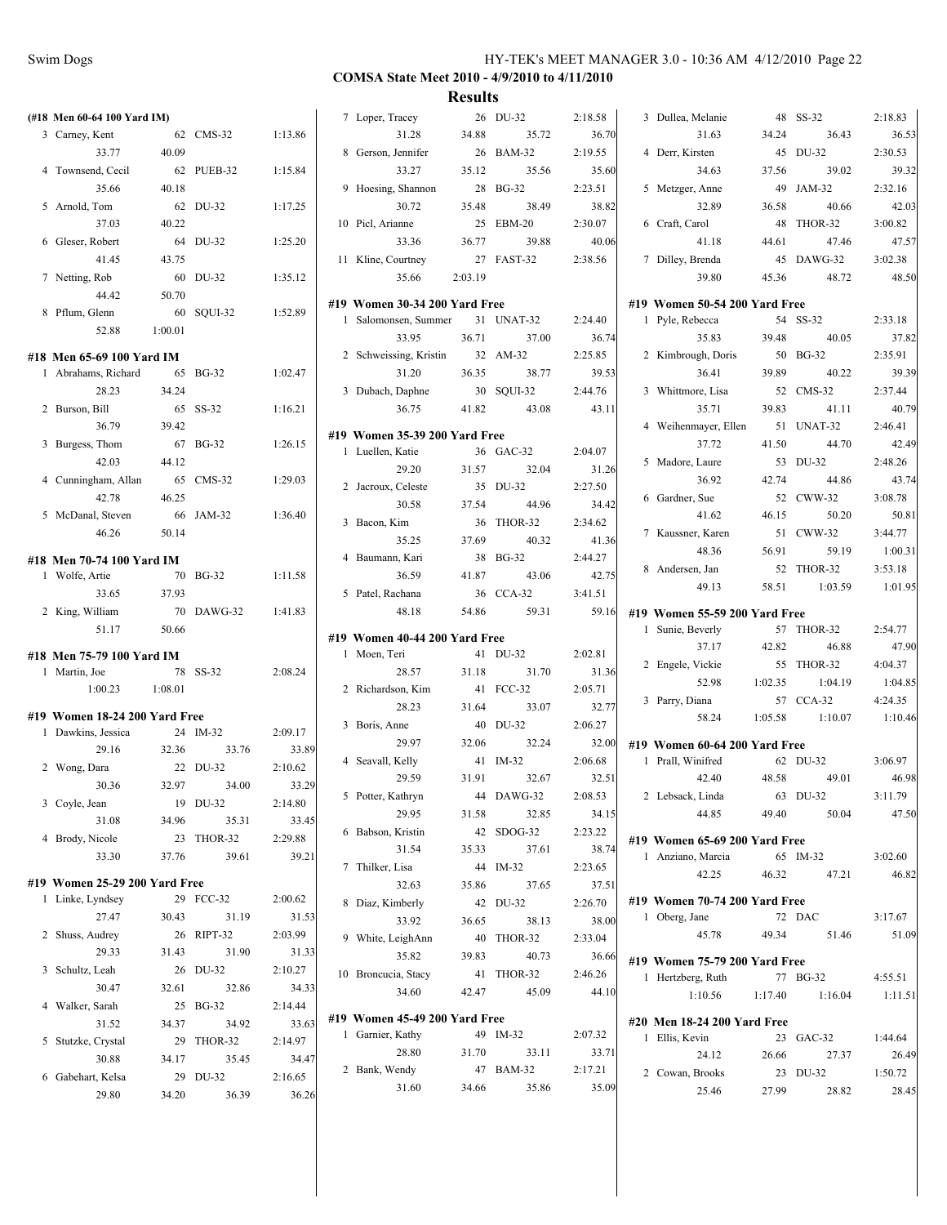|                               |         |            |         |                               | <b>IACOULLS</b> |            |         |                                               |         |                   |                  |
|-------------------------------|---------|------------|---------|-------------------------------|-----------------|------------|---------|-----------------------------------------------|---------|-------------------|------------------|
| (#18 Men 60-64 100 Yard IM)   |         |            |         | 7 Loper, Tracey               |                 | 26 DU-32   | 2:18.58 | 3 Dullea, Melanie                             |         | 48 SS-32          | 2:18.83          |
| 3 Carney, Kent                |         | 62 CMS-32  | 1:13.86 | 31.28                         | 34.88           | 35.72      | 36.70   | 31.63                                         | 34.24   | 36.43             | 36.53            |
| 33.77                         | 40.09   |            |         | 8 Gerson, Jennifer            |                 | 26 BAM-32  | 2:19.55 | 4 Derr, Kirsten                               |         | 45 DU-32          | 2:30.53          |
| 4 Townsend, Cecil             |         | 62 PUEB-32 | 1:15.84 | 33.27                         | 35.12           | 35.56      | 35.60   | 34.63                                         | 37.56   | 39.02             | 39.32            |
| 35.66                         | 40.18   |            |         | 9 Hoesing, Shannon            |                 | 28 BG-32   | 2:23.51 | 5 Metzger, Anne                               | 49      | JAM-32            | 2:32.16          |
| 5 Arnold, Tom                 |         | 62 DU-32   | 1:17.25 | 30.72                         | 35.48           | 38.49      | 38.82   | 32.89                                         | 36.58   | 40.66             | 42.03            |
| 37.03                         | 40.22   |            |         | 10 Picl, Arianne              |                 | 25 EBM-20  | 2:30.07 | 6 Craft, Carol                                |         | 48 THOR-32        | 3:00.82          |
| 6 Gleser, Robert              |         | 64 DU-32   | 1:25.20 | 33.36                         | 36.77           | 39.88      | 40.06   | 41.18                                         | 44.61   | 47.46             | 47.57            |
| 41.45                         | 43.75   |            |         | 11 Kline, Courtney            |                 | 27 FAST-32 | 2:38.56 | 7 Dilley, Brenda                              |         | 45 DAWG-32        | 3:02.38          |
| 7 Netting, Rob                |         | 60 DU-32   | 1:35.12 | 35.66                         | 2:03.19         |            |         | 39.80                                         | 45.36   | 48.72             | 48.50            |
| 44.42                         | 50.70   |            |         |                               |                 |            |         |                                               |         |                   |                  |
| 8 Pflum, Glenn                |         | 60 SQUI-32 | 1:52.89 | #19 Women 30-34 200 Yard Free |                 |            |         | #19 Women 50-54 200 Yard Free                 |         | 54 SS-32          |                  |
| 52.88                         | 1:00.01 |            |         | 1 Salomonsen, Summer          |                 | 31 UNAT-32 | 2:24.40 | 1 Pyle, Rebecca                               |         |                   | 2:33.18          |
|                               |         |            |         | 33.95                         | 36.71           | 37.00      | 36.74   | 35.83                                         | 39.48   | 40.05             | 37.82            |
| #18 Men 65-69 100 Yard IM     |         |            |         | 2 Schweissing, Kristin        |                 | 32 AM-32   | 2:25.85 | 2 Kimbrough, Doris                            |         | 50 BG-32          | 2:35.91          |
| 1 Abrahams, Richard           |         | 65 BG-32   | 1:02.47 | 31.20                         | 36.35           | 38.77      | 39.53   | 36.41                                         | 39.89   | 40.22             | 39.39            |
| 28.23                         | 34.24   |            |         | 3 Dubach, Daphne              |                 | 30 SQUI-32 | 2:44.76 | 3 Whittmore, Lisa                             |         | 52 CMS-32         | 2:37.44          |
| 2 Burson, Bill                |         | 65 SS-32   | 1:16.21 | 36.75                         | 41.82           | 43.08      | 43.11   | 35.71                                         | 39.83   | 41.11             | 40.79            |
| 36.79                         | 39.42   |            |         | #19 Women 35-39 200 Yard Free |                 |            |         | 4 Weihenmayer, Ellen                          |         | 51 UNAT-32        | 2:46.41          |
| 3 Burgess, Thom               |         | 67 BG-32   | 1:26.15 | 1 Luellen, Katie              |                 | 36 GAC-32  | 2:04.07 | 37.72                                         | 41.50   | 44.70             | 42.49            |
| 42.03                         | 44.12   |            |         | 29.20                         | 31.57           | 32.04      | 31.26   | 5 Madore, Laure                               |         | 53 DU-32          | 2:48.26          |
| 4 Cunningham, Allan           |         | 65 CMS-32  | 1:29.03 | 2 Jacroux, Celeste            |                 | 35 DU-32   | 2:27.50 | 36.92                                         | 42.74   | 44.86             | 43.74            |
| 42.78                         | 46.25   |            |         | 30.58                         | 37.54           | 44.96      | 34.42   | 6 Gardner, Sue                                |         | 52 CWW-32         | 3:08.78          |
| 5 McDanal, Steven             |         | 66 JAM-32  | 1:36.40 | 3 Bacon, Kim                  |                 | 36 THOR-32 | 2:34.62 | 41.62                                         | 46.15   | 50.20             | 50.81            |
| 46.26                         | 50.14   |            |         | 35.25                         | 37.69           | 40.32      | 41.36   | 7 Kaussner, Karen                             |         | 51 CWW-32         | 3:44.77          |
| #18 Men 70-74 100 Yard IM     |         |            |         | 4 Baumann, Kari               |                 | 38 BG-32   | 2:44.27 | 48.36                                         | 56.91   | 59.19             | 1:00.31          |
| 1 Wolfe, Artie                |         | 70 BG-32   | 1:11.58 | 36.59                         | 41.87           | 43.06      | 42.75   | 8 Andersen, Jan                               |         | 52 THOR-32        | 3:53.18          |
| 33.65                         | 37.93   |            |         | 5 Patel, Rachana              |                 | 36 CCA-32  | 3:41.51 | 49.13                                         | 58.51   | 1:03.59           | 1:01.95          |
| 2 King, William               |         | 70 DAWG-32 | 1:41.83 | 48.18                         | 54.86           | 59.31      | 59.16   | #19 Women 55-59 200 Yard Free                 |         |                   |                  |
| 51.17                         | 50.66   |            |         |                               |                 |            |         | 1 Sunie, Beverly                              |         | 57 THOR-32        | 2:54.77          |
|                               |         |            |         | #19 Women 40-44 200 Yard Free |                 |            |         | 37.17                                         | 42.82   | 46.88             | 47.90            |
| #18 Men 75-79 100 Yard IM     |         |            |         | 1 Moen, Teri                  |                 | 41 DU-32   | 2:02.81 | 2 Engele, Vickie                              |         | 55 THOR-32        | 4:04.37          |
| 1 Martin, Joe                 |         | 78 SS-32   | 2:08.24 | 28.57                         | 31.18           | 31.70      | 31.36   | 52.98                                         | 1:02.35 | 1:04.19           | 1:04.85          |
| 1:00.23                       | 1:08.01 |            |         | 2 Richardson, Kim             |                 | 41 FCC-32  | 2:05.71 | 3 Parry, Diana                                |         | 57 CCA-32         | 4:24.35          |
| #19 Women 18-24 200 Yard Free |         |            |         | 28.23                         | 31.64           | 33.07      | 32.77   | 58.24                                         | 1:05.58 | 1:10.07           | 1:10.46          |
| 1 Dawkins, Jessica            |         | 24 IM-32   | 2:09.17 | 3 Boris, Anne                 |                 | 40 DU-32   | 2:06.27 |                                               |         |                   |                  |
| 29.16                         | 32.36   | 33.76      | 33.89   | 29.97                         | 32.06           | 32.24      | 32.00   | #19 Women 60-64 200 Yard Free                 |         |                   |                  |
| 2 Wong, Dara                  |         | 22 DU-32   | 2:10.62 | 4 Seavall, Kelly              |                 | 41 IM-32   | 2:06.68 | 1 Prall, Winifred                             |         | 62 DU-32          | 3:06.97          |
| 30.36                         | 32.97   | 34.00      | 33.29   | 29.59                         | 31.91           | 32.67      | 32.51   | 42.40                                         | 48.58   | 49.01             | 46.98            |
| 3 Coyle, Jean                 |         | 19 DU-32   | 2:14.80 | 5 Potter, Kathryn             |                 | 44 DAWG-32 | 2:08.53 | 2 Lebsack, Linda                              |         | 63 DU-32          | 3:11.79          |
| 31.08                         | 34.96   | 35.31      | 33.45   | 29.95                         | 31.58           | 32.85      | 34.15   | 44.85                                         | 49.40   | 50.04             | 47.50            |
| 4 Brody, Nicole               |         | 23 THOR-32 | 2:29.88 | 6 Babson, Kristin             |                 | 42 SDOG-32 | 2:23.22 | #19 Women 65-69 200 Yard Free                 |         |                   |                  |
| 33.30                         | 37.76   | 39.61      | 39.21   | 31.54                         | 35.33           | 37.61      | 38.74   | 1 Anziano, Marcia                             |         | 65 IM-32          | 3:02.60          |
|                               |         |            |         | 7 Thilker, Lisa               |                 | 44 IM-32   | 2:23.65 | 42.25                                         | 46.32   | 47.21             | 46.82            |
| #19 Women 25-29 200 Yard Free |         |            |         | 32.63                         | 35.86           | 37.65      | 37.51   |                                               |         |                   |                  |
| 1 Linke, Lyndsey              |         | 29 FCC-32  | 2:00.62 | 8 Diaz, Kimberly              |                 | 42 DU-32   | 2:26.70 | #19 Women 70-74 200 Yard Free                 |         |                   |                  |
| 27.47                         | 30.43   | 31.19      | 31.53   | 33.92                         | 36.65           | 38.13      | 38.00   | 1 Oberg, Jane                                 |         | 72 DAC            | 3:17.67          |
| 2 Shuss, Audrey               |         | 26 RIPT-32 | 2:03.99 | 9 White, LeighAnn             |                 | 40 THOR-32 | 2:33.04 | 45.78                                         | 49.34   | 51.46             | 51.09            |
| 29.33                         | 31.43   | 31.90      | 31.33   | 35.82                         | 39.83           | 40.73      | 36.66   | #19 Women 75-79 200 Yard Free                 |         |                   |                  |
| 3 Schultz, Leah               |         | 26 DU-32   | 2:10.27 | 10 Broncucia, Stacy           |                 | 41 THOR-32 | 2:46.26 | 1 Hertzberg, Ruth                             |         | 77 BG-32          | 4:55.51          |
| 30.47                         | 32.61   | 32.86      | 34.33   | 34.60                         | 42.47           | 45.09      | 44.10   | 1:10.56                                       | 1:17.40 | 1:16.04           | 1:11.51          |
| 4 Walker, Sarah               |         | 25 BG-32   | 2:14.44 | #19 Women 45-49 200 Yard Free |                 |            |         |                                               |         |                   |                  |
| 31.52                         | 34.37   | 34.92      | 33.63   | 1 Garnier, Kathy              |                 | 49 IM-32   | 2:07.32 | #20 Men 18-24 200 Yard Free<br>1 Ellis, Kevin |         | 23 GAC-32         | 1:44.64          |
| 5 Stutzke, Crystal            |         | 29 THOR-32 | 2:14.97 | 28.80                         | 31.70           | 33.11      | 33.71   | 24.12                                         | 26.66   |                   | 26.49            |
| 30.88                         | 34.17   | 35.45      | 34.47   | 2 Bank, Wendy                 |                 | 47 BAM-32  | 2:17.21 |                                               |         | 27.37<br>23 DU-32 |                  |
| 6 Gabehart, Kelsa             |         | 29 DU-32   | 2:16.65 | 31.60                         | 34.66           | 35.86      | 35.09   | 2 Cowan, Brooks<br>25.46                      |         |                   | 1:50.72<br>28.45 |
| 29.80                         | 34.20   | 36.39      | 36.26   |                               |                 |            |         |                                               | 27.99   | 28.82             |                  |
|                               |         |            |         |                               |                 |            |         |                                               |         |                   |                  |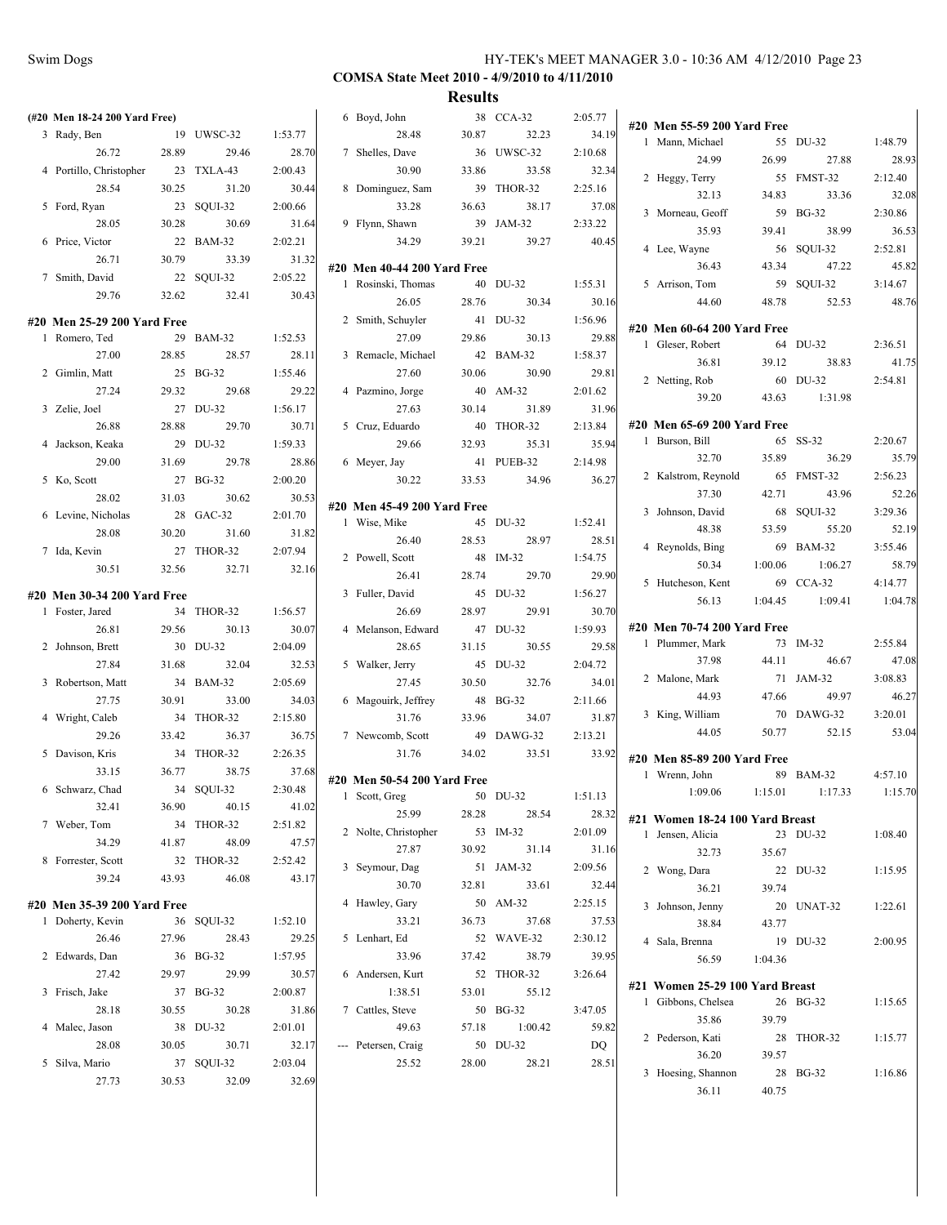# **COMSA State Meet 2010 - 4/9/2010 to 4/11/2010**

| (#20 Men 18-24 200 Yard Free)                |       |            |                  | 6 Boyd, John                                      |       | 38 CCA-32        | 2:05.77 | #20 Men 55-59 200 Yard Free     |         |            |         |
|----------------------------------------------|-------|------------|------------------|---------------------------------------------------|-------|------------------|---------|---------------------------------|---------|------------|---------|
| 3 Rady, Ben                                  |       | 19 UWSC-32 | 1:53.77          | 28.48                                             | 30.87 | 32.23            | 34.19   | 1 Mann, Michael                 |         | 55 DU-32   | 1:48.79 |
| 26.72                                        | 28.89 | 29.46      | 28.70            | 7 Shelles, Dave                                   |       | 36 UWSC-32       | 2:10.68 | 24.99                           | 26.99   | 27.88      | 28.93   |
| 4 Portillo, Christopher                      |       | 23 TXLA-43 | 2:00.43          | 30.90                                             | 33.86 | 33.58            | 32.34   | 2 Heggy, Terry                  |         | 55 FMST-32 | 2:12.40 |
| 28.54                                        | 30.25 | 31.20      | 30.44            | 8 Dominguez, Sam                                  |       | 39 THOR-32       | 2:25.16 | 32.13                           | 34.83   | 33.36      | 32.08   |
| 5 Ford, Ryan                                 |       | 23 SQUI-32 | 2:00.66          | 33.28                                             | 36.63 | 38.17            | 37.08   | 3 Morneau, Geoff                |         | 59 BG-32   | 2:30.86 |
| 28.05                                        | 30.28 | 30.69      | 31.64            | 9 Flynn, Shawn                                    |       | 39 JAM-32        | 2:33.22 | 35.93                           | 39.41   | 38.99      | 36.53   |
| 6 Price, Victor                              |       | 22 BAM-32  | 2:02.21          | 34.29                                             | 39.21 | 39.27            | 40.45   | 4 Lee, Wayne                    |         | 56 SQUI-32 | 2:52.81 |
| 26.71                                        | 30.79 | 33.39      | 31.32            |                                                   |       |                  |         | 36.43                           | 43.34   | 47.22      | 45.82   |
| 7 Smith, David                               |       | 22 SQUI-32 | 2:05.22          | #20 Men 40-44 200 Yard Free<br>1 Rosinski, Thomas |       | 40 DU-32         | 1:55.31 | 5 Arrison, Tom                  |         | 59 SQUI-32 | 3:14.67 |
| 29.76                                        | 32.62 | 32.41      | 30.43            | 26.05                                             | 28.76 | 30.34            | 30.16   | 44.60                           | 48.78   | 52.53      | 48.76   |
|                                              |       |            |                  | 2 Smith, Schuyler                                 |       | 41 DU-32         | 1:56.96 |                                 |         |            |         |
| #20 Men 25-29 200 Yard Free<br>1 Romero, Ted |       | 29 BAM-32  | 1:52.53          | 27.09                                             | 29.86 | 30.13            | 29.88   | #20 Men 60-64 200 Yard Free     |         |            |         |
| 27.00                                        | 28.85 | 28.57      | 28.11            | 3 Remacle, Michael                                |       | 42 BAM-32        | 1:58.37 | 1 Gleser, Robert                |         | 64 DU-32   | 2:36.51 |
| 2 Gimlin, Matt                               |       | 25 BG-32   | 1:55.46          | 27.60                                             | 30.06 | 30.90            | 29.81   | 36.81                           | 39.12   | 38.83      | 41.75   |
| 27.24                                        | 29.32 | 29.68      | 29.22            | 4 Pazmino, Jorge                                  |       | 40 AM-32         | 2:01.62 | 2 Netting, Rob                  |         | 60 DU-32   | 2:54.81 |
| 3 Zelie, Joel                                |       | 27 DU-32   | 1:56.17          | 27.63                                             | 30.14 | 31.89            | 31.96   | 39.20                           | 43.63   | 1:31.98    |         |
| 26.88                                        | 28.88 | 29.70      | 30.71            | 5 Cruz, Eduardo                                   |       | 40 THOR-32       | 2:13.84 | #20 Men 65-69 200 Yard Free     |         |            |         |
| 4 Jackson, Keaka                             |       | 29 DU-32   | 1:59.33          | 29.66                                             | 32.93 | 35.31            | 35.94   | 1 Burson, Bill                  |         | 65 SS-32   | 2:20.67 |
| 29.00                                        | 31.69 | 29.78      | 28.86            | 6 Meyer, Jay                                      |       | 41 PUEB-32       | 2:14.98 | 32.70                           | 35.89   | 36.29      | 35.79   |
|                                              |       | 27 BG-32   | 2:00.20          | 30.22                                             | 33.53 | 34.96            | 36.27   | 2 Kalstrom, Reynold             |         | 65 FMST-32 | 2:56.23 |
| 5 Ko, Scott<br>28.02                         |       | 30.62      |                  |                                                   |       |                  |         | 37.30                           | 42.71   | 43.96      | 52.26   |
|                                              | 31.03 | 28 GAC-32  | 30.53<br>2:01.70 | #20 Men 45-49 200 Yard Free                       |       |                  |         | 3 Johnson, David                |         | 68 SQUI-32 | 3:29.36 |
| 6 Levine, Nicholas<br>28.08                  | 30.20 | 31.60      | 31.82            | 1 Wise, Mike                                      |       | 45 DU-32         | 1:52.41 | 48.38                           | 53.59   | 55.20      | 52.19   |
| 7 Ida, Kevin                                 |       | 27 THOR-32 | 2:07.94          | 26.40                                             | 28.53 | 28.97            | 28.51   | 4 Reynolds, Bing                |         | 69 BAM-32  | 3:55.46 |
| 30.51                                        | 32.56 | 32.71      | 32.16            | 2 Powell, Scott                                   |       | 48 IM-32         | 1:54.75 | 50.34                           | 1:00.06 | 1:06.27    | 58.79   |
|                                              |       |            |                  | 26.41                                             | 28.74 | 29.70            | 29.90   | 5 Hutcheson, Kent               |         | 69 CCA-32  | 4:14.77 |
| #20 Men 30-34 200 Yard Free                  |       |            |                  | 3 Fuller, David                                   |       | 45 DU-32         | 1:56.27 | 56.13                           | 1:04.45 | 1:09.41    | 1:04.78 |
| 1 Foster, Jared                              |       | 34 THOR-32 | 1:56.57          | 26.69                                             | 28.97 | 29.91            | 30.70   |                                 |         |            |         |
| 26.81                                        | 29.56 | 30.13      | 30.07            | 4 Melanson, Edward                                |       | 47 DU-32         | 1:59.93 | #20 Men 70-74 200 Yard Free     |         |            |         |
| 2 Johnson, Brett                             |       | 30 DU-32   | 2:04.09          | 28.65                                             | 31.15 | 30.55            | 29.58   | 1 Plummer, Mark                 |         | 73 IM-32   | 2:55.84 |
| 27.84                                        | 31.68 | 32.04      | 32.53            | 5 Walker, Jerry                                   |       | 45 DU-32         | 2:04.72 | 37.98                           | 44.11   | 46.67      | 47.08   |
| 3 Robertson, Matt                            |       | 34 BAM-32  | 2:05.69          | 27.45                                             | 30.50 | 32.76            | 34.01   | 2 Malone, Mark                  |         | 71 JAM-32  | 3:08.83 |
| 27.75                                        | 30.91 | 33.00      | 34.03            | 6 Magouirk, Jeffrey                               |       | 48 BG-32         | 2:11.66 | 44.93                           | 47.66   | 49.97      | 46.27   |
| 4 Wright, Caleb                              |       | 34 THOR-32 | 2:15.80          | 31.76                                             | 33.96 | 34.07            | 31.87   | 3 King, William                 |         | 70 DAWG-32 | 3:20.01 |
| 29.26                                        | 33.42 | 36.37      | 36.75            | 7 Newcomb, Scott                                  |       | 49 DAWG-32       | 2:13.21 | 44.05                           | 50.77   | 52.15      | 53.04   |
| 5 Davison, Kris                              |       | 34 THOR-32 | 2:26.35          | 31.76                                             | 34.02 | 33.51            | 33.92   | #20 Men 85-89 200 Yard Free     |         |            |         |
| 33.15                                        | 36.77 | 38.75      | 37.68            | #20 Men 50-54 200 Yard Free                       |       |                  |         | 1 Wrenn, John                   |         | 89 BAM-32  | 4:57.10 |
| 6 Schwarz, Chad                              |       | 34 SQUI-32 | 2:30.48          | 1 Scott, Greg                                     |       | 50 DU-32 1:51.13 |         | $1:09.06$ $1:15.01$             |         | 1:17.33    | 1:15.70 |
| 32.41                                        | 36.90 | 40.15      | 41.02            | 25.99                                             | 28.28 | 28.54            | 28.32   | #21 Women 18-24 100 Yard Breast |         |            |         |
| 7 Weber, Tom                                 |       | 34 THOR-32 | 2:51.82          | 2 Nolte, Christopher                              |       | 53 IM-32         | 2:01.09 | 1 Jensen, Alicia                |         | 23 DU-32   | 1:08.40 |
| 34.29                                        | 41.87 | 48.09      | 47.57            | 27.87                                             | 30.92 | 31.14            | 31.16   | 32.73                           | 35.67   |            |         |
| 8 Forrester, Scott                           |       | 32 THOR-32 | 2:52.42          | 3 Seymour, Dag                                    |       | 51 JAM-32        | 2:09.56 | 2 Wong, Dara                    |         | 22 DU-32   | 1:15.95 |
| 39.24                                        | 43.93 | 46.08      | 43.17            | 30.70                                             | 32.81 | 33.61            | 32.44   | 36.21                           | 39.74   |            |         |
| #20 Men 35-39 200 Yard Free                  |       |            |                  | 4 Hawley, Gary                                    |       | 50 AM-32         | 2:25.15 | 3 Johnson, Jenny                |         | 20 UNAT-32 | 1:22.61 |
| 1 Doherty, Kevin                             |       | 36 SQUI-32 | 1:52.10          | 33.21                                             | 36.73 | 37.68            | 37.53   | 38.84                           | 43.77   |            |         |
| 26.46                                        | 27.96 | 28.43      | 29.25            | 5 Lenhart, Ed                                     |       | 52 WAVE-32       | 2:30.12 | 4 Sala, Brenna                  |         | 19 DU-32   | 2:00.95 |
| 2 Edwards, Dan                               |       | 36 BG-32   | 1:57.95          | 33.96                                             | 37.42 | 38.79            | 39.95   | 56.59                           | 1:04.36 |            |         |
| 27.42                                        | 29.97 | 29.99      | 30.57            | 6 Andersen, Kurt                                  |       | 52 THOR-32       | 3:26.64 |                                 |         |            |         |
| 3 Frisch, Jake                               |       | 37 BG-32   | 2:00.87          | 1:38.51                                           | 53.01 | 55.12            |         | #21 Women 25-29 100 Yard Breast |         |            |         |
| 28.18                                        | 30.55 | 30.28      | 31.86            | 7 Cattles, Steve                                  |       | 50 BG-32         | 3:47.05 | 1 Gibbons, Chelsea              |         | 26 BG-32   | 1:15.65 |
| 4 Malec, Jason                               |       | 38 DU-32   | 2:01.01          | 49.63                                             | 57.18 | 1:00.42          | 59.82   | 35.86                           | 39.79   |            |         |
| 28.08                                        | 30.05 | 30.71      | 32.17            | --- Petersen, Craig                               |       | 50 DU-32         | DQ      | 2 Pederson, Kati                |         | 28 THOR-32 | 1:15.77 |
| 5 Silva, Mario                               |       | 37 SQUI-32 | 2:03.04          | 25.52                                             | 28.00 | 28.21            | 28.51   | 36.20                           | 39.57   |            |         |
| 27.73                                        | 30.53 | 32.09      | 32.69            |                                                   |       |                  |         | 3 Hoesing, Shannon              |         | 28 BG-32   | 1:16.86 |
|                                              |       |            |                  |                                                   |       |                  |         | 36.11                           | 40.75   |            |         |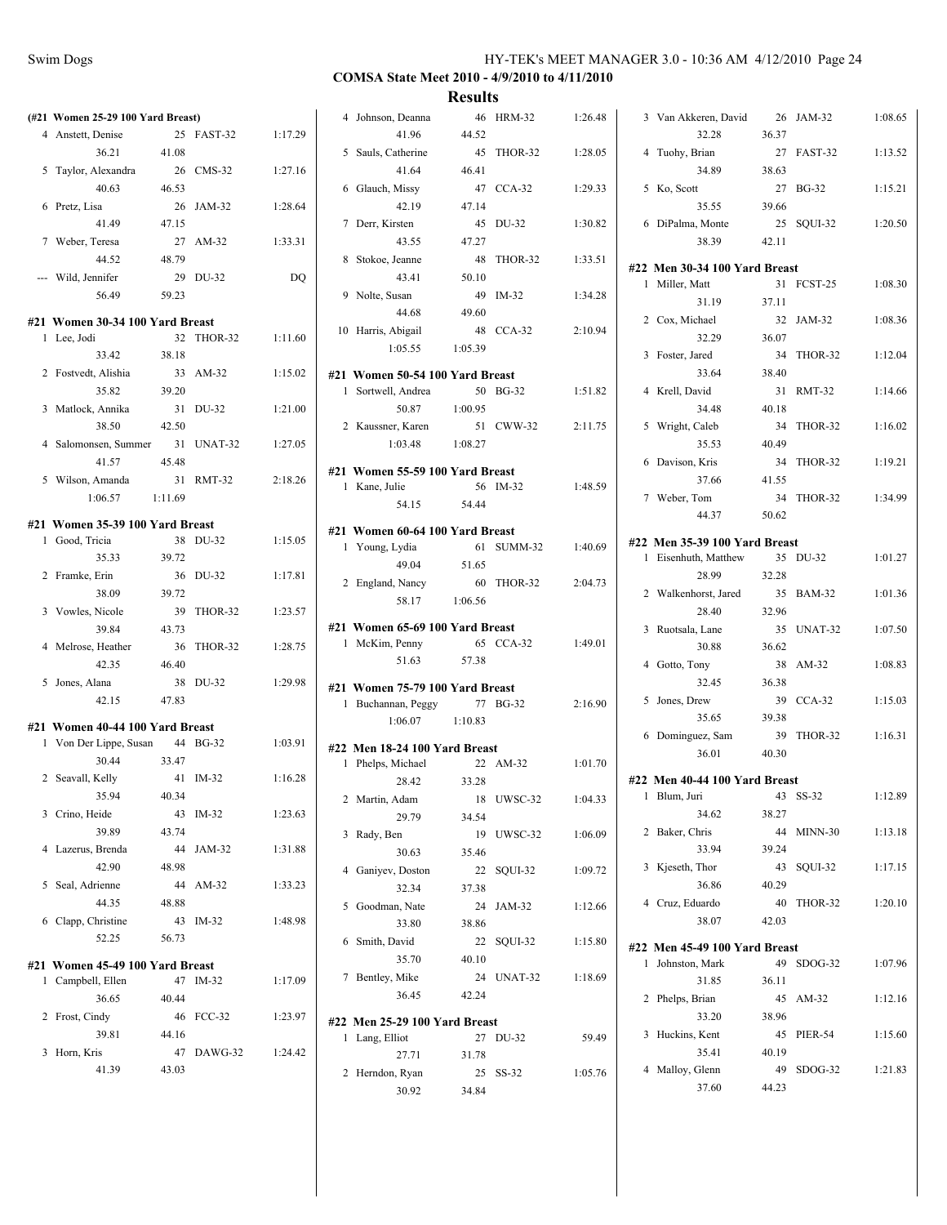|     | (#21 Women 25-29 100 Yard Breast) |         |              |         |
|-----|-----------------------------------|---------|--------------|---------|
|     | 4 Anstett, Denise                 | 25      | FAST-32      | 1:17.29 |
|     | 36.21                             | 41.08   |              |         |
| 5   | Taylor, Alexandra                 | 26      | $CMS-32$     | 1:27.16 |
|     | 40.63                             | 46.53   |              |         |
| 6   | Pretz, Lisa                       | 26      | JAM-32       | 1:28.64 |
|     | 41.49                             | 47.15   |              |         |
| 7   | Weber, Teresa                     | 27      | $AM-32$      | 1:33.31 |
|     | 44.52                             | 48.79   |              |         |
| --- | Wild, Jennifer                    | 29      | DU-32        | DO      |
|     | 56.49                             | 59.23   |              |         |
|     |                                   |         |              |         |
| 1   | #21 Women 30-34 100 Yard Breast   | 32      | THOR-32      | 1:11.60 |
|     | Lee, Jodi<br>33.42                | 38.18   |              |         |
|     | 2 Fostvedt, Alishia               | 33      | AM-32        | 1:15.02 |
|     | 35.82                             | 39.20   |              |         |
|     | 3 Matlock, Annika                 | 31      | DU-32        | 1:21.00 |
|     | 38.50                             | 42.50   |              |         |
|     | 4 Salomonsen, Summer              | 31      | UNAT-32      | 1:27.05 |
|     | 41.57                             | 45.48   |              |         |
| 5   | Wilson, Amanda                    | 31      | RMT-32       | 2:18.26 |
|     | 1:06.57                           | 1:11.69 |              |         |
|     |                                   |         |              |         |
|     | #21 Women 35-39 100 Yard Breast   |         |              |         |
| 1   | Good, Tricia                      | 38      | DU-32        | 1:15.05 |
|     | 35.33                             | 39.72   |              |         |
|     | 2 Framke, Erin                    | 36      | DU-32        | 1:17.81 |
|     | 38.09                             | 39.72   |              |         |
|     | 3 Vowles, Nicole                  | 39      | THOR-32      | 1:23.57 |
|     | 39.84                             | 43.73   |              |         |
| 4   | Melrose, Heather                  | 36      | THOR-32      | 1:28.75 |
|     | 42.35                             | 46.40   |              |         |
| 5   | Jones, Alana                      | 38      | DU-32        | 1:29.98 |
|     | 42.15                             | 47.83   |              |         |
|     | #21 Women 40-44 100 Yard Breast   |         |              |         |
| 1   | Von Der Lippe, Susan              | 44      | <b>BG-32</b> | 1:03.91 |
|     | 30.44                             | 33.47   |              |         |
|     | 2 Seavall, Kelly                  | 41      | IM-32        | 1:16.28 |
|     | 35.94                             | 40.34   |              |         |
|     | 3 Crino, Heide                    | 43      | $IM-32$      | 1:23.63 |
|     | 39.89                             | 43.74   |              |         |
| 4   | Lazerus, Brenda                   | 44      | JAM-32       | 1:31.88 |
|     | 42.90                             | 48.98   |              |         |
| 5   | Seal, Adrienne                    | 44      | AM-32        | 1:33.23 |
|     | 44.35                             | 48.88   |              |         |
|     | 6 Clapp, Christine                | 43      | $IM-32$      | 1:48.98 |
|     | 52.25                             | 56.73   |              |         |
|     | #21 Women 45-49 100 Yard Breast   |         |              |         |
| 1   | Campbell, Ellen                   | 47      | IM-32        | 1:17.09 |
|     | 36.65                             | 40.44   |              |         |
| 2   | Frost, Cindy                      | 46      | $FCC-32$     | 1:23.97 |
|     | 39.81                             | 44.16   |              |         |
| 3   | Horn, Kris                        | 47      | DAWG-32      | 1:24.42 |
|     | 41.39                             | 43.03   |              |         |
|     |                                   |         |              |         |

|   | 4 Johnson, Deanna<br>41.96                         | 44.52   | 46 HRM-32  | 1:26.48 |
|---|----------------------------------------------------|---------|------------|---------|
|   | 5 Sauls, Catherine                                 | 45      | THOR-32    | 1:28.05 |
|   | 41.64                                              | 46.41   |            |         |
|   | 6 Glauch, Missy<br>42.19                           | 47.14   | 47 CCA-32  | 1:29.33 |
|   | 7 Derr, Kirsten                                    | 45      | DU-32      | 1:30.82 |
|   | 43.55                                              | 47.27   |            |         |
|   | 8 Stokoe, Jeanne                                   | 48      | THOR-32    | 1:33.51 |
|   | 43.41                                              | 50.10   |            |         |
|   | 9 Nolte, Susan                                     |         | 49 IM-32   | 1:34.28 |
|   | 44.68                                              | 49.60   |            |         |
|   | 10 Harris, Abigail                                 |         | 48 CCA-32  | 2:10.94 |
|   | 1:05.55                                            | 1:05.39 |            |         |
|   | #21 Women 50-54 100 Yard Breast                    |         |            |         |
|   | 1 Sortwell, Andrea                                 |         | 50 BG-32   | 1:51.82 |
|   | 50.87                                              | 1:00.95 |            |         |
|   | 2 Kaussner, Karen                                  |         | 51 CWW-32  | 2:11.75 |
|   | 1:03.48                                            | 1:08.27 |            |         |
|   | #21 Women 55-59 100 Yard Breast                    |         |            |         |
|   | 1 Kane, Julie                                      |         | 56 IM-32   | 1:48.59 |
|   | 54.15                                              | 54.44   |            |         |
|   | #21 Women 60-64 100 Yard Breast                    |         |            |         |
|   | 1 Young, Lydia                                     |         | 61 SUMM-32 | 1:40.69 |
|   | 49.04                                              | 51.65   |            |         |
|   | 2 England, Nancy                                   |         | 60 THOR-32 | 2:04.73 |
|   | 58.17                                              | 1:06.56 |            |         |
|   | #21 Women 65-69 100 Yard Breast                    |         |            |         |
|   | 1 McKim, Penny                                     |         | 65 CCA-32  | 1:49.01 |
|   | 51.63                                              | 57.38   |            |         |
|   | #21 Women 75-79 100 Yard Breast                    |         |            |         |
|   | 1 Buchannan, Peggy                                 |         | 77 BG-32   | 2:16.90 |
|   | 1:06.07                                            | 1:10.83 |            |         |
|   |                                                    |         |            |         |
|   | #22 Men 18-24 100 Yard Breast<br>1 Phelps, Michael |         | 22 AM-32   | 1:01.70 |
|   | 28.42                                              | 33.28   |            |         |
|   |                                                    | 18      |            |         |
|   | 2 Martin, Adam<br>29.79                            |         | UWSC-32    | 1:04.33 |
|   |                                                    | 34.54   |            |         |
| 3 | Rady, Ben                                          | 19      | UWSC-32    | 1:06.09 |
|   | 30.63                                              | 35.46   |            |         |
| 4 | Ganiyev, Doston                                    |         | 22 SQUI-32 | 1:09.72 |
|   | 32.34                                              | 37.38   |            |         |
| 5 | Goodman, Nate                                      | 24      | JAM-32     | 1:12.66 |
|   | 33.80                                              | 38.86   |            |         |
| 6 | Smith, David                                       |         | 22 SQUI-32 | 1:15.80 |
|   | 35.70                                              | 40.10   |            |         |
| 7 | Bentley, Mike                                      | 24      | UNAT-32    | 1:18.69 |
|   | 36.45                                              | 42.24   |            |         |
|   | #22 Men 25-29 100 Yard Breast                      |         |            |         |
| 1 |                                                    | 27      | DU-32      | 59.49   |
|   |                                                    |         |            |         |
|   | Lang, Elliot                                       |         |            |         |
|   | 27.71                                              | 31.78   |            |         |
| 2 | Herndon, Ryan                                      |         | 25 SS-32   | 1:05.76 |
|   | 30.92                                              | 34.84   |            |         |

|   | 3 Van Akkeren, David          | 26    | JAM-32       | 1:08.65 |
|---|-------------------------------|-------|--------------|---------|
|   | 32.28                         | 36.37 |              |         |
|   | 4 Tuohy, Brian                | 27    | FAST-32      | 1:13.52 |
|   | 34.89                         | 38.63 |              |         |
| 5 | Ko, Scott                     | 27    | <b>BG-32</b> | 1:15.21 |
|   | 35.55                         | 39.66 |              |         |
|   | 6 DiPalma, Monte              | 25    | SQUI-32      | 1:20.50 |
|   | 38.39                         | 42.11 |              |         |
|   | #22 Men 30-34 100 Yard Breast |       |              |         |
|   | 1 Miller, Matt                | 31    | FCST-25      | 1:08.30 |
|   | 31.19                         | 37.11 |              |         |
|   | 2 Cox, Michael                | 32    | JAM-32       | 1:08.36 |
|   | 32.29                         | 36.07 |              |         |
|   | 3 Foster, Jared               | 34    | THOR-32      | 1:12.04 |
|   | 33.64                         | 38.40 |              |         |
|   | 4 Krell, David                | 31    | RMT-32       | 1:14.66 |
|   | 34.48                         | 40.18 |              |         |
|   | 5 Wright, Caleb               | 34    | THOR-32      | 1:16.02 |
|   | 35.53                         | 40.49 |              |         |
|   | 6 Davison, Kris               | 34    | THOR-32      | 1:19.21 |
|   | 37.66                         | 41.55 |              |         |
|   | 7 Weber, Tom                  | 34    | THOR-32      | 1:34.99 |
|   | 44.37                         | 50.62 |              |         |
|   | #22 Men 35-39 100 Yard Breast |       |              |         |
| 1 | Eisenhuth, Matthew            | 35    | DU-32        | 1:01.27 |
|   | 28.99                         | 32.28 |              |         |
|   | 2 Walkenhorst, Jared          | 35    | BAM-32       | 1:01.36 |
|   | 28.40                         | 32.96 |              |         |
|   | 3 Ruotsala, Lane              | 35    | UNAT-32      | 1:07.50 |
|   | 30.88                         | 36.62 |              |         |
|   | 4 Gotto, Tony                 | 38    | AM-32        | 1:08.83 |
|   | 32.45                         | 36.38 |              |         |
|   | 5 Jones, Drew                 | 39    | $CCA-32$     | 1:15.03 |
|   | 35.65                         | 39.38 |              |         |
|   | 6 Dominguez, Sam              | 39    | THOR-32      | 1:16.31 |
|   | 36.01                         | 40.30 |              |         |
|   | #22 Men 40-44 100 Yard Breast |       |              |         |
| 1 | Blum, Juri                    | 43    | $SS-32$      | 1:12.89 |
|   | 34.62                         | 38.27 |              |         |
|   | 2 Baker, Chris                | 44    | MINN-30      | 1:13.18 |
|   | 33.94                         | 39.24 |              |         |
|   | 3 Kjeseth, Thor               |       | 43 SQUI-32   | 1:17.15 |
|   | 36.86                         | 40.29 |              |         |
|   | 4 Cruz, Eduardo               | 40    | THOR-32      | 1:20.10 |
|   | 38.07                         | 42.03 |              |         |
|   | #22 Men 45-49 100 Yard Breast |       |              |         |
|   | 1 Johnston, Mark              | 49    | SDOG-32      | 1:07.96 |
|   | 31.85                         | 36.11 |              |         |
|   | 2 Phelps, Brian               | 45    | AM-32        | 1:12.16 |
|   | 33.20                         | 38.96 |              |         |
|   | 3 Huckins, Kent               | 45    | PIER-54      | 1:15.60 |
|   | 35.41                         | 40.19 |              |         |
|   | 4 Malloy, Glenn               | 49    | SDOG-32      | 1:21.83 |
|   | 37.60                         | 44.23 |              |         |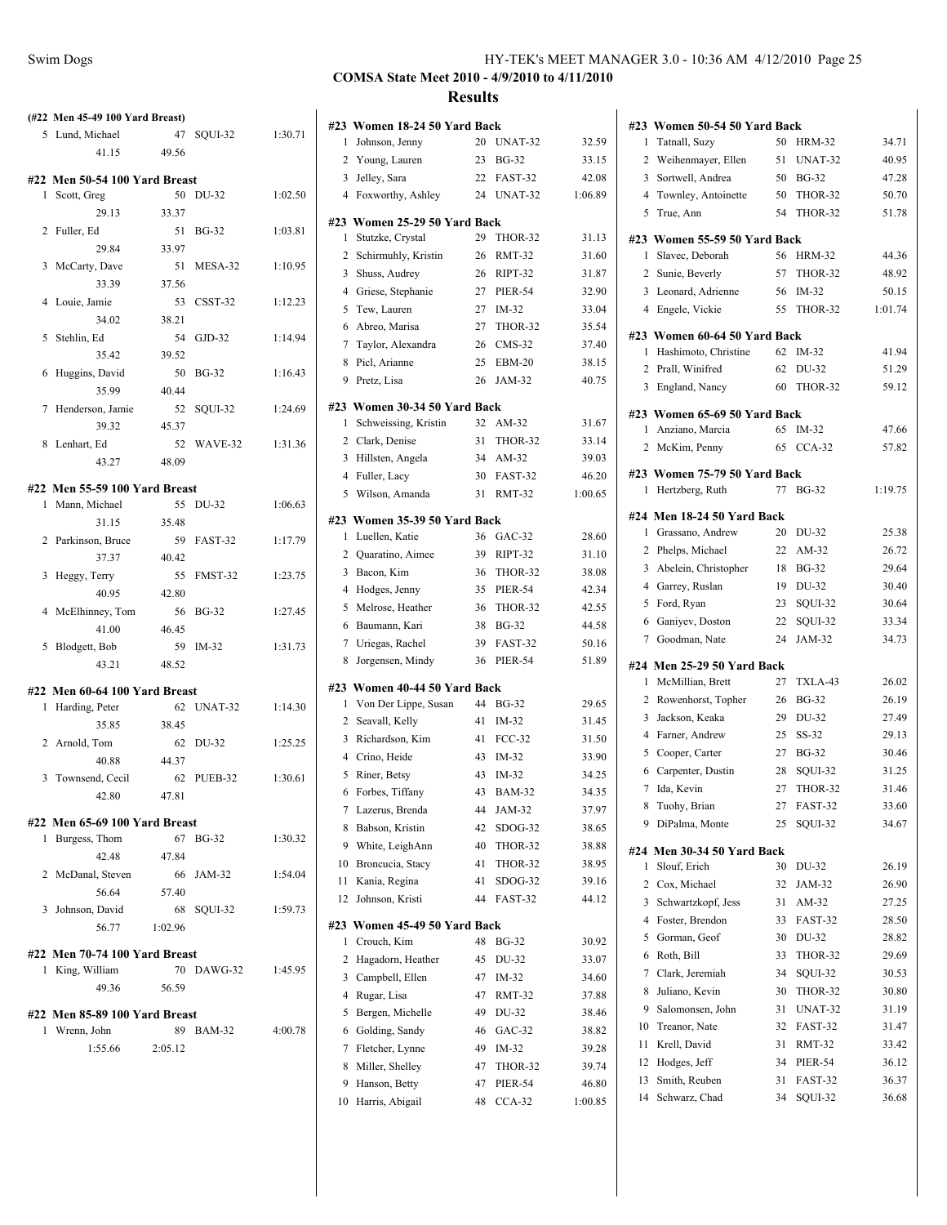|   | (#22 Men 45-49 100 Yard Breast) |         |                    |         |
|---|---------------------------------|---------|--------------------|---------|
|   | 5 Lund, Michael                 |         | 47 SQUI-32         | 1:30.71 |
|   | 41.15                           | 49.56   |                    |         |
|   | #22 Men 50-54 100 Yard Breast   |         |                    |         |
|   | 1 Scott, Greg                   | 50      | DU-32              | 1:02.50 |
|   | 29.13                           | 33.37   |                    |         |
|   | 2 Fuller, Ed                    | 51      | <b>BG-32</b>       | 1:03.81 |
|   | 29.84                           | 33.97   |                    |         |
| 3 | McCarty, Dave                   | 51      | MESA-32            | 1:10.95 |
|   | 33.39                           | 37.56   |                    |         |
|   | 4 Louie, Jamie                  | 53      | CSST-32            | 1:12.23 |
|   | 34.02                           | 38.21   |                    |         |
|   | 5 Stehlin, Ed                   | 54      | GJD-32             | 1:14.94 |
|   | 35.42                           | 39.52   |                    |         |
|   | 6 Huggins, David                | 50      | BG-32              | 1:16.43 |
|   | 35.99                           | 40.44   |                    |         |
| 7 | Henderson, Jamie                | 52      | SQUI-32            | 1:24.69 |
|   | 39.32                           | 45.37   |                    |         |
|   | 8 Lenhart, Ed                   | 52      | WAVE-32            | 1:31.36 |
|   | 43.27                           | 48.09   |                    |         |
|   | #22 Men 55-59 100 Yard Breast   |         |                    |         |
| 1 | Mann, Michael                   | 55      | DU-32              | 1:06.63 |
|   | 31.15                           | 35.48   |                    |         |
|   | 2 Parkinson, Bruce              | 59      | FAST-32            | 1:17.79 |
|   | 37.37                           | 40.42   |                    |         |
| 3 | Heggy, Terry                    |         | 55 FMST-32         | 1:23.75 |
|   | 40.95                           | 42.80   |                    |         |
|   | 4 McElhinney, Tom               | 56      | <b>BG-32</b>       | 1:27.45 |
|   | 41.00                           | 46.45   |                    |         |
|   | 5 Blodgett, Bob                 | 59      | IM-32              | 1:31.73 |
|   | 43.21                           | 48.52   |                    |         |
|   | #22 Men 60-64 100 Yard Breast   |         |                    |         |
| 1 | Harding, Peter                  |         | 62 UNAT-32         | 1:14.30 |
|   | 35.85                           | 38.45   |                    |         |
|   | 2 Arnold, Tom                   |         | 62 DU-32           | 1:25.25 |
|   | 40.88                           | 44.37   |                    |         |
|   | 3 Townsend, Cecil               |         | 62 PUEB-32         | 1:30.61 |
|   | 42.80                           | 47.81   |                    |         |
|   | #22 Men 65-69 100 Yard Breast   |         |                    |         |
| 1 | Burgess, Thom                   | 67      | BG-32              | 1:30.32 |
|   | 42.48                           | 47.84   |                    |         |
|   | 2 McDanal, Steven               | 66      | JAM-32             | 1:54.04 |
|   | 56.64                           | 57.40   |                    |         |
|   | 3 Johnson, David                |         | 68 SQUI-32         | 1:59.73 |
|   | 56.77                           | 1:02.96 |                    |         |
|   |                                 |         |                    |         |
|   | #22 Men 70-74 100 Yard Breast   |         |                    |         |
|   | 1 King, William                 |         | 70 DAWG-32 1:45.95 |         |
|   | 49.36                           | 56.59   |                    |         |
|   | #22 Men 85-89 100 Yard Breast   |         |                    |         |
|   | 1 Wrenn, John                   |         | 89 BAM-32          | 4:00.78 |
|   | 1:55.66                         | 2:05.12 |                    |         |
|   |                                 |         |                    |         |

|             | #23 Women 18-24 50 Yard Back            |          |                    |                |
|-------------|-----------------------------------------|----------|--------------------|----------------|
| 1           | Johnson, Jenny                          | 20       | UNAT-32            | 32.59          |
| 2           | Young, Lauren                           | 23       | BG-32              | 33.15          |
| 3           | Jelley, Sara                            | 22       | FAST-32            | 42.08          |
|             | 4 Foxworthy, Ashley                     | 24       | UNAT-32            | 1:06.89        |
|             | #23 Women 25-29 50 Yard Back            |          |                    |                |
| 1           | Stutzke, Crystal                        | 29       | THOR-32            | 31.13          |
|             | 2 Schirmuhly, Kristin                   | 26       | <b>RMT-32</b>      | 31.60          |
|             | 3 Shuss, Audrey                         | 26       | RIPT-32            | 31.87          |
|             | 4 Griese, Stephanie                     | 27       | PIER-54            | 32.90          |
| 5           | Tew, Lauren                             | 27       | IM-32              | 33.04          |
| 6           | Abreo, Marisa                           | 27       | THOR-32            | 35.54          |
| 7           | Taylor, Alexandra                       | 26       | $CMS-32$           | 37.40          |
| 8           | Picl, Arianne                           | 25       | EBM-20             | 38.15          |
| 9           | Pretz, Lisa                             | 26       | JAM-32             | 40.75          |
|             | #23 Women 30-34 50 Yard Back            |          |                    |                |
| 1           | Schweissing, Kristin                    | 32       | $AM-32$            | 31.67          |
|             | 2 Clark, Denise                         | 31       | THOR-32            | 33.14          |
|             | 3 Hillsten, Angela                      | 34       | AM-32              | 39.03          |
|             | 4 Fuller, Lacy                          | 30       | FAST-32            | 46.20          |
|             | 5 Wilson, Amanda                        | 31       | RMT-32             | 1:00.65        |
|             | #23 Women 35-39 50 Yard Back            |          |                    |                |
| 1           | Luellen, Katie                          | 36       | $GAC-32$           | 28.60          |
|             | 2 Quaratino, Aimee                      | 39       | RIPT-32            | 31.10          |
|             | 3 Bacon, Kim                            | 36       | THOR-32            | 38.08          |
|             | 4 Hodges, Jenny                         | 35       | <b>PIER-54</b>     | 42.34          |
|             | 5 Melrose, Heather                      | 36       | THOR-32            | 42.55          |
| 6           | Baumann, Kari                           | 38       | <b>BG-32</b>       | 44.58          |
| $7^{\circ}$ | Uriegas, Rachel                         | 39       | FAST-32            | 50.16          |
| 8           | Jorgensen, Mindy                        | 36       | <b>PIER-54</b>     | 51.89          |
|             | #23 Women 40-44 50 Yard Back            |          |                    |                |
| 1           | Von Der Lippe, Susan                    | 44       | <b>BG-32</b>       | 29.65          |
|             | 2 Seavall, Kelly                        | 41       | $IM-32$            | 31.45          |
| 3           | Richardson, Kim                         | 41       | $FCC-32$           | 31.50          |
|             | 4 Crino, Heide                          | 43       | $IM-32$            | 33.90          |
|             | 5 Riner, Betsy                          | 43       | $IM-32$            | 34.25          |
|             |                                         | 43       | <b>BAM-32</b>      | 34.35          |
|             | 6 Forbes, Tiffany                       |          |                    |                |
| 7<br>8      | Lazerus, Brenda                         | 44       | JAM-32             | 37.97          |
|             | Babson, Kristin                         | 42       | SDOG-32            | 38.65          |
| 9           | White, LeighAnn                         | 40       | THOR-32            | 38.88          |
| 10          | Broncucia, Stacy                        | 41       | THOR-32            | 38.95          |
| 11<br>12    | Kania, Regina<br>Johnson, Kristi        | 41<br>44 | SDOG-32<br>FAST-32 | 39.16<br>44.12 |
|             |                                         |          |                    |                |
| #23<br>1    | Women 45-49 50 Yard Back<br>Crouch, Kim | 48       | BG-32              | 30.92          |
| 2           | Hagadorn, Heather                       | 45       | DU-32              | 33.07          |
| 3           | Campbell, Ellen                         | 47       | IM-32              | 34.60          |
| 4           | Rugar, Lisa                             | 47       | <b>RMT-32</b>      | 37.88          |
| 5           | Bergen, Michelle                        | 49       | DU-32              | 38.46          |
| 6           | Golding, Sandy                          | 46       | $GAC-32$           | 38.82          |
|             |                                         |          |                    |                |
| 7           | Fletcher, Lynne                         | 49       | $IM-32$            | 39.28          |
| 8           | Miller, Shelley                         | 47       | THOR-32            | 39.74          |
| 9           | Hanson, Betty                           | 47       | <b>PIER-54</b>     | 46.80          |
| 10          | Harris, Abigail                         | 48       | $CCA-32$           | 1:00.85        |

| #23 | Women 50-54 50 Yard Back     |    |                |         |
|-----|------------------------------|----|----------------|---------|
| 1   | Tatnall, Suzy                | 50 | <b>HRM-32</b>  | 34.71   |
|     | 2 Weihenmayer, Ellen         | 51 | UNAT-32        | 40.95   |
|     | 3 Sortwell, Andrea           | 50 | <b>BG-32</b>   | 47.28   |
|     | 4 Townley, Antoinette        | 50 | THOR-32        | 50.70   |
| 5   | True, Ann                    | 54 | THOR-32        | 51.78   |
|     | #23 Women 55-59 50 Yard Back |    |                |         |
| 1   | Slavec, Deborah              | 56 | <b>HRM-32</b>  | 44.36   |
|     | 2 Sunie, Beverly             | 57 | THOR-32        | 48.92   |
|     | 3 Leonard, Adrienne          | 56 | IM-32          | 50.15   |
|     | 4 Engele, Vickie             | 55 | THOR-32        | 1:01.74 |
|     | #23 Women 60-64 50 Yard Back |    |                |         |
|     | 1 Hashimoto, Christine       | 62 | IM-32          | 41.94   |
|     | 2 Prall, Winifred            | 62 | DU-32          | 51.29   |
|     | 3 England, Nancy             | 60 | THOR-32        | 59.12   |
|     | #23 Women 65-69 50 Yard Back |    |                |         |
|     | 1 Anziano, Marcia            | 65 | $IM-32$        | 47.66   |
|     | 2 McKim, Penny               | 65 | $CCA-32$       | 57.82   |
|     | #23 Women 75-79 50 Yard Back |    |                |         |
| 1   | Hertzberg, Ruth              | 77 | <b>BG-32</b>   | 1:19.75 |
|     | #24 Men 18-24 50 Yard Back   |    |                |         |
|     | 1 Grassano, Andrew           | 20 | DU-32          | 25.38   |
|     | 2 Phelps, Michael            |    | 22 AM-32       | 26.72   |
|     | 3 Abelein, Christopher       | 18 | <b>BG-32</b>   | 29.64   |
|     | 4 Garrey, Ruslan             | 19 | DU-32          | 30.40   |
|     | 5 Ford, Ryan                 | 23 | SQUI-32        | 30.64   |
|     | 6 Ganiyev, Doston            | 22 | SQUI-32        | 33.34   |
|     | 7 Goodman, Nate              | 24 | JAM-32         | 34.73   |
|     | #24 Men 25-29 50 Yard Back   |    |                |         |
|     | 1 McMillian, Brett           | 27 | TXLA-43        | 26.02   |
|     | 2 Rowenhorst, Topher         | 26 | <b>BG-32</b>   | 26.19   |
|     | 3 Jackson, Keaka             | 29 | DU-32          | 27.49   |
|     | 4 Farner, Andrew             | 25 | SS-32          | 29.13   |
|     | 5 Cooper, Carter             | 27 | <b>BG-32</b>   | 30.46   |
|     | 6 Carpenter, Dustin          | 28 | SQUI-32        | 31.25   |
|     | 7 Ida, Kevin                 | 27 | THOR-32        | 31.46   |
| 8   | Tuohy, Brian                 | 27 | <b>FAST-32</b> | 33.60   |
| 9   | DiPalma, Monte               | 25 | SQUI-32        | 34.67   |
|     | #24 Men 30-34 50 Yard Back   |    |                |         |
| 1   | Slouf, Erich                 | 30 | DU-32          | 26.19   |
| 2   | Cox, Michael                 | 32 | JAM-32         | 26.90   |
| 3   | Schwartzkopf, Jess           | 31 | $AM-32$        | 27.25   |
| 4   | Foster, Brendon              | 33 | FAST-32        | 28.50   |
| 5   | Gorman, Geof                 | 30 | DU-32          | 28.82   |
| 6   | Roth, Bill                   | 33 | THOR-32        | 29.69   |
| 7   | Clark, Jeremiah              | 34 | SQUI-32        | 30.53   |
| 8   | Juliano, Kevin               | 30 | THOR-32        | 30.80   |
| 9   | Salomonsen, John             | 31 | UNAT-32        | 31.19   |
| 10  | Treanor, Nate                | 32 | FAST-32        | 31.47   |
| 11  | Krell, David                 | 31 | RMT-32         | 33.42   |
| 12  | Hodges, Jeff                 | 34 | PIER-54        | 36.12   |
| 13  | Smith, Reuben                | 31 | FAST-32        | 36.37   |
| 14  | Schwarz, Chad                | 34 | SQUI-32        | 36.68   |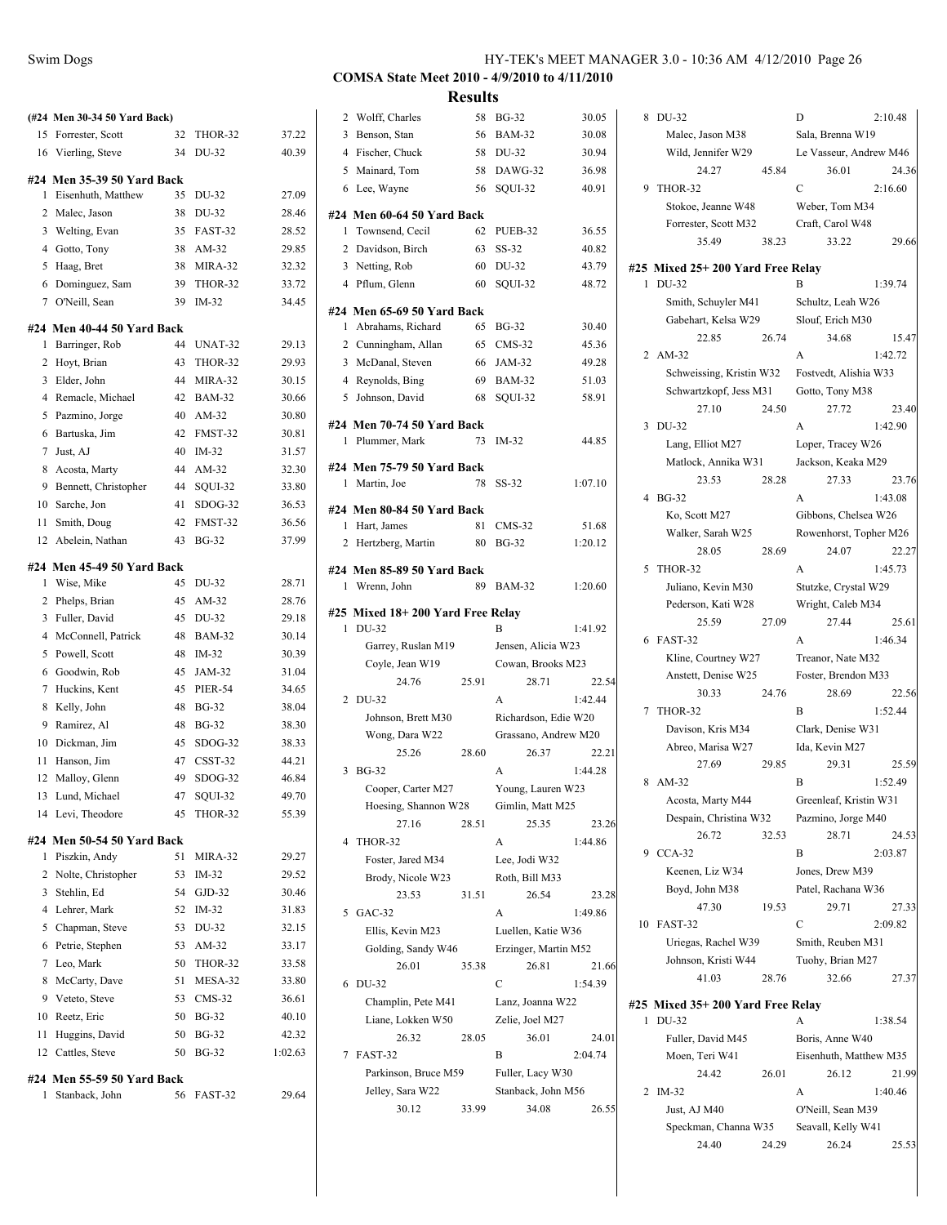| <b>Swim Dogs</b> | HY-TEK's MEET MANAGER 3.0 - 10:36 AM 4/12/2010 Page 26 |  |
|------------------|--------------------------------------------------------|--|
|                  |                                                        |  |

**Results**

|        | (#24 Men 30-34 50 Yard Back)                 |          |                       |                  |
|--------|----------------------------------------------|----------|-----------------------|------------------|
| 15     | Forrester, Scott                             | 32       | THOR-32               | 37.22            |
|        | 16 Vierling, Steve                           | 34       | DU-32                 | 40.39            |
|        | #24 Men 35-39 50 Yard Back                   |          |                       |                  |
| 1      | Eisenhuth, Matthew                           | 35       | DU-32                 | 27.09            |
|        | 2 Malec, Jason                               | 38       | DU-32                 | 28.46            |
|        | 3 Welting, Evan                              | 35       | FAST-32               | 28.52            |
|        | 4 Gotto, Tony                                | 38       | AM-32                 | 29.85            |
|        | 5 Haag, Bret                                 | 38       | MIRA-32               | 32.32            |
|        | 6 Dominguez, Sam                             | 39       | THOR-32               | 33.72            |
|        | 7 O'Neill, Sean                              | 39       | $IM-32$               | 34.45            |
|        | #24 Men 40-44 50 Yard Back                   |          |                       |                  |
| 1      | Barringer, Rob                               | 44       | UNAT-32               | 29.13            |
|        | 2 Hoyt, Brian                                | 43       | THOR-32               | 29.93            |
|        | 3 Elder, John                                | 44       | MIRA-32               | 30.15            |
|        | 4 Remacle, Michael                           | 42       | <b>BAM-32</b>         | 30.66            |
| 5      | Pazmino, Jorge                               | 40       | $AM-32$               | 30.80            |
| 6      | Bartuska, Jim                                | 42       | FMST-32               | 30.81            |
| 7      | Just, AJ                                     | 40       | $IM-32$               | 31.57            |
| 8      | Acosta, Marty                                | 44       | AM-32                 | 32.30            |
|        | 9 Bennett, Christopher                       | 44       | SQUI-32               | 33.80            |
| 10     | Sarche, Jon                                  | 41       | SDOG-32               | 36.53            |
|        | 11 Smith, Doug                               | 42       | FMST-32               | 36.56            |
|        | 12 Abelein, Nathan                           | 43       | <b>BG-32</b>          | 37.99            |
|        |                                              |          |                       |                  |
| 1      | #24 Men 45-49 50 Yard Back<br>Wise, Mike     | 45       | DU-32                 | 28.71            |
|        | 2 Phelps, Brian                              | 45       | AM-32                 | 28.76            |
|        | 3 Fuller, David                              | 45       | DU-32                 | 29.18            |
|        | 4 McConnell, Patrick                         | 48       | <b>BAM-32</b>         | 30.14            |
|        | 5 Powell, Scott                              | 48       | $IM-32$               | 30.39            |
| 6      | Goodwin, Rob                                 | 45       | JAM-32                | 31.04            |
|        | 7 Huckins, Kent                              | 45       | PIER-54               | 34.65            |
|        | 8 Kelly, John                                | 48       | <b>BG-32</b>          | 38.04            |
| 9      | Ramirez, Al                                  | 48       | <b>BG-32</b>          | 38.30            |
|        | 10 Dickman, Jim                              | 45       | SDOG-32               | 38.33            |
|        | 11 Hanson, Jim                               | 47       | $CSST-32$             | 44.21            |
|        | 12 Malloy, Glenn                             | 49       | $SDOG-32$             | 46.84            |
| 13     | Lund, Michael                                |          | 47 SQUI-32            | 49.70            |
|        | 14 Levi, Theodore                            | 45       | THOR-32               | 55.39            |
|        |                                              |          |                       |                  |
|        | #24 Men 50-54 50 Yard Back                   |          |                       |                  |
| 1      | Piszkin, Andy                                | 51       | MIRA-32               | 29.27            |
|        | 2 Nolte, Christopher                         | 53       | $IM-32$               | 29.52            |
|        | 3 Stehlin, Ed                                | 54       | $GJD-32$              | 30.46            |
|        | 4 Lehrer, Mark                               | 52       | $IM-32$               | 31.83            |
|        | 5 Chapman, Steve                             | 53       | DU-32                 | 32.15            |
| 6      | Petrie, Stephen<br>7 Leo, Mark               | 53<br>50 | AM-32                 | 33.17            |
|        |                                              |          | THOR-32               | 33.58<br>33.80   |
| 8<br>9 | McCarty, Dave                                | 51       | MESA-32<br>$CMS-32$   |                  |
| 10     | Veteto, Steve<br>Reetz, Eric                 | 53<br>50 | <b>BG-32</b>          | 36.61<br>40.10   |
| 11     |                                              |          |                       |                  |
|        | Huggins, David<br>12 Cattles, Steve          | 50<br>50 | <b>BG-32</b><br>BG-32 | 42.32<br>1:02.63 |
|        |                                              |          |                       |                  |
| 1      | #24 Men 55-59 50 Yard Back<br>Stanback, John | 56       | FAST-32               | 29.64            |

|                | 2 Wolff, Charles                          | 58    | <b>BG-32</b>         | 30.05          |
|----------------|-------------------------------------------|-------|----------------------|----------------|
| 3              | Benson, Stan                              | 56    | <b>BAM-32</b>        | 30.08          |
|                | 4 Fischer, Chuck                          | 58    | DU-32                | 30.94          |
|                | 5 Mainard, Tom                            | 58    | DAWG-32              | 36.98          |
|                | 6 Lee, Wayne                              | 56    | SQUI-32              | 40.91          |
|                |                                           |       |                      |                |
|                | #24 Men 60-64 50 Yard Back                | 62    |                      |                |
| 1              | Townsend, Cecil<br>2 Davidson, Birch      | 63    | PUEB-32<br>SS-32     | 36.55<br>40.82 |
|                | 3 Netting, Rob                            | 60    | DU-32                | 43.79          |
|                | 4 Pflum, Glenn                            | 60    | SQUI-32              | 48.72          |
|                |                                           |       |                      |                |
|                | #24 Men 65-69 50 Yard Back                |       |                      |                |
| 1              | Abrahams, Richard                         | 65    | <b>BG-32</b>         | 30.40          |
|                | 2 Cunningham, Allan                       | 65    | $CMS-32$             | 45.36          |
|                | 3 McDanal, Steven                         | 66    | JAM-32               | 49.28          |
|                | 4 Reynolds, Bing                          | 69    | <b>BAM-32</b>        | 51.03          |
| 5              | Johnson, David                            | 68    | SQUI-32              | 58.91          |
|                | #24 Men 70-74 50 Yard Back                |       |                      |                |
| 1              | Plummer, Mark                             | 73    | $IM-32$              | 44.85          |
|                |                                           |       |                      |                |
| 1              | #24 Men 75-79 50 Yard Back<br>Martin, Joe | 78    | SS-32                | 1:07.10        |
|                |                                           |       |                      |                |
|                | #24 Men 80-84 50 Yard Back                |       |                      |                |
| 1              | Hart, James                               | 81    | $CMS-32$             | 51.68          |
| 2              | Hertzberg, Martin                         | 80    | <b>BG-32</b>         | 1:20.12        |
|                | #24 Men 85-89 50 Yard Back                |       |                      |                |
| 1              | Wrenn, John                               | 89    | <b>BAM-32</b>        | 1:20.60        |
|                | #25 Mixed 18+200 Yard Free Relay          |       |                      |                |
| 1              | DU-32                                     |       | B                    | 1:41.92        |
|                | Garrey, Ruslan M19                        |       | Jensen, Alicia W23   |                |
|                | Coyle, Jean W19                           |       | Cowan, Brooks M23    |                |
|                | 24.76                                     | 25.91 | 28.71                | 22.54          |
| $\overline{2}$ | DU-32                                     |       | A                    | 1:42.44        |
|                | Johnson, Brett M30                        |       | Richardson, Edie W20 |                |
|                | Wong, Dara W22                            |       | Grassano, Andrew M20 |                |
|                | 25.26                                     | 28.60 | 26.37                | 22.21          |
| 3              | <b>BG-32</b>                              |       | A                    | 1:44.28        |
|                | Cooper, Carter M27                        |       | Young, Lauren W23    |                |
|                | Hoesing, Shannon W28                      |       | Gimlin, Matt M25     |                |
|                | 27.16                                     | 28.51 | 25.35                | 23.26          |
| 4              | THOR-32                                   |       | A                    | 1:44.86        |
|                | Foster, Jared M34                         |       | Lee, Jodi W32        |                |
|                | Brody, Nicole W23                         |       | Roth, Bill M33       |                |
|                | 23.53                                     | 31.51 | 26.54                | 23.28          |
| 5              | $GAC-32$                                  |       | A                    | 1:49.86        |
|                | Ellis, Kevin M23                          |       | Luellen, Katie W36   |                |
|                | Golding, Sandy W46                        |       | Erzinger, Martin M52 |                |
|                | 26.01                                     | 35.38 | 26.81                | 21.66          |
| 6              | DU-32                                     |       | C                    | 1:54.39        |
|                | Champlin, Pete M41                        |       | Lanz, Joanna W22     |                |
|                | Liane, Lokken W50                         |       | Zelie, Joel M27      |                |
|                | 26.32                                     | 28.05 | 36.01                | 24.01          |
| 7              | FAST-32                                   |       | В                    | 2:04.74        |
|                | Parkinson, Bruce M59                      |       | Fuller, Lacy W30     |                |
|                | Jelley, Sara W22                          |       | Stanback, John M56   |                |
|                | 30.12                                     | 33.99 | 34.08                | 26.55          |

|    |                                   |       | D                      |         |
|----|-----------------------------------|-------|------------------------|---------|
| 8  | DU-32                             |       |                        | 2:10.48 |
|    | Malec, Jason M38                  |       | Sala, Brenna W19       |         |
|    | Wild, Jennifer W29                |       | Le Vasseur, Andrew M46 |         |
|    | 24.27                             | 45.84 | 36.01                  | 24.36   |
| 9  | THOR-32                           |       | C                      | 2:16.60 |
|    | Stokoe, Jeanne W48                |       | Weber, Tom M34         |         |
|    | Forrester, Scott M32              |       | Craft, Carol W48       |         |
|    | 35.49                             | 38.23 | 33.22                  | 29.66   |
|    | #25 Mixed 25+ 200 Yard Free Relay |       |                        |         |
| 1  | DU-32                             |       | в                      | 1:39.74 |
|    | Smith, Schuyler M41               |       | Schultz, Leah W26      |         |
|    | Gabehart, Kelsa W29               |       | Slouf, Erich M30       |         |
|    | 22.85                             | 26.74 | 34.68                  | 15.47   |
| 2  | $AM-32$                           |       | A                      | 1:42.72 |
|    | Schweissing, Kristin W32          |       | Fostvedt, Alishia W33  |         |
|    | Schwartzkopf, Jess M31            |       | Gotto, Tony M38        |         |
|    | 27.10                             | 24.50 | 27.72                  | 23.40   |
| 3  | DU-32                             |       | A                      | 1:42.90 |
|    | Lang, Elliot M27                  |       | Loper, Tracey W26      |         |
|    | Matlock, Annika W31               |       | Jackson, Keaka M29     |         |
|    | 23.53                             | 28.28 | 27.33                  | 23.76   |
| 4  | <b>BG-32</b>                      |       | A                      | 1:43.08 |
|    | Ko, Scott M27                     |       | Gibbons, Chelsea W26   |         |
|    | Walker, Sarah W25                 |       | Rowenhorst, Topher M26 |         |
|    | 28.05                             | 28.69 | 24.07                  | 22.27   |
| 5  | THOR-32                           |       | A                      | 1:45.73 |
|    |                                   |       |                        |         |
|    | Juliano, Kevin M30                |       | Stutzke, Crystal W29   |         |
|    | Pederson, Kati W28                |       | Wright, Caleb M34      |         |
|    | 25.59                             | 27.09 | 27.44                  | 25.61   |
|    | 6 FAST-32                         |       | A                      | 1:46.34 |
|    | Kline, Courtney W27               |       | Treanor, Nate M32      |         |
|    | Anstett, Denise W25               |       | Foster, Brendon M33    |         |
|    | 30.33                             | 24.76 | 28.69                  | 22.56   |
| 7  | THOR-32                           |       | B                      | 1:52.44 |
|    | Davison, Kris M34                 |       | Clark, Denise W31      |         |
|    | Abreo, Marisa W27                 |       | Ida, Kevin M27         |         |
|    | 27.69                             | 29.85 | 29.31                  | 25.59   |
| 8  | AM-32                             |       | B                      | 1:52.49 |
|    | Acosta, Marty M44                 |       | Greenleaf, Kristin W31 |         |
|    | Despain, Christina W32            |       | Pazmino, Jorge M40     |         |
|    | 26.72                             | 32.53 | 28.71                  | 24.53   |
| 9  | $CCA-32$                          |       | B                      | 2:03.87 |
|    | Keenen, Liz W34                   |       | Jones, Drew M39        |         |
|    | Boyd, John M38                    |       | Patel, Rachana W36     |         |
|    | 47.30                             | 19.53 | 29.71                  | 27.33   |
| 10 | FAST-32                           |       | C                      | 2:09.82 |
|    | Uriegas, Rachel W39               |       | Smith, Reuben M31      |         |
|    | Johnson, Kristi W44               |       | Tuohy, Brian M27       |         |
|    | 41.03                             | 28.76 | 32.66                  | 27.37   |
|    | #25 Mixed 35+ 200 Yard Free Relay |       |                        |         |
| 1  | DU-32                             |       | A                      | 1:38.54 |
|    | Fuller, David M45                 |       | Boris, Anne W40        |         |
|    | Moen, Teri W41                    |       | Eisenhuth, Matthew M35 |         |
|    | 24.42                             | 26.01 | 26.12                  | 21.99   |
|    | 2 IM-32                           |       | A                      | 1:40.46 |
|    |                                   |       |                        |         |

Just, AJ M40 O'Neill, Sean M39 Speckman, Channa W35 Seavall, Kelly W41 24.40 24.29 26.24 25.53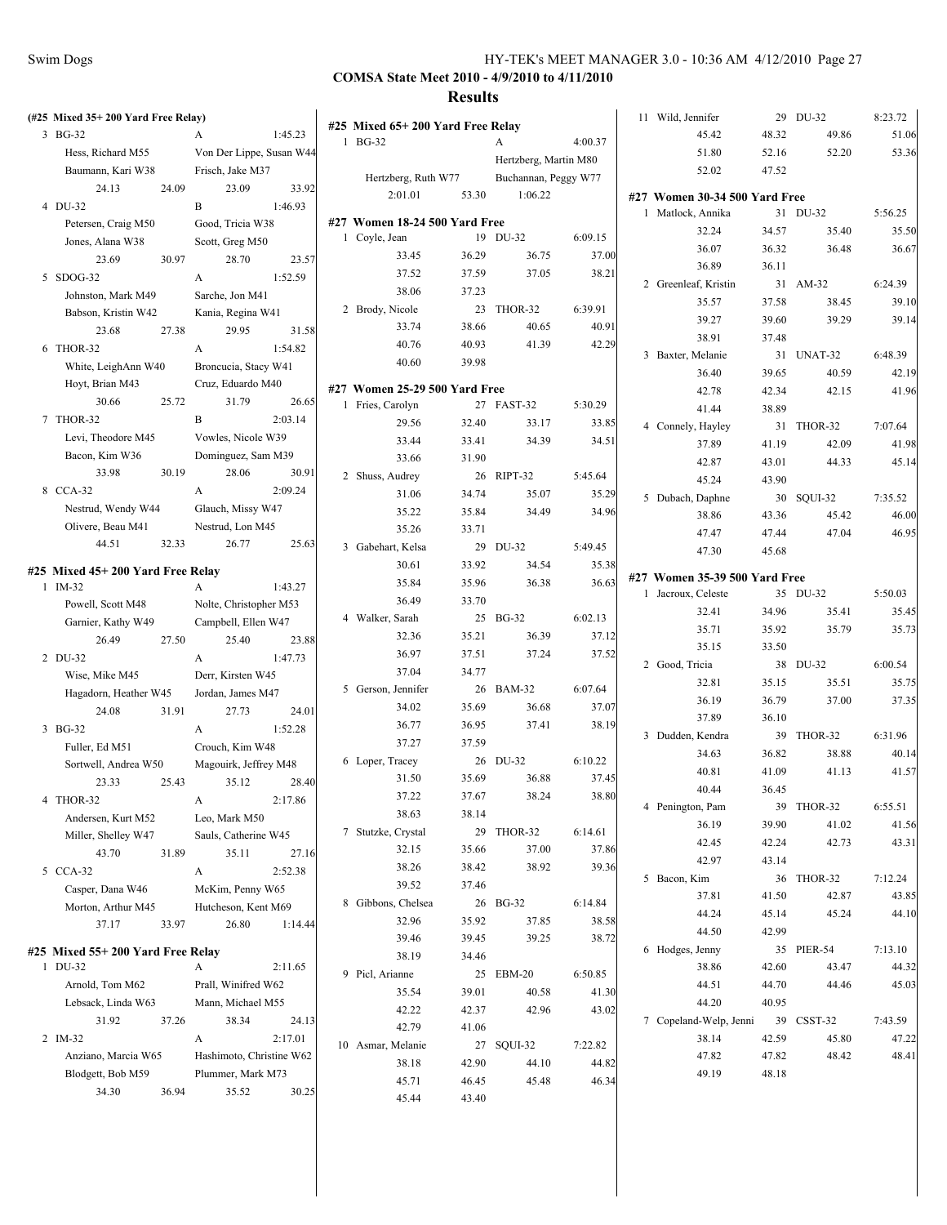| (#25 Mixed 35+200 Yard Free Relay) |                          |         |                                             |       |                       |         | 11 Wild, Jennifer             |       | 29 DU-32   | 8:23.72 |
|------------------------------------|--------------------------|---------|---------------------------------------------|-------|-----------------------|---------|-------------------------------|-------|------------|---------|
| $3$ BG-32                          | A                        | 1:45.23 | #25 Mixed 65+200 Yard Free Relay<br>1 BG-32 |       |                       |         | 45.42                         | 48.32 | 49.86      | 51.06   |
| Hess, Richard M55                  | Von Der Lippe, Susan W44 |         |                                             |       | A                     | 4:00.37 | 51.80                         | 52.16 | 52.20      | 53.36   |
| Baumann, Kari W38                  | Frisch, Jake M37         |         |                                             |       | Hertzberg, Martin M80 |         | 52.02                         | 47.52 |            |         |
| 24.13<br>24.09                     | 23.09                    | 33.92   | Hertzberg, Ruth W77                         |       | Buchannan, Peggy W77  |         |                               |       |            |         |
| 4 DU-32                            | B                        | 1:46.93 | 2:01.01                                     | 53.30 | 1:06.22               |         | #27 Women 30-34 500 Yard Free |       |            |         |
| Petersen, Craig M50                | Good, Tricia W38         |         | #27 Women 18-24 500 Yard Free               |       |                       |         | 1 Matlock, Annika             |       | 31 DU-32   | 5:56.25 |
| Jones, Alana W38                   | Scott, Greg M50          |         | 1 Coyle, Jean                               |       | 19 DU-32              | 6:09.15 | 32.24                         | 34.57 | 35.40      | 35.50   |
| 30.97<br>23.69                     | 28.70                    | 23.57   | 33.45                                       | 36.29 | 36.75                 | 37.00   | 36.07                         | 36.32 | 36.48      | 36.67   |
| 5 SDOG-32                          | A                        | 1:52.59 | 37.52                                       | 37.59 | 37.05                 | 38.21   | 36.89                         | 36.11 |            |         |
| Johnston, Mark M49                 | Sarche, Jon M41          |         | 38.06                                       | 37.23 |                       |         | 2 Greenleaf, Kristin          |       | 31 AM-32   | 6:24.39 |
| Babson, Kristin W42                | Kania, Regina W41        |         | 2 Brody, Nicole                             |       | 23 THOR-32            | 6:39.91 | 35.57                         | 37.58 | 38.45      | 39.10   |
| 23.68<br>27.38                     | 29.95                    | 31.58   | 33.74                                       | 38.66 | 40.65                 | 40.91   | 39.27                         | 39.60 | 39.29      | 39.14   |
| 6 THOR-32                          | A                        | 1:54.82 | 40.76                                       | 40.93 | 41.39                 | 42.29   | 38.91                         | 37.48 |            |         |
| White, LeighAnn W40                | Broncucia, Stacy W41     |         | 40.60                                       | 39.98 |                       |         | 3 Baxter, Melanie             |       | 31 UNAT-32 | 6:48.39 |
|                                    |                          |         |                                             |       |                       |         | 36.40                         | 39.65 | 40.59      | 42.19   |
| Hoyt, Brian M43                    | Cruz, Eduardo M40        |         | #27 Women 25-29 500 Yard Free               |       |                       |         | 42.78                         | 42.34 | 42.15      | 41.96   |
| 30.66<br>25.72                     | 31.79                    | 26.65   | 1 Fries, Carolyn                            |       | 27 FAST-32            | 5:30.29 | 41.44                         | 38.89 |            |         |
| 7 THOR-32                          | B                        | 2:03.14 | 29.56                                       | 32.40 | 33.17                 | 33.85   | 4 Connely, Hayley             |       | 31 THOR-32 | 7:07.64 |
| Levi, Theodore M45                 | Vowles, Nicole W39       |         | 33.44                                       | 33.41 | 34.39                 | 34.51   | 37.89                         | 41.19 | 42.09      | 41.98   |
| Bacon, Kim W36                     | Dominguez, Sam M39       |         | 33.66                                       | 31.90 |                       |         | 42.87                         | 43.01 | 44.33      | 45.14   |
| 30.19<br>33.98                     | 28.06                    | 30.91   | 2 Shuss, Audrey                             |       | 26 RIPT-32            | 5:45.64 | 45.24                         | 43.90 |            |         |
| 8 CCA-32                           | A                        | 2:09.24 | 31.06                                       | 34.74 | 35.07                 | 35.29   | 5 Dubach, Daphne              |       | 30 SQUI-32 | 7:35.52 |
| Nestrud, Wendy W44                 | Glauch, Missy W47        |         | 35.22                                       | 35.84 | 34.49                 | 34.96   | 38.86                         | 43.36 | 45.42      | 46.00   |
| Olivere, Beau M41                  | Nestrud, Lon M45         |         | 35.26                                       | 33.71 |                       |         | 47.47                         | 47.44 | 47.04      | 46.95   |
| 44.51<br>32.33                     | 26.77                    | 25.63   | 3 Gabehart, Kelsa                           |       | 29 DU-32              | 5:49.45 | 47.30                         | 45.68 |            |         |
| #25 Mixed 45+ 200 Yard Free Relay  |                          |         | 30.61                                       | 33.92 | 34.54                 | 35.38   |                               |       |            |         |
| $1$ IM-32                          | A                        | 1:43.27 | 35.84                                       | 35.96 | 36.38                 | 36.63   | #27 Women 35-39 500 Yard Free |       |            |         |
| Powell, Scott M48                  | Nolte, Christopher M53   |         | 36.49                                       | 33.70 |                       |         | 1 Jacroux, Celeste            |       | 35 DU-32   | 5:50.03 |
| Garnier, Kathy W49                 | Campbell, Ellen W47      |         | 4 Walker, Sarah                             |       | 25 BG-32              | 6:02.13 | 32.41                         | 34.96 | 35.41      | 35.45   |
| 27.50<br>26.49                     | 25.40                    | 23.88   | 32.36                                       | 35.21 | 36.39                 | 37.12   | 35.71                         | 35.92 | 35.79      | 35.73   |
| 2 DU-32                            | A                        | 1:47.73 | 36.97                                       | 37.51 | 37.24                 | 37.52   | 35.15                         | 33.50 |            |         |
| Wise, Mike M45                     | Derr, Kirsten W45        |         | 37.04                                       | 34.77 |                       |         | 2 Good, Tricia                |       | 38 DU-32   | 6:00.54 |
| Hagadorn, Heather W45              | Jordan, James M47        |         | 5 Gerson, Jennifer                          |       | 26 BAM-32             | 6:07.64 | 32.81                         | 35.15 | 35.51      | 35.75   |
| 31.91<br>24.08                     | 27.73                    | 24.01   | 34.02                                       | 35.69 | 36.68                 | 37.07   | 36.19                         | 36.79 | 37.00      | 37.35   |
| 3 BG-32                            | A                        | 1:52.28 | 36.77                                       | 36.95 | 37.41                 | 38.19   | 37.89                         | 36.10 |            |         |
| Fuller, Ed M51                     | Crouch, Kim W48          |         | 37.27                                       | 37.59 |                       |         | 3 Dudden, Kendra              |       | 39 THOR-32 | 6:31.96 |
| Sortwell, Andrea W50               | Magouirk, Jeffrey M48    |         | 6 Loper, Tracey                             |       | 26 DU-32              | 6:10.22 | 34.63                         | 36.82 | 38.88      | 40.14   |
| 23.33<br>25.43                     | 35.12                    | 28.40   | 31.50                                       | 35.69 | 36.88                 | 37.45   | 40.81                         | 41.09 | 41.13      | 41.57   |
| 4 THOR-32                          | A                        | 2:17.86 | 37.22                                       | 37.67 | 38.24                 | 38.80   | 40.44                         | 36.45 |            |         |
| Andersen, Kurt M52                 | Leo, Mark M50            |         | 38.63                                       | 38.14 |                       |         | 4 Penington, Pam              | 39    | THOR-32    | 6:55.51 |
| Miller, Shelley W47                | Sauls, Catherine W45     |         | 7 Stutzke, Crystal                          |       | 29 THOR-32            | 6:14.61 | 36.19                         | 39.90 | 41.02      | 41.56   |
| 43.70<br>31.89                     | 35.11                    | 27.16   | 32.15                                       | 35.66 | 37.00                 | 37.86   | 42.45                         | 42.24 | 42.73      | 43.31   |
| 5 CCA-32                           | A                        | 2:52.38 | 38.26                                       | 38.42 | 38.92                 | 39.36   | 42.97                         | 43.14 |            |         |
|                                    |                          |         | 39.52                                       | 37.46 |                       |         | 5 Bacon, Kim                  |       | 36 THOR-32 | 7:12.24 |
| Casper, Dana W46                   | McKim, Penny W65         |         | 8 Gibbons, Chelsea                          |       | 26 BG-32              | 6:14.84 | 37.81                         | 41.50 | 42.87      | 43.85   |
| Morton, Arthur M45                 | Hutcheson, Kent M69      |         | 32.96                                       | 35.92 | 37.85                 | 38.58   | 44.24                         | 45.14 | 45.24      | 44.10   |
| 37.17<br>33.97                     | 26.80                    | 1:14.44 | 39.46                                       | 39.45 | 39.25                 | 38.72   | 44.50                         | 42.99 |            |         |
| #25 Mixed 55+200 Yard Free Relay   |                          |         | 38.19                                       | 34.46 |                       |         | 6 Hodges, Jenny               |       | 35 PIER-54 | 7:13.10 |
| 1 DU-32                            | A                        | 2:11.65 | 9 Picl, Arianne                             |       | 25 EBM-20             | 6:50.85 | 38.86                         | 42.60 | 43.47      | 44.32   |
| Arnold, Tom M62                    | Prall, Winifred W62      |         | 35.54                                       | 39.01 | 40.58                 | 41.30   | 44.51                         | 44.70 | 44.46      | 45.03   |
| Lebsack, Linda W63                 | Mann, Michael M55        |         | 42.22                                       | 42.37 | 42.96                 |         | 44.20                         | 40.95 |            |         |
| 31.92<br>37.26                     | 38.34                    | 24.13   | 42.79                                       | 41.06 |                       | 43.02   | 7 Copeland-Welp, Jenni        |       | 39 CSST-32 | 7:43.59 |
| 2 IM-32                            | A                        | 2:17.01 |                                             |       |                       |         | 38.14                         | 42.59 | 45.80      | 47.22   |
| Anziano, Marcia W65                | Hashimoto, Christine W62 |         | 10 Asmar, Melanie                           |       | 27 SQUI-32            | 7:22.82 | 47.82                         | 47.82 | 48.42      | 48.41   |
| Blodgett, Bob M59                  | Plummer, Mark M73        |         | 38.18                                       | 42.90 | 44.10                 | 44.82   | 49.19                         | 48.18 |            |         |
| 34.30<br>36.94                     | 35.52                    | 30.25   | 45.71                                       | 46.45 | 45.48                 | 46.34   |                               |       |            |         |
|                                    |                          |         | 45.44                                       | 43.40 |                       |         |                               |       |            |         |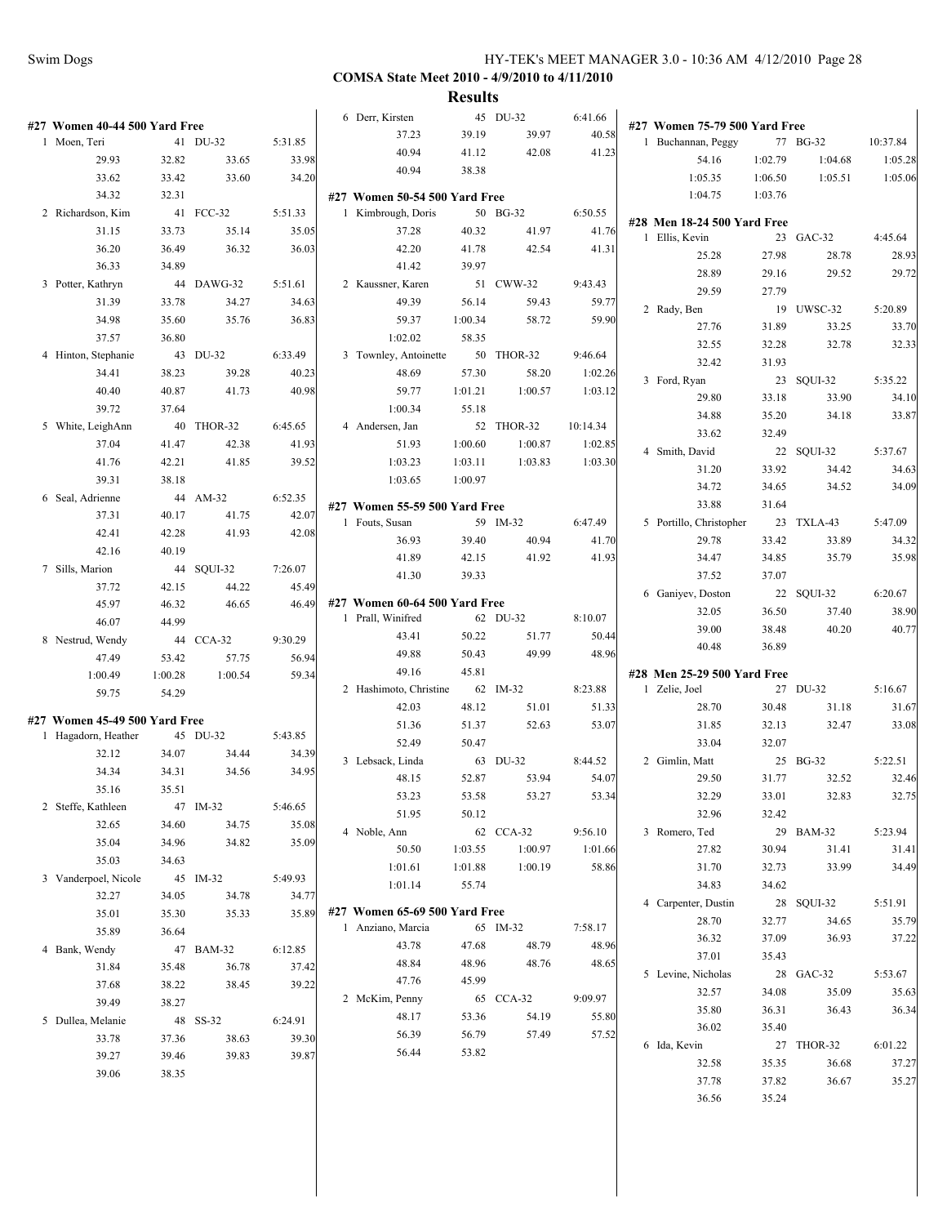**COMSA State Meet 2010 - 4/9/2010 to 4/11/2010**

|                               |         |            |         | 6 Derr, Kirsten                                 |         | 45 DU-32   | 6:41.66  |                               |         |            |          |
|-------------------------------|---------|------------|---------|-------------------------------------------------|---------|------------|----------|-------------------------------|---------|------------|----------|
| #27 Women 40-44 500 Yard Free |         |            |         | 37.23                                           | 39.19   | 39.97      | 40.58    | #27 Women 75-79 500 Yard Free |         |            |          |
| 1 Moen, Teri                  |         | 41 DU-32   | 5:31.85 | 40.94                                           | 41.12   | 42.08      | 41.23    | 1 Buchannan, Peggy            |         | 77 BG-32   | 10:37.84 |
| 29.93                         | 32.82   | 33.65      | 33.98   | 40.94                                           | 38.38   |            |          | 54.16                         | 1:02.79 | 1:04.68    | 1:05.28  |
| 33.62                         | 33.42   | 33.60      | 34.20   |                                                 |         |            |          | 1:05.35                       | 1:06.50 | 1:05.51    | 1:05.06  |
| 34.32                         | 32.31   |            |         | #27 Women 50-54 500 Yard Free                   |         |            |          | 1:04.75                       | 1:03.76 |            |          |
| 2 Richardson, Kim             |         | 41 FCC-32  | 5:51.33 | 1 Kimbrough, Doris                              |         | 50 BG-32   | 6:50.55  | #28 Men 18-24 500 Yard Free   |         |            |          |
| 31.15                         | 33.73   | 35.14      | 35.05   | 37.28                                           | 40.32   | 41.97      | 41.76    | 1 Ellis, Kevin                |         | 23 GAC-32  | 4:45.64  |
| 36.20                         | 36.49   | 36.32      | 36.03   | 42.20                                           | 41.78   | 42.54      | 41.31    | 25.28                         | 27.98   | 28.78      | 28.93    |
| 36.33                         | 34.89   |            |         | 41.42                                           | 39.97   |            |          | 28.89                         | 29.16   | 29.52      | 29.72    |
| 3 Potter, Kathryn             |         | 44 DAWG-32 | 5:51.61 | 2 Kaussner, Karen                               |         | 51 CWW-32  | 9:43.43  | 29.59                         | 27.79   |            |          |
| 31.39                         | 33.78   | 34.27      | 34.63   | 49.39                                           | 56.14   | 59.43      | 59.77    | 2 Rady, Ben                   |         | 19 UWSC-32 | 5:20.89  |
| 34.98                         | 35.60   | 35.76      | 36.83   | 59.37                                           | 1:00.34 | 58.72      | 59.90    | 27.76                         | 31.89   | 33.25      | 33.70    |
| 37.57                         | 36.80   |            |         | 1:02.02                                         | 58.35   |            |          | 32.55                         | 32.28   | 32.78      | 32.33    |
| 4 Hinton, Stephanie           |         | 43 DU-32   | 6:33.49 | 3 Townley, Antoinette                           |         | 50 THOR-32 | 9:46.64  | 32.42                         | 31.93   |            |          |
| 34.41                         | 38.23   | 39.28      | 40.23   | 48.69                                           | 57.30   | 58.20      | 1:02.26  | 3 Ford, Ryan                  |         | 23 SQUI-32 | 5:35.22  |
| 40.40                         | 40.87   | 41.73      | 40.98   | 59.77                                           | 1:01.21 | 1:00.57    | 1:03.12  | 29.80                         | 33.18   | 33.90      | 34.10    |
| 39.72                         | 37.64   |            |         | 1:00.34                                         | 55.18   |            |          | 34.88                         | 35.20   | 34.18      | 33.87    |
| 5 White, LeighAnn             |         | 40 THOR-32 | 6:45.65 | 4 Andersen, Jan                                 |         | 52 THOR-32 | 10:14.34 | 33.62                         | 32.49   |            |          |
| 37.04                         | 41.47   | 42.38      | 41.93   | 51.93                                           | 1:00.60 | 1:00.87    | 1:02.85  | 4 Smith, David                |         | 22 SQUI-32 | 5:37.67  |
| 41.76                         | 42.21   | 41.85      | 39.52   | 1:03.23                                         | 1:03.11 | 1:03.83    | 1:03.30  | 31.20                         | 33.92   | 34.42      | 34.63    |
| 39.31                         | 38.18   |            |         | 1:03.65                                         | 1:00.97 |            |          | 34.72                         | 34.65   | 34.52      | 34.09    |
| 6 Seal, Adrienne              |         | 44 AM-32   | 6:52.35 |                                                 |         |            |          | 33.88                         | 31.64   |            |          |
| 37.31                         | 40.17   | 41.75      | 42.07   | #27 Women 55-59 500 Yard Free<br>1 Fouts, Susan |         | 59 IM-32   | 6:47.49  |                               |         | 23 TXLA-43 |          |
| 42.41                         | 42.28   | 41.93      | 42.08   |                                                 |         |            |          | 5 Portillo, Christopher       |         |            | 5:47.09  |
| 42.16                         | 40.19   |            |         | 36.93                                           | 39.40   | 40.94      | 41.70    | 29.78                         | 33.42   | 33.89      | 34.32    |
| 7 Sills, Marion               |         | 44 SQUI-32 | 7:26.07 | 41.89                                           | 42.15   | 41.92      | 41.93    | 34.47                         | 34.85   | 35.79      | 35.98    |
| 37.72                         | 42.15   | 44.22      | 45.49   | 41.30                                           | 39.33   |            |          | 37.52                         | 37.07   |            |          |
| 45.97                         | 46.32   | 46.65      | 46.49   | #27 Women 60-64 500 Yard Free                   |         |            |          | 6 Ganiyev, Doston             |         | 22 SQUI-32 | 6:20.67  |
| 46.07                         | 44.99   |            |         | 1 Prall, Winifred                               |         | 62 DU-32   | 8:10.07  | 32.05                         | 36.50   | 37.40      | 38.90    |
| 8 Nestrud, Wendy              |         | 44 CCA-32  | 9:30.29 | 43.41                                           | 50.22   | 51.77      | 50.44    | 39.00                         | 38.48   | 40.20      | 40.77    |
| 47.49                         | 53.42   | 57.75      | 56.94   | 49.88                                           | 50.43   | 49.99      | 48.96    | 40.48                         | 36.89   |            |          |
| 1:00.49                       | 1:00.28 | 1:00.54    | 59.34   | 49.16                                           | 45.81   |            |          | #28 Men 25-29 500 Yard Free   |         |            |          |
| 59.75                         | 54.29   |            |         | 2 Hashimoto, Christine                          |         | 62 IM-32   | 8:23.88  | 1 Zelie, Joel                 |         | 27 DU-32   | 5:16.67  |
|                               |         |            |         | 42.03                                           | 48.12   | 51.01      | 51.33    | 28.70                         | 30.48   | 31.18      | 31.67    |
| #27 Women 45-49 500 Yard Free |         |            |         | 51.36                                           | 51.37   | 52.63      | 53.07    | 31.85                         | 32.13   | 32.47      | 33.08    |
| 1 Hagadorn, Heather           |         | 45 DU-32   | 5:43.85 | 52.49                                           | 50.47   |            |          | 33.04                         | 32.07   |            |          |
| 32.12                         | 34.07   | 34.44      | 34.39   | 3 Lebsack, Linda                                |         | 63 DU-32   | 8:44.52  | 2 Gimlin, Matt                |         | 25 BG-32   | 5:22.51  |
| 34.34                         | 34.31   | 34.56      | 34.95   | 48.15                                           | 52.87   | 53.94      | 54.07    | 29.50                         | 31.77   | 32.52      | 32.46    |
| 35.16                         | 35.51   |            |         | 53.23                                           | 53.58   | 53.27      | 53.34    | 32.29                         | 33.01   | 32.83      | 32.75    |
| 2 Steffe, Kathleen            |         | 47 IM-32   | 5:46.65 | 51.95                                           | 50.12   |            |          | 32.96                         | 32.42   |            |          |
| 32.65                         | 34.60   | 34.75      | 35.08   | 4 Noble, Ann                                    |         | 62 CCA-32  | 9:56.10  | 3 Romero, Ted                 |         | 29 BAM-32  | 5:23.94  |
| 35.04                         | 34.96   | 34.82      | 35.09   | 50.50                                           | 1:03.55 | 1:00.97    | 1:01.66  | 27.82                         | 30.94   | 31.41      | 31.41    |
| 35.03                         | 34.63   |            |         | 1:01.61                                         | 1:01.88 | 1:00.19    | 58.86    | 31.70                         | 32.73   | 33.99      | 34.49    |
| 3 Vanderpoel, Nicole          |         | 45 IM-32   | 5:49.93 | 1:01.14                                         | 55.74   |            |          | 34.83                         | 34.62   |            |          |
| 32.27                         | 34.05   | 34.78      | 34.77   |                                                 |         |            |          | 4 Carpenter, Dustin           |         | 28 SQUI-32 | 5:51.91  |
| 35.01                         | 35.30   | 35.33      | 35.89   | #27 Women 65-69 500 Yard Free                   |         |            |          | 28.70                         | 32.77   | 34.65      | 35.79    |
| 35.89                         | 36.64   |            |         | 1 Anziano, Marcia                               |         | 65 IM-32   | 7:58.17  | 36.32                         | 37.09   | 36.93      | 37.22    |
| 4 Bank, Wendy                 |         | 47 BAM-32  | 6:12.85 | 43.78                                           | 47.68   | 48.79      | 48.96    | 37.01                         | 35.43   |            |          |
| 31.84                         | 35.48   | 36.78      | 37.42   | 48.84                                           | 48.96   | 48.76      | 48.65    | 5 Levine, Nicholas            |         | 28 GAC-32  | 5:53.67  |
| 37.68                         | 38.22   | 38.45      | 39.22   | 47.76                                           | 45.99   |            |          | 32.57                         | 34.08   | 35.09      | 35.63    |
| 39.49                         | 38.27   |            |         | 2 McKim, Penny                                  |         | 65 CCA-32  | 9:09.97  | 35.80                         | 36.31   | 36.43      | 36.34    |
| 5 Dullea, Melanie             |         | 48 SS-32   | 6:24.91 | 48.17                                           | 53.36   | 54.19      | 55.80    | 36.02                         | 35.40   |            |          |
| 33.78                         | 37.36   | 38.63      | 39.30   | 56.39                                           | 56.79   | 57.49      | 57.52    | 6 Ida, Kevin                  |         | 27 THOR-32 | 6:01.22  |
| 39.27                         | 39.46   | 39.83      | 39.87   | 56.44                                           | 53.82   |            |          | 32.58                         | 35.35   | 36.68      | 37.27    |
| 39.06                         | 38.35   |            |         |                                                 |         |            |          | 37.78                         | 37.82   | 36.67      | 35.27    |
|                               |         |            |         |                                                 |         |            |          | 36.56                         | 35.24   |            |          |
|                               |         |            |         |                                                 |         |            |          |                               |         |            |          |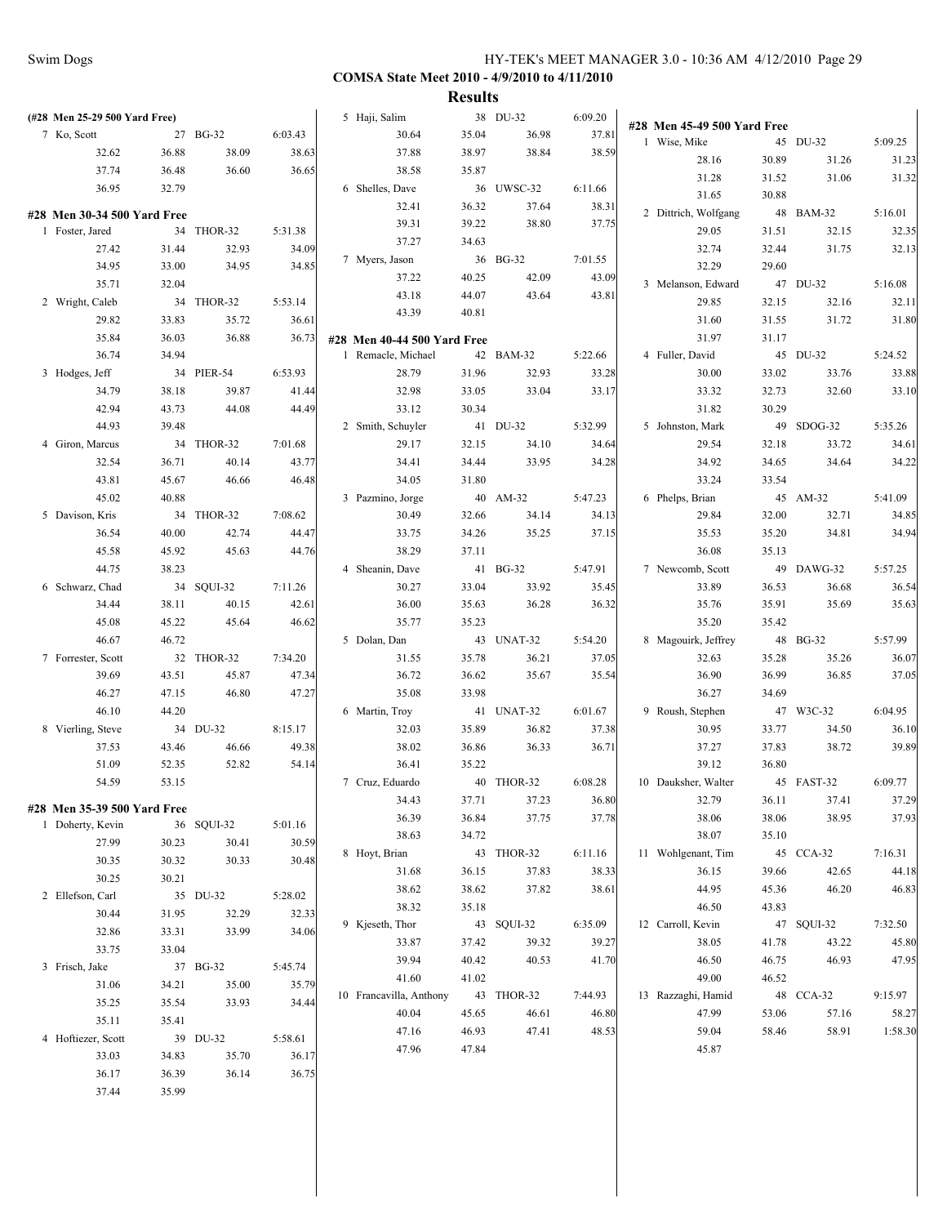| (#28 Men 25-29 500 Yard Free) |            |         | 5 Haji, Salim               |       | 38 DU-32   | 6:09.20 |                             |       |            |         |
|-------------------------------|------------|---------|-----------------------------|-------|------------|---------|-----------------------------|-------|------------|---------|
| 7 Ko, Scott                   | 27 BG-32   | 6:03.43 | 30.64                       | 35.04 | 36.98      | 37.81   | #28 Men 45-49 500 Yard Free |       |            |         |
| 32.62<br>36.88                | 38.09      | 38.63   | 37.88                       | 38.97 | 38.84      | 38.59   | 1 Wise, Mike                |       | 45 DU-32   | 5:09.25 |
| 37.74<br>36.48                | 36.60      | 36.65   | 38.58                       | 35.87 |            |         | 28.16                       | 30.89 | 31.26      | 31.23   |
| 36.95<br>32.79                |            |         | 6 Shelles, Dave             |       | 36 UWSC-32 | 6:11.66 | 31.28                       | 31.52 | 31.06      | 31.32   |
|                               |            |         | 32.41                       | 36.32 | 37.64      | 38.31   | 31.65                       | 30.88 |            |         |
| #28 Men 30-34 500 Yard Free   |            |         | 39.31                       | 39.22 | 38.80      | 37.75   | 2 Dittrich, Wolfgang        |       | 48 BAM-32  | 5:16.01 |
| 1 Foster, Jared               | 34 THOR-32 | 5:31.38 | 37.27                       | 34.63 |            |         | 29.05                       | 31.51 | 32.15      | 32.35   |
| 27.42<br>31.44                | 32.93      | 34.09   | 7 Myers, Jason              |       | 36 BG-32   | 7:01.55 | 32.74                       | 32.44 | 31.75      | 32.13   |
| 34.95<br>33.00                | 34.95      | 34.85   | 37.22                       | 40.25 | 42.09      | 43.09   | 32.29                       | 29.60 |            |         |
| 35.71<br>32.04                |            |         | 43.18                       | 44.07 | 43.64      | 43.81   | 3 Melanson, Edward          |       | 47 DU-32   | 5:16.08 |
| 2 Wright, Caleb               | 34 THOR-32 | 5:53.14 | 43.39                       | 40.81 |            |         | 29.85                       | 32.15 | 32.16      | 32.11   |
| 29.82<br>33.83                | 35.72      | 36.61   |                             |       |            |         | 31.60                       | 31.55 | 31.72      | 31.80   |
| 35.84<br>36.03                | 36.88      | 36.73   | #28 Men 40-44 500 Yard Free |       |            |         | 31.97                       | 31.17 |            |         |
| 36.74<br>34.94                |            |         | 1 Remacle, Michael          |       | 42 BAM-32  | 5:22.66 | 4 Fuller, David             |       | 45 DU-32   | 5:24.52 |
| 3 Hodges, Jeff                | 34 PIER-54 | 6:53.93 | 28.79                       | 31.96 | 32.93      | 33.28   | 30.00                       | 33.02 | 33.76      | 33.88   |
| 34.79<br>38.18                | 39.87      | 41.44   | 32.98                       | 33.05 | 33.04      | 33.17   | 33.32                       | 32.73 | 32.60      | 33.10   |
| 42.94<br>43.73                | 44.08      | 44.49   | 33.12                       | 30.34 |            |         | 31.82                       | 30.29 |            |         |
| 44.93<br>39.48                |            |         | 2 Smith, Schuyler           |       | 41 DU-32   | 5:32.99 | 5 Johnston, Mark            |       | 49 SDOG-32 | 5:35.26 |
| 4 Giron, Marcus               | 34 THOR-32 | 7:01.68 | 29.17                       | 32.15 | 34.10      | 34.64   | 29.54                       | 32.18 | 33.72      | 34.61   |
| 32.54<br>36.71                | 40.14      | 43.77   | 34.41                       | 34.44 | 33.95      | 34.28   | 34.92                       | 34.65 | 34.64      | 34.22   |
| 43.81<br>45.67                | 46.66      | 46.48   | 34.05                       | 31.80 |            |         | 33.24                       | 33.54 |            |         |
| 45.02<br>40.88                |            |         | 3 Pazmino, Jorge            |       | 40 AM-32   | 5:47.23 | 6 Phelps, Brian             |       | 45 AM-32   | 5:41.09 |
| 5 Davison, Kris               | 34 THOR-32 | 7:08.62 | 30.49                       | 32.66 | 34.14      | 34.13   | 29.84                       | 32.00 | 32.71      | 34.85   |
| 36.54<br>40.00                | 42.74      | 44.47   | 33.75                       | 34.26 | 35.25      | 37.15   | 35.53                       | 35.20 | 34.81      | 34.94   |
| 45.58<br>45.92                | 45.63      | 44.76   | 38.29                       | 37.11 |            |         | 36.08                       | 35.13 |            |         |
| 44.75<br>38.23                |            |         | 4 Sheanin, Dave             |       | 41 BG-32   | 5:47.91 | 7 Newcomb, Scott            |       | 49 DAWG-32 | 5:57.25 |
| 6 Schwarz, Chad               | 34 SQUI-32 | 7:11.26 | 30.27                       | 33.04 | 33.92      | 35.45   | 33.89                       | 36.53 | 36.68      | 36.54   |
| 34.44<br>38.11                | 40.15      | 42.61   | 36.00                       | 35.63 | 36.28      | 36.32   | 35.76                       | 35.91 | 35.69      | 35.63   |
| 45.08<br>45.22                | 45.64      | 46.62   | 35.77                       | 35.23 |            |         | 35.20                       | 35.42 |            |         |
| 46.67<br>46.72                |            |         | 5 Dolan, Dan                |       | 43 UNAT-32 | 5:54.20 | 8 Magouirk, Jeffrey         |       | 48 BG-32   | 5:57.99 |
| 7 Forrester, Scott            | 32 THOR-32 | 7:34.20 | 31.55                       | 35.78 | 36.21      | 37.05   | 32.63                       | 35.28 | 35.26      | 36.07   |
| 39.69<br>43.51                | 45.87      | 47.34   | 36.72                       | 36.62 | 35.67      | 35.54   | 36.90                       | 36.99 | 36.85      | 37.05   |
| 46.27<br>47.15                | 46.80      | 47.27   | 35.08                       | 33.98 |            |         | 36.27                       | 34.69 |            |         |
| 46.10<br>44.20                |            |         | 6 Martin, Troy              |       | 41 UNAT-32 | 6:01.67 | 9 Roush, Stephen            |       | 47 W3C-32  | 6:04.95 |
| 8 Vierling, Steve             | 34 DU-32   | 8:15.17 | 32.03                       | 35.89 | 36.82      | 37.38   | 30.95                       | 33.77 | 34.50      | 36.10   |
| 37.53<br>43.46                | 46.66      | 49.38   | 38.02                       | 36.86 | 36.33      | 36.71   | 37.27                       | 37.83 | 38.72      | 39.89   |
| 51.09<br>52.35                | 52.82      | 54.14   | 36.41                       | 35.22 |            |         | 39.12                       | 36.80 |            |         |
| 54.59<br>53.15                |            |         | 7 Cruz, Eduardo             |       | 40 THOR-32 | 6:08.28 | 10 Dauksher, Walter         |       | 45 FAST-32 | 6:09.77 |
| #28 Men 35-39 500 Yard Free   |            |         | 34.43                       | 37.71 | 37.23      | 36.80   | 32.79                       | 36.11 | 37.41      | 37.29   |
| 1 Doherty, Kevin              | 36 SQUI-32 | 5:01.16 | 36.39                       | 36.84 | 37.75      | 37.78   | 38.06                       | 38.06 | 38.95      | 37.93   |
| 27.99<br>30.23                | 30.41      | 30.59   | 38.63                       | 34.72 |            |         | 38.07                       | 35.10 |            |         |
| 30.35<br>30.32                | 30.33      | 30.48   | 8 Hoyt, Brian               |       | 43 THOR-32 | 6:11.16 | 11 Wohlgenant, Tim          |       | 45 CCA-32  | 7:16.31 |
| 30.25<br>30.21                |            |         | 31.68                       | 36.15 | 37.83      | 38.33   | 36.15                       | 39.66 | 42.65      | 44.18   |
| 2 Ellefson, Carl              | 35 DU-32   | 5:28.02 | 38.62                       | 38.62 | 37.82      | 38.61   | 44.95                       | 45.36 | 46.20      | 46.83   |
| 30.44<br>31.95                | 32.29      | 32.33   | 38.32                       | 35.18 |            |         | 46.50                       | 43.83 |            |         |
| 32.86<br>33.31                | 33.99      | 34.06   | 9 Kjeseth, Thor             |       | 43 SQUI-32 | 6:35.09 | 12 Carroll, Kevin           |       | 47 SQUI-32 | 7:32.50 |
| 33.75<br>33.04                |            |         | 33.87                       | 37.42 | 39.32      | 39.27   | 38.05                       | 41.78 | 43.22      | 45.80   |
| 3 Frisch, Jake                | 37 BG-32   | 5:45.74 | 39.94                       | 40.42 | 40.53      | 41.70   | 46.50                       | 46.75 | 46.93      | 47.95   |
| 31.06<br>34.21                | 35.00      | 35.79   | 41.60                       | 41.02 |            |         | 49.00                       | 46.52 |            |         |
| 35.25<br>35.54                | 33.93      | 34.44   | 10 Francavilla, Anthony     |       | 43 THOR-32 | 7:44.93 | 13 Razzaghi, Hamid          |       | 48 CCA-32  | 9:15.97 |
| 35.11<br>35.41                |            |         | 40.04                       | 45.65 | 46.61      | 46.80   | 47.99                       | 53.06 | 57.16      | 58.27   |
| 4 Hoftiezer, Scott            | 39 DU-32   | 5:58.61 | 47.16                       | 46.93 | 47.41      | 48.53   | 59.04                       | 58.46 | 58.91      | 1:58.30 |
| 33.03<br>34.83                | 35.70      | 36.17   | 47.96                       | 47.84 |            |         | 45.87                       |       |            |         |
| 36.17<br>36.39                | 36.14      | 36.75   |                             |       |            |         |                             |       |            |         |
| 37.44<br>35.99                |            |         |                             |       |            |         |                             |       |            |         |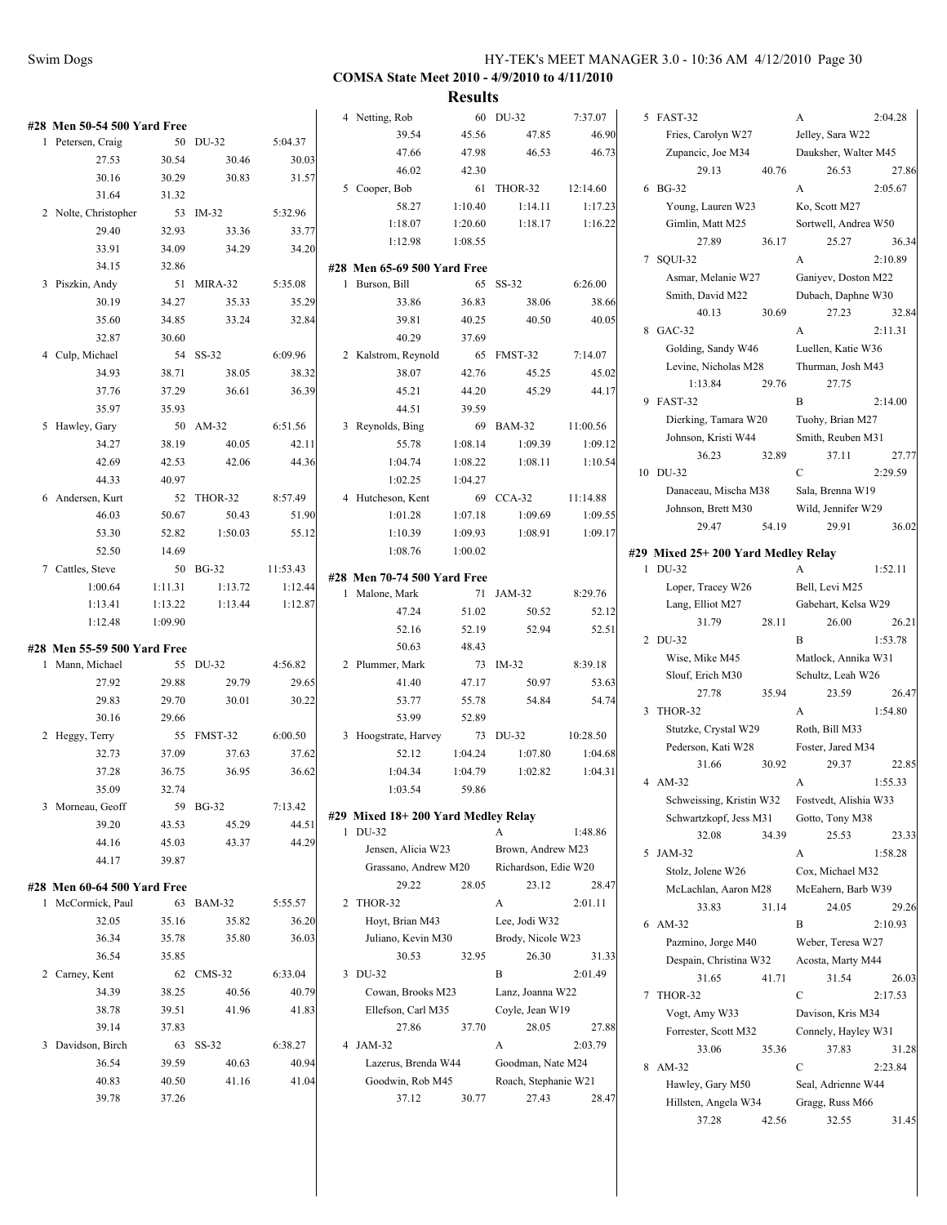|                             |         |            |          |                                    | Treative |                      |          |                                    |       |                       |         |
|-----------------------------|---------|------------|----------|------------------------------------|----------|----------------------|----------|------------------------------------|-------|-----------------------|---------|
| #28 Men 50-54 500 Yard Free |         |            |          | 4 Netting, Rob                     |          | 60 DU-32             | 7:37.07  | 5 FAST-32                          |       | A                     | 2:04.28 |
| 1 Petersen, Craig           |         | 50 DU-32   | 5:04.37  | 39.54                              | 45.56    | 47.85                | 46.90    | Fries, Carolyn W27                 |       | Jelley, Sara W22      |         |
| 27.53                       | 30.54   | 30.46      | 30.03    | 47.66                              | 47.98    | 46.53                | 46.73    | Zupancic, Joe M34                  |       | Dauksher, Walter M45  |         |
| 30.16                       | 30.29   | 30.83      | 31.57    | 46.02                              | 42.30    |                      |          | 29.13                              | 40.76 | 26.53                 | 27.86   |
| 31.64                       | 31.32   |            |          | 5 Cooper, Bob                      |          | 61 THOR-32           | 12:14.60 | 6 BG-32                            |       | A                     | 2:05.67 |
| 2 Nolte, Christopher        |         | 53 IM-32   | 5:32.96  | 58.27                              | 1:10.40  | 1:14.11              | 1:17.23  | Young, Lauren W23                  |       | Ko, Scott M27         |         |
| 29.40                       | 32.93   | 33.36      | 33.77    | 1:18.07                            | 1:20.60  | 1:18.17              | 1:16.22  | Gimlin, Matt M25                   |       | Sortwell, Andrea W50  |         |
| 33.91                       | 34.09   | 34.29      | 34.20    | 1:12.98                            | 1:08.55  |                      |          | 27.89                              | 36.17 | 25.27                 | 36.34   |
| 34.15                       | 32.86   |            |          | #28 Men 65-69 500 Yard Free        |          |                      |          | 7 SOUI-32                          |       | A                     | 2:10.89 |
| 3 Piszkin, Andy             |         | 51 MIRA-32 | 5:35.08  | 1 Burson, Bill                     |          | 65 SS-32             | 6:26.00  | Asmar, Melanie W27                 |       | Ganiyev, Doston M22   |         |
| 30.19                       | 34.27   | 35.33      | 35.29    | 33.86                              | 36.83    | 38.06                | 38.66    | Smith, David M22                   |       | Dubach, Daphne W30    |         |
| 35.60                       | 34.85   | 33.24      | 32.84    | 39.81                              | 40.25    | 40.50                | 40.05    | 40.13                              | 30.69 | 27.23                 | 32.84   |
| 32.87                       | 30.60   |            |          | 40.29                              | 37.69    |                      |          | 8 GAC-32                           |       | A                     | 2:11.31 |
| 4 Culp, Michael             |         | 54 SS-32   | 6:09.96  | 2 Kalstrom, Reynold                |          | 65 FMST-32           | 7:14.07  | Golding, Sandy W46                 |       | Luellen, Katie W36    |         |
| 34.93                       | 38.71   | 38.05      | 38.32    | 38.07                              | 42.76    | 45.25                | 45.02    | Levine, Nicholas M28               |       | Thurman, Josh M43     |         |
|                             |         |            |          |                                    |          | 45.29                |          | 1:13.84                            | 29.76 | 27.75                 |         |
| 37.76                       | 37.29   | 36.61      | 36.39    | 45.21                              | 44.20    |                      | 44.17    | 9 FAST-32                          |       | B                     | 2:14.00 |
| 35.97                       | 35.93   |            |          | 44.51                              | 39.59    |                      |          | Dierking, Tamara W20               |       | Tuohy, Brian M27      |         |
| 5 Hawley, Gary              |         | 50 AM-32   | 6:51.56  | 3 Reynolds, Bing                   |          | 69 BAM-32            | 11:00.56 | Johnson, Kristi W44                |       | Smith, Reuben M31     |         |
| 34.27                       | 38.19   | 40.05      | 42.11    | 55.78                              | 1:08.14  | 1:09.39              | 1:09.12  | 36.23                              | 32.89 | 37.11                 | 27.77   |
| 42.69                       | 42.53   | 42.06      | 44.36    | 1:04.74                            | 1:08.22  | 1:08.11              | 1:10.54  | 10 DU-32                           |       | $\mathcal{C}$         | 2:29.59 |
| 44.33                       | 40.97   |            |          | 1:02.25                            | 1:04.27  |                      |          | Danaceau, Mischa M38               |       | Sala, Brenna W19      |         |
| 6 Andersen, Kurt            |         | 52 THOR-32 | 8:57.49  | 4 Hutcheson, Kent                  |          | 69 CCA-32            | 11:14.88 | Johnson, Brett M30                 |       | Wild, Jennifer W29    |         |
| 46.03                       | 50.67   | 50.43      | 51.90    | 1:01.28                            | 1:07.18  | 1:09.69              | 1:09.55  | 29.47                              | 54.19 | 29.91                 | 36.02   |
| 53.30                       | 52.82   | 1:50.03    | 55.12    | 1:10.39                            | 1:09.93  | 1:08.91              | 1:09.17  |                                    |       |                       |         |
| 52.50                       | 14.69   |            |          | 1:08.76                            | 1:00.02  |                      |          | #29 Mixed 25+200 Yard Medley Relay |       |                       |         |
| 7 Cattles, Steve            |         | 50 BG-32   | 11:53.43 | #28 Men 70-74 500 Yard Free        |          |                      |          | 1 DU-32                            |       | $\mathbf{A}$          | 1:52.11 |
| 1:00.64                     | 1:11.31 | 1:13.72    | 1:12.44  | 1 Malone, Mark                     |          | 71 JAM-32            | 8:29.76  | Loper, Tracey W26                  |       | Bell, Levi M25        |         |
| 1:13.41                     | 1:13.22 | 1:13.44    | 1:12.87  | 47.24                              | 51.02    | 50.52                | 52.12    | Lang, Elliot M27                   |       | Gabehart, Kelsa W29   |         |
| 1:12.48                     | 1:09.90 |            |          | 52.16                              | 52.19    | 52.94                | 52.51    | 31.79                              | 28.11 | 26.00                 | 26.21   |
| #28 Men 55-59 500 Yard Free |         |            |          | 50.63                              | 48.43    |                      |          | 2 DU-32                            |       | B                     | 1:53.78 |
| 1 Mann, Michael             |         | 55 DU-32   | 4:56.82  | 2 Plummer, Mark                    |          | 73 IM-32             | 8:39.18  | Wise, Mike M45                     |       | Matlock, Annika W31   |         |
| 27.92                       | 29.88   | 29.79      | 29.65    | 41.40                              | 47.17    | 50.97                | 53.63    | Slouf, Erich M30                   |       | Schultz, Leah W26     |         |
| 29.83                       | 29.70   | 30.01      | 30.22    | 53.77                              | 55.78    | 54.84                | 54.74    | 27.78                              | 35.94 | 23.59                 | 26.47   |
| 30.16                       | 29.66   |            |          | 53.99                              | 52.89    |                      |          | 3 THOR-32                          |       | $\mathbf{A}$          | 1:54.80 |
| 2 Heggy, Terry              |         | 55 FMST-32 | 6:00.50  | 3 Hoogstrate, Harvey               |          | 73 DU-32             | 10:28.50 | Stutzke, Crystal W29               |       | Roth, Bill M33        |         |
| 32.73                       | 37.09   | 37.63      | 37.62    | 52.12                              | 1:04.24  | 1:07.80              | 1:04.68  | Pederson, Kati W28                 |       | Foster, Jared M34     |         |
| 37.28                       | 36.75   | 36.95      | 36.62    | 1:04.34                            | 1:04.79  | 1:02.82              | 1:04.31  | 31.66                              | 30.92 | 29.37                 | 22.85   |
| 35.09                       | 32.74   |            |          | 1:03.54                            | 59.86    |                      |          | 4 AM-32                            |       | A                     | 1:55.33 |
| 3 Morneau, Geoff            |         | 59 BG-32   | 7:13.42  |                                    |          |                      |          | Schweissing, Kristin W32           |       | Fostvedt, Alishia W33 |         |
| 39.20                       | 43.53   | 45.29      | 44.51    | #29 Mixed 18+200 Yard Medley Relay |          |                      |          | Schwartzkopf, Jess M31             |       | Gotto, Tony M38       |         |
| 44.16                       | 45.03   | 43.37      | 44.29    | 1 DU-32                            |          | A                    | 1:48.86  | 32.08                              | 34.39 | 25.53                 | 23.33   |
| 44.17                       | 39.87   |            |          | Jensen, Alicia W23                 |          | Brown, Andrew M23    |          | 5 JAM-32                           |       | A                     | 1:58.28 |
|                             |         |            |          | Grassano, Andrew M20               |          | Richardson, Edie W20 |          | Stolz, Jolene W26                  |       | Cox, Michael M32      |         |
| #28 Men 60-64 500 Yard Free |         |            |          | 29.22                              | 28.05    | 23.12                | 28.47    | McLachlan, Aaron M28               |       | McEahern, Barb W39    |         |
| 1 McCormick, Paul           |         | 63 BAM-32  | 5:55.57  | 2 THOR-32                          |          | A                    | 2:01.11  | 33.83                              | 31.14 | 24.05                 | 29.26   |
| 32.05                       | 35.16   | 35.82      | 36.20    | Hoyt, Brian M43                    |          | Lee, Jodi W32        |          | 6 AM-32                            |       | $\, {\bf B}$          | 2:10.93 |
| 36.34                       | 35.78   | 35.80      | 36.03    | Juliano, Kevin M30                 |          | Brody, Nicole W23    |          | Pazmino, Jorge M40                 |       | Weber, Teresa W27     |         |
| 36.54                       | 35.85   |            |          | 30.53                              | 32.95    | 26.30                | 31.33    | Despain, Christina W32             |       | Acosta, Marty M44     |         |
| 2 Carney, Kent              |         | 62 CMS-32  | 6:33.04  | 3 DU-32                            |          | $\, {\bf B}$         | 2:01.49  | 31.65                              | 41.71 | 31.54                 | 26.03   |
| 34.39                       | 38.25   | 40.56      | 40.79    | Cowan, Brooks M23                  |          | Lanz, Joanna W22     |          | 7 THOR-32                          |       | $\mathbf C$           | 2:17.53 |
| 38.78                       | 39.51   | 41.96      | 41.83    | Ellefson, Carl M35                 |          | Coyle, Jean W19      |          | Vogt, Amy W33                      |       | Davison, Kris M34     |         |
| 39.14                       | 37.83   |            |          | 27.86                              | 37.70    | 28.05                | 27.88    | Forrester, Scott M32               |       | Connely, Hayley W31   |         |
| 3 Davidson, Birch           |         | 63 SS-32   | 6:38.27  | 4 JAM-32                           |          | A                    | 2:03.79  | 33.06                              | 35.36 | 37.83                 | 31.28   |
| 36.54                       | 39.59   | 40.63      | 40.94    | Lazerus, Brenda W44                |          | Goodman, Nate M24    |          | 8 AM-32                            |       | $\mathbf C$           | 2:23.84 |
| 40.83                       | 40.50   | 41.16      | 41.04    | Goodwin, Rob M45                   |          | Roach, Stephanie W21 |          | Hawley, Gary M50                   |       | Seal, Adrienne W44    |         |
| 39.78                       | 37.26   |            |          | 37.12                              | 30.77    | 27.43                | 28.47    | Hillsten, Angela W34               |       | Gragg, Russ M66       |         |
|                             |         |            |          |                                    |          |                      |          | 37.28                              | 42.56 | 32.55                 | 31.45   |
|                             |         |            |          |                                    |          |                      |          |                                    |       |                       |         |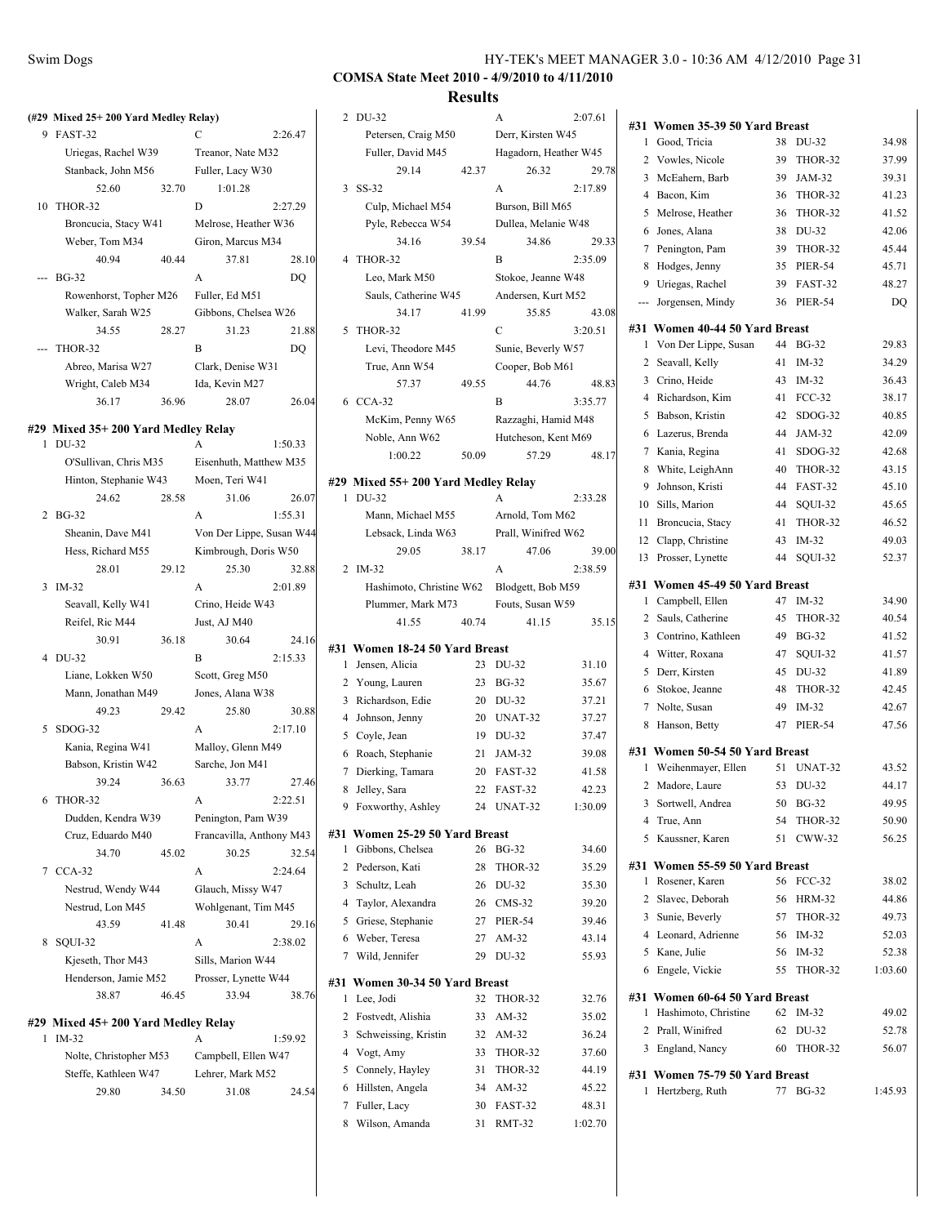$41.23$ 

45.44

34.29

 $40.85$ 

 $43.15$ 

 $45.65$ 

 $41.52$ 

 $42.45$ 

47.56

43.52

49.95

49.73 52.03

 $1:03.60\,$ 

49.02 52.78 56.07

 $1:45.93$ 

# **COMSA State Meet 2010 - 4/9/2010 to 4/11/2010**

#### **Results**

|                                                |       |                                           |                          |   |                                               | <b>Results</b> |                  |
|------------------------------------------------|-------|-------------------------------------------|--------------------------|---|-----------------------------------------------|----------------|------------------|
| (#29 Mixed 25+200 Yard Medley Relay)           |       |                                           |                          |   | 2 DU-32                                       |                | A                |
| 9 FAST-32                                      |       | C                                         | 2:26.47                  |   | Petersen, Craig M50                           |                | Derr, Kir.       |
| Uriegas, Rachel W39                            |       | Treanor, Nate M32                         |                          |   | Fuller, David M45                             |                | Hagadorr         |
| Stanback, John M56                             |       | Fuller, Lacy W30                          |                          |   | 29.14                                         | 42.37          | 26               |
| 52.60                                          | 32.70 | 1:01.28                                   |                          |   | 3 SS-32                                       |                | A                |
| 10 THOR-32                                     |       | D                                         | 2:27.29                  |   | Culp, Michael M54                             |                | Burson, E        |
| Broncucia, Stacy W41                           |       | Melrose, Heather W36                      |                          |   | Pyle, Rebecca W54                             |                | Dullea, M        |
| Weber, Tom M34                                 |       | Giron, Marcus M34                         |                          |   | 34.16                                         | 39.54          | 34               |
| 40.94                                          | 40.44 | 37.81                                     | 28.10                    |   | 4 THOR-32                                     |                | B                |
| <b>BG-32</b>                                   |       | A                                         | DQ                       |   | Leo, Mark M50                                 |                | Stokoe, J        |
| Rowenhorst, Topher M26                         |       | Fuller, Ed M51                            |                          |   | Sauls, Catherine W45                          |                | Andersen         |
| Walker, Sarah W25                              |       | Gibbons, Chelsea W26                      |                          |   | 34.17                                         | 41.99          | 35               |
| 34.55                                          | 28.27 | 31.23                                     | 21.88                    |   | 5 THOR-32                                     |                | C                |
| THOR-32                                        |       | B                                         | DQ                       |   | Levi, Theodore M45                            |                | Sunie, Be        |
| Abreo, Marisa W27                              |       | Clark, Denise W31                         |                          |   | True, Ann W54                                 |                | Cooper, I        |
| Wright, Caleb M34                              |       | Ida, Kevin M27                            |                          |   | 57.37                                         | 49.55          | 44               |
| 36.17                                          | 36.96 | 28.07                                     | 26.04                    |   | 6 CCA-32                                      |                | B                |
|                                                |       |                                           |                          |   | McKim, Penny W65                              |                | Razzaghi         |
| #29 Mixed 35+ 200 Yard Medley Relay<br>1 DU-32 |       | A                                         | 1:50.33                  |   | Noble, Ann W62                                |                | Hutcheso         |
| O'Sullivan, Chris M35                          |       | Eisenhuth, Matthew M35                    |                          |   | 1:00.22                                       | 50.09          | 57               |
| Hinton, Stephanie W43                          |       | Moen, Teri W41                            |                          |   |                                               |                |                  |
| 24.62                                          | 28.58 | 31.06                                     | 26.07                    |   | #29 Mixed 55+200 Yard Medley Relay<br>1 DU-32 |                | A                |
| 2 BG-32                                        |       | A                                         | 1:55.31                  |   | Mann, Michael M55                             |                | Arnold, T        |
| Sheanin, Dave M41                              |       |                                           | Von Der Lippe, Susan W44 |   |                                               |                |                  |
|                                                |       |                                           |                          |   | Lebsack, Linda W63<br>29.05                   | 38.17          | Prall, Wii<br>47 |
| Hess, Richard M55<br>28.01                     | 29.12 | Kimbrough, Doris W50<br>25.30             | 32.88                    |   | 2 IM-32                                       |                | A                |
| 3 IM-32                                        |       | A                                         | 2:01.89                  |   | Hashimoto, Christine W62                      |                | Blodgett,        |
| Seavall, Kelly W41                             |       | Crino, Heide W43                          |                          |   |                                               |                | Fouts, Su        |
| Reifel, Ric M44                                |       | Just, AJ M40                              |                          |   | Plummer, Mark M73<br>41.55                    | 40.74          | 41               |
| 30.91                                          | 36.18 | 30.64                                     | 24.16                    |   |                                               |                |                  |
| 4 DU-32                                        |       | B                                         | 2:15.33                  |   | #31 Women 18-24 50 Yard Breast                |                |                  |
| Liane, Lokken W50                              |       | Scott, Greg M50                           |                          |   | 1 Jensen, Alicia                              |                | 23 DU-32         |
| Mann, Jonathan M49                             |       | Jones, Alana W38                          |                          |   | 2 Young, Lauren                               |                | 23 BG-32         |
| 49.23                                          | 29.42 | 25.80                                     | 30.88                    |   | 3 Richardson, Edie                            |                | 20 DU-32         |
| 5 SDOG-32                                      |       | A                                         | 2:17.10                  |   | 4 Johnson, Jenny                              |                | 20 UNAT-32       |
| Kania, Regina W41                              |       | Malloy, Glenn M49                         |                          |   | 5 Coyle, Jean                                 |                | 19 DU-32         |
| Babson, Kristin W42                            |       | Sarche, Jon M41                           |                          |   | 6 Roach, Stephanie                            |                | 21 JAM-32        |
| 39.24                                          | 36.63 | 33.77                                     | 27.46                    |   | 7 Dierking, Tamara                            |                | 20 FAST-32       |
| 6 THOR-32                                      |       | A                                         | 2:22.51                  |   | 8 Jelley, Sara                                | 22             | FAST-32          |
| Dudden, Kendra W39                             |       | Penington, Pam W39                        |                          |   | 9 Foxworthy, Ashley                           | 24             | UNAT-32          |
| Cruz, Eduardo M40                              |       | Francavilla, Anthony M43                  |                          |   | #31 Women 25-29 50 Yard Breast                |                |                  |
| 34.70                                          | 45.02 | 30.25                                     | 32.54                    | 1 | Gibbons, Chelsea                              |                | 26 BG-32         |
| 7 CCA-32                                       |       | A                                         | 2:24.64                  |   | 2 Pederson, Kati                              | 28             | THOR-32          |
| Nestrud, Wendy W44                             |       | Glauch, Missy W47                         |                          |   | 3 Schultz, Leah                               |                | 26 DU-32         |
| Nestrud, Lon M45                               |       | Wohlgenant, Tim M45                       |                          |   | 4 Taylor, Alexandra                           |                | 26 CMS-32        |
| 43.59                                          | 41.48 | 30.41                                     | 29.16                    | 5 | Griese, Stephanie                             | 27             | <b>PIER-54</b>   |
| 8 SQUI-32                                      |       | A                                         | 2:38.02                  |   | 6 Weber, Teresa                               | 27             | $AM-32$          |
|                                                |       |                                           |                          |   | 7 Wild, Jennifer                              | 29             | DU-32            |
| Kjeseth, Thor M43<br>Henderson, Jamie M52      |       | Sills, Marion W44<br>Prosser, Lynette W44 |                          |   |                                               |                |                  |
| 38.87                                          | 46.45 | 33.94                                     | 38.76                    |   | #31 Women 30-34 50 Yard Breast                |                |                  |
|                                                |       |                                           |                          |   | 1 Lee, Jodi                                   |                | 32 THOR-32       |
| #29 Mixed 45+ 200 Yard Medley Relay            |       |                                           |                          |   | 2 Fostvedt, Alishia                           | 33             | AM-32            |
| $1$ IM-32                                      |       |                                           | 1:59.92                  |   | 3 Schweissing, Kristin                        |                | 32 AM-32         |

| Sheanin, Dave M41              |       | Von Der Lippe, Susan W44 |         |              | Lebsack, Linda W63             |       | Prall, Winifred W62 |         |
|--------------------------------|-------|--------------------------|---------|--------------|--------------------------------|-------|---------------------|---------|
| Hess, Richard M55              |       | Kimbrough, Doris W50     |         |              | 29.05                          | 38.17 | 47.06               | 39.00   |
| 28.01                          | 29.12 | 25.30                    | 32.88   |              | 2 IM-32                        |       | A                   | 2:38.59 |
| M-32                           |       | A                        | 2:01.89 |              | Hashimoto, Christine W62       |       | Blodgett, Bob M59   |         |
| Seavall, Kelly W41             |       | Crino, Heide W43         |         |              | Plummer, Mark M73              |       | Fouts, Susan W59    |         |
| Reifel, Ric M44                |       | Just, AJ M40             |         |              | 41.55                          | 40.74 | 41.15               | 35.15   |
| 30.91                          | 36.18 | 30.64                    | 24.16   |              | #31 Women 18-24 50 Yard Breast |       |                     |         |
| JU-32                          |       | B                        | 2:15.33 | $\mathbf{1}$ | Jensen, Alicia                 |       | 23 DU-32            | 31.10   |
| Liane, Lokken W50              |       | Scott, Greg M50          |         |              | 2 Young, Lauren                | 23    | <b>BG-32</b>        | 35.67   |
| Mann, Jonathan M49             |       | Jones, Alana W38         |         |              | 3 Richardson, Edie             | 20    | DU-32               | 37.21   |
| 49.23                          | 29.42 | 25.80                    | 30.88   |              | 4 Johnson, Jenny               |       | 20 UNAT-32          | 37.27   |
| <b>DOG-32</b>                  |       | A                        | 2:17.10 | 5            | Coyle, Jean                    |       | 19 DU-32            | 37.47   |
| Kania, Regina W41              |       | Malloy, Glenn M49        |         | 6            | Roach, Stephanie               | 21    | JAM-32              | 39.08   |
| Babson, Kristin W42            |       | Sarche, Jon M41          |         |              | 7 Dierking, Tamara             | 20    | FAST-32             | 41.58   |
| 39.24                          | 36.63 | 33.77                    | 27.46   |              | 8 Jelley, Sara                 | 22    | FAST-32             | 42.23   |
| <b>HOR-32</b>                  |       | A                        | 2:22.51 |              | 9 Foxworthy, Ashley            | 24    | UNAT-32             | 1:30.09 |
| Dudden, Kendra W39             |       | Penington, Pam W39       |         |              |                                |       |                     |         |
| Cruz, Eduardo M40              |       | Francavilla, Anthony M43 |         |              | #31 Women 25-29 50 Yard Breast |       |                     |         |
| 34.70                          | 45.02 | 30.25                    | 32.54   | 1            | Gibbons, Chelsea               |       | 26 BG-32            | 34.60   |
| 'CA-32                         |       | A                        | 2:24.64 |              | 2 Pederson, Kati               | 28    | THOR-32             | 35.29   |
| Nestrud, Wendy W44             |       | Glauch, Missy W47        |         | 3            | Schultz, Leah                  | 26    | DU-32               | 35.30   |
| Nestrud, Lon M45               |       | Wohlgenant, Tim M45      |         | 4            | Taylor, Alexandra              |       | 26 CMS-32           | 39.20   |
| 43.59                          | 41.48 | 30.41                    | 29.16   |              | 5 Griese, Stephanie            | 27    | <b>PIER-54</b>      | 39.46   |
| QUI-32                         |       | A                        | 2:38.02 |              | 6 Weber, Teresa                | 27    | AM-32               | 43.14   |
| Kjeseth, Thor M43              |       | Sills, Marion W44        |         |              | 7 Wild, Jennifer               | 29    | DU-32               | 55.93   |
| Henderson, Jamie M52           |       | Prosser, Lynette W44     |         |              | #31 Women 30-34 50 Yard Breast |       |                     |         |
| 38.87                          | 46.45 | 33.94                    | 38.76   |              | 1 Lee, Jodi                    | 32    | THOR-32             | 32.76   |
|                                |       |                          |         |              | 2 Fostvedt, Alishia            | 33    | AM-32               | 35.02   |
| lixed 45+200 Yard Medley Relay |       |                          |         | 3            | Schweissing, Kristin           | 32    | $AM-32$             | 36.24   |
| $M-32$                         |       | A                        | 1:59.92 |              | 4 Vogt, Amy                    |       | 33 THOR-32          | 37.60   |
| Nolte, Christopher M53         |       | Campbell, Ellen W47      |         |              | 5 Connely, Hayley              | 31    | THOR-32             | 44.19   |
| Steffe, Kathleen W47           |       | Lehrer, Mark M52         |         |              | 6 Hillsten, Angela             |       | 34 AM-32            | 45.22   |
| 29.80                          | 34.50 | 31.08                    | 24.54   |              | 7 Fuller, Lacy                 | 30    | FAST-32             | 48.31   |
|                                |       |                          |         |              | 8 Wilson, Amanda               | 31    | <b>RMT-32</b>       | 1:02.70 |
|                                |       |                          |         |              |                                |       |                     |         |
|                                |       |                          |         |              |                                |       |                     |         |

|                                                   | rcəunə |                       |         |    |                                |    |                |         |
|---------------------------------------------------|--------|-----------------------|---------|----|--------------------------------|----|----------------|---------|
| 2 DU-32                                           |        | A                     | 2:07.61 |    | #31 Women 35-39 50 Yard Breast |    |                |         |
| Petersen, Craig M50                               |        | Derr, Kirsten W45     |         |    | 1 Good, Tricia                 |    | 38 DU-32       | 34.98   |
| Fuller, David M45                                 |        | Hagadorn, Heather W45 |         |    | 2 Vowles, Nicole               | 39 | THOR-32        | 37.99   |
| 29.14                                             | 42.37  | 26.32                 | 29.78   |    |                                | 39 | JAM-32         |         |
| 3 SS-32                                           |        | A                     | 2:17.89 |    | 3 McEahern, Barb               |    |                | 39.31   |
| Culp, Michael M54                                 |        | Burson, Bill M65      |         |    | 4 Bacon, Kim                   | 36 | THOR-32        | 41.23   |
| Pyle, Rebecca W54                                 |        | Dullea, Melanie W48   |         |    | 5 Melrose, Heather             | 36 | THOR-32        | 41.52   |
| 34.16                                             | 39.54  | 34.86                 | 29.33   |    | 6 Jones, Alana                 | 38 | DU-32          | 42.06   |
| 4 THOR-32                                         |        | B                     | 2:35.09 |    | 7 Penington, Pam               | 39 | THOR-32        | 45.44   |
| Leo, Mark M50                                     |        | Stokoe, Jeanne W48    |         |    | 8 Hodges, Jenny                | 35 | <b>PIER-54</b> | 45.71   |
| Sauls, Catherine W45                              |        | Andersen, Kurt M52    |         | 9  | Uriegas, Rachel                | 39 | FAST-32        | 48.27   |
| 34.17                                             | 41.99  | 35.85                 | 43.08   |    | Jorgensen, Mindy               |    | 36 PIER-54     | DQ      |
| 5 THOR-32                                         |        | C                     | 3:20.51 |    | #31 Women 40-44 50 Yard Breast |    |                |         |
| Levi, Theodore M45                                |        | Sunie, Beverly W57    |         |    | 1 Von Der Lippe, Susan         |    | 44 BG-32       | 29.83   |
| True, Ann W54                                     |        | Cooper, Bob M61       |         |    | 2 Seavall, Kelly               | 41 | IM-32          | 34.29   |
| 57.37                                             | 49.55  | 44.76                 | 48.83   |    | 3 Crino, Heide                 | 43 | IM-32          | 36.43   |
| 6 CCA-32                                          |        | B                     | 3:35.77 |    | 4 Richardson, Kim              | 41 | FCC-32         | 38.17   |
| McKim, Penny W65                                  |        | Razzaghi, Hamid M48   |         |    | 5 Babson, Kristin              | 42 | SDOG-32        | 40.85   |
| Noble, Ann W62                                    |        | Hutcheson, Kent M69   |         |    | 6 Lazerus, Brenda              | 44 | $JAM-32$       | 42.09   |
| 1:00.22                                           | 50.09  | 57.29                 | 48.17   |    | 7 Kania, Regina                | 41 | $SDOG-32$      | 42.68   |
|                                                   |        |                       |         | 8  | White, LeighAnn                | 40 | THOR-32        | 43.15   |
| 9 Mixed 55+ 200 Yard Medley Relay                 |        |                       |         | 9  | Johnson, Kristi                | 44 | FAST-32        | 45.10   |
| 1 DU-32                                           |        | A                     | 2:33.28 | 10 | Sills, Marion                  | 44 | SQUI-32        | 45.65   |
| Mann, Michael M55                                 |        | Arnold, Tom M62       |         | 11 | Broncucia, Stacy               | 41 | THOR-32        | 46.52   |
| Lebsack, Linda W63                                |        | Prall, Winifred W62   |         | 12 | Clapp, Christine               | 43 | $IM-32$        | 49.03   |
| 29.05                                             | 38.17  | 47.06                 | 39.00   |    | 13 Prosser, Lynette            | 44 | SQUI-32        | 52.37   |
| 2 IM-32                                           |        | A                     | 2:38.59 |    |                                |    |                |         |
| Hashimoto, Christine W62                          |        | Blodgett, Bob M59     |         |    | #31 Women 45-49 50 Yard Breast |    |                |         |
| Plummer, Mark M73                                 |        | Fouts, Susan W59      |         |    | 1 Campbell, Ellen              |    | 47 IM-32       | 34.90   |
| 41.55                                             | 40.74  | 41.15                 | 35.15   |    | 2 Sauls, Catherine             | 45 | THOR-32        | 40.54   |
|                                                   |        |                       |         |    | 3 Contrino, Kathleen           |    | 49 BG-32       | 41.52   |
| 11 Women 18-24 50 Yard Breast<br>1 Jensen, Alicia |        | 23 DU-32              | 31.10   |    | 4 Witter, Roxana               | 47 | SQUI-32        | 41.57   |
|                                                   |        | 23 BG-32              | 35.67   |    | 5 Derr, Kirsten                | 45 | DU-32          | 41.89   |
| 2 Young, Lauren<br>3 Richardson, Edie             |        | 20 DU-32              | 37.21   |    | 6 Stokoe, Jeanne               | 48 | THOR-32        | 42.45   |
|                                                   |        | 20 UNAT-32            |         |    | 7 Nolte, Susan                 | 49 | $IM-32$        | 42.67   |
| 4 Johnson, Jenny                                  | 19     | DU-32                 | 37.27   |    | 8 Hanson, Betty                |    | 47 PIER-54     | 47.56   |
| 5 Coyle, Jean                                     |        | <b>JAM-32</b>         | 37.47   |    | #31 Women 50-54 50 Yard Breast |    |                |         |
| 6 Roach, Stephanie                                | 21     | 20 FAST-32            | 39.08   |    | 1 Weihenmayer, Ellen           |    | 51 UNAT-32     | 43.52   |
| 7 Dierking, Tamara                                |        |                       | 41.58   |    | 2 Madore, Laure                |    | 53 DU-32       | 44.17   |
| 8 Jelley, Sara                                    | 22     | FAST-32               | 42.23   |    | 3 Sortwell, Andrea             |    | 50 BG-32       | 49.95   |
| 9 Foxworthy, Ashley                               |        | 24 UNAT-32            | 1:30.09 |    | 4 True, Ann                    | 54 | THOR-32        | 50.90   |
| 11 Women 25-29 50 Yard Breast                     |        |                       |         |    | 5 Kaussner, Karen              | 51 | CWW-32         | 56.25   |
| 1 Gibbons, Chelsea                                |        | 26 BG-32              | 34.60   |    |                                |    |                |         |
| 2 Pederson, Kati                                  | 28     | THOR-32               | 35.29   |    | #31 Women 55-59 50 Yard Breast |    |                |         |
| 3 Schultz, Leah                                   | 26     | DU-32                 | 35.30   |    | 1 Rosener, Karen               |    | 56 FCC-32      | 38.02   |
| 4 Taylor, Alexandra                               | 26     | $CMS-32$              | 39.20   |    | 2 Slavec, Deborah              |    | 56 HRM-32      | 44.86   |
| 5 Griese, Stephanie                               | 27     | <b>PIER-54</b>        | 39.46   |    | 3 Sunie, Beverly               | 57 | THOR-32        | 49.73   |
| 6 Weber, Teresa                                   | 27     | AM-32                 | 43.14   |    | 4 Leonard, Adrienne            | 56 | $IM-32$        | 52.03   |
| 7 Wild, Jennifer                                  | 29     | DU-32                 | 55.93   |    | 5 Kane, Julie                  | 56 | $IM-32$        | 52.38   |
| 11 Women 30-34 50 Yard Breast                     |        |                       |         |    | 6 Engele, Vickie               | 55 | THOR-32        | 1:03.60 |
| 1 Lee, Jodi                                       | 32     | THOR-32               | 32.76   |    | #31 Women 60-64 50 Yard Breast |    |                |         |
| 2 Fostvedt, Alishia                               | 33     | $AM-32$               | 35.02   |    | 1 Hashimoto, Christine         |    | 62 IM-32       | 49.02   |
| 3 Schweissing, Kristin                            |        | 32 AM-32              | 36.24   |    | 2 Prall, Winifred              | 62 | DU-32          | 52.78   |
| 4 Vogt, Amy                                       | 33     | THOR-32               | 37.60   |    | 3 England, Nancy               | 60 | THOR-32        | 56.07   |
| 5 Connely, Hayley                                 | 31     | THOR-32               | 44.19   |    |                                |    |                |         |
| 6 Hillsten, Angela                                | 34     | AM-32                 | 45.22   |    | #31 Women 75-79 50 Yard Breast |    |                |         |
| 7 Fuller, Lacy                                    |        | 30 FAST-32            | 48.31   |    | 1 Hertzberg, Ruth              |    | 77 BG-32       | 1:45.93 |
| 8 Wilson, Amanda                                  |        | 31 RMT-32             | 1:02.70 |    |                                |    |                |         |
|                                                   |        |                       |         |    |                                |    |                |         |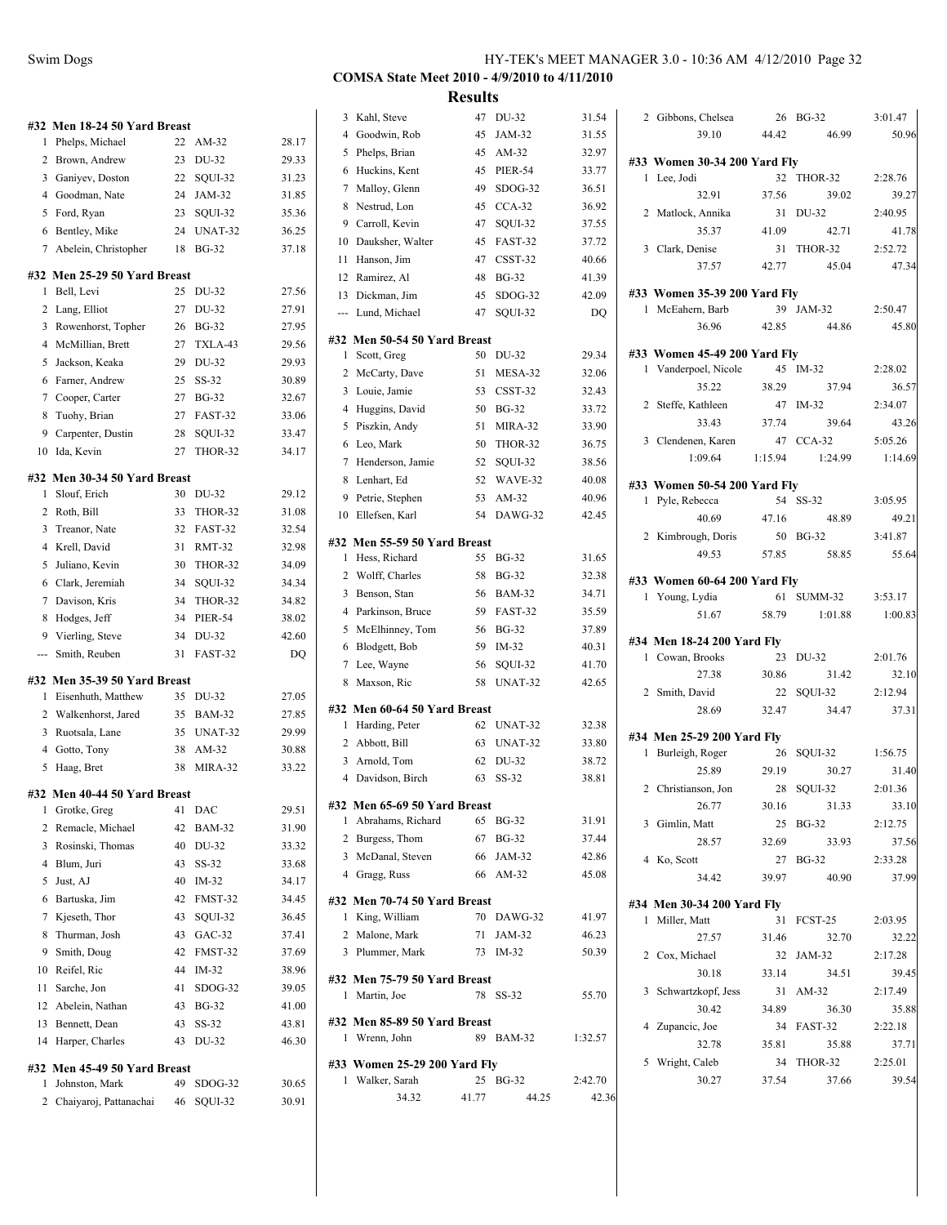| #32            | Men 18-24 50 Yard Breast     |    |                |       |
|----------------|------------------------------|----|----------------|-------|
| 1              | Phelps, Michael              | 22 | AM-32          | 28.17 |
| 2              | Brown, Andrew                | 23 | DU-32          | 29.33 |
| 3              | Ganiyev, Doston              | 22 | SQUI-32        | 31.23 |
|                | 4 Goodman, Nate              | 24 | JAM-32         | 31.85 |
| 5              | Ford, Ryan                   | 23 | SQUI-32        | 35.36 |
| 6              | Bentley, Mike                | 24 | UNAT-32        | 36.25 |
| 7              | Abelein, Christopher         | 18 | <b>BG-32</b>   | 37.18 |
| #32            | Men 25-29 50 Yard Breast     |    |                |       |
| 1              | Bell, Levi                   | 25 | DU-32          | 27.56 |
| 2              | Lang, Elliot                 | 27 | DU-32          | 27.91 |
| 3              | Rowenhorst, Topher           | 26 | <b>BG-32</b>   | 27.95 |
| 4              | McMillian, Brett             | 27 | TXLA-43        | 29.56 |
| 5              | Jackson, Keaka               | 29 | DU-32          | 29.93 |
| 6              | Farner, Andrew               | 25 | SS-32          | 30.89 |
| 7              | Cooper, Carter               | 27 | <b>BG-32</b>   | 32.67 |
| 8              | Tuohy, Brian                 | 27 | FAST-32        | 33.06 |
| 9              | Carpenter, Dustin            | 28 | SOUI-32        | 33.47 |
| 10             | Ida, Kevin                   | 27 | THOR-32        | 34.17 |
| #32            | Men 30-34 50 Yard Breast     |    |                |       |
| 1              | Slouf, Erich                 | 30 | DU-32          | 29.12 |
| 2              | Roth, Bill                   | 33 | THOR-32        | 31.08 |
| 3              | Treanor, Nate                | 32 | FAST-32        | 32.54 |
| 4              | Krell, David                 | 31 | <b>RMT-32</b>  | 32.98 |
| 5              | Juliano, Kevin               | 30 | THOR-32        | 34.09 |
| 6              | Clark, Jeremiah              | 34 | SQUI-32        | 34.34 |
| 7              | Davison, Kris                | 34 | THOR-32        | 34.82 |
| 8              | Hodges, Jeff                 | 34 | <b>PIER-54</b> | 38.02 |
| 9              | Vierling, Steve              | 34 | DU-32          | 42.60 |
| ---            | Smith, Reuben                | 31 | FAST-32        | DQ    |
|                | #32 Men 35-39 50 Yard Breast |    |                |       |
| 1              | Eisenhuth, Matthew           | 35 | DU-32          | 27.05 |
| 2              | Walkenhorst, Jared           | 35 | <b>BAM-32</b>  | 27.85 |
| 3              | Ruotsala, Lane               | 35 | UNAT-32        | 29.99 |
| $\overline{4}$ | Gotto, Tony                  | 38 | AM-32          | 30.88 |
| 5              | Haag, Bret                   | 38 | MIRA-32        | 33.22 |
|                | #32 Men 40-44 50 Yard Breast |    |                |       |
| 1              | Grotke, Greg                 | 41 | DAC            | 29.51 |
| 2              | Remacle, Michael             | 42 | <b>BAM-32</b>  | 31.90 |
| 3              | Rosinski, Thomas             | 40 | DU-32          | 33.32 |
|                | 4 Blum, Juri                 | 43 | SS-32          | 33.68 |
| 5              | Just, AJ                     | 40 | IM-32          | 34.17 |
| 6              | Bartuska, Jim                | 42 | FMST-32        | 34.45 |
| 7              | Kjeseth, Thor                | 43 | SQUI-32        | 36.45 |
| 8              | Thurman, Josh                | 43 | $GAC-32$       | 37.41 |
| 9              | Smith, Doug                  | 42 | FMST-32        | 37.69 |
| 10             | Reifel, Ric                  | 44 | IM-32          | 38.96 |
| 11             | Sarche, Jon                  | 41 | SDOG-32        | 39.05 |
| 12             | Abelein, Nathan              | 43 | <b>BG-32</b>   | 41.00 |
| 13             | Bennett, Dean                | 43 | SS-32          | 43.81 |
| 14             | Harper, Charles              | 43 | DU-32          | 46.30 |
| #32            | Men 45-49 50 Yard Breast     |    |                |       |
| 1              | Johnston, Mark               | 49 | SDOG-32        | 30.65 |
| $\overline{a}$ | Chaiyaroj, Pattanachai       | 46 | SQUI-32        | 30.91 |

| 3              | Kahl, Steve                                 | 47       | DU-32              | 31.54          |
|----------------|---------------------------------------------|----------|--------------------|----------------|
| $\overline{4}$ | Goodwin, Rob                                | 45       | JAM-32             | 31.55          |
| 5              | Phelps, Brian                               | 45       | $AM-32$            | 32.97          |
| 6              | Huckins, Kent                               | 45       | <b>PIER-54</b>     | 33.77          |
| 7              | Malloy, Glenn                               | 49       | SDOG-32            | 36.51          |
| 8              | Nestrud, Lon                                | 45       | $CCA-32$           | 36.92          |
| 9              | Carroll, Kevin                              | 47       | SQUI-32            | 37.55          |
| 10             | Dauksher, Walter                            | 45       | FAST-32            | 37.72          |
| 11             | Hanson, Jim                                 | 47       | CSST-32            | 40.66          |
| 12             | Ramirez, Al                                 | 48       | <b>BG-32</b>       | 41.39          |
| 13             | Dickman, Jim                                | 45       | SDOG-32            | 42.09          |
| ---            | Lund, Michael                               | 47       | SQUI-32            | DQ             |
|                |                                             |          |                    |                |
| 1              | #32 Men 50-54 50 Yard Breast<br>Scott, Greg | 50       | DU-32              | 29.34          |
| 2              | McCarty, Dave                               | 51       | MESA-32            | 32.06          |
| 3              | Louie, Jamie                                | 53       | CSST-32            | 32.43          |
| 4              | Huggins, David                              | 50       | <b>BG-32</b>       | 33.72          |
| 5              | Piszkin, Andy                               | 51       | MIRA-32            | 33.90          |
| 6              | Leo, Mark                                   | 50       | THOR-32            | 36.75          |
| $\tau$         | Henderson, Jamie                            | 52       | SQUI-32            | 38.56          |
| 8              |                                             | 52       | WAVE-32            |                |
| 9              | Lenhart, Ed                                 |          |                    | 40.08<br>40.96 |
| 10             | Petrie, Stephen<br>Ellefsen, Karl           | 53<br>54 | AM-32<br>$DAWG-32$ | 42.45          |
|                |                                             |          |                    |                |
|                | #32 Men 55-59 50 Yard Breast                |          |                    |                |
| 1              | Hess, Richard                               | 55       | <b>BG-32</b>       | 31.65          |
| 2              | Wolff, Charles                              | 58       | <b>BG-32</b>       | 32.38          |
| 3              | Benson, Stan                                | 56       | <b>BAM-32</b>      | 34.71          |
| $\overline{4}$ | Parkinson, Bruce                            | 59       | FAST-32            | 35.59          |
| 5              | McElhinney, Tom                             | 56       | <b>BG-32</b>       | 37.89          |
| 6              | Blodgett, Bob                               | 59       | IM-32              | 40.31          |
| 7              | Lee, Wayne                                  | 56       | SQUI-32            | 41.70          |
| 8              | Maxson, Ric                                 | 58       | UNAT-32            | 42.65          |
|                | #32 Men 60-64 50 Yard Breast                |          |                    |                |
| 1              | Harding, Peter                              | 62       | UNAT-32            | 32.38          |
| 2              | Abbott, Bill                                | 63       | UNAT-32            | 33.80          |
| 3              | Arnold, Tom                                 | 62       | DU-32              | 38.72          |
| $\overline{4}$ | Davidson, Birch                             | 63       | SS-32              | 38.81          |
|                |                                             |          |                    |                |
|                | #32 Men 65-69 50 Yard Breast                |          |                    |                |
|                | 1 Abrahams, Richard                         |          | 65 BG-32           | 31.91          |
|                | 2 Burgess, Thom<br>3 McDanal, Steven        |          | 67 BG-32           | 37.44          |
|                |                                             |          | 66 JAM-32          | 42.86          |
|                | 4 Gragg, Russ                               |          | 66 AM-32           | 45.08          |
|                | #32 Men 70-74 50 Yard Breast                |          |                    |                |
|                | 1 King, William                             |          | 70 DAWG-32         | 41.97          |
|                | 2 Malone, Mark                              | 71       | JAM-32             | 46.23          |
|                | 3 Plummer, Mark                             | 73       | $IM-32$            | 50.39          |
|                | #32 Men 75-79 50 Yard Breast                |          |                    |                |
| 1              | Martin, Joe                                 | 78       | $SS-32$            | 55.70          |
|                |                                             |          |                    |                |
|                | #32 Men 85-89 50 Yard Breast                |          |                    |                |
|                | 1 Wrenn, John                               | 89       | BAM-32             | 1:32.57        |
|                | #33 Women 25-29 200 Yard Fly                |          |                    |                |
| 1              | Walker, Sarah                               |          | 25 BG-32           | 2:42.70        |
|                | 34.32                                       | 41.77    | 44.25              | 42.36          |

|   | 2 Gibbons, Chelsea             | 26    | <b>BG-32</b> | 3:01.47 |
|---|--------------------------------|-------|--------------|---------|
|   | 39.10                          | 44.42 | 46.99        | 50.96   |
|   |                                |       |              |         |
|   | #33 Women 30-34 200 Yard Fly   |       | 32 THOR-32   | 2:28.76 |
|   | 1 Lee, Jodi<br>32.91           | 37.56 | 39.02        | 39.27   |
|   | 2 Matlock, Annika              |       | 31 DU-32     | 2:40.95 |
|   | 35.37                          | 41.09 | 42.71        | 41.78   |
|   | 3 Clark, Denise                |       | 31 THOR-32   | 2:52.72 |
|   | 37.57                          | 42.77 | 45.04        | 47.34   |
|   |                                |       |              |         |
|   | #33 Women 35-39 200 Yard Fly   |       |              |         |
|   | 1 McEahern, Barb               |       | 39 JAM-32    | 2:50.47 |
|   | 36.96                          | 42.85 | 44.86        | 45.80   |
|   | #33 Women 45-49 200 Yard Fly   |       |              |         |
|   | 1 Vanderpoel, Nicole 45 IM-32  |       |              | 2:28.02 |
|   | 35.22                          | 38.29 | 37.94        | 36.57   |
|   | 2 Steffe, Kathleen             |       | 47 IM-32     | 2:34.07 |
|   | 33.43                          | 37.74 | 39.64        | 43.26   |
|   | 3 Clendenen, Karen             |       | 47 CCA-32    | 5:05.26 |
|   | $1:09.64$ $1:15.94$            |       | 1:24.99      | 1:14.69 |
|   |                                |       |              |         |
|   | #33 Women 50-54 200 Yard Fly   |       |              |         |
| 1 | Pyle, Rebecca                  |       | 54 SS-32     | 3:05.95 |
|   | 40.69                          | 47.16 | 48.89        | 49.21   |
|   | 2 Kimbrough, Doris 50 BG-32    |       |              | 3:41.87 |
|   | 49.53                          | 57.85 | 58.85        | 55.64   |
|   | #33 Women 60-64 200 Yard Fly   |       |              |         |
|   | 1 Young, Lydia                 |       | 61 SUMM-32   | 3:53.17 |
|   | 51.67                          | 58.79 | 1:01.88      | 1:00.83 |
|   | #34 Men 18-24 200 Yard Fly     |       |              |         |
|   | 1 Cowan, Brooks                | 23    | DU-32        | 2:01.76 |
|   | 27.38                          | 30.86 | 31.42        | 32.10   |
|   | 2 Smith, David                 |       | 22 SQUI-32   | 2:12.94 |
|   | 28.69                          | 32.47 | 34.47        | 37.31   |
|   |                                |       |              |         |
|   | #34 Men 25-29 200 Yard Fly     |       |              |         |
|   | 1 Burleigh, Roger              |       | 26 SQUI-32   | 1:56.75 |
|   | 25.89                          | 29.19 | 30.27        | 31.40   |
|   | 2 Christianson, Jon 28 SQUI-32 |       |              | 2:01.36 |
|   | 26.77                          | 30.16 | 31.33        | 33.10   |
|   | 3 Gimlin, Matt                 | 25    | BG-32        | 2:12.75 |
|   | 28.57                          | 32.69 | 33.93        | 37.56   |
|   | 4 Ko, Scott                    | 27    | $BG-32$      | 2:33.28 |
|   | 34.42                          | 39.97 | 40.90        | 37.99   |
|   | #34 Men 30-34 200 Yard Fly     |       |              |         |
| 1 | Miller, Matt                   | 31    | FCST-25      | 2:03.95 |
|   | 27.57                          | 31.46 | 32.70        | 32.22   |
|   | 2 Cox, Michael                 | 32    | JAM-32       | 2:17.28 |
|   | 30.18                          | 33.14 | 34.51        | 39.45   |
| 3 | Schwartzkopf, Jess             | 31    | $AM-32$      | 2:17.49 |
|   | 30.42                          | 34.89 | 36.30        | 35.88   |
|   | 4 Zupancic, Joe                | 34    | FAST-32      | 2:22.18 |
|   | 32.78                          | 35.81 | 35.88        | 37.71   |
| 5 | Wright, Caleb                  |       | 34 THOR-32   | 2:25.01 |
|   | 30.27                          | 37.54 | 37.66        | 39.54   |
|   |                                |       |              |         |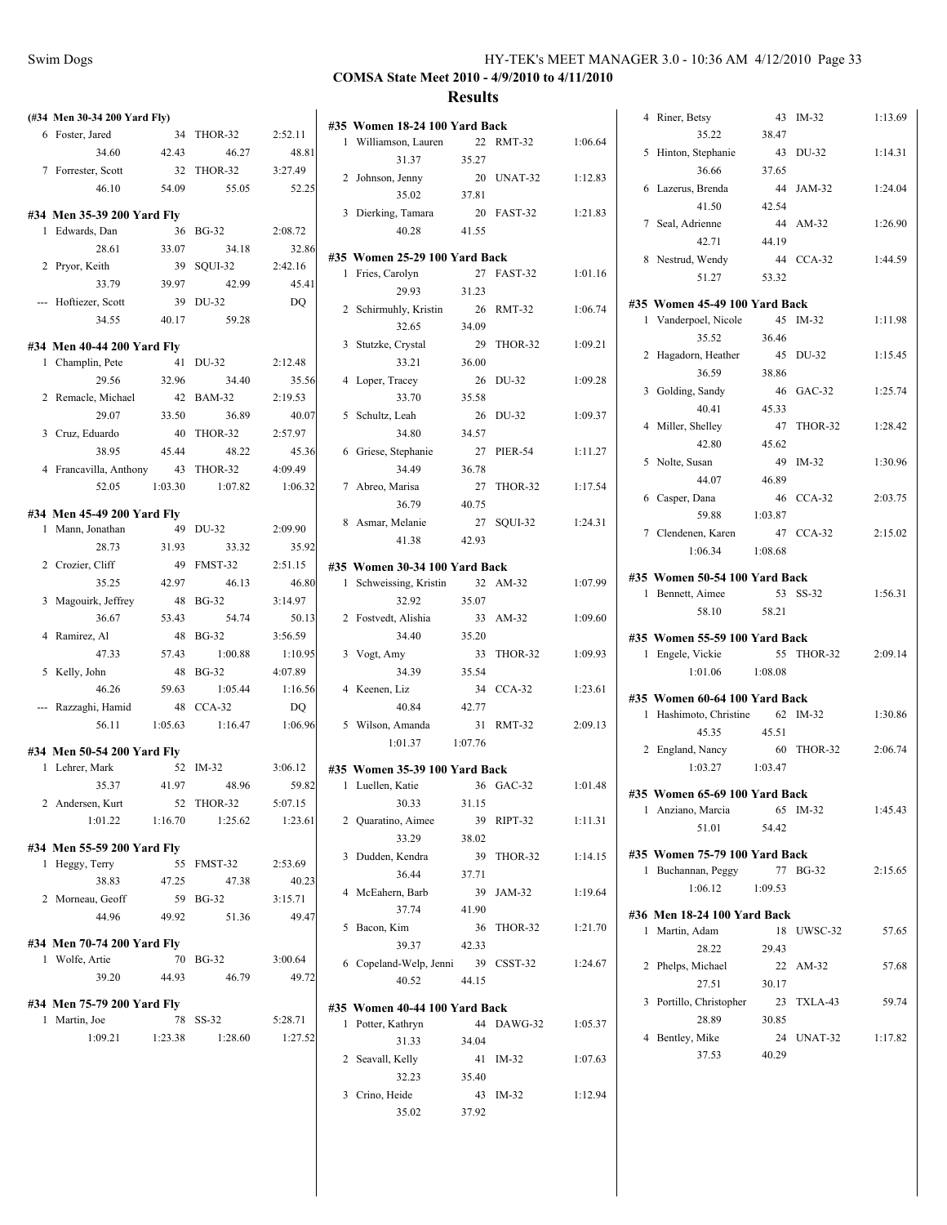| (#34 Men 30-34 200 Yard Fly) |         |                               |         |
|------------------------------|---------|-------------------------------|---------|
| 6 Foster, Jared              | 34      | THOR-32                       | 2:52.11 |
| 34.60                        | 42.43   | 46.27                         | 48.81   |
| 7 Forrester, Scott           | 32      | THOR-32                       | 3:27.49 |
| 46.10                        | 54.09   | 55.05                         | 52.25   |
|                              |         |                               |         |
| #34 Men 35-39 200 Yard Fly   |         |                               |         |
| 1 Edwards, Dan               | 36      | <b>BG-32</b>                  | 2:08.72 |
| 28.61                        | 33.07   | 34.18                         | 32.86   |
| 2 Pryor, Keith               | 39      | SQUI-32                       | 2:42.16 |
| 33.79                        | 39.97   | 42.99                         | 45.41   |
| Hoftiezer, Scott             | 39      | DU-32                         | DQ      |
| 34.55                        | 40.17   | 59.28                         |         |
| #34 Men 40-44 200 Yard Fly   |         |                               |         |
| 1 Champlin, Pete             | 41      | DU-32                         | 2:12.48 |
| 29.56                        | 32.96   | 34.40                         | 35.56   |
| 2 Remacle, Michael           | 42      | <b>BAM-32</b>                 | 2:19.53 |
| 29.07                        | 33.50   | 36.89                         | 40.07   |
| 3 Cruz, Eduardo              |         | 40 THOR-32                    | 2:57.97 |
| 38.95                        | 45.44   | 48.22                         | 45.36   |
| 4 Francavilla, Anthony       | 43      | THOR-32                       | 4:09.49 |
| 52.05                        | 1:03.30 | 1:07.82                       | 1:06.32 |
|                              |         |                               |         |
| #34 Men 45-49 200 Yard Fly   |         |                               |         |
| 1 Mann, Jonathan             | 49      | DU-32                         | 2:09.90 |
| 28.73                        | 31.93   | 33.32                         | 35.92   |
| 2 Crozier, Cliff             | 49      | FMST-32                       | 2:51.15 |
| 35.25                        | 42.97   | 46.13                         | 46.80   |
| 3 Magouirk, Jeffrey          | 48      | <b>BG-32</b>                  | 3:14.97 |
| 36.67                        | 53.43   | 54.74                         | 50.13   |
| 4 Ramirez, Al                | 48      | <b>BG-32</b>                  | 3:56.59 |
| 47.33                        | 57.43   | 1:00.88                       | 1:10.95 |
| 5 Kelly, John                | 48      | <b>BG-32</b>                  | 4:07.89 |
| 46.26                        | 59.63   | 1:05.44                       | 1:16.56 |
| Razzaghi, Hamid              | 48      | $CCA-32$                      | $DQ$    |
| 56.11                        | 1:05.63 | 1:16.47                       | 1:06.96 |
| #34 Men 50-54 200 Yard Fly   |         |                               |         |
| 1 Lehrer, Mark               | 52      | IM-32                         | 3:06.12 |
| 35.37                        | 41.97   | 48.96                         | 59.82   |
| 2 Andersen, Kurt             |         | 52 THOR-32 5:07.15            |         |
| $1:01.22$ $1:16.70$          |         | 1:25.62                       | 1:23.61 |
|                              |         |                               |         |
| #34 Men 55-59 200 Yard Fly   |         |                               |         |
| 1 Heggy, Terry               |         | 55 FMST-32 2:53.69            |         |
| 38.83 47.25                  |         | 47.38                         | 40.23   |
| 2 Morneau, Geoff             |         | 59 BG-32                      | 3:15.71 |
| 44.96                        | 49.92   | 51.36                         | 49.47   |
| #34 Men 70-74 200 Yard Fly   |         |                               |         |
| 1 Wolfe, Artie               |         | 70 BG-32                      | 3:00.64 |
| 39.20                        | 44.93   | 46.79                         | 49.72   |
|                              |         |                               |         |
| #34 Men 75-79 200 Yard Fly   |         |                               |         |
| 1 Martin, Joe                |         | 78 SS-32                      | 5:28.71 |
|                              |         | $1:09.21$ $1:23.38$ $1:28.60$ | 1:27.52 |
|                              |         |                               |         |
|                              |         |                               |         |

| 1 | #35 Women 18-24 100 Yard Back<br>Williamson, Lauren | 22      | <b>RMT-32</b> | 1:06.64 |
|---|-----------------------------------------------------|---------|---------------|---------|
|   | 31.37                                               | 35.27   |               |         |
|   | 2 Johnson, Jenny                                    |         | 20 UNAT-32    | 1:12.83 |
|   | 35.02                                               | 37.81   |               |         |
|   | 3 Dierking, Tamara                                  |         | 20 FAST-32    | 1:21.83 |
|   | 40.28                                               | 41.55   |               |         |
|   | #35 Women 25-29 100 Yard Back                       |         |               |         |
| 1 | Fries, Carolyn                                      | 27      | FAST-32       | 1:01.16 |
|   | 29.93                                               | 31.23   |               |         |
|   | 2 Schirmuhly, Kristin                               |         | 26 RMT-32     | 1:06.74 |
|   | 32.65                                               | 34.09   |               |         |
|   | 3 Stutzke, Crystal                                  | 29      | THOR-32       | 1:09.21 |
|   | 33.21                                               | 36.00   |               |         |
|   | 4 Loper, Tracey                                     | 26      | DU-32         | 1:09.28 |
|   | 33.70                                               | 35.58   |               |         |
|   | 5 Schultz, Leah                                     | 26      | DU-32         | 1:09.37 |
|   | 34.80                                               | 34.57   |               |         |
|   | 6 Griese, Stephanie                                 | 27      | PIER-54       | 1:11.27 |
|   | 34.49                                               | 36.78   |               |         |
|   | 7 Abreo, Marisa                                     | 27      | THOR-32       | 1:17.54 |
|   | 36.79                                               | 40.75   |               |         |
|   | 8 Asmar, Melanie                                    |         | 27 SQUI-32    | 1:24.31 |
|   | 41.38                                               | 42.93   |               |         |
|   | #35 Women 30-34 100 Yard Back                       |         |               |         |
|   | 1 Schweissing, Kristin                              |         | 32 AM-32      | 1:07.99 |
|   | 32.92                                               | 35.07   |               |         |
|   | 2 Fostvedt, Alishia                                 |         | 33 AM-32      | 1:09.60 |
|   | 34.40                                               | 35.20   |               |         |
|   | 3 Vogt, Amy                                         | 33      | THOR-32       | 1:09.93 |
|   | 34.39                                               | 35.54   |               |         |
|   | 4 Keenen, Liz                                       | 34      | $CCA-32$      | 1:23.61 |
|   | 40.84                                               | 42.77   |               |         |
|   | 5 Wilson, Amanda                                    |         | 31 RMT-32     | 2:09.13 |
|   | 1:01.37                                             | 1:07.76 |               |         |
|   | #35 Women 35-39 100 Yard Back                       |         |               |         |
|   | 1 Luellen, Katie                                    | 36      | $GAC-32$      | 1:01.48 |
|   | 30.33                                               | 31.15   |               |         |
|   | 2 Quaratino, Aimee                                  | 39      | RIPT-32       | 1:11.31 |
|   | 33.29                                               | 38.02   |               |         |
| 3 | Dudden, Kendra                                      | 39      | THOR-32       | 1:14.15 |
|   | 36.44                                               | 37.71   |               |         |
|   | 4 McEahern, Barb                                    |         | 39 JAM-32     | 1:19.64 |
|   | 37.74                                               | 41.90   |               |         |
|   | 5 Bacon, Kim                                        | 36      | THOR-32       | 1:21.70 |
|   | 39.37                                               | 42.33   |               |         |
|   | 6 Copeland-Welp, Jenni 39 CSST-32                   |         |               | 1:24.67 |
|   | 40.52                                               | 44.15   |               |         |
|   | #35 Women 40-44 100 Yard Back                       |         |               |         |
| 1 | Potter, Kathryn                                     | 44      | DAWG-32       | 1:05.37 |
|   | 31.33                                               | 34.04   |               |         |
|   | 2 Seavall, Kelly                                    |         | 41 IM-32      | 1:07.63 |
|   | 32.23                                               | 35.40   |               |         |
|   | 3 Crino, Heide                                      |         | 43 IM-32      | 1:12.94 |
|   | 35.02                                               | 37.92   |               |         |
|   |                                                     |         |               |         |

| 4              | Riner, Betsy                  | 43      | IM-32      | 1:13.69 |
|----------------|-------------------------------|---------|------------|---------|
|                | 35.22                         | 38.47   |            |         |
| 5              | Hinton, Stephanie             | 43      | DU-32      | 1:14.31 |
|                | 36.66                         | 37.65   |            |         |
| 6              | Lazerus, Brenda               | 44      | JAM-32     | 1:24.04 |
|                | 41.50                         | 42.54   |            |         |
|                | 7 Seal, Adrienne              | 44      | AM-32      | 1:26.90 |
|                | 42.71                         | 44.19   |            |         |
|                |                               | 44      |            |         |
| 8              | Nestrud, Wendy                |         | $CCA-32$   | 1:44.59 |
|                | 51.27                         | 53.32   |            |         |
|                | #35 Women 45-49 100 Yard Back |         |            |         |
|                | 1 Vanderpoel, Nicole          | 45      | $IM-32$    | 1:11.98 |
|                | 35.52                         | 36.46   |            |         |
| 2              | Hagadorn, Heather             | 45      | DU-32      | 1:15.45 |
|                | 36.59                         | 38.86   |            |         |
|                | 3 Golding, Sandy              | 46      | $GAC-32$   | 1:25.74 |
|                | 40.41                         | 45.33   |            |         |
|                |                               |         |            |         |
| 4              | Miller, Shelley               | 47      | THOR-32    | 1:28.42 |
|                | 42.80                         | 45.62   |            |         |
|                | 5 Nolte, Susan                | 49      | $IM-32$    | 1:30.96 |
|                | 44.07                         | 46.89   |            |         |
|                | 6 Casper, Dana                | 46      | $CCA-32$   | 2:03.75 |
|                | 59.88                         | 1:03.87 |            |         |
|                | 7 Clendenen, Karen            | 47      | $CCA-32$   | 2:15.02 |
|                | 1:06.34                       | 1:08.68 |            |         |
|                | #35 Women 50-54 100 Yard Back |         |            |         |
|                | 1 Bennett, Aimee              |         | 53 SS-32   | 1:56.31 |
|                | 58.10                         | 58.21   |            |         |
|                |                               |         |            |         |
|                | #35 Women 55-59 100 Yard Back |         |            |         |
|                | 1 Engele, Vickie              | 55      | THOR-32    | 2:09.14 |
|                | 1:01.06                       | 1:08.08 |            |         |
|                |                               |         |            |         |
|                | #35 Women 60-64 100 Yard Back |         | 62 IM-32   | 1:30.86 |
|                | 1 Hashimoto, Christine        |         |            |         |
|                | 45.35                         | 45.51   |            |         |
| 2              | England, Nancy                | 60      | THOR-32    | 2:06.74 |
|                | 1:03.27 1:03.47               |         |            |         |
|                | #35 Women 65-69 100 Yard Back |         |            |         |
|                | l Anziano, Marcia             |         | 65 IM-32   | 1:45.43 |
|                | 51.01                         | 54.42   |            |         |
|                |                               |         |            |         |
|                | #35 Women 75-79 100 Yard Back |         |            |         |
| 1              | Buchannan, Peggy              | 77      | BG-32      | 2:15.65 |
|                | 1:06.12                       | 1:09.53 |            |         |
|                | #36 Men 18-24 100 Yard Back   |         |            |         |
|                | 1 Martin, Adam                | 18      | UWSC-32    | 57.65   |
|                | 28.22                         | 29.43   |            |         |
| $\overline{c}$ | Phelps, Michael               | 22      | AM-32      | 57.68   |
|                | 27.51                         | 30.17   |            |         |
|                | 3 Portillo, Christopher       |         | 23 TXLA-43 | 59.74   |
|                | 28.89                         | 30.85   |            |         |
| 4              | Bentley, Mike                 |         | 24 UNAT-32 | 1:17.82 |
|                | 37.53                         | 40.29   |            |         |
|                |                               |         |            |         |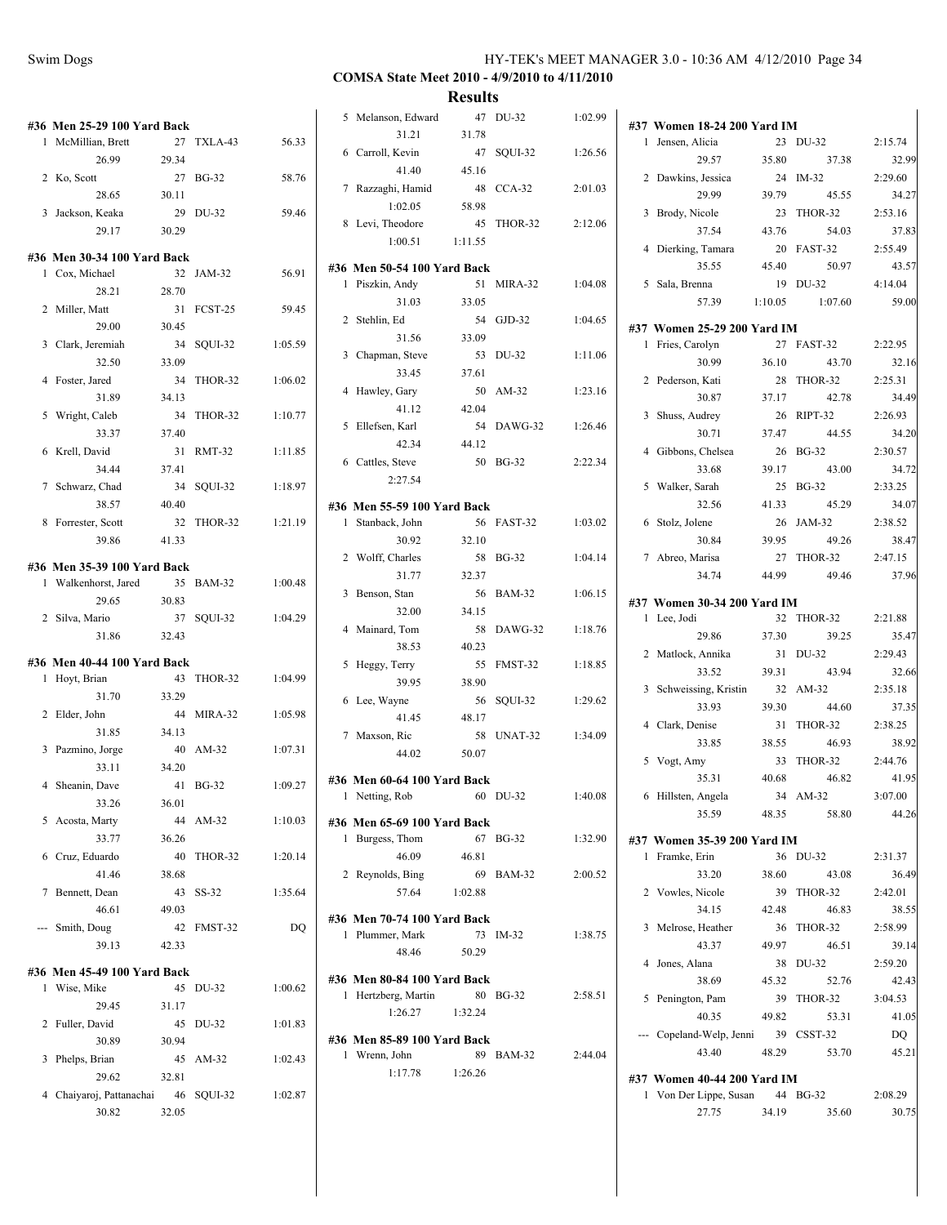| Swim Dogs | HY-TEK's MEET MANAGER 3.0 - 10:36 AM 4/12/2010 Page 34 |  |
|-----------|--------------------------------------------------------|--|
|           |                                                        |  |

|   | #36 Men 25-29 100 Yard Back                       |             |            |         |
|---|---------------------------------------------------|-------------|------------|---------|
|   | 1 McMillian, Brett                                |             | 27 TXLA-43 | 56.33   |
|   | 26.99                                             | 29.34       |            |         |
|   | 2 Ko, Scott                                       | 27          | BG-32      | 58.76   |
|   | 28.65                                             | 30.11       |            |         |
|   | 3 Jackson, Keaka                                  | 29          | DU-32      | 59.46   |
|   | 29.17                                             | 30.29       |            |         |
|   | #36 Men 30-34 100 Yard Back                       |             |            |         |
|   | 1 Cox, Michael                                    | 32          | JAM-32     | 56.91   |
|   | 28.21                                             | 28.70       |            |         |
|   | 2 Miller, Matt                                    | 31          | FCST-25    | 59.45   |
|   | 29.00                                             | 30.45       |            |         |
|   | 3 Clark, Jeremiah                                 | 34          | SQUI-32    | 1:05.59 |
|   | 32.50                                             | 33.09       |            |         |
|   | 4 Foster, Jared                                   | 34          | THOR-32    | 1:06.02 |
|   | 31.89<br>5 Wright, Caleb                          | 34.13<br>34 | THOR-32    | 1:10.77 |
|   | 33.37                                             | 37.40       |            |         |
|   | 6 Krell, David                                    | 31          | RMT-32     | 1:11.85 |
|   | 34.44                                             | 37.41       |            |         |
| 7 | Schwarz, Chad                                     | 34          | SQUI-32    | 1:18.97 |
|   | 38.57                                             | 40.40       |            |         |
|   | 8 Forrester, Scott                                | 32          | THOR-32    | 1:21.19 |
|   | 39.86                                             | 41.33       |            |         |
|   |                                                   |             |            |         |
| 1 | #36 Men 35-39 100 Yard Back<br>Walkenhorst, Jared |             | 35 BAM-32  | 1:00.48 |
|   | 29.65                                             | 30.83       |            |         |
|   | 2 Silva, Mario                                    | 37          | SQUI-32    | 1:04.29 |
|   | 31.86                                             | 32.43       |            |         |
|   | #36 Men 40-44 100 Yard Back                       |             |            |         |
| 1 | Hoyt, Brian                                       | 43          | THOR-32    | 1:04.99 |
|   | 31.70                                             | 33.29       |            |         |
|   | 2 Elder, John                                     | -44         | MIRA-32    | 1:05.98 |
|   | 31.85                                             | 34.13       |            |         |
|   | 3 Pazmino, Jorge                                  | 40          | AM-32      | 1:07.31 |
|   | 33.11                                             | 34.20       |            |         |
|   | 4 Sheanin, Dave                                   |             | 41 BG-32   | 1:09.27 |
|   | 33.26                                             | 36.01       |            |         |
|   | 5 Acosta, Marty                                   | 44          | AM-32      | 1:10.03 |
|   | 33.77                                             | 36.26       |            |         |
| 6 | Cruz, Eduardo                                     | 40          | THOR-32    | 1:20.14 |
|   | 41.46                                             | 38.68       |            |         |
| 7 | Bennett, Dean<br>46.61                            | 43<br>49.03 | SS-32      | 1:35.64 |
|   | --- Smith, Doug                                   | 42          | FMST-32    | DQ      |
|   | 39.13                                             | 42.33       |            |         |
|   |                                                   |             |            |         |
|   | #36 Men 45-49 100 Yard Back                       |             |            | 1:00.62 |
|   | 1 Wise, Mike<br>29.45                             | 45<br>31.17 | DU-32      |         |
|   | 2 Fuller, David                                   | 45          | DU-32      | 1:01.83 |
|   | 30.89                                             | 30.94       |            |         |
| 3 | Phelps, Brian                                     | 45          | AM-32      | 1:02.43 |
|   | 29.62                                             | 32.81       |            |         |
|   | 4 Chaiyaroj, Pattanachai 46                       |             | SQUI-32    | 1:02.87 |
|   | 30.82                                             | 32.05       |            |         |
|   |                                                   |             |            |         |

|   |                                        | www.co                 |               |         |
|---|----------------------------------------|------------------------|---------------|---------|
| 5 | Melanson, Edward<br>31.21              | 47<br>31.78            | DU-32         | 1:02.99 |
| 6 | Carroll, Kevin                         | 47                     | SQUI-32       | 1:26.56 |
| 7 | 41.40<br>Razzaghi, Hamid               | 45.16<br>48            | $CCA-32$      | 2:01.03 |
|   | 1:02.05<br>8 Levi, Theodore<br>1:00.51 | 58.98<br>45<br>1:11.55 | THOR-32       | 2:12.06 |
|   |                                        |                        |               |         |
|   | #36 Men 50-54 100 Yard Back            |                        |               |         |
| 1 | Piszkin, Andy                          | 51                     | MIRA-32       | 1:04.08 |
|   | 31.03                                  | 33.05                  |               |         |
|   | 2 Stehlin, Ed                          | 54                     | $GJD-32$      | 1:04.65 |
|   | 31.56                                  | 33.09                  |               |         |
| 3 | Chapman, Steve                         | 53                     | DU-32         | 1:11.06 |
|   | 33.45                                  | 37.61                  |               |         |
| 4 | Hawley, Gary<br>41.12                  | 50<br>42.04            | $AM-32$       | 1:23.16 |
|   |                                        |                        |               |         |
| 5 | Ellefsen, Karl<br>42.34                | 54<br>44.12            | DAWG-32       | 1:26.46 |
|   | 6 Cattles, Steve                       | 50                     | <b>BG-32</b>  | 2:22.34 |
|   | 2:27.54                                |                        |               |         |
|   |                                        |                        |               |         |
|   | #36 Men 55-59 100 Yard Back            |                        |               |         |
| 1 | Stanback, John                         | 56                     | FAST-32       | 1:03.02 |
|   | 30.92                                  | 32.10                  |               |         |
|   | 2 Wolff, Charles                       | 58                     | <b>BG-32</b>  | 1:04.14 |
|   | 31.77                                  | 32.37                  |               |         |
| 3 | Benson, Stan<br>32.00                  | 56<br>34.15            | <b>BAM-32</b> | 1:06.15 |
| 4 | Mainard, Tom                           | 58                     | DAWG-32       | 1:18.76 |
|   | 38.53                                  | 40.23                  |               |         |
| 5 | Heggy, Terry                           | 55                     | FMST-32       | 1:18.85 |
|   | 39.95                                  | 38.90                  |               |         |
| 6 | Lee, Wayne                             | 56                     | SQUI-32       | 1:29.62 |
|   | 41.45                                  | 48.17                  |               |         |
| 7 | Maxson, Ric                            | 58                     | UNAT-32       | 1:34.09 |
|   | 44.02                                  | 50.07                  |               |         |
|   | #36 Men 60-64 100 Yard Back            |                        |               |         |
|   | 1 Netting, Rob                         |                        | 60 DU-32      | 1:40.08 |
|   |                                        |                        |               |         |
|   | #36 Men 65-69 100 Yard Back            |                        |               |         |
|   | 1 Burgess, Thom<br>46.09               | 46.81                  | 67 BG-32      | 1:32.90 |
|   |                                        |                        | 69 BAM-32     | 2:00.52 |
|   | 2 Reynolds, Bing<br>57.64 1:02.88      |                        |               |         |
|   |                                        |                        |               |         |
|   | #36 Men 70-74 100 Yard Back            |                        |               |         |
|   | 1 Plummer, Mark                        |                        | 73 IM-32      | 1:38.75 |
|   | 48.46                                  | 50.29                  |               |         |
|   | #36 Men 80-84 100 Yard Back            |                        |               |         |
|   | 1 Hertzberg, Martin                    |                        | 80 BG-32      | 2:58.51 |
|   | 1:26.27                                | 1:32.24                |               |         |
|   | #36 Men 85-89 100 Yard Back            |                        |               |         |
|   | 1 Wrenn, John                          |                        | 89 BAM-32     | 2:44.04 |
|   | 1:17.78 1:26.26                        |                        |               |         |
|   |                                        |                        |               |         |
|   |                                        |                        |               |         |
|   |                                        |                        |               |         |

| #37 Women 18-24 200 Yard IM                      |       |         |              |         |  |  |  |  |  |
|--------------------------------------------------|-------|---------|--------------|---------|--|--|--|--|--|
| Jensen, Alicia<br>1                              |       |         | 23 DU-32     | 2:15.74 |  |  |  |  |  |
|                                                  | 29.57 | 35.80   | 37.38        | 32.99   |  |  |  |  |  |
| 2 Dawkins, Jessica                               |       | -24     | $IM-32$      | 2:29.60 |  |  |  |  |  |
|                                                  | 29.99 | 39.79   | 45.55        | 34.27   |  |  |  |  |  |
| 3 Brody, Nicole                                  |       | 23      | THOR-32      | 2:53.16 |  |  |  |  |  |
|                                                  | 37.54 | 43.76   | 54.03        | 37.83   |  |  |  |  |  |
| 4 Dierking, Tamara                               |       |         | 20 FAST-32   | 2:55.49 |  |  |  |  |  |
|                                                  | 35.55 | 45.40   | 50.97        | 43.57   |  |  |  |  |  |
| 5 Sala, Brenna                                   |       |         | 19 DU-32     | 4:14.04 |  |  |  |  |  |
|                                                  | 57.39 | 1:10.05 | 1:07.60      | 59.00   |  |  |  |  |  |
| #37 Women 25-29 200 Yard IM                      |       |         |              |         |  |  |  |  |  |
| 1 Fries, Carolyn                                 |       |         | 27 FAST-32   | 2:22.95 |  |  |  |  |  |
|                                                  | 30.99 | 36.10   | 43.70        | 32.16   |  |  |  |  |  |
| 2 Pederson, Kati                                 |       | 28      | THOR-32      | 2:25.31 |  |  |  |  |  |
|                                                  | 30.87 | 37.17   | 42.78        | 34.49   |  |  |  |  |  |
| 3 Shuss, Audrey                                  |       | -26     | RIPT-32      | 2:26.93 |  |  |  |  |  |
|                                                  | 30.71 | 37.47   | 44.55        | 34.20   |  |  |  |  |  |
| 4 Gibbons, Chelsea                               |       | 26      | <b>BG-32</b> | 2:30.57 |  |  |  |  |  |
|                                                  | 33.68 | 39.17   | 43.00        | 34.72   |  |  |  |  |  |
| 5 Walker, Sarah                                  |       |         | 25 BG-32     | 2:33.25 |  |  |  |  |  |
|                                                  | 32.56 | 41.33   | 45.29        | 34.07   |  |  |  |  |  |
| 6 Stolz, Jolene                                  |       | 26      | JAM-32       | 2:38.52 |  |  |  |  |  |
|                                                  | 30.84 | 39.95   | 49.26        | 38.47   |  |  |  |  |  |
| 7 Abreo, Marisa                                  |       |         | 27 THOR-32   | 2:47.15 |  |  |  |  |  |
|                                                  | 34.74 | 44.99   | 49.46        | 37.96   |  |  |  |  |  |
| #37 Women 30-34 200 Yard IM                      |       |         |              |         |  |  |  |  |  |
| 1 Lee, Jodi                                      |       | 32      | THOR-32      | 2:21.88 |  |  |  |  |  |
|                                                  | 29.86 | 37.30   | 39.25        | 35.47   |  |  |  |  |  |
| 2 Matlock, Annika                                |       |         | 31 DU-32     | 2:29.43 |  |  |  |  |  |
|                                                  | 33.52 | 39.31   | 43.94        | 32.66   |  |  |  |  |  |
| 3 Schweissing, Kristin                           |       |         | 32 AM-32     | 2:35.18 |  |  |  |  |  |
|                                                  | 33.93 | 39.30   | 44.60        | 37.35   |  |  |  |  |  |
| 4 Clark, Denise                                  |       | 31      | THOR-32      | 2:38.25 |  |  |  |  |  |
|                                                  | 33.85 | 38.55   | 46.93        | 38.92   |  |  |  |  |  |
| 5<br>Vogt, Amy                                   |       |         | 33 THOR-32   | 2:44.76 |  |  |  |  |  |
|                                                  | 35.31 | 40.68   | 46.82        | 41.95   |  |  |  |  |  |
| 6 Hillsten, Angela                               |       |         | 34 AM-32     | 3:07.00 |  |  |  |  |  |
|                                                  | 35.59 | 48.35   | 58.80        | 44.26   |  |  |  |  |  |
|                                                  |       |         |              |         |  |  |  |  |  |
| #37 Women 35-39 200 Yard IM<br>Framke, Erin<br>1 |       |         | 36 DU-32     | 2:31.37 |  |  |  |  |  |
|                                                  | 33.20 | 38.60   | 43.08        | 36.49   |  |  |  |  |  |
| 2 Vowles, Nicole                                 |       | 39      | THOR-32      | 2:42.01 |  |  |  |  |  |
|                                                  | 34.15 | 42.48   | 46.83        | 38.55   |  |  |  |  |  |
| 3 Melrose, Heather                               |       | 36      | THOR-32      | 2:58.99 |  |  |  |  |  |
|                                                  | 43.37 | 49.97   | 46.51        | 39.14   |  |  |  |  |  |
| 4 Jones, Alana                                   |       | 38      | DU-32        | 2:59.20 |  |  |  |  |  |
|                                                  | 38.69 | 45.32   | 52.76        | 42.43   |  |  |  |  |  |
| 5 Penington, Pam                                 |       | 39      | THOR-32      | 3:04.53 |  |  |  |  |  |
|                                                  | 40.35 | 49.82   | 53.31        | 41.05   |  |  |  |  |  |
| --- Copeland-Welp, Jenni 39 CSST-32              |       |         |              | DQ      |  |  |  |  |  |
|                                                  | 43.40 | 48.29   | 53.70        | 45.21   |  |  |  |  |  |
|                                                  |       |         |              |         |  |  |  |  |  |
| #37 Women 40-44 200 Yard IM                      |       |         |              |         |  |  |  |  |  |
| Von Der Lippe, Susan 44 BG-32<br>1               |       |         |              | 2:08.29 |  |  |  |  |  |
|                                                  | 27.75 | 34.19   | 35.60        | 30.75   |  |  |  |  |  |
|                                                  |       |         |              |         |  |  |  |  |  |

J.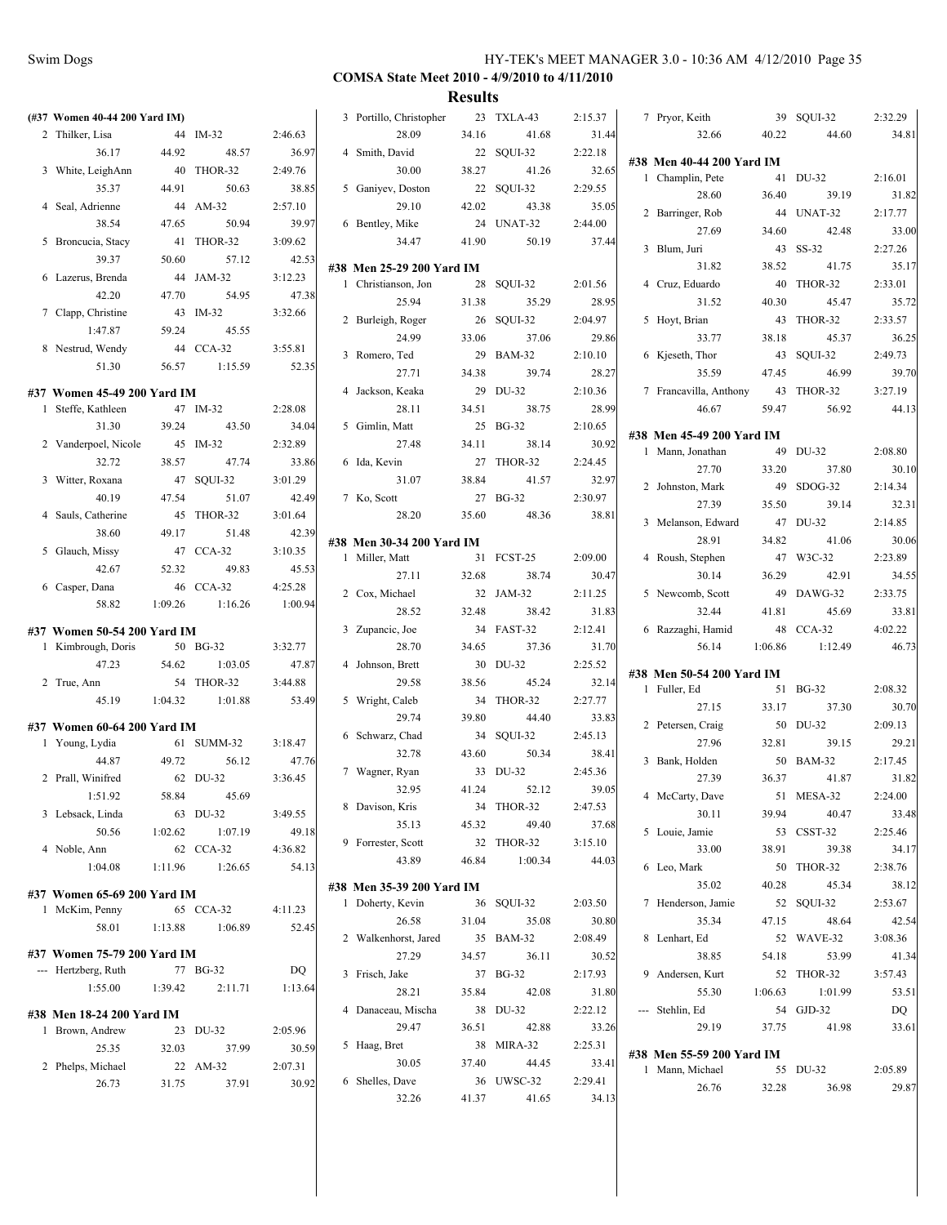| (#37 Women 40-44 200 Yard IM) |          |            |         | 3 Portillo, Christopher   |       | 23 TXLA-43          | 2:15.37          | 7 Prvor, Keith                               |         | 39 SQUI-32 | 2:32.29 |
|-------------------------------|----------|------------|---------|---------------------------|-------|---------------------|------------------|----------------------------------------------|---------|------------|---------|
| 2 Thilker, Lisa               |          | 44 IM-32   | 2:46.63 | 28.09                     | 34.16 | 41.68               | 31.44            | 32.66                                        | 40.22   | 44.60      | 34.81   |
| 36.17                         | 44.92    | 48.57      | 36.97   | 4 Smith, David            |       | 22 SQUI-32          | 2:22.18          |                                              |         |            |         |
| 3 White, LeighAnn             |          | 40 THOR-32 | 2:49.76 | 30.00                     | 38.27 | 41.26               | 32.65            | #38 Men 40-44 200 Yard IM                    |         |            |         |
| 35.37                         | 44.91    | 50.63      | 38.85   | 5 Ganiyev, Doston         |       | 22 SQUI-32          | 2:29.55          | 1 Champlin, Pete                             |         | 41 DU-32   | 2:16.01 |
| 4 Seal, Adrienne              |          | 44 AM-32   | 2:57.10 | 29.10                     | 42.02 | 43.38               | 35.05            | 28.60                                        | 36.40   | 39.19      | 31.82   |
| 38.54                         | 47.65    | 50.94      | 39.97   | 6 Bentley, Mike           |       | 24 UNAT-32          | 2:44.00          | 2 Barringer, Rob                             |         | 44 UNAT-32 | 2:17.77 |
| 5 Broncucia, Stacy            |          | 41 THOR-32 | 3:09.62 | 34.47                     | 41.90 | 50.19               | 37.44            | 27.69                                        | 34.60   | 42.48      | 33.00   |
| 39.37                         | 50.60    | 57.12      | 42.53   |                           |       |                     |                  | 3 Blum, Juri                                 |         | 43 SS-32   | 2:27.26 |
| 6 Lazerus, Brenda             |          | 44 JAM-32  | 3:12.23 | #38 Men 25-29 200 Yard IM |       |                     |                  | 31.82                                        | 38.52   | 41.75      | 35.17   |
| 42.20                         | 47.70    | 54.95      | 47.38   | 1 Christianson, Jon       |       | 28 SQUI-32          | 2:01.56          | 4 Cruz, Eduardo                              |         | 40 THOR-32 | 2:33.01 |
| 7 Clapp, Christine            |          | 43 IM-32   | 3:32.66 | 25.94                     | 31.38 | 35.29               | 28.95            | 31.52                                        | 40.30   | 45.47      | 35.72   |
| 1:47.87                       | 59.24    | 45.55      |         | 2 Burleigh, Roger         |       | 26 SQUI-32          | 2:04.97          | 5 Hoyt, Brian                                |         | 43 THOR-32 | 2:33.57 |
| 8 Nestrud, Wendy              |          | 44 CCA-32  | 3:55.81 | 24.99                     | 33.06 | 37.06               | 29.86            | 33.77                                        | 38.18   | 45.37      | 36.25   |
| 51.30                         | 56.57    | 1:15.59    | 52.35   | 3 Romero, Ted             | 29    | <b>BAM-32</b>       | 2:10.10          | 6 Kjeseth, Thor                              |         | 43 SQUI-32 | 2:49.73 |
|                               |          |            |         | 27.71                     | 34.38 | 39.74               | 28.27            | 35.59                                        | 47.45   | 46.99      | 39.70   |
| #37 Women 45-49 200 Yard IM   |          |            |         | 4 Jackson, Keaka          |       | 29 DU-32            | 2:10.36          | 7 Francavilla, Anthony                       |         | 43 THOR-32 | 3:27.19 |
| 1 Steffe, Kathleen            |          | 47 IM-32   | 2:28.08 | 28.11                     | 34.51 | 38.75               | 28.99            | 46.67                                        | 59.47   | 56.92      | 44.13   |
| 31.30                         | 39.24    | 43.50      | 34.04   | 5 Gimlin, Matt            |       | 25 BG-32            | 2:10.65          | #38 Men 45-49 200 Yard IM                    |         |            |         |
| 2 Vanderpoel, Nicole          |          | 45 IM-32   | 2:32.89 | 27.48                     | 34.11 | 38.14               | 30.92            | 1 Mann, Jonathan                             |         | 49 DU-32   | 2:08.80 |
| 32.72                         | 38.57    | 47.74      | 33.86   | 6 Ida, Kevin              |       | 27 THOR-32          | 2:24.45          | 27.70                                        | 33.20   | 37.80      | 30.10   |
| 3 Witter, Roxana              |          | 47 SQUI-32 | 3:01.29 | 31.07                     | 38.84 | 41.57               | 32.97            | 2 Johnston, Mark                             |         | 49 SDOG-32 | 2:14.34 |
| 40.19                         | 47.54    | 51.07      | 42.49   | 7 Ko, Scott               |       | 27 BG-32            | 2:30.97          | 27.39                                        | 35.50   | 39.14      | 32.31   |
| 4 Sauls, Catherine            |          | 45 THOR-32 | 3:01.64 | 28.20                     | 35.60 | 48.36               | 38.81            | 3 Melanson, Edward                           |         | 47 DU-32   | 2:14.85 |
| 38.60                         | 49.17    | 51.48      | 42.39   | #38 Men 30-34 200 Yard IM |       |                     |                  | 28.91                                        | 34.82   | 41.06      | 30.06   |
| 5 Glauch, Missy               |          | 47 CCA-32  | 3:10.35 | 1 Miller, Matt            |       | 31 FCST-25          | 2:09.00          | 4 Roush, Stephen                             |         | 47 W3C-32  | 2:23.89 |
| 42.67                         | 52.32    | 49.83      | 45.53   | 27.11                     | 32.68 | 38.74               | 30.47            | 30.14                                        | 36.29   | 42.91      | 34.55   |
| 6 Casper, Dana                |          | 46 CCA-32  | 4:25.28 | 2 Cox, Michael            |       | 32 JAM-32           | 2:11.25          | 5 Newcomb, Scott                             |         | 49 DAWG-32 | 2:33.75 |
| 58.82                         | 1:09.26  | 1:16.26    | 1:00.94 | 28.52                     | 32.48 | 38.42               | 31.83            | 32.44                                        | 41.81   | 45.69      | 33.81   |
| #37 Women 50-54 200 Yard IM   |          |            |         | 3 Zupancic, Joe           |       | 34 FAST-32          | 2:12.41          | 6 Razzaghi, Hamid                            |         | 48 CCA-32  | 4:02.22 |
| 1 Kimbrough, Doris            |          | 50 BG-32   | 3:32.77 | 28.70                     | 34.65 | 37.36               | 31.70            | 56.14                                        | 1:06.86 | 1:12.49    | 46.73   |
| 47.23                         | 54.62    | 1:03.05    | 47.87   | 4 Johnson, Brett          |       | 30 DU-32            | 2:25.52          |                                              |         |            |         |
| 2 True, Ann                   |          | 54 THOR-32 | 3:44.88 | 29.58                     | 38.56 | 45.24               | 32.14            | #38 Men 50-54 200 Yard IM                    |         |            |         |
| 45.19                         | 1:04.32  | 1:01.88    | 53.49   | 5 Wright, Caleb           |       | 34 THOR-32          | 2:27.77          | 1 Fuller, Ed                                 |         | 51 BG-32   | 2:08.32 |
|                               |          |            |         | 29.74                     | 39.80 | 44.40               | 33.83            | 27.15                                        | 33.17   | 37.30      | 30.70   |
| #37 Women 60-64 200 Yard IM   |          |            |         | 6 Schwarz, Chad           |       | 34 SQUI-32          | 2:45.13          | 2 Petersen, Craig                            |         | 50 DU-32   | 2:09.13 |
| 1 Young, Lydia                |          | 61 SUMM-32 | 3:18.47 | 32.78                     | 43.60 | 50.34               | 38.41            | 27.96                                        | 32.81   | 39.15      | 29.21   |
| 44.87                         | 49.72    | 56.12      | 47.76   |                           |       | 33 DU-32            | 2:45.36          | 3 Bank, Holden                               |         | 50 BAM-32  | 2:17.45 |
| 2 Prall, Winifred             |          | 62 DU-32   | 3:36.45 | 7 Wagner, Ryan<br>32.95   | 41.24 | 52.12               | 39.05            | 27.39                                        | 36.37   | 41.87      | 31.82   |
| 1:51.92                       | 58.84    | 45.69      |         | 8 Davison, Kris           |       |                     |                  | 4 McCarty, Dave                              |         | 51 MESA-32 | 2:24.00 |
| 3 Lebsack, Linda              |          | 63 DU-32   | 3:49.55 | 35.13                     | 45.32 | 34 THOR-32<br>49.40 | 2:47.53          | 30.11                                        | 39.94   | 40.47      | 33.48   |
| 50.56                         | 1:02.62  | 1:07.19    | 49.18   | 9 Forrester, Scott        |       | 32 THOR-32          | 37.68<br>3:15.10 | 5 Louie, Jamie                               |         | 53 CSST-32 | 2:25.46 |
| 4 Noble, Ann                  |          | 62 CCA-32  | 4:36.82 |                           |       |                     |                  | 33.00                                        | 38.91   | 39.38      | 34.17   |
| 1:04.08                       | 1:11.96  | 1:26.65    | 54.13   | 43.89                     | 46.84 | 1:00.34             | 44.03            | 6 Leo, Mark                                  |         | 50 THOR-32 | 2:38.76 |
| #37 Women 65-69 200 Yard IM   |          |            |         | #38 Men 35-39 200 Yard IM |       |                     |                  | 35.02                                        | 40.28   | 45.34      | 38.12   |
| 1 McKim, Penny                |          | 65 CCA-32  | 4:11.23 | 1 Doherty, Kevin          |       | 36 SQUI-32          | 2:03.50          | 7 Henderson, Jamie                           |         | 52 SQUI-32 | 2:53.67 |
| 58.01                         | 1:13.88  | 1:06.89    | 52.45   | 26.58                     | 31.04 | 35.08               | 30.80            | 35.34                                        | 47.15   | 48.64      | 42.54   |
|                               |          |            |         | 2 Walkenhorst, Jared      |       | 35 BAM-32           | 2:08.49          | 8 Lenhart, Ed                                |         | 52 WAVE-32 | 3:08.36 |
| #37 Women 75-79 200 Yard IM   |          |            |         | 27.29                     | 34.57 | 36.11               | 30.52            | 38.85                                        | 54.18   | 53.99      | 41.34   |
| --- Hertzberg, Ruth           | 77 BG-32 |            | DQ      | 3 Frisch, Jake            |       | 37 BG-32            | 2:17.93          | 9 Andersen, Kurt                             |         | 52 THOR-32 | 3:57.43 |
| 1:55.00                       | 1:39.42  | 2:11.71    | 1:13.64 | 28.21                     | 35.84 | 42.08               | 31.80            | 55.30                                        | 1:06.63 | 1:01.99    | 53.51   |
| #38 Men 18-24 200 Yard IM     |          |            |         | 4 Danaceau, Mischa        |       | 38 DU-32            | 2:22.12          | --- Stehlin, Ed                              |         | 54 GJD-32  | DQ      |
| 1 Brown, Andrew               |          | 23 DU-32   | 2:05.96 | 29.47                     | 36.51 | 42.88               | 33.26            | 29.19                                        | 37.75   | 41.98      | 33.61   |
| 25.35                         | 32.03    | 37.99      | 30.59   | 5 Haag, Bret              |       | 38 MIRA-32          | 2:25.31          |                                              |         |            |         |
| 2 Phelps, Michael             |          | 22 AM-32   | 2:07.31 | 30.05                     | 37.40 | 44.45               | 33.41            | #38 Men 55-59 200 Yard IM<br>1 Mann, Michael |         | 55 DU-32   | 2:05.89 |
| 26.73                         | 31.75    | 37.91      | 30.92   | 6 Shelles, Dave           |       | 36 UWSC-32          | 2:29.41          | 26.76                                        |         | 36.98      | 29.87   |
|                               |          |            |         | 32.26                     | 41.37 | 41.65               | 34.13            |                                              | 32.28   |            |         |
|                               |          |            |         |                           |       |                     |                  |                                              |         |            |         |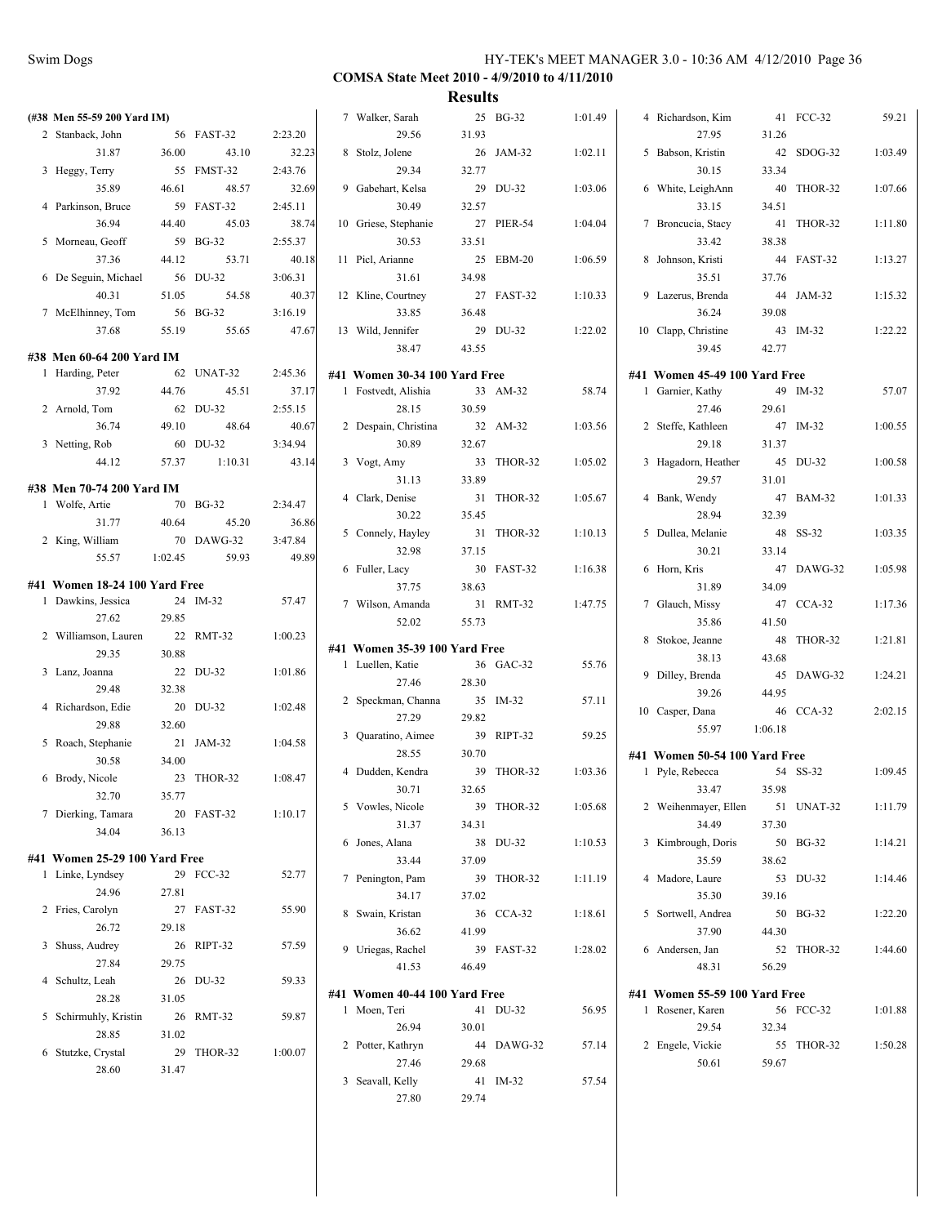|                               |         |            |         |                               | results |            |         |                               |         |            |         |
|-------------------------------|---------|------------|---------|-------------------------------|---------|------------|---------|-------------------------------|---------|------------|---------|
| (#38 Men 55-59 200 Yard IM)   |         |            |         | 7 Walker, Sarah               |         | 25 BG-32   | 1:01.49 | 4 Richardson, Kim             |         | 41 FCC-32  | 59.21   |
| 2 Stanback, John              |         | 56 FAST-32 | 2:23.20 | 29.56                         | 31.93   |            |         | 27.95                         | 31.26   |            |         |
| 31.87                         | 36.00   | 43.10      | 32.23   | 8 Stolz, Jolene               |         | 26 JAM-32  | 1:02.11 | 5 Babson, Kristin             |         | 42 SDOG-32 | 1:03.49 |
| 3 Heggy, Terry                |         | 55 FMST-32 | 2:43.76 | 29.34                         | 32.77   |            |         | 30.15                         | 33.34   |            |         |
| 35.89                         | 46.61   | 48.57      | 32.69   | 9 Gabehart, Kelsa             |         | 29 DU-32   | 1:03.06 | 6 White, LeighAnn             |         | 40 THOR-32 | 1:07.66 |
| 4 Parkinson, Bruce            |         | 59 FAST-32 | 2:45.11 | 30.49                         | 32.57   |            |         | 33.15                         | 34.51   |            |         |
| 36.94                         | 44.40   | 45.03      | 38.74   | 10 Griese, Stephanie          |         | 27 PIER-54 | 1:04.04 | 7 Broncucia, Stacy            |         | 41 THOR-32 | 1:11.80 |
| 5 Morneau, Geoff              |         | 59 BG-32   | 2:55.37 | 30.53                         | 33.51   |            |         | 33.42                         | 38.38   |            |         |
| 37.36                         | 44.12   | 53.71      | 40.18   | 11 Picl, Arianne              |         | 25 EBM-20  | 1:06.59 | 8 Johnson, Kristi             |         | 44 FAST-32 | 1:13.27 |
| 6 De Seguin, Michael          |         | 56 DU-32   | 3:06.31 | 31.61                         | 34.98   |            |         | 35.51                         | 37.76   |            |         |
| 40.31                         | 51.05   | 54.58      | 40.37   | 12 Kline, Courtney            |         | 27 FAST-32 | 1:10.33 | 9 Lazerus, Brenda             |         | 44 JAM-32  | 1:15.32 |
|                               |         | 56 BG-32   | 3:16.19 | 33.85                         | 36.48   |            |         | 36.24                         | 39.08   |            |         |
| 7 McElhinney, Tom             |         | 55.65      |         |                               |         |            |         |                               |         |            |         |
| 37.68                         | 55.19   |            | 47.67   | 13 Wild, Jennifer             |         | 29 DU-32   | 1:22.02 | 10 Clapp, Christine           |         | 43 IM-32   | 1:22.22 |
| #38 Men 60-64 200 Yard IM     |         |            |         | 38.47                         | 43.55   |            |         | 39.45                         | 42.77   |            |         |
| 1 Harding, Peter              |         | 62 UNAT-32 | 2:45.36 | #41 Women 30-34 100 Yard Free |         |            |         | #41 Women 45-49 100 Yard Free |         |            |         |
| 37.92                         | 44.76   | 45.51      | 37.17   | 1 Fostvedt, Alishia           |         | 33 AM-32   | 58.74   | 1 Garnier, Kathy              |         | 49 IM-32   | 57.07   |
| 2 Arnold, Tom                 |         | 62 DU-32   | 2:55.15 | 28.15                         | 30.59   |            |         | 27.46                         | 29.61   |            |         |
| 36.74                         | 49.10   | 48.64      | 40.67   | 2 Despain, Christina          |         | 32 AM-32   | 1:03.56 | 2 Steffe, Kathleen            |         | 47 IM-32   | 1:00.55 |
| 3 Netting, Rob                |         | 60 DU-32   | 3:34.94 | 30.89                         | 32.67   |            |         | 29.18                         | 31.37   |            |         |
| 44.12                         | 57.37   | 1:10.31    | 43.14   | 3 Vogt, Amy                   |         | 33 THOR-32 | 1:05.02 | 3 Hagadorn, Heather           |         | 45 DU-32   | 1:00.58 |
|                               |         |            |         | 31.13                         | 33.89   |            |         | 29.57                         | 31.01   |            |         |
| #38 Men 70-74 200 Yard IM     |         |            |         | 4 Clark, Denise               |         | 31 THOR-32 | 1:05.67 | 4 Bank, Wendy                 |         | 47 BAM-32  | 1:01.33 |
| 1 Wolfe, Artie                |         | 70 BG-32   | 2:34.47 | 30.22                         | 35.45   |            |         | 28.94                         | 32.39   |            |         |
| 31.77                         | 40.64   | 45.20      | 36.86   | 5 Connely, Hayley             |         | 31 THOR-32 | 1:10.13 | 5 Dullea, Melanie             |         | 48 SS-32   | 1:03.35 |
| 2 King, William               |         | 70 DAWG-32 | 3:47.84 | 32.98                         | 37.15   |            |         | 30.21                         | 33.14   |            |         |
| 55.57                         | 1:02.45 | 59.93      | 49.89   | 6 Fuller, Lacy                |         | 30 FAST-32 | 1:16.38 | 6 Horn, Kris                  |         | 47 DAWG-32 | 1:05.98 |
| #41 Women 18-24 100 Yard Free |         |            |         | 37.75                         | 38.63   |            |         | 31.89                         | 34.09   |            |         |
| 1 Dawkins, Jessica            |         | 24 IM-32   | 57.47   | 7 Wilson, Amanda              |         | 31 RMT-32  | 1:47.75 | 7 Glauch, Missy               |         | 47 CCA-32  | 1:17.36 |
| 27.62                         | 29.85   |            |         | 52.02                         | 55.73   |            |         | 35.86                         | 41.50   |            |         |
| 2 Williamson, Lauren          |         | 22 RMT-32  | 1:00.23 |                               |         |            |         | 8 Stokoe, Jeanne              |         | 48 THOR-32 | 1:21.81 |
| 29.35                         | 30.88   |            |         | #41 Women 35-39 100 Yard Free |         |            |         | 38.13                         | 43.68   |            |         |
| 3 Lanz, Joanna                |         | 22 DU-32   | 1:01.86 | 1 Luellen, Katie              |         | 36 GAC-32  | 55.76   | 9 Dilley, Brenda              |         | 45 DAWG-32 | 1:24.21 |
| 29.48                         | 32.38   |            |         | 27.46                         | 28.30   |            |         | 39.26                         | 44.95   |            |         |
| 4 Richardson, Edie            |         | 20 DU-32   | 1:02.48 | 2 Speckman, Channa            |         | 35 IM-32   | 57.11   |                               |         | 46 CCA-32  |         |
| 29.88                         | 32.60   |            |         | 27.29                         | 29.82   |            |         | 10 Casper, Dana               |         |            | 2:02.15 |
| 5 Roach, Stephanie            |         | 21 JAM-32  | 1:04.58 | 3 Quaratino, Aimee            |         | 39 RIPT-32 | 59.25   | 55.97                         | 1:06.18 |            |         |
| 30.58                         | 34.00   |            |         | 28.55                         | 30.70   |            |         | #41 Women 50-54 100 Yard Free |         |            |         |
| 6 Brody, Nicole               |         | 23 THOR-32 | 1:08.47 | 4 Dudden, Kendra              |         | 39 THOR-32 | 1:03.36 | 1 Pyle, Rebecca               |         | 54 SS-32   | 1:09.45 |
| 32.70                         | 35.77   |            |         | 30.71                         | 32.65   |            |         | 33.47                         | 35.98   |            |         |
| 7 Dierking, Tamara            |         | 20 FAST-32 | 1:10.17 | 5 Vowles, Nicole              |         | 39 THOR-32 | 1:05.68 | 2 Weihenmayer, Ellen          |         | 51 UNAT-32 | 1:11.79 |
| 34.04                         | 36.13   |            |         | 31.37                         | 34.31   |            |         | 34.49                         | 37.30   |            |         |
|                               |         |            |         | 6 Jones, Alana                |         | 38 DU-32   | 1:10.53 | 3 Kimbrough, Doris            |         | 50 BG-32   | 1:14.21 |
| #41 Women 25-29 100 Yard Free |         |            |         | 33.44                         | 37.09   |            |         | 35.59                         | 38.62   |            |         |
| 1 Linke, Lyndsey              |         | 29 FCC-32  | 52.77   | 7 Penington, Pam              |         | 39 THOR-32 | 1:11.19 | 4 Madore, Laure               |         | 53 DU-32   | 1:14.46 |
| 24.96                         | 27.81   |            |         | 34.17                         | 37.02   |            |         | 35.30                         | 39.16   |            |         |
| 2 Fries, Carolyn              |         | 27 FAST-32 | 55.90   | 8 Swain, Kristan              |         | 36 CCA-32  | 1:18.61 | 5 Sortwell, Andrea            |         | 50 BG-32   | 1:22.20 |
| 26.72                         | 29.18   |            |         | 36.62                         | 41.99   |            |         | 37.90                         | 44.30   |            |         |
| 3 Shuss, Audrey               |         | 26 RIPT-32 | 57.59   | 9 Uriegas, Rachel             |         | 39 FAST-32 | 1:28.02 | 6 Andersen, Jan               |         | 52 THOR-32 | 1:44.60 |
| 27.84                         | 29.75   |            |         | 41.53                         | 46.49   |            |         | 48.31                         | 56.29   |            |         |
| 4 Schultz, Leah               |         | 26 DU-32   | 59.33   |                               |         |            |         |                               |         |            |         |
| 28.28                         | 31.05   |            |         | #41 Women 40-44 100 Yard Free |         |            |         | #41 Women 55-59 100 Yard Free |         |            |         |
| 5 Schirmuhly, Kristin         |         | 26 RMT-32  | 59.87   | 1 Moen, Teri                  |         | 41 DU-32   | 56.95   | 1 Rosener, Karen              |         | 56 FCC-32  | 1:01.88 |
| 28.85                         | 31.02   |            |         | 26.94                         | 30.01   |            |         | 29.54                         | 32.34   |            |         |
| 6 Stutzke, Crystal            |         | 29 THOR-32 | 1:00.07 | 2 Potter, Kathryn             |         | 44 DAWG-32 | 57.14   | 2 Engele, Vickie              |         | 55 THOR-32 | 1:50.28 |
| 28.60                         | 31.47   |            |         | 27.46                         | 29.68   |            |         | 50.61                         | 59.67   |            |         |
|                               |         |            |         | 3 Seavall, Kelly              |         | 41 IM-32   | 57.54   |                               |         |            |         |
|                               |         |            |         | 27.80                         | 29.74   |            |         |                               |         |            |         |
|                               |         |            |         |                               |         |            |         |                               |         |            |         |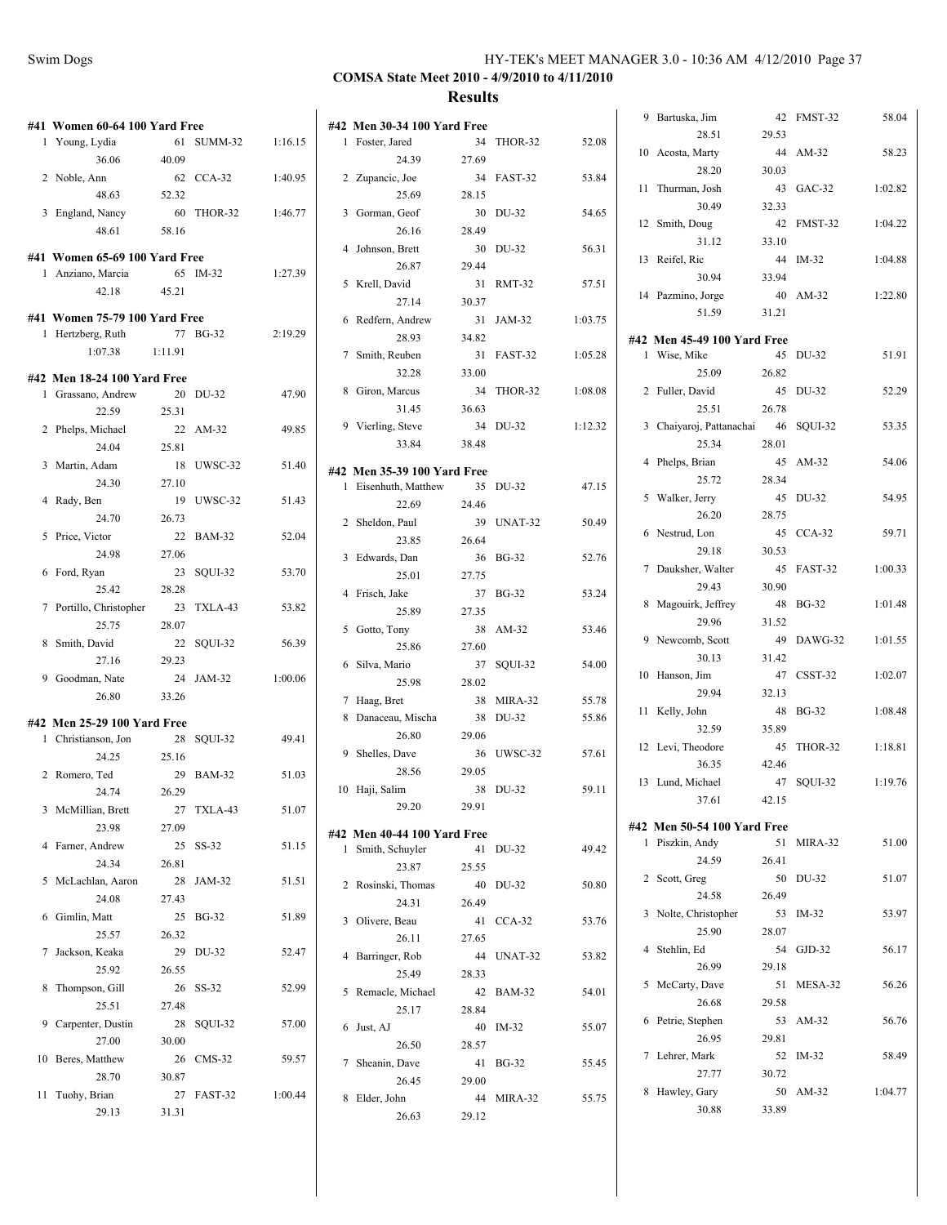| #41 Women 60-64 100 Yard Free |         |            |         | #42 Men 30-34 100 Yard Free |       |            |         | 9 Bartuska, Jim<br>28.51    | 29.53 | 42 FMST-32 | 58.04   |
|-------------------------------|---------|------------|---------|-----------------------------|-------|------------|---------|-----------------------------|-------|------------|---------|
| 1 Young, Lydia                |         | 61 SUMM-32 | 1:16.15 | 1 Foster, Jared             |       | 34 THOR-32 | 52.08   | 10 Acosta, Marty            |       | 44 AM-32   | 58.23   |
| 36.06                         | 40.09   |            |         | 24.39                       | 27.69 |            |         | 28.20                       | 30.03 |            |         |
| 2 Noble, Ann                  |         | 62 CCA-32  | 1:40.95 | 2 Zupancic, Joe             |       | 34 FAST-32 | 53.84   | 11 Thurman, Josh            |       | 43 GAC-32  | 1:02.82 |
| 48.63                         | 52.32   |            |         | 25.69                       | 28.15 |            |         | 30.49                       | 32.33 |            |         |
| 3 England, Nancy              |         | 60 THOR-32 | 1:46.77 | 3 Gorman, Geof              |       | 30 DU-32   | 54.65   | 12 Smith, Doug              |       | 42 FMST-32 | 1:04.22 |
| 48.61                         | 58.16   |            |         | 26.16                       | 28.49 |            |         | 31.12                       | 33.10 |            |         |
| #41 Women 65-69 100 Yard Free |         |            |         | 4 Johnson, Brett            |       | 30 DU-32   | 56.31   | 13 Reifel, Ric              |       | 44 IM-32   | 1:04.88 |
| 1 Anziano, Marcia             |         | 65 IM-32   | 1:27.39 | 26.87                       | 29.44 |            |         | 30.94                       | 33.94 |            |         |
| 42.18                         | 45.21   |            |         | 5 Krell, David              |       | 31 RMT-32  | 57.51   | 14 Pazmino, Jorge           |       | 40 AM-32   | 1:22.80 |
|                               |         |            |         | 27.14                       | 30.37 |            |         | 51.59                       | 31.21 |            |         |
| #41 Women 75-79 100 Yard Free |         |            |         | 6 Redfern, Andrew           |       | 31 JAM-32  | 1:03.75 |                             |       |            |         |
| 1 Hertzberg, Ruth             |         | 77 BG-32   | 2:19.29 | 28.93                       | 34.82 |            |         | #42 Men 45-49 100 Yard Free |       |            |         |
| 1:07.38                       | 1:11.91 |            |         | 7 Smith, Reuben             |       | 31 FAST-32 | 1:05.28 | 1 Wise, Mike                |       | 45 DU-32   | 51.91   |
| #42 Men 18-24 100 Yard Free   |         |            |         | 32.28                       | 33.00 |            |         | 25.09                       | 26.82 |            |         |
| 1 Grassano, Andrew            |         | 20 DU-32   | 47.90   | 8 Giron, Marcus             |       | 34 THOR-32 | 1:08.08 | 2 Fuller, David             |       | 45 DU-32   | 52.29   |
| 22.59                         | 25.31   |            |         | 31.45                       | 36.63 |            |         | 25.51                       | 26.78 |            |         |
| 2 Phelps, Michael             |         | 22 AM-32   | 49.85   | 9 Vierling, Steve           |       | 34 DU-32   | 1:12.32 | 3 Chaiyaroj, Pattanachai    |       | 46 SQUI-32 | 53.35   |
| 24.04                         | 25.81   |            |         | 33.84                       | 38.48 |            |         | 25.34                       | 28.01 |            |         |
| 3 Martin, Adam                |         | 18 UWSC-32 | 51.40   | #42 Men 35-39 100 Yard Free |       |            |         | 4 Phelps, Brian             |       | 45 AM-32   | 54.06   |
| 24.30                         | 27.10   |            |         | 1 Eisenhuth, Matthew        |       | 35 DU-32   | 47.15   | 25.72                       | 28.34 |            |         |
| 4 Rady, Ben                   |         | 19 UWSC-32 | 51.43   | 22.69                       | 24.46 |            |         | 5 Walker, Jerry             |       | 45 DU-32   | 54.95   |
| 24.70                         | 26.73   |            |         | 2 Sheldon, Paul             |       | 39 UNAT-32 | 50.49   | 26.20                       | 28.75 |            |         |
| 5 Price, Victor               |         | 22 BAM-32  | 52.04   | 23.85                       | 26.64 |            |         | 6 Nestrud, Lon              |       | 45 CCA-32  | 59.71   |
| 24.98                         | 27.06   |            |         | 3 Edwards, Dan              |       | 36 BG-32   | 52.76   | 29.18                       | 30.53 |            |         |
| 6 Ford, Ryan                  |         | 23 SQUI-32 | 53.70   | 25.01                       | 27.75 |            |         | 7 Dauksher, Walter          |       | 45 FAST-32 | 1:00.33 |
| 25.42                         | 28.28   |            |         | 4 Frisch, Jake              |       | 37 BG-32   | 53.24   | 29.43                       | 30.90 |            |         |
| 7 Portillo, Christopher       |         | 23 TXLA-43 | 53.82   | 25.89                       | 27.35 |            |         | 8 Magouirk, Jeffrey         |       | 48 BG-32   | 1:01.48 |
| 25.75                         | 28.07   |            |         | 5 Gotto, Tony               |       | 38 AM-32   | 53.46   | 29.96                       | 31.52 |            |         |
| 8 Smith, David                |         | 22 SQUI-32 | 56.39   | 25.86                       | 27.60 |            |         | 9 Newcomb, Scott            |       | 49 DAWG-32 | 1:01.55 |
| 27.16                         | 29.23   |            |         | 6 Silva, Mario              |       | 37 SQUI-32 | 54.00   | 30.13                       | 31.42 |            |         |
| 9 Goodman, Nate               |         | 24 JAM-32  | 1:00.06 | 25.98                       | 28.02 |            |         | 10 Hanson, Jim              |       | 47 CSST-32 | 1:02.07 |
| 26.80                         | 33.26   |            |         | 7 Haag, Bret                |       | 38 MIRA-32 | 55.78   | 29.94                       | 32.13 |            |         |
| #42 Men 25-29 100 Yard Free   |         |            |         | 8 Danaceau, Mischa          |       | 38 DU-32   | 55.86   | 11 Kelly, John              |       | 48 BG-32   | 1:08.48 |
| 1 Christianson, Jon           |         | 28 SQUI-32 | 49.41   | 26.80                       | 29.06 |            |         | 32.59                       | 35.89 |            |         |
| 24.25                         | 25.16   |            |         | 9 Shelles, Dave             |       | 36 UWSC-32 | 57.61   | 12 Levi, Theodore           |       | 45 THOR-32 | 1:18.81 |
| 2 Romero, Ted                 |         | 29 BAM-32  | 51.03   | 28.56                       | 29.05 |            |         | 36.35                       | 42.46 |            |         |
| 24.74                         | 26.29   |            |         | 10 Haji, Salim              |       | 38 DU-32   | 59.11   | 13 Lund, Michael            |       | 47 SQUI-32 | 1:19.76 |
| 3 McMillian, Brett            |         | 27 TXLA-43 | 51.07   | 29.20                       | 29.91 |            |         | 37.61                       | 42.15 |            |         |
| 23.98                         | 27.09   |            |         |                             |       |            |         | #42 Men 50-54 100 Yard Free |       |            |         |
| 4 Farner, Andrew              |         | 25 SS-32   | 51.15   | #42 Men 40-44 100 Yard Free |       |            | 49.42   | 1 Piszkin, Andy             |       | 51 MIRA-32 | 51.00   |
| 24.34                         | 26.81   |            |         | 1 Smith, Schuyler<br>23.87  |       | 41 DU-32   |         | 24.59                       | 26.41 |            |         |
| 5 McLachlan, Aaron            |         | 28 JAM-32  | 51.51   | 2 Rosinski, Thomas          | 25.55 | 40 DU-32   | 50.80   | 2 Scott, Greg               |       | 50 DU-32   | 51.07   |
| 24.08                         | 27.43   |            |         | 24.31                       | 26.49 |            |         | 24.58                       | 26.49 |            |         |
| 6 Gimlin, Matt                |         | 25 BG-32   | 51.89   | 3 Olivere, Beau             |       | 41 CCA-32  | 53.76   | 3 Nolte, Christopher        |       | 53 IM-32   | 53.97   |
| 25.57                         | 26.32   |            |         | 26.11                       |       |            |         | 25.90                       | 28.07 |            |         |
| 7 Jackson, Keaka              |         | 29 DU-32   | 52.47   | 4 Barringer, Rob            | 27.65 | 44 UNAT-32 | 53.82   | 4 Stehlin, Ed               |       | 54 GJD-32  | 56.17   |
| 25.92                         | 26.55   |            |         | 25.49                       | 28.33 |            |         | 26.99                       | 29.18 |            |         |
| 8 Thompson, Gill              |         | 26 SS-32   | 52.99   | 5 Remacle, Michael          |       | 42 BAM-32  | 54.01   | 5 McCarty, Dave             |       | 51 MESA-32 | 56.26   |
| 25.51                         | 27.48   |            |         | 25.17                       | 28.84 |            |         | 26.68                       | 29.58 |            |         |
| 9 Carpenter, Dustin           |         | 28 SQUI-32 | 57.00   | 6 Just, AJ                  |       | 40 IM-32   | 55.07   | 6 Petrie, Stephen           |       | 53 AM-32   | 56.76   |
| 27.00                         | 30.00   |            |         | 26.50                       | 28.57 |            |         | 26.95                       | 29.81 |            |         |
| 10 Beres, Matthew             |         | 26 CMS-32  | 59.57   | 7 Sheanin, Dave             |       | 41 BG-32   | 55.45   | 7 Lehrer, Mark              |       | 52 IM-32   | 58.49   |
| 28.70                         | 30.87   |            |         | 26.45                       | 29.00 |            |         | 27.77                       | 30.72 |            |         |
| 11 Tuohy, Brian               |         | 27 FAST-32 | 1:00.44 | 8 Elder, John               |       | 44 MIRA-32 | 55.75   | 8 Hawley, Gary              |       | 50 AM-32   | 1:04.77 |
| 29.13                         | 31.31   |            |         | 26.63                       | 29.12 |            |         | 30.88                       | 33.89 |            |         |
|                               |         |            |         |                             |       |            |         |                             |       |            |         |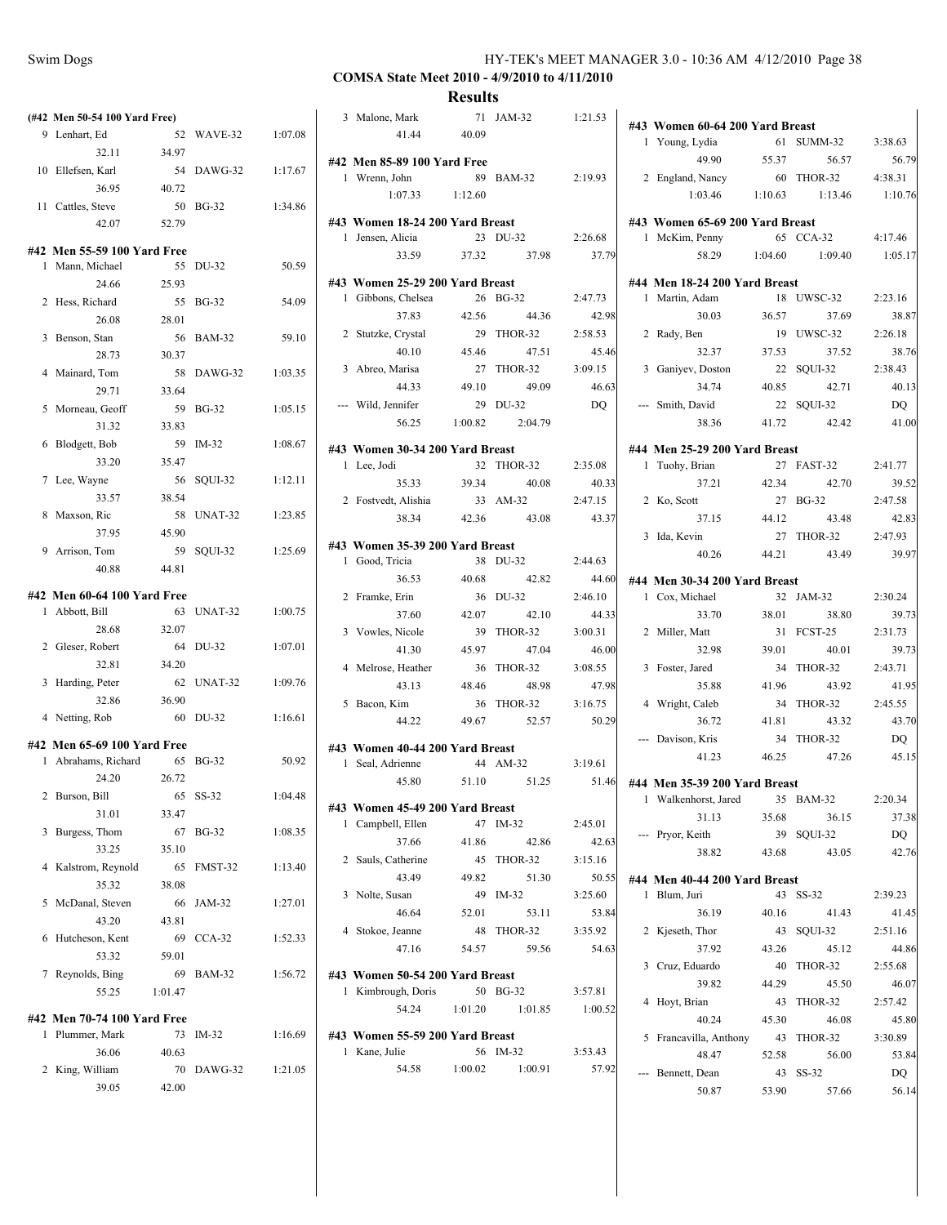# **COMSA State Meet 2010 - 4/9/2010 to 4/11/2010**

|                | (#42 Men 50-54 100 Yard Free)                    |         |               |         |
|----------------|--------------------------------------------------|---------|---------------|---------|
|                | 9 Lenhart, Ed                                    | 52      | WAVE-32       | 1:07.08 |
|                | 32.11                                            | 34.97   |               |         |
|                | 10 Ellefsen, Karl                                | 54      | DAWG-32       | 1:17.67 |
|                | 36.95                                            | 40.72   |               |         |
| 11             | Cattles, Steve                                   | 50      | <b>BG-32</b>  | 1:34.86 |
|                | 42.07                                            | 52.79   |               |         |
|                | #42 Men 55-59 100 Yard Free                      |         |               |         |
| 1              | Mann, Michael                                    | 55      | DU-32         | 50.59   |
|                | 24.66                                            | 25.93   |               |         |
| 2              | Hess, Richard                                    | 55      | <b>BG-32</b>  | 54.09   |
|                | 26.08                                            | 28.01   |               |         |
| 3              | Benson, Stan                                     | 56      | <b>BAM-32</b> | 59.10   |
|                | 28.73                                            | 30.37   |               |         |
| 4              | Mainard, Tom                                     | 58      | DAWG-32       | 1:03.35 |
|                | 29.71                                            | 33.64   |               |         |
| 5              | Morneau, Geoff                                   | 59      | <b>BG-32</b>  | 1:05.15 |
|                | 31.32                                            | 33.83   |               |         |
| 6              | Blodgett, Bob                                    | 59      | $IM-32$       | 1:08.67 |
|                | 33.20                                            | 35.47   |               |         |
| 7              | Lee, Wayne                                       | 56      | SQUI-32       | 1:12.11 |
|                | 33.57                                            | 38.54   |               |         |
| 8              | Maxson, Ric                                      | 58      | UNAT-32       | 1:23.85 |
|                | 37.95                                            | 45.90   |               |         |
| 9              | Arrison, Tom                                     | 59      | SQUI-32       | 1:25.69 |
|                | 40.88                                            | 44.81   |               |         |
|                | #42 Men 60-64 100 Yard Free                      |         |               |         |
| 1              | Abbott, Bill                                     | 63      | UNAT-32       | 1:00.75 |
|                | 28.68                                            | 32.07   |               |         |
| 2              | Gleser, Robert                                   | 64      | DU-32         | 1:07.01 |
|                | 32.81                                            | 34.20   |               |         |
| $\overline{3}$ | Harding, Peter                                   | 62      | UNAT-32       | 1:09.76 |
|                | 32.86                                            | 36.90   |               |         |
| 4              | Netting, Rob                                     | 60      | DU-32         | 1:16.61 |
|                |                                                  |         |               |         |
| 1              | #42 Men 65-69 100 Yard Free<br>Abrahams, Richard | 65      | <b>BG-32</b>  | 50.92   |
|                | 24.20                                            | 26.72   |               |         |
|                | 2 Burson, Bill                                   |         | 65 SS-32      | 1:04.48 |
|                | 31.01                                            | 33.47   |               |         |
| 3              | Burgess, Thom                                    | 67      | <b>BG-32</b>  | 1:08.35 |
|                | 33.25                                            | 35.10   |               |         |
| 4              | Kalstrom, Reynold                                | 65      | FMST-32       | 1:13.40 |
|                | 35.32                                            | 38.08   |               |         |
| 5              | McDanal, Steven                                  | 66      | JAM-32        | 1:27.01 |
|                | 43.20                                            | 43.81   |               |         |
| 6              | Hutcheson, Kent                                  | 69      | $CCA-32$      | 1:52.33 |
|                | 53.32                                            | 59.01   |               |         |
|                | 7 Reynolds, Bing                                 | 69      | BAM-32        | 1:56.72 |
|                | 55.25                                            | 1:01.47 |               |         |
|                |                                                  |         |               |         |
| 1              | #42 Men 70-74 100 Yard Free<br>Plummer, Mark     | 73      | $IM-32$       | 1:16.69 |
|                | 36.06                                            | 40.63   |               |         |
| 2              | King, William                                    | 70      | DAWG-32       | 1:21.05 |
|                | 39.05                                            | 42.00   |               |         |
|                |                                                  |         |               |         |

|   | 3 Malone, Mark<br>41.44 40.09   |         | 71 JAM-32             | 1:21.53 |
|---|---------------------------------|---------|-----------------------|---------|
|   | #42 Men 85-89 100 Yard Free     |         |                       |         |
|   | 1 Wrenn, John                   |         | 89 BAM-32             | 2:19.93 |
|   | 1:07.33                         | 1:12.60 |                       |         |
|   | #43 Women 18-24 200 Yard Breast |         |                       |         |
|   | 1 Jensen, Alicia                |         | 23 DU-32              | 2:26.68 |
|   | 33.59                           | 37.32   | 37.98                 | 37.79   |
|   | #43 Women 25-29 200 Yard Breast |         |                       |         |
|   | 1 Gibbons, Chelsea              |         | 26 BG-32              | 2:47.73 |
|   | 37.83                           | 42.56   | 44.36                 | 42.98   |
|   | 2 Stutzke, Crystal              |         | 29 THOR-32            | 2:58.53 |
|   | 40.10                           | 45.46   | 47.51                 | 45.46   |
|   | 3 Abreo, Marisa                 |         | 27 THOR-32            | 3:09.15 |
|   | 44.33                           | 49.10   | 49.09                 | 46.63   |
|   | --- Wild, Jennifer              |         | 29 DU-32              | DQ      |
|   |                                 |         | 56.25 1:00.82 2:04.79 |         |
|   | #43 Women 30-34 200 Yard Breast |         |                       |         |
|   | 1 Lee, Jodi                     |         | 32 THOR-32            | 2:35.08 |
|   | 35.33                           | 39.34   | 40.08                 | 40.33   |
|   | 2 Fostvedt, Alishia             |         | 33 AM-32              | 2:47.15 |
|   | 38.34                           | 42.36   | 43.08                 | 43.37   |
|   | #43 Women 35-39 200 Yard Breast |         |                       |         |
|   | 1 Good, Tricia                  |         | 38 DU-32              | 2:44.63 |
|   | 36.53                           | 40.68   | 42.82                 | 44.60   |
|   | 2 Framke, Erin                  |         | 36 DU-32              | 2:46.10 |
|   | 37.60                           | 42.07   | 42.10                 | 44.33   |
|   | 3 Vowles, Nicole                | 39      | THOR-32               | 3:00.31 |
|   | 41.30                           | 45.97   | 47.04                 | 46.00   |
|   | 4 Melrose, Heather              |         | 36 THOR-32            | 3:08.55 |
|   | 43.13                           | 48.46   | 48.98                 | 47.98   |
|   | 5 Bacon, Kim                    |         | 36 THOR-32            | 3:16.75 |
|   | 44.22                           | 49.67   | 52.57                 | 50.29   |
|   | #43 Women 40-44 200 Yard Breast |         |                       |         |
| 1 | Seal, Adrienne                  |         | 44 AM-32              | 3:19.61 |
|   | 45.80                           | 51.10   | 51.25                 | 51.46   |
|   | #43 Women 45-49 200 Yard Breast |         |                       |         |
| 1 | Campbell, Ellen                 | 47      | $IM-32$               | 2:45.01 |
|   | 37.66                           | 41.86   | 42.86                 | 42.63   |
|   | 2 Sauls, Catherine              | 45      | THOR-32               | 3:15.16 |
|   | 43.49                           | 49.82   | 51.30                 | 50.55   |
|   | 3 Nolte, Susan                  |         | 49 IM-32              | 3:25.60 |
|   | 46.64                           | 52.01   | 53.11                 | 53.84   |
|   | 4 Stokoe, Jeanne                |         | 48 THOR-32            | 3:35.92 |
|   | 47.16                           | 54.57   | 59.56                 | 54.63   |
|   | #43 Women 50-54 200 Yard Breast |         |                       |         |
| 1 | Kimbrough, Doris                |         | 50 BG-32              | 3:57.81 |
|   | 54.24                           | 1:01.20 | 1:01.85               | 1:00.52 |
|   | #43 Women 55-59 200 Yard Breast |         |                       |         |
|   | 1 Kane, Julie                   |         | 56 IM-32              | 3:53.43 |
|   | 54.58                           | 1:00.02 | 1:00.91               | 57.92   |
|   |                                 |         |                       |         |
|   |                                 |         |                       |         |

|                | #43 Women 60-64 200 Yard Breast                              |       |                                 |                   |
|----------------|--------------------------------------------------------------|-------|---------------------------------|-------------------|
|                | 1 Young, Lydia                                               |       | 61 SUMM-32                      | 3:38.63           |
|                | 49.90 55.37                                                  |       | 56.57                           | 56.79             |
|                | 2 England, Nancy                                             |       | 60 THOR-32                      | 4:38.31           |
|                |                                                              |       | 1:03.46 1:10.63 1:13.46 1:10.76 |                   |
|                | #43 Women 65-69 200 Yard Breast                              |       |                                 |                   |
|                | 1 McKim, Penny                                               |       | 65 CCA-32 4:17.46               |                   |
|                |                                                              |       | 58.29 1:04.60 1:09.40           | 1:05.17           |
|                |                                                              |       |                                 |                   |
|                | #44 Men 18-24 200 Yard Breast                                |       |                                 |                   |
|                | 1 Martin, Adam                                               |       | 18 UWSC-32                      | 2:23.16           |
|                | 30.03                                                        | 36.57 | 37.69                           | 38.87             |
|                | 2 Rady, Ben                                                  |       | 19 UWSC-32                      | 2:26.18           |
|                | 32.37<br>3 Ganiyev, Doston $22$<br>3 Caniyev, Doston $40.85$ | 37.53 | 37.52                           | 38.76             |
|                |                                                              |       | 22 SQUI-32                      | 2:38.43           |
|                |                                                              |       | 42.71                           | 40.13             |
|                | --- Smith, David<br>38.36                                    | 41.72 | 22 SQUI-32                      | DQ<br>42.42 41.00 |
|                |                                                              |       |                                 |                   |
|                | #44 Men 25-29 200 Yard Breast                                |       |                                 |                   |
|                | 1 Tuohy, Brian                                               |       | 27 FAST-32                      | 2:41.77           |
|                | 37.21                                                        | 42.34 | 42.70                           | 39.52             |
|                | 2 Ko, Scott                                                  |       | 27 BG-32                        | 2:47.58           |
|                | 37.15                                                        | 44.12 | 43.48                           | 42.83             |
|                | 3 Ida, Kevin                                                 |       | 27 THOR-32                      | 2:47.93           |
|                | 40.26                                                        | 44.21 | 43.49                           | 39.97             |
|                | #44 Men 30-34 200 Yard Breast                                |       |                                 |                   |
|                | 1 Cox, Michael                                               |       | 32 JAM-32                       | 2:30.24           |
|                | 33.70                                                        | 38.01 | 38.80                           | 39.73             |
|                | 2 Miller, Matt                                               |       | 31 FCST-25                      | 2:31.73           |
|                | 32.98                                                        | 39.01 | 40.01                           | 39.73             |
|                | 3 Foster, Jared                                              |       | 34 THOR-32                      | 2:43.71           |
|                | 35.88                                                        | 41.96 | 43.92                           | 41.95             |
|                | 4 Wright, Caleb                                              |       | 34 THOR-32                      | 2:45.55           |
|                | 36.72                                                        | 41.81 | 43.32                           | 43.70             |
|                | --- Davison, Kris                                            |       | 34 THOR-32                      | DQ                |
|                | 41.23                                                        | 46.25 | 47.26                           | 45.15             |
|                | #44 Men 35-39 200 Yard Breast                                |       |                                 |                   |
| $\mathbf{1}$   | Walkenhorst, Jared                                           |       | 35 BAM-32                       | 2:20.34           |
|                | 31.13                                                        | 35.68 | 36.15                           | 37.38             |
|                | --- Pryor, Keith                                             | 39    | SOUI-32                         | DQ                |
|                | 38.82                                                        | 43.68 | 43.05                           | 42.76             |
|                |                                                              |       |                                 |                   |
|                | #44 Men 40-44 200 Yard Breast<br>1 Blum, Juri                | 43    | $SS-32$                         | 2:39.23           |
|                | 36.19                                                        | 40.16 | 41.43                           | 41.45             |
|                | 2 Kjeseth, Thor                                              | 43    | SQUI-32                         | 2:51.16           |
|                | 37.92                                                        | 43.26 | 45.12                           | 44.86             |
|                | 3 Cruz, Eduardo                                              | 40    | THOR-32                         | 2:55.68           |
|                | 39.82                                                        | 44.29 | 45.50                           | 46.07             |
| $\overline{4}$ | Hoyt, Brian                                                  | 43    | THOR-32                         | 2:57.42           |
|                | 40.24                                                        | 45.30 | 46.08                           | 45.80             |
|                | 5 Francavilla, Anthony                                       | 43    | THOR-32                         | 3:30.89           |
|                | 48.47                                                        | 52.58 | 56.00                           | 53.84             |
| ---            | Bennett, Dean                                                | 43    | SS-32                           | DQ                |
|                | 50.87                                                        | 53.90 | 57.66                           | 56.14             |
|                |                                                              |       |                                 |                   |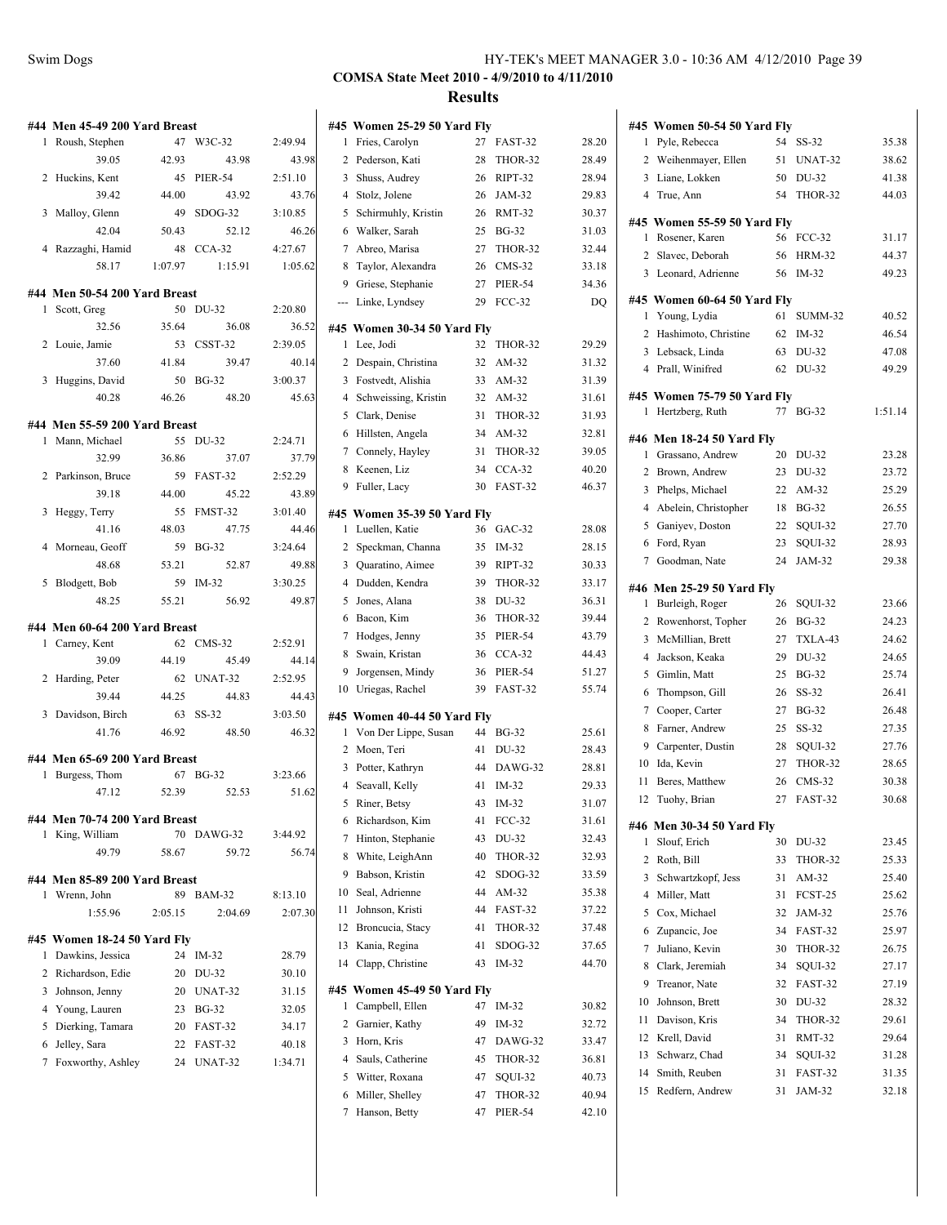|        | #44 Men 45-49 200 Yard Breast |             |                |                  |
|--------|-------------------------------|-------------|----------------|------------------|
| 1      | Roush, Stephen                | 47          | W3C-32         | 2:49.94          |
|        | 39.05                         | 42.93       | 43.98          | 43.98            |
|        | 2 Huckins, Kent               | 45          | <b>PIER-54</b> | 2:51.10          |
|        | 39.42                         | 44.00       | 43.92          | 43.76            |
| 3      | Malloy, Glenn                 | 49          | $SDOG-32$      | 3:10.85          |
|        | 42.04                         | 50.43       | 52.12          | 46.26            |
|        | 4 Razzaghi, Hamid             | 48          | $CCA-32$       | 4:27.67          |
|        | 58.17                         | 1:07.97     | 1:15.91        | 1:05.62          |
|        | #44 Men 50-54 200 Yard Breast |             |                |                  |
| 1      | Scott, Greg                   | 50          | DU-32          | 2:20.80          |
|        | 32.56                         | 35.64       | 36.08          | 36.52            |
|        | 2 Louie, Jamie                | 53          | CSST-32        | 2:39.05          |
|        | 37.60                         | 41.84       | 39.47          | 40.14            |
| 3      | Huggins, David                | 50          | $BG-32$        | 3:00.37          |
|        | 40.28                         | 46.26       | 48.20          | 45.63            |
|        | #44 Men 55-59 200 Yard Breast |             |                |                  |
| 1      | Mann, Michael                 | 55          | DU-32          | 2:24.71          |
|        | 32.99                         | 36.86       | 37.07          | 37.79            |
| 2      | Parkinson, Bruce              | 59          | FAST-32        | 2:52.29          |
|        | 39.18                         | 44.00       | 45.22          | 43.89            |
| 3      | Heggy, Terry                  | 55          | FMST-32        | 3:01.40          |
|        | 41.16                         | 48.03       | 47.75          | 44.46            |
| 4      | Morneau, Geoff                | 59          | <b>BG-32</b>   | 3:24.64          |
|        | 48.68                         | 53.21       | 52.87          | 49.88            |
| 5      | Blodgett, Bob                 | 59          | IM-32          | 3:30.25          |
|        | 48.25                         | 55.21       | 56.92          | 49.87            |
|        |                               |             |                |                  |
| 1      | #44 Men 60-64 200 Yard Breast | 62          | $CMS-32$       |                  |
|        | Carney, Kent<br>39.09         | 44.19       | 45.49          | 2:52.91<br>44.14 |
| 2      |                               | 62          | UNAT-32        | 2:52.95          |
|        | Harding, Peter<br>39.44       | 44.25       | 44.83          | 44.43            |
|        | 3 Davidson, Birch             | 63          | SS-32          | 3:03.50          |
|        | 41.76                         | 46.92       | 48.50          | 46.32            |
|        |                               |             |                |                  |
|        | #44 Men 65-69 200 Yard Breast |             |                |                  |
| 1      | Burgess, Thom                 | 67<br>52.39 | <b>BG-32</b>   | 3:23.66          |
|        | 47.12                         |             | 52.53          | 51.62            |
|        | #44 Men 70-74 200 Yard Breast |             |                |                  |
| 1      | King, William                 | 70          | DAWG-32        | 3:44.92          |
|        | 49.79                         | 58.67       | 59.72          | 56.74            |
|        | #44 Men 85-89 200 Yard Breast |             |                |                  |
| 1      | Wrenn, John                   | 89          | <b>BAM-32</b>  | 8:13.10          |
|        | 1:55.96                       | 2:05.15     | 2:04.69        | 2:07.30          |
|        | #45 Women 18-24 50 Yard Fly   |             |                |                  |
| 1      | Dawkins, Jessica              | 24          | $IM-32$        | 28.79            |
|        | 2 Richardson, Edie            | 20          | DU-32          | 30.10            |
|        | 3 Johnson, Jenny              | 20          | UNAT-32        | 31.15            |
|        | 4 Young, Lauren               |             | 23 BG-32       | 32.05            |
| 5      | Dierking, Tamara              |             | 20 FAST-32     | 34.17            |
|        | 6 Jelley, Sara                |             | 22 FAST-32     | 40.18            |
| $\tau$ | Foxworthy, Ashley             |             | 24 UNAT-32     | 1:34.71          |
|        |                               |             |                |                  |

|                | #45 Women 25-29 50 Yard Fly                         |    |                |       |
|----------------|-----------------------------------------------------|----|----------------|-------|
| 1              | Fries, Carolyn                                      | 27 | FAST-32        | 28.20 |
| 2              | Pederson, Kati                                      | 28 | THOR-32        | 28.49 |
| 3              | Shuss, Audrey                                       | 26 | RIPT-32        | 28.94 |
| 4              | Stolz, Jolene                                       | 26 | JAM-32         | 29.83 |
| 5              | Schirmuhly, Kristin                                 | 26 | <b>RMT-32</b>  | 30.37 |
| 6              | Walker, Sarah                                       | 25 | <b>BG-32</b>   | 31.03 |
| 7              | Abreo, Marisa                                       | 27 | THOR-32        | 32.44 |
| 8              | Taylor, Alexandra                                   | 26 | $CMS-32$       | 33.18 |
| 9              | Griese, Stephanie                                   | 27 | <b>PIER-54</b> | 34.36 |
| ---            | Linke, Lyndsey                                      | 29 | $FCC-32$       | DQ    |
|                | #45 Women 30-34 50 Yard Fly                         |    |                |       |
| 1              | Lee, Jodi                                           | 32 | THOR-32        | 29.29 |
| 2              | Despain, Christina                                  | 32 | AM-32          | 31.32 |
|                | 3 Fostvedt, Alishia                                 |    | 33 AM-32       | 31.39 |
| 4              | Schweissing, Kristin                                | 32 | $AM-32$        | 31.61 |
| 5              | Clark, Denise                                       | 31 | THOR-32        | 31.93 |
| 6              | Hillsten, Angela                                    | 34 | AM-32          | 32.81 |
| 7              | Connely, Hayley                                     | 31 | THOR-32        | 39.05 |
| 8              | Keenen, Liz                                         | 34 | $CCA-32$       | 40.20 |
| 9              | Fuller, Lacy                                        | 30 | FAST-32        | 46.37 |
|                | #45 Women 35-39 50 Yard Fly                         |    |                |       |
| 1              | Luellen, Katie                                      | 36 | $GAC-32$       | 28.08 |
| 2              | Speckman, Channa                                    | 35 | $IM-32$        | 28.15 |
| 3              | Quaratino, Aimee                                    | 39 | RIPT-32        | 30.33 |
| $\overline{4}$ | Dudden, Kendra                                      | 39 | THOR-32        | 33.17 |
| 5              | Jones, Alana                                        | 38 | DU-32          | 36.31 |
| 6              | Bacon, Kim                                          | 36 | THOR-32        | 39.44 |
| 7              | Hodges, Jenny                                       | 35 | PIER-54        | 43.79 |
| 8              | Swain, Kristan                                      | 36 | $CCA-32$       | 44.43 |
| 9              | Jorgensen, Mindy                                    | 36 | PIER-54        | 51.27 |
| 10             | Uriegas, Rachel                                     | 39 | FAST-32        | 55.74 |
|                |                                                     |    |                |       |
| $\mathbf{1}$   | #45 Women 40-44 50 Yard Fly<br>Von Der Lippe, Susan | 44 | <b>BG-32</b>   | 25.61 |
| 2              | Moen, Teri                                          | 41 | DU-32          | 28.43 |
| 3              | Potter, Kathryn                                     | 44 | DAWG-32        | 28.81 |
| $\overline{4}$ | Seavall, Kelly                                      | 41 | $IM-32$        | 29.33 |
| 5              | Riner, Betsy                                        | 43 | IM-32          | 31.07 |
| 6              | Richardson, Kim                                     | 41 | <b>FCC-32</b>  | 31.61 |
| 7              | Hinton, Stephanie                                   | 43 | DU-32          | 32.43 |
| 8              | White, LeighAnn                                     | 40 | THOR-32        | 32.93 |
| 9              | Babson, Kristin                                     | 42 | $SDOG-32$      | 33.59 |
| 10             | Seal, Adrienne                                      | 44 | AM-32          | 35.38 |
| 11             | Johnson, Kristi                                     | 44 | FAST-32        | 37.22 |
| 12             | Broncucia, Stacy                                    | 41 | THOR-32        | 37.48 |
| 13             | Kania, Regina                                       | 41 | SDOG-32        | 37.65 |
| 14             | Clapp, Christine                                    | 43 | IM-32          | 44.70 |
|                |                                                     |    |                |       |
| #45            | Women 45-49 50 Yard Fly                             |    |                |       |
| 1              | Campbell, Ellen                                     | 47 | IM-32          | 30.82 |
| 2              | Garnier, Kathy                                      | 49 | IM-32          | 32.72 |
| 3              | Horn, Kris                                          | 47 | DAWG-32        | 33.47 |
| 4              | Sauls, Catherine                                    | 45 | THOR-32        | 36.81 |
| 5              | Witter, Roxana                                      | 47 | SQUI-32        | 40.73 |
| 6              | Miller, Shelley                                     | 47 | THOR-32        | 40.94 |
| 7              | Hanson, Betty                                       | 47 | <b>PIER-54</b> | 42.10 |

|    | #45 Women 50-54 50 Yard Flv                  |    |                |         |
|----|----------------------------------------------|----|----------------|---------|
| 1  | Pyle, Rebecca                                | 54 | SS-32          | 35.38   |
|    | 2 Weihenmayer, Ellen                         | 51 | UNAT-32        | 38.62   |
| 3  | Liane, Lokken                                | 50 | DU-32          | 41.38   |
|    | 4 True, Ann                                  | 54 | THOR-32        | 44.03   |
|    | #45 Women 55-59 50 Yard Fly                  |    |                |         |
| 1  | Rosener, Karen                               | 56 | <b>FCC-32</b>  | 31.17   |
| 2  | Slavec, Deborah                              | 56 | <b>HRM-32</b>  | 44.37   |
| 3  | Leonard, Adrienne                            | 56 | IM-32          | 49.23   |
|    | #45 Women 60-64 50 Yard Fly                  |    |                |         |
| 1  | Young, Lydia                                 | 61 | SUMM-32        | 40.52   |
| 2  | Hashimoto, Christine                         | 62 | IM-32          | 46.54   |
|    | 3 Lebsack, Linda                             | 63 | DU-32          | 47.08   |
|    | 4 Prall, Winifred                            | 62 | DU-32          | 49.29   |
|    | #45 Women 75-79 50 Yard Fly                  |    |                |         |
| 1  | Hertzberg, Ruth                              | 77 | <b>BG-32</b>   | 1:51.14 |
|    | #46 Men 18-24 50 Yard Fly                    |    |                |         |
| 1  | Grassano, Andrew                             | 20 | DU-32          | 23.28   |
| 2  | Brown, Andrew                                | 23 | DU-32          | 23.72   |
| 3  | Phelps, Michael                              | 22 | AM-32          | 25.29   |
| 4  | Abelein, Christopher                         | 18 | <b>BG-32</b>   | 26.55   |
| 5  | Ganiyev, Doston                              | 22 | SQUI-32        | 27.70   |
| 6  | Ford, Ryan                                   | 23 | SQUI-32        | 28.93   |
| 7  | Goodman, Nate                                | 24 | JAM-32         | 29.38   |
|    |                                              |    |                |         |
| 1  | #46 Men 25-29 50 Yard Fly<br>Burleigh, Roger | 26 | SQUI-32        | 23.66   |
| 2  | Rowenhorst, Topher                           | 26 | <b>BG-32</b>   | 24.23   |
| 3  | McMillian, Brett                             | 27 | TXLA-43        | 24.62   |
| 4  | Jackson, Keaka                               | 29 | DU-32          | 24.65   |
| 5  | Gimlin, Matt                                 | 25 | <b>BG-32</b>   | 25.74   |
| 6  | Thompson, Gill                               | 26 | $SS-32$        | 26.41   |
| 7  | Cooper, Carter                               | 27 | <b>BG-32</b>   | 26.48   |
| 8  | Farner, Andrew                               | 25 | SS-32          | 27.35   |
| 9  | Carpenter, Dustin                            | 28 | SOUI-32        | 27.76   |
| 10 | Ida, Kevin                                   | 27 | THOR-32        | 28.65   |
| 11 | Beres, Matthew                               | 26 | $CMS-32$       | 30.38   |
| 12 | Tuohy, Brian                                 | 27 | <b>FAST-32</b> | 30.68   |
|    |                                              |    |                |         |
| 1  | #46 Men 30-34 50 Yard Fly<br>Slouf, Erich    | 30 | DU-32          | 23.45   |
| 2  | Roth, Bill                                   | 33 | THOR-32        | 25.33   |
| 3  | Schwartzkopf, Jess                           | 31 | AM-32          | 25.40   |
| 4  | Miller, Matt                                 | 31 | FCST-25        | 25.62   |
| 5  | Cox, Michael                                 | 32 | JAM-32         | 25.76   |
| 6  | Zupancic, Joe                                | 34 | FAST-32        | 25.97   |
| 7  | Juliano, Kevin                               | 30 | THOR-32        | 26.75   |
| 8  | Clark. Jeremiah                              | 34 | SOUI-32        | 27.17   |
| 9  | Treanor, Nate                                | 32 | FAST-32        | 27.19   |
| 10 | Johnson, Brett                               | 30 | DU-32          | 28.32   |
| 11 | Davison, Kris                                | 34 | THOR-32        | 29.61   |
| 12 | Krell, David                                 | 31 | RMT-32         | 29.64   |
| 13 | Schwarz, Chad                                | 34 | SQUI-32        | 31.28   |
| 14 | Smith, Reuben                                | 31 | FAST-32        | 31.35   |
| 15 | Redfern, Andrew                              | 31 | JAM-32         | 32.18   |
|    |                                              |    |                |         |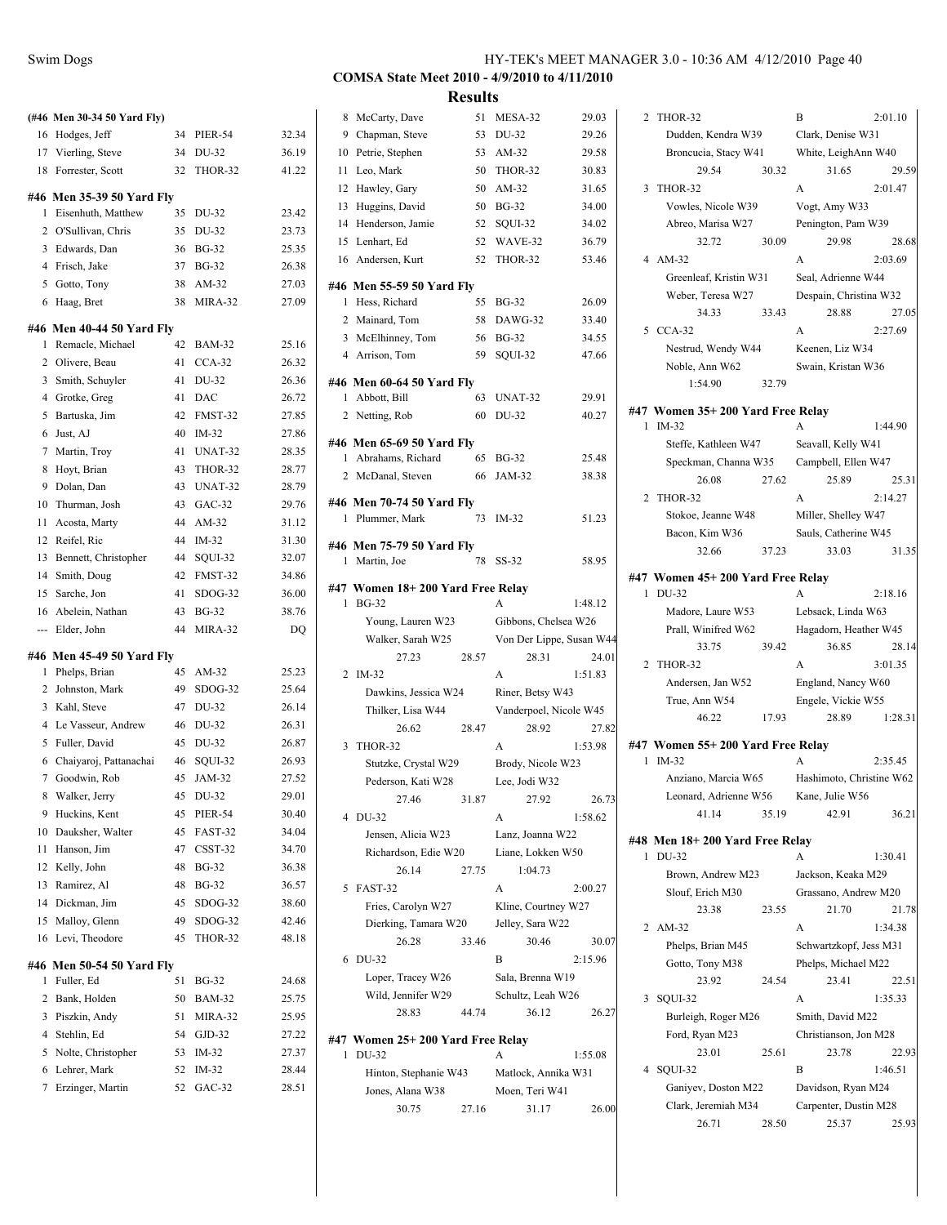|     | (#46 Men 30-34 50 Yard Fly) |    |                |       |
|-----|-----------------------------|----|----------------|-------|
| 16  | Hodges, Jeff                | 34 | <b>PIER-54</b> | 32.34 |
|     | 17 Vierling, Steve          | 34 | DU-32          | 36.19 |
| 18  | Forrester, Scott            | 32 | THOR-32        | 41.22 |
|     | #46 Men 35-39 50 Yard Fly   |    |                |       |
| 1   | Eisenhuth, Matthew          | 35 | DU-32          | 23.42 |
| 2   | O'Sullivan, Chris           | 35 | DU-32          | 23.73 |
|     | 3 Edwards, Dan              | 36 | <b>BG-32</b>   | 25.35 |
|     | 4 Frisch, Jake              | 37 | $BG-32$        | 26.38 |
|     | 5 Gotto, Tony               | 38 | $AM-32$        | 27.03 |
| 6   | Haag, Bret                  | 38 | MIRA-32        | 27.09 |
|     |                             |    |                |       |
|     | #46 Men 40-44 50 Yard Fly   |    |                |       |
| 1   | Remacle, Michael            | 42 | <b>BAM-32</b>  | 25.16 |
|     | 2 Olivere, Beau             | 41 | $CCA-32$       | 26.32 |
| 3   | Smith, Schuyler             | 41 | DU-32          | 26.36 |
|     | 4 Grotke, Greg              | 41 | DAC            | 26.72 |
| 5   | Bartuska, Jim               | 42 | FMST-32        | 27.85 |
| 6   | Just, AJ                    | 40 | $IM-32$        | 27.86 |
|     | 7 Martin, Trov              | 41 | UNAT-32        | 28.35 |
| 8   | Hoyt, Brian                 | 43 | THOR-32        | 28.77 |
| 9   | Dolan, Dan                  | 43 | UNAT-32        | 28.79 |
| 10  | Thurman, Josh               | 43 | $GAC-32$       | 29.76 |
| 11  | Acosta, Marty               | 44 | AM-32          | 31.12 |
|     | 12 Reifel, Ric              | 44 | $IM-32$        | 31.30 |
| 13  | Bennett, Christopher        | 44 | SOUI-32        | 32.07 |
|     | 14 Smith, Doug              | 42 | FMST-32        | 34.86 |
|     | 15 Sarche, Jon              | 41 | SDOG-32        | 36.00 |
| 16  | Abelein, Nathan             | 43 | <b>BG-32</b>   | 38.76 |
| --- | Elder, John                 | 44 | MIRA-32        | DQ    |
|     | #46 Men 45-49 50 Yard Fly   |    |                |       |
| 1   | Phelps, Brian               | 45 | AM-32          | 25.23 |
| 2   | Johnston, Mark              | 49 | SDOG-32        | 25.64 |
|     | 3 Kahl, Steve               | 47 | DU-32          | 26.14 |
|     | 4 Le Vasseur, Andrew        | 46 | DU-32          | 26.31 |
|     | 5 Fuller, David             | 45 | DU-32          | 26.87 |
| 6   | Chaiyaroj, Pattanachai      | 46 | SQUI-32        | 26.93 |
|     | 7 Goodwin, Rob              | 45 | JAM-32         | 27.52 |
| 8   | Walker, Jerry               | 45 | DU-32          | 29.01 |
| 9   | Huckins, Kent               | 45 | <b>PIER-54</b> | 30.40 |
| 10  | Dauksher, Walter            | 45 | FAST-32        | 34.04 |
| 11  | Hanson, Jim                 | 47 | CSST-32        | 34.70 |
| 12  | Kelly, John                 | 48 | <b>BG-32</b>   | 36.38 |
| 13  | Ramirez, Al                 | 48 | <b>BG-32</b>   | 36.57 |
|     | 14 Dickman, Jim             | 45 | SDOG-32        | 38.60 |
| 15  | Malloy, Glenn               | 49 | SDOG-32        | 42.46 |
| 16  | Levi, Theodore              | 45 | THOR-32        | 48.18 |
|     |                             |    |                |       |
|     | #46 Men 50-54 50 Yard Fly   |    |                |       |
| 1   | Fuller, Ed                  | 51 | <b>BG-32</b>   | 24.68 |
| 2   | Bank, Holden                | 50 | <b>BAM-32</b>  | 25.75 |
| 3   | Piszkin, Andy               | 51 | MIRA-32        | 25.95 |
|     | 4 Stehlin, Ed               | 54 | $GJD-32$       | 27.22 |
| 5   | Nolte, Christopher          | 53 | $IM-32$        | 27.37 |
| 6   | Lehrer, Mark                | 52 | $IM-32$        | 28.44 |
| 7   | Erzinger, Martin            | 52 | $GAC-32$       | 28.51 |
|     |                             |    |                |       |

**Results**

| 8  | McCarty, Dave                                    | 51    | MESA-32                  | 29.03   |
|----|--------------------------------------------------|-------|--------------------------|---------|
| 9  | Chapman, Steve                                   | 53    | DU-32                    | 29.26   |
| 10 | Petrie, Stephen                                  | 53    | AM-32                    | 29.58   |
| 11 | Leo, Mark                                        |       | 50 THOR-32               | 30.83   |
|    | 12 Hawley, Gary                                  | 50    | $AM-32$                  | 31.65   |
|    | 13 Huggins, David                                |       | 50 BG-32                 | 34.00   |
|    | 14 Henderson, Jamie                              | 52    | SQUI-32                  | 34.02   |
|    | 15 Lenhart, Ed                                   | 52    | WAVE-32                  | 36.79   |
|    | 16 Andersen, Kurt                                | 52    | THOR-32                  | 53.46   |
|    | #46 Men 55-59 50 Yard Fly                        |       |                          |         |
| 1  | Hess, Richard                                    | 55    | <b>BG-32</b>             | 26.09   |
|    | 2 Mainard, Tom                                   |       | 58 DAWG-32               | 33.40   |
|    | 3 McElhinney, Tom                                | 56    | <b>BG-32</b>             | 34.55   |
|    | 4 Arrison, Tom                                   | 59    | SQUI-32                  | 47.66   |
|    | #46 Men 60-64 50 Yard Fly                        |       |                          |         |
|    | 1 Abbott, Bill                                   | 63    | UNAT-32                  | 29.91   |
|    | 2 Netting, Rob                                   | 60    | DU-32                    | 40.27   |
|    |                                                  |       |                          |         |
|    | #46 Men 65-69 50 Yard Fly                        |       |                          |         |
|    | 1 Abrahams, Richard                              | 65    | BG-32                    | 25.48   |
|    | 2 McDanal, Steven                                | 66    | JAM-32                   | 38.38   |
|    | #46 Men 70-74 50 Yard Fly                        |       |                          |         |
| 1  | Plummer, Mark                                    | 73    | $IM-32$                  | 51.23   |
|    | #46 Men 75-79 50 Yard Fly                        |       |                          |         |
| 1  | Martin, Joe                                      | 78    | $SS-32$                  | 58.95   |
|    |                                                  |       |                          |         |
| 1  | #47 Women 18+200 Yard Free Relay<br><b>BG-32</b> |       | A                        | 1:48.12 |
|    | Young, Lauren W23                                |       | Gibbons, Chelsea W26     |         |
|    | Walker, Sarah W25                                |       | Von Der Lippe, Susan W44 |         |
|    | 27.23                                            | 28.57 | 28.31                    | 24.01   |
|    | 2 IM-32                                          |       | A                        | 1:51.83 |
|    | Dawkins, Jessica W24                             |       | Riner, Betsy W43         |         |
|    | Thilker, Lisa W44                                |       | Vanderpoel, Nicole W45   |         |
|    | 26.62                                            | 28.47 | 28.92                    | 27.82   |
| 3  | THOR-32                                          |       | A                        | 1:53.98 |
|    | Stutzke, Crystal W29                             |       | Brody, Nicole W23        |         |
|    | Pederson, Kati W28                               |       | Lee, Jodi W32            |         |
|    | 27.46                                            | 31.87 | 27.92                    | 26.73   |
| 4  | DU-32                                            |       | А                        | 1:58.62 |
|    | Jensen, Alicia W23                               |       | Lanz, Joanna W22         |         |
|    | Richardson, Edie W20                             |       | Liane, Lokken W50        |         |
|    | 26.14                                            | 27.75 | 1:04.73                  |         |
| 5  | FAST-32                                          |       | A                        | 2:00.27 |
|    | Fries, Carolyn W27                               |       | Kline, Courtney W27      |         |
|    | Dierking, Tamara W20                             |       | Jelley, Sara W22         |         |
|    | 26.28                                            | 33.46 | 30.46                    | 30.07   |
| 6  | DU-32                                            |       | B                        | 2:15.96 |
|    | Loper, Tracey W26                                |       | Sala, Brenna W19         |         |
|    | Wild, Jennifer W29                               |       | Schultz, Leah W26        |         |
|    | 28.83                                            | 44.74 | 36.12                    | 26.27   |
|    | #47 Women 25+ 200 Yard Free Relay                |       |                          |         |
| 1  |                                                  |       |                          |         |
|    | DU-32                                            |       | A                        | 1:55.08 |
|    | Hinton, Stephanie W43                            |       | Matlock, Annika W31      |         |

30.75 27.16 31.17 26.00

| 2 | THOR-32                                     |       | B                           | 2:01.10 |
|---|---------------------------------------------|-------|-----------------------------|---------|
|   | Dudden, Kendra W39                          |       | Clark, Denise W31           |         |
|   | Broncucia, Stacy W41                        |       | White, LeighAnn W40         |         |
|   | 29.54                                       | 30.32 | 31.65                       | 29.59   |
| 3 | THOR-32                                     |       | A                           | 2:01.47 |
|   | Vowles, Nicole W39                          |       | Vogt, Amy W33               |         |
|   | Abreo, Marisa W27                           |       | Penington, Pam W39          |         |
|   | 32.72                                       | 30.09 | 29.98                       | 28.68   |
|   | 4 AM-32                                     |       | A                           | 2:03.69 |
|   | Greenleaf, Kristin W31                      |       | Seal, Adrienne W44          |         |
|   | Weber, Teresa W27                           |       | Despain, Christina W32      |         |
|   | 34.33                                       | 33.43 | 28.88                       | 27.05   |
| 5 | $CCA-32$                                    |       | A                           | 2:27.69 |
|   | Nestrud, Wendy W44                          |       | Keenen, Liz W34             |         |
|   | Noble, Ann W62                              |       | Swain, Kristan W36          |         |
|   | 1:54.90                                     | 32.79 |                             |         |
|   |                                             |       |                             |         |
| 1 | #47 Women 35+200 Yard Free Relay<br>$IM-32$ |       | A                           | 1:44.90 |
|   | Steffe, Kathleen W47                        |       | Seavall, Kelly W41          |         |
|   | Speckman, Channa W35                        |       | Campbell, Ellen W47         |         |
|   | 26.08                                       | 27.62 | 25.89                       | 25.31   |
| 2 | THOR-32                                     |       | A                           | 2:14.27 |
|   | Stokoe, Jeanne W48                          |       | Miller, Shelley W47         |         |
|   | Bacon, Kim W36                              |       | Sauls, Catherine W45        |         |
|   | 32.66                                       | 37.23 | 33.03                       | 31.35   |
|   |                                             |       |                             |         |
|   | #47 Women 45+ 200 Yard Free Relay           |       |                             |         |
| 1 | DU-32                                       |       | A                           | 2:18.16 |
|   | Madore, Laure W53                           |       | Lebsack, Linda W63          |         |
|   | Prall, Winifred W62                         |       | Hagadorn, Heather W45       |         |
|   | 33.75                                       | 39.42 | 36.85                       | 28.14   |
| 2 | THOR-32                                     |       | A                           | 3:01.35 |
|   | Andersen, Jan W52                           |       | England, Nancy W60          |         |
|   | True, Ann W54<br>46.22                      | 17.93 | Engele, Vickie W55<br>28.89 | 1:28.31 |
|   |                                             |       |                             |         |
|   | #47 Women 55+ 200 Yard Free Relay           |       |                             |         |
| 1 | $IM-32$                                     |       | A                           | 2:35.45 |
|   | Anziano, Marcia W65                         |       | Hashimoto, Christine W62    |         |
|   | Leonard, Adrienne W56                       |       | Kane, Julie W56             |         |
|   | 41.14                                       | 35.19 | 42.91                       | 36.21   |
|   | #48 Men 18+200 Yard Free Relay              |       |                             |         |
| 1 | DU-32                                       |       | A                           | 1:30.41 |
|   | Brown, Andrew M23                           |       | Jackson, Keaka M29          |         |
|   | Slouf, Erich M30                            |       | Grassano, Andrew M20        |         |
|   | 23.38                                       | 23.55 | 21.70                       | 21.78   |
| 2 | $AM-32$                                     |       | A                           | 1:34.38 |
|   | Phelps, Brian M45                           |       | Schwartzkopf, Jess M31      |         |
|   | Gotto, Tony M38                             |       | Phelps, Michael M22         |         |
|   | 23.92                                       | 24.54 | 23.41                       | 22.51   |
| 3 | SOUI-32                                     |       | A                           | 1:35.33 |
|   | Burleigh, Roger M26                         |       | Smith, David M22            |         |
|   | Ford, Ryan M23                              |       | Christianson, Jon M28       |         |
|   | 23.01                                       | 25.61 | 23.78                       | 22.93   |
| 4 | SQUI-32                                     |       | B                           | 1:46.51 |
|   | Ganiyev, Doston M22                         |       | Davidson, Ryan M24          |         |
|   | Clark, Jeremiah M34                         |       | Carpenter, Dustin M28       |         |
|   | 26.71                                       | 28.50 | 25.37                       | 25.93   |
|   |                                             |       |                             |         |